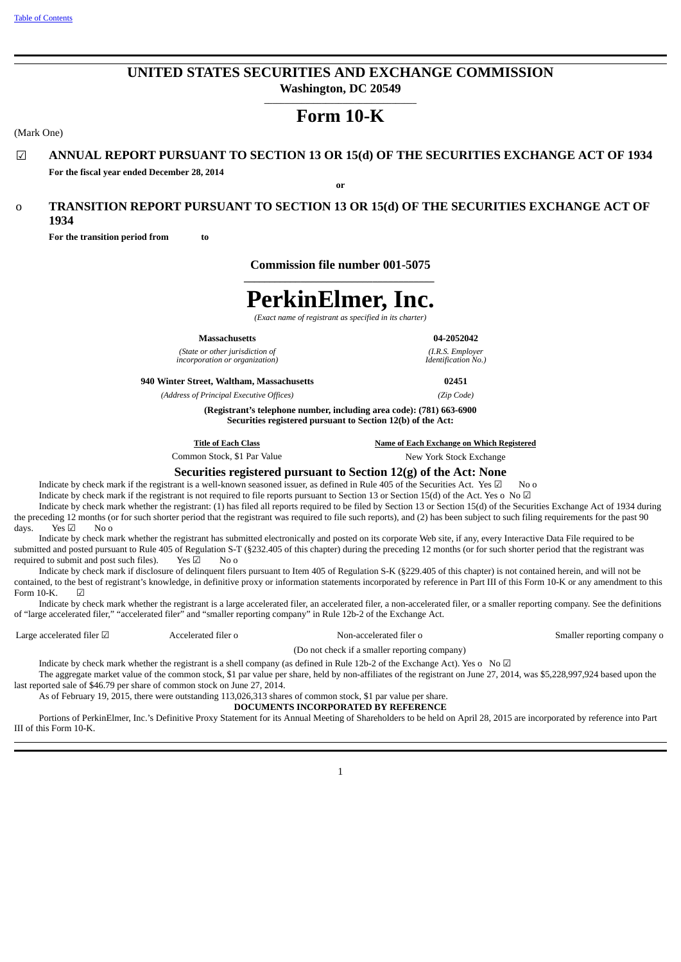## **UNITED STATES SECURITIES AND EXCHANGE COMMISSION Washington, DC 20549**

**\_\_\_\_\_\_\_\_\_\_\_\_\_\_\_\_\_\_\_\_\_\_\_\_\_\_\_\_\_\_\_\_\_\_\_\_\_**

## **Form 10-K**

(Mark One)

☑ **ANNUAL REPORT PURSUANT TO SECTION 13 OR 15(d) OF THE SECURITIES EXCHANGE ACT OF 1934 For the fiscal year ended December 28, 2014**

**or**

o **TRANSITION REPORT PURSUANT TO SECTION 13 OR 15(d) OF THE SECURITIES EXCHANGE ACT OF 1934**

**For the transition period from to**

**Commission file number 001-5075 \_\_\_\_\_\_\_\_\_\_\_\_\_\_\_\_\_\_\_\_\_\_\_\_\_\_\_\_\_\_\_\_\_\_\_\_\_**

# **PerkinElmer, Inc.**

*(Exact name of registrant as specified in its charter)*

**Massachusetts 04-2052042**

*(State or other jurisdiction of incorporation or organization)*

**940 Winter Street, Waltham, Massachusetts 02451**

*(Address of Principal Executive Offices) (Zip Code)*

**(Registrant's telephone number, including area code): (781) 663-6900 Securities registered pursuant to Section 12(b) of the Act:**

Common Stock, \$1 Par Value New York Stock Exchange

**Title of Each Class Name of Each Exchange on Which Registered**

*(I.R.S. Employer Identification No.)*

## **Securities registered pursuant to Section 12(g) of the Act: None**

Indicate by check mark if the registrant is a well-known seasoned issuer, as defined in Rule 405 of the Securities Act. Yes ☑ No o Indicate by check mark if the registrant is not required to file reports pursuant to Section 13 or Section 15(d) of the Act. Yes o No  $\Box$ 

Indicate by check mark whether the registrant: (1) has filed all reports required to be filed by Section 13 or Section 15(d) of the Securities Exchange Act of 1934 during the preceding 12 months (or for such shorter period that the registrant was required to file such reports), and (2) has been subject to such filing requirements for the past 90 days. Yes ☑ No o

Indicate by check mark whether the registrant has submitted electronically and posted on its corporate Web site, if any, every Interactive Data File required to be submitted and posted pursuant to Rule 405 of Regulation S-T (§232.405 of this chapter) during the preceding 12 months (or for such shorter period that the registrant was required to submit and post such files). Yes  $\boxtimes$  No o

Indicate by check mark if disclosure of delinquent filers pursuant to Item 405 of Regulation S-K (§229.405 of this chapter) is not contained herein, and will not be contained, to the best of registrant's knowledge, in definitive proxy or information statements incorporated by reference in Part III of this Form 10-K or any amendment to this Form 10-K. **□** 

Indicate by check mark whether the registrant is a large accelerated filer, an accelerated filer, a non-accelerated filer, or a smaller reporting company. See the definitions of "large accelerated filer," "accelerated filer" and "smaller reporting company" in Rule 12b-2 of the Exchange Act.

Large accelerated filer **Ⅰ** Accelerated filer o Non-accelerated filer o Non-accelerated filer o Smaller reporting company o

(Do not check if a smaller reporting company)

Indicate by check mark whether the registrant is a shell company (as defined in Rule 12b-2 of the Exchange Act). Yes o No ☑ The aggregate market value of the common stock, \$1 par value per share, held by non-affiliates of the registrant on June 27, 2014, was \$5,228,997,924 based upon the last reported sale of \$46.79 per share of common stock on June 27, 2014.

As of February 19, 2015, there were outstanding 113,026,313 shares of common stock, \$1 par value per share.

**DOCUMENTS INCORPORATED BY REFERENCE**

<span id="page-0-0"></span>Portions of PerkinElmer, Inc.'s Definitive Proxy Statement for its Annual Meeting of Shareholders to be held on April 28, 2015 are incorporated by reference into Part III of this Form 10-K.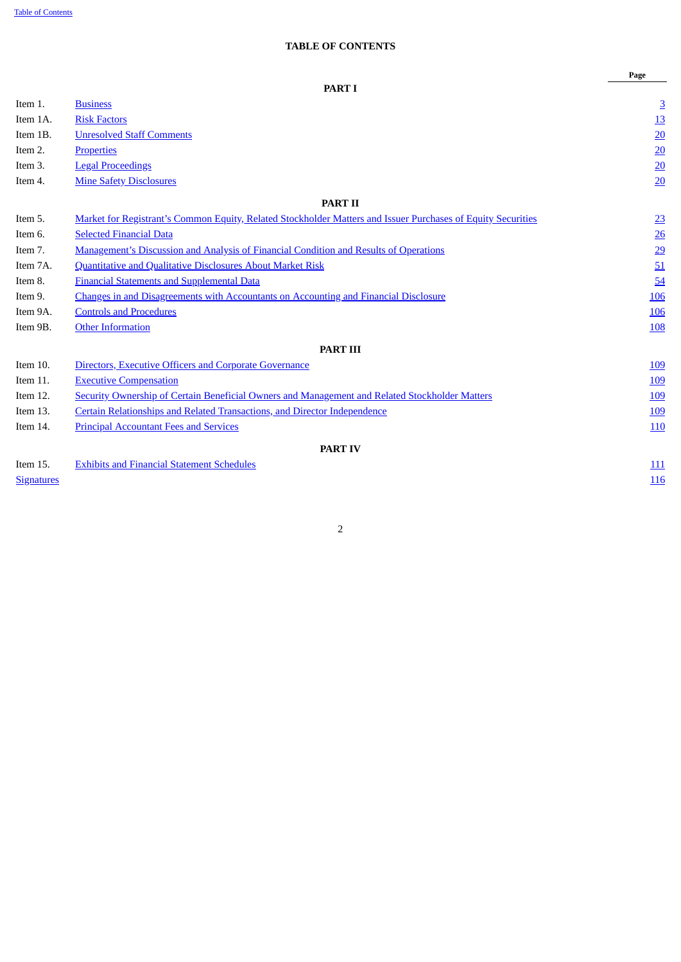## **TABLE OF CONTENTS**

|                   |                                                                                                              | Page            |
|-------------------|--------------------------------------------------------------------------------------------------------------|-----------------|
|                   | <b>PART I</b>                                                                                                |                 |
| Item 1.           | <b>Business</b>                                                                                              | $\overline{3}$  |
| Item 1A.          | <b>Risk Factors</b>                                                                                          | <u>13</u>       |
| Item 1B.          | <b>Unresolved Staff Comments</b>                                                                             | $\overline{20}$ |
| Item 2.           | <b>Properties</b>                                                                                            | $\overline{20}$ |
| Item 3.           | <b>Legal Proceedings</b>                                                                                     | $\overline{20}$ |
| Item 4.           | <b>Mine Safety Disclosures</b>                                                                               | 20              |
|                   | <b>PART II</b>                                                                                               |                 |
| Item 5.           | Market for Registrant's Common Equity, Related Stockholder Matters and Issuer Purchases of Equity Securities | $\overline{23}$ |
| Item 6.           | <b>Selected Financial Data</b>                                                                               | 26              |
| Item 7.           | <b>Management's Discussion and Analysis of Financial Condition and Results of Operations</b>                 | 29              |
| Item 7A.          | Quantitative and Qualitative Disclosures About Market Risk                                                   | 51              |
| Item 8.           | <b>Financial Statements and Supplemental Data</b>                                                            | 54              |
| Item 9.           | <b>Changes in and Disagreements with Accountants on Accounting and Financial Disclosure</b>                  | <b>106</b>      |
| Item 9A.          | <b>Controls and Procedures</b>                                                                               | <u>106</u>      |
| Item 9B.          | <b>Other Information</b>                                                                                     | 108             |
|                   | <b>PART III</b>                                                                                              |                 |
| Item 10.          | <b>Directors, Executive Officers and Corporate Governance</b>                                                | <u> 109</u>     |
| Item 11.          | <b>Executive Compensation</b>                                                                                | <u> 109</u>     |
| Item 12.          | <b>Security Ownership of Certain Beneficial Owners and Management and Related Stockholder Matters</b>        | <u> 109</u>     |
| Item 13.          | <b>Certain Relationships and Related Transactions, and Director Independence</b>                             | <u>109</u>      |
| Item 14.          | <b>Principal Accountant Fees and Services</b>                                                                | 110             |
|                   | <b>PART IV</b>                                                                                               |                 |
| Item 15.          | <b>Exhibits and Financial Statement Schedules</b>                                                            | <u> 111</u>     |
| <b>Signatures</b> |                                                                                                              | <b>116</b>      |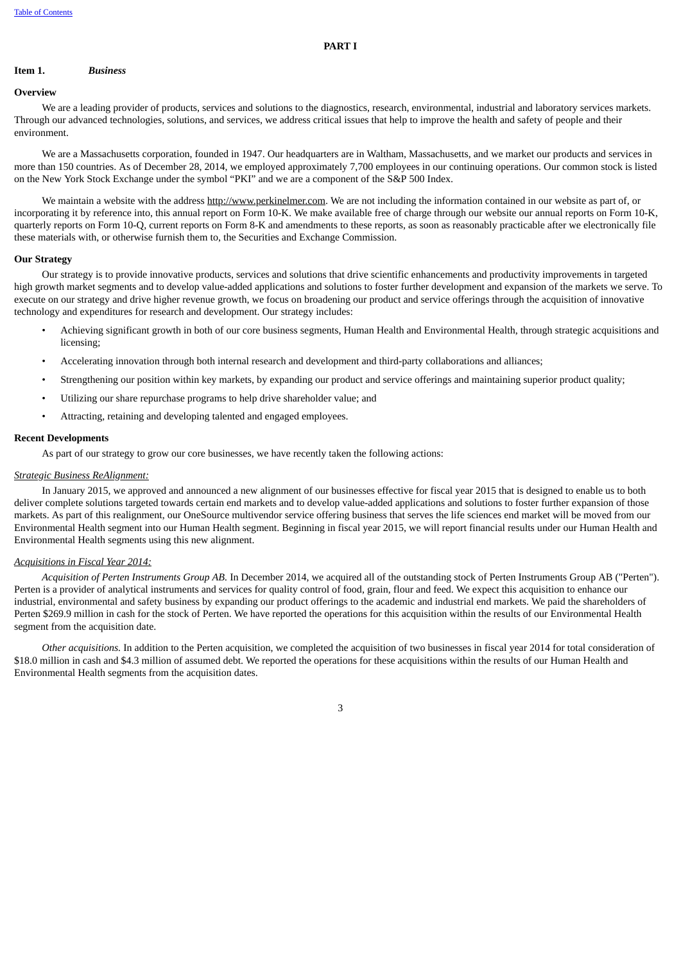## <span id="page-2-0"></span>**Item 1.** *Business*

## **Overview**

We are a leading provider of products, services and solutions to the diagnostics, research, environmental, industrial and laboratory services markets. Through our advanced technologies, solutions, and services, we address critical issues that help to improve the health and safety of people and their environment.

We are a Massachusetts corporation, founded in 1947. Our headquarters are in Waltham, Massachusetts, and we market our products and services in more than 150 countries. As of December 28, 2014, we employed approximately 7,700 employees in our continuing operations. Our common stock is listed on the New York Stock Exchange under the symbol "PKI" and we are a component of the S&P 500 Index.

We maintain a website with the address http://www.perkinelmer.com. We are not including the information contained in our website as part of, or incorporating it by reference into, this annual report on Form 10-K. We make available free of charge through our website our annual reports on Form 10-K, quarterly reports on Form 10-Q, current reports on Form 8-K and amendments to these reports, as soon as reasonably practicable after we electronically file these materials with, or otherwise furnish them to, the Securities and Exchange Commission.

#### **Our Strategy**

Our strategy is to provide innovative products, services and solutions that drive scientific enhancements and productivity improvements in targeted high growth market segments and to develop value-added applications and solutions to foster further development and expansion of the markets we serve. To execute on our strategy and drive higher revenue growth, we focus on broadening our product and service offerings through the acquisition of innovative technology and expenditures for research and development. Our strategy includes:

- Achieving significant growth in both of our core business segments, Human Health and Environmental Health, through strategic acquisitions and licensing;
- Accelerating innovation through both internal research and development and third-party collaborations and alliances;
- Strengthening our position within key markets, by expanding our product and service offerings and maintaining superior product quality;
- Utilizing our share repurchase programs to help drive shareholder value; and
- Attracting, retaining and developing talented and engaged employees.

#### **Recent Developments**

As part of our strategy to grow our core businesses, we have recently taken the following actions:

#### *Strategic Business ReAlignment:*

In January 2015, we approved and announced a new alignment of our businesses effective for fiscal year 2015 that is designed to enable us to both deliver complete solutions targeted towards certain end markets and to develop value-added applications and solutions to foster further expansion of those markets. As part of this realignment, our OneSource multivendor service offering business that serves the life sciences end market will be moved from our Environmental Health segment into our Human Health segment. Beginning in fiscal year 2015, we will report financial results under our Human Health and Environmental Health segments using this new alignment.

#### *Acquisitions in Fiscal Year 2014:*

*Acquisition of Perten Instruments Group AB.* In December 2014, we acquired all of the outstanding stock of Perten Instruments Group AB ("Perten"). Perten is a provider of analytical instruments and services for quality control of food, grain, flour and feed. We expect this acquisition to enhance our industrial, environmental and safety business by expanding our product offerings to the academic and industrial end markets. We paid the shareholders of Perten \$269.9 million in cash for the stock of Perten. We have reported the operations for this acquisition within the results of our Environmental Health segment from the acquisition date.

*Other acquisitions.* In addition to the Perten acquisition, we completed the acquisition of two businesses in fiscal year 2014 for total consideration of \$18.0 million in cash and \$4.3 million of assumed debt. We reported the operations for these acquisitions within the results of our Human Health and Environmental Health segments from the acquisition dates.

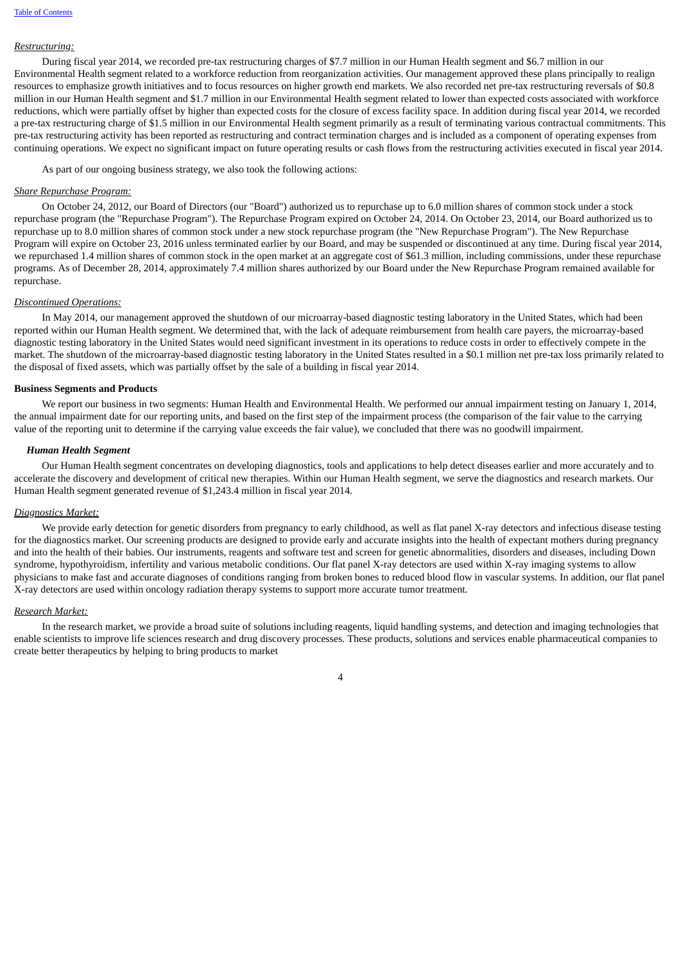#### *Restructuring:*

During fiscal year 2014, we recorded pre-tax restructuring charges of \$7.7 million in our Human Health segment and \$6.7 million in our Environmental Health segment related to a workforce reduction from reorganization activities. Our management approved these plans principally to realign resources to emphasize growth initiatives and to focus resources on higher growth end markets. We also recorded net pre-tax restructuring reversals of \$0.8 million in our Human Health segment and \$1.7 million in our Environmental Health segment related to lower than expected costs associated with workforce reductions, which were partially offset by higher than expected costs for the closure of excess facility space. In addition during fiscal year 2014, we recorded a pre-tax restructuring charge of \$1.5 million in our Environmental Health segment primarily as a result of terminating various contractual commitments. This pre-tax restructuring activity has been reported as restructuring and contract termination charges and is included as a component of operating expenses from continuing operations. We expect no significant impact on future operating results or cash flows from the restructuring activities executed in fiscal year 2014.

As part of our ongoing business strategy, we also took the following actions:

#### *Share Repurchase Program:*

On October 24, 2012, our Board of Directors (our "Board") authorized us to repurchase up to 6.0 million shares of common stock under a stock repurchase program (the "Repurchase Program"). The Repurchase Program expired on October 24, 2014. On October 23, 2014, our Board authorized us to repurchase up to 8.0 million shares of common stock under a new stock repurchase program (the "New Repurchase Program"). The New Repurchase Program will expire on October 23, 2016 unless terminated earlier by our Board, and may be suspended or discontinued at any time. During fiscal year 2014, we repurchased 1.4 million shares of common stock in the open market at an aggregate cost of \$61.3 million, including commissions, under these repurchase programs. As of December 28, 2014, approximately 7.4 million shares authorized by our Board under the New Repurchase Program remained available for repurchase.

#### *Discontinued Operations:*

In May 2014, our management approved the shutdown of our microarray-based diagnostic testing laboratory in the United States, which had been reported within our Human Health segment. We determined that, with the lack of adequate reimbursement from health care payers, the microarray-based diagnostic testing laboratory in the United States would need significant investment in its operations to reduce costs in order to effectively compete in the market. The shutdown of the microarray-based diagnostic testing laboratory in the United States resulted in a \$0.1 million net pre-tax loss primarily related to the disposal of fixed assets, which was partially offset by the sale of a building in fiscal year 2014.

#### **Business Segments and Products**

We report our business in two segments: Human Health and Environmental Health. We performed our annual impairment testing on January 1, 2014, the annual impairment date for our reporting units, and based on the first step of the impairment process (the comparison of the fair value to the carrying value of the reporting unit to determine if the carrying value exceeds the fair value), we concluded that there was no goodwill impairment.

#### *Human Health Segment*

Our Human Health segment concentrates on developing diagnostics, tools and applications to help detect diseases earlier and more accurately and to accelerate the discovery and development of critical new therapies. Within our Human Health segment, we serve the diagnostics and research markets. Our Human Health segment generated revenue of \$1,243.4 million in fiscal year 2014.

#### *Diagnostics Market:*

We provide early detection for genetic disorders from pregnancy to early childhood, as well as flat panel X-ray detectors and infectious disease testing for the diagnostics market. Our screening products are designed to provide early and accurate insights into the health of expectant mothers during pregnancy and into the health of their babies. Our instruments, reagents and software test and screen for genetic abnormalities, disorders and diseases, including Down syndrome, hypothyroidism, infertility and various metabolic conditions. Our flat panel X-ray detectors are used within X-ray imaging systems to allow physicians to make fast and accurate diagnoses of conditions ranging from broken bones to reduced blood flow in vascular systems. In addition, our flat panel X-ray detectors are used within oncology radiation therapy systems to support more accurate tumor treatment.

#### *Research Market:*

In the research market, we provide a broad suite of solutions including reagents, liquid handling systems, and detection and imaging technologies that enable scientists to improve life sciences research and drug discovery processes. These products, solutions and services enable pharmaceutical companies to create better therapeutics by helping to bring products to market

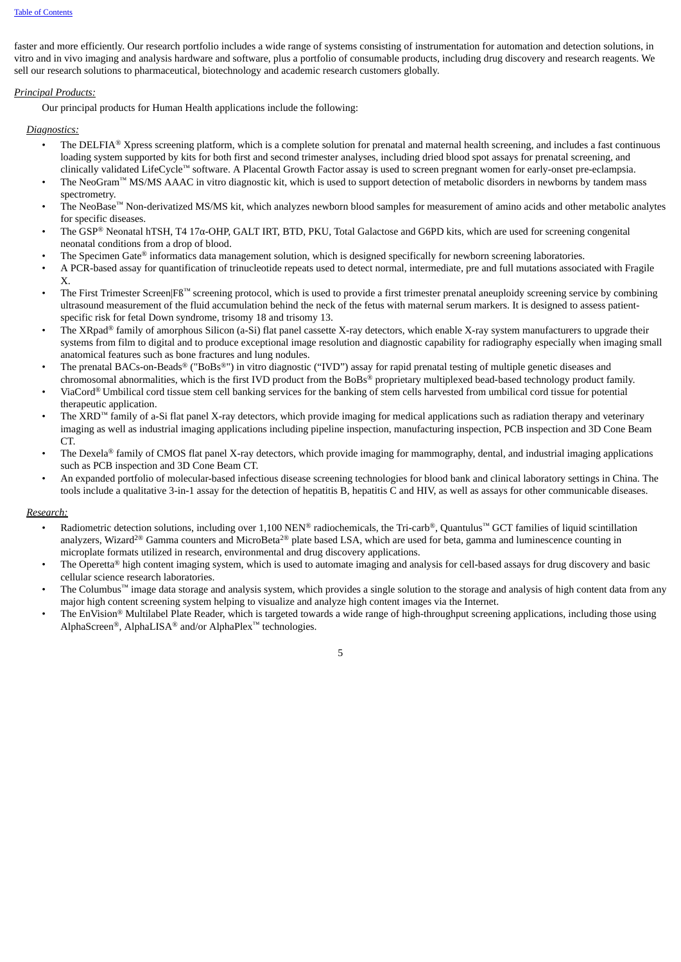faster and more efficiently. Our research portfolio includes a wide range of systems consisting of instrumentation for automation and detection solutions, in vitro and in vivo imaging and analysis hardware and software, plus a portfolio of consumable products, including drug discovery and research reagents. We sell our research solutions to pharmaceutical, biotechnology and academic research customers globally.

## *Principal Products:*

Our principal products for Human Health applications include the following:

## *Diagnostics:*

- The DELFIA<sup>®</sup> Xpress screening platform, which is a complete solution for prenatal and maternal health screening, and includes a fast continuous loading system supported by kits for both first and second trimester analyses, including dried blood spot assays for prenatal screening, and clinically validated LifeCycle™ software. A Placental Growth Factor assay is used to screen pregnant women for early-onset pre-eclampsia.
- The NeoGram™ MS/MS AAAC in vitro diagnostic kit, which is used to support detection of metabolic disorders in newborns by tandem mass spectrometry.
- The NeoBase™ Non-derivatized MS/MS kit, which analyzes newborn blood samples for measurement of amino acids and other metabolic analytes for specific diseases.
- The GSP® Neonatal hTSH, T4 17 $\alpha$ -OHP, GALT IRT, BTD, PKU, Total Galactose and G6PD kits, which are used for screening congenital neonatal conditions from a drop of blood.
- The Specimen Gate® informatics data management solution, which is designed specifically for newborn screening laboratories.
- A PCR-based assay for quantification of trinucleotide repeats used to detect normal, intermediate, pre and full mutations associated with Fragile X.
- The First Trimester Screen|Fß™ screening protocol, which is used to provide a first trimester prenatal aneuploidy screening service by combining ultrasound measurement of the fluid accumulation behind the neck of the fetus with maternal serum markers. It is designed to assess patientspecific risk for fetal Down syndrome, trisomy 18 and trisomy 13.
- The XRpad® family of amorphous Silicon (a-Si) flat panel cassette X-ray detectors, which enable X-ray system manufacturers to upgrade their systems from film to digital and to produce exceptional image resolution and diagnostic capability for radiography especially when imaging small anatomical features such as bone fractures and lung nodules.
- The prenatal BACs-on-Beads® ("BoBs®") in vitro diagnostic ("IVD") assay for rapid prenatal testing of multiple genetic diseases and chromosomal abnormalities, which is the first IVD product from the BoBs® proprietary multiplexed bead-based technology product family.
- ViaCord® Umbilical cord tissue stem cell banking services for the banking of stem cells harvested from umbilical cord tissue for potential therapeutic application.
- The  $XRD^{\text{TM}}$  family of a-Si flat panel X-ray detectors, which provide imaging for medical applications such as radiation therapy and veterinary imaging as well as industrial imaging applications including pipeline inspection, manufacturing inspection, PCB inspection and 3D Cone Beam CT.
- The Dexela® family of CMOS flat panel X-ray detectors, which provide imaging for mammography, dental, and industrial imaging applications such as PCB inspection and 3D Cone Beam CT.
- An expanded portfolio of molecular-based infectious disease screening technologies for blood bank and clinical laboratory settings in China. The tools include a qualitative 3-in-1 assay for the detection of hepatitis B, hepatitis C and HIV, as well as assays for other communicable diseases.

## *Research:*

- Radiometric detection solutions, including over 1,100 NEN® radiochemicals, the Tri-carb®, Quantulus™ GCT families of liquid scintillation analyzers, Wizard<sup>2®</sup> Gamma counters and MicroBeta<sup>2®</sup> plate based LSA, which are used for beta, gamma and luminescence counting in microplate formats utilized in research, environmental and drug discovery applications.
- The Operetta® high content imaging system, which is used to automate imaging and analysis for cell-based assays for drug discovery and basic cellular science research laboratories.
- The Columbus™ image data storage and analysis system, which provides a single solution to the storage and analysis of high content data from any major high content screening system helping to visualize and analyze high content images via the Internet.
- The EnVision® Multilabel Plate Reader, which is targeted towards a wide range of high-throughput screening applications, including those using AlphaScreen®, AlphaLISA® and/or AlphaPlex™ technologies.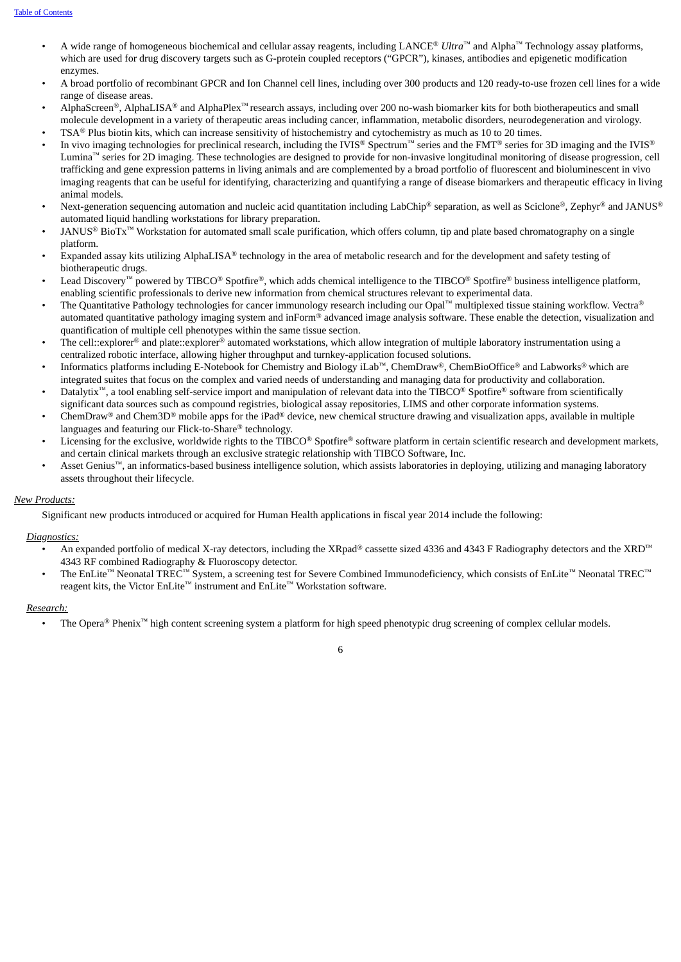- A wide range of homogeneous biochemical and cellular assay reagents, including LANCE® *Ultra*™ and Alpha™ Technology assay platforms, which are used for drug discovery targets such as G-protein coupled receptors ("GPCR"), kinases, antibodies and epigenetic modification enzymes.
- A broad portfolio of recombinant GPCR and Ion Channel cell lines, including over 300 products and 120 ready-to-use frozen cell lines for a wide range of disease areas.
- AlphaScreen®, AlphaLISA® and AlphaPlex™ research assays, including over 200 no-wash biomarker kits for both biotherapeutics and small molecule development in a variety of therapeutic areas including cancer, inflammation, metabolic disorders, neurodegeneration and virology. • TSA® Plus biotin kits, which can increase sensitivity of histochemistry and cytochemistry as much as 10 to 20 times.
- In vivo imaging technologies for preclinical research, including the IVIS® Spectrum™ series and the FMT® series for 3D imaging and the IVIS® Lumina™ series for 2D imaging. These technologies are designed to provide for non-invasive longitudinal monitoring of disease progression, cell trafficking and gene expression patterns in living animals and are complemented by a broad portfolio of fluorescent and bioluminescent in vivo imaging reagents that can be useful for identifying, characterizing and quantifying a range of disease biomarkers and therapeutic efficacy in living animal models.
- Next-generation sequencing automation and nucleic acid quantitation including LabChip® separation, as well as Sciclone®, Zephyr® and JANUS® automated liquid handling workstations for library preparation.
- JANUS® BioTx<sup>™</sup> Workstation for automated small scale purification, which offers column, tip and plate based chromatography on a single platform.
- Expanded assay kits utilizing AlphaLISA® technology in the area of metabolic research and for the development and safety testing of biotherapeutic drugs.
- Lead Discovery<sup>™</sup> powered by TIBCO<sup>®</sup> Spotfire<sup>®</sup>, which adds chemical intelligence to the TIBCO<sup>®</sup> Spotfire<sup>®</sup> business intelligence platform, enabling scientific professionals to derive new information from chemical structures relevant to experimental data.
- The Quantitative Pathology technologies for cancer immunology research including our Opal™ multiplexed tissue staining workflow. Vectra® automated quantitative pathology imaging system and inForm® advanced image analysis software. These enable the detection, visualization and quantification of multiple cell phenotypes within the same tissue section.
- The cell::explorer<sup>®</sup> and plate::explorer<sup>®</sup> automated workstations, which allow integration of multiple laboratory instrumentation using a centralized robotic interface, allowing higher throughput and turnkey-application focused solutions.
- Informatics platforms including E-Notebook for Chemistry and Biology iLab™, ChemDraw®, ChemBioOffice® and Labworks® which are integrated suites that focus on the complex and varied needs of understanding and managing data for productivity and collaboration.
- Datalytix™, a tool enabling self-service import and manipulation of relevant data into the TIBCO® Spotfire® software from scientifically significant data sources such as compound registries, biological assay repositories, LIMS and other corporate information systems.
- ChemDraw<sup>®</sup> and Chem3D<sup>®</sup> mobile apps for the iPad<sup>®</sup> device, new chemical structure drawing and visualization apps, available in multiple languages and featuring our Flick-to-Share® technology.
- Licensing for the exclusive, worldwide rights to the TIBCO® Spotfire® software platform in certain scientific research and development markets, and certain clinical markets through an exclusive strategic relationship with TIBCO Software, Inc.
- Asset Genius™, an informatics-based business intelligence solution, which assists laboratories in deploying, utilizing and managing laboratory assets throughout their lifecycle.

## *New Products:*

Significant new products introduced or acquired for Human Health applications in fiscal year 2014 include the following:

## *Diagnostics:*

- An expanded portfolio of medical X-ray detectors, including the XRpad® cassette sized 4336 and 4343 F Radiography detectors and the XRD™ 4343 RF combined Radiography & Fluoroscopy detector.
- The EnLite™ Neonatal TREC™ System, a screening test for Severe Combined Immunodeficiency, which consists of EnLite™ Neonatal TREC™ reagent kits, the Victor EnLite™ instrument and EnLite™ Workstation software.

## *Research:*

• The Opera® Phenix™ high content screening system a platform for high speed phenotypic drug screening of complex cellular models.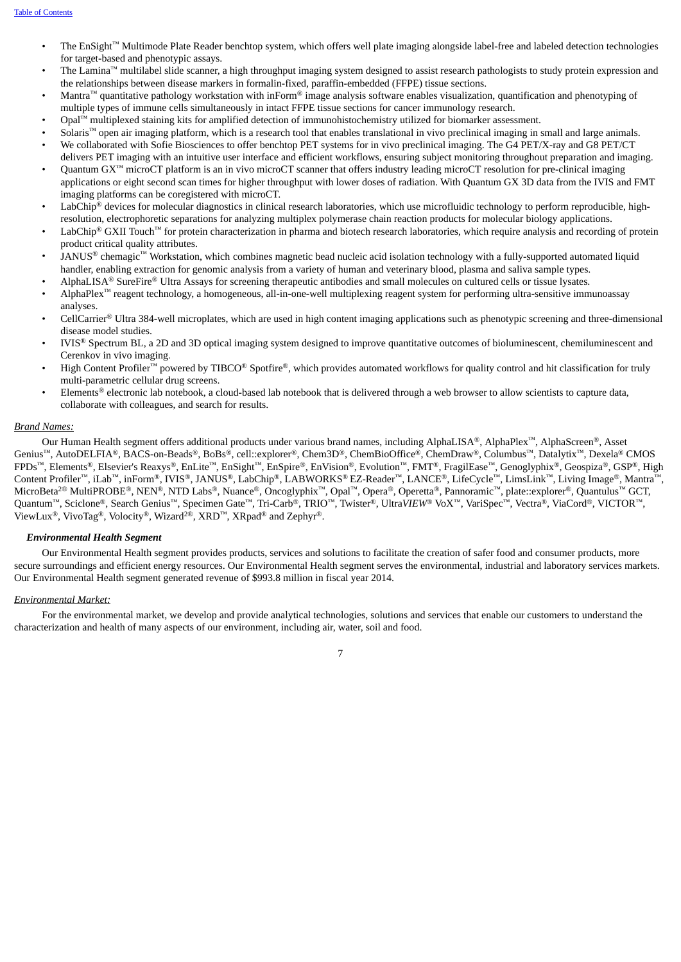- The EnSight™ Multimode Plate Reader benchtop system, which offers well plate imaging alongside label-free and labeled detection technologies for target-based and phenotypic assays.
- The Lamina<sup>™</sup> multilabel slide scanner, a high throughput imaging system designed to assist research pathologists to study protein expression and the relationships between disease markers in formalin-fixed, paraffin-embedded (FFPE) tissue sections.
- Mantra<sup>™</sup> quantitative pathology workstation with inForm® image analysis software enables visualization, quantification and phenotyping of multiple types of immune cells simultaneously in intact FFPE tissue sections for cancer immunology research.
- Opal™ multiplexed staining kits for amplified detection of immunohistochemistry utilized for biomarker assessment.
- $S$ olaris<sup>™</sup> open air imaging platform, which is a research tool that enables translational in vivo preclinical imaging in small and large animals.
- We collaborated with Sofie Biosciences to offer benchtop PET systems for in vivo preclinical imaging. The G4 PET/X-ray and G8 PET/CT delivers PET imaging with an intuitive user interface and efficient workflows, ensuring subject monitoring throughout preparation and imaging.
- Quantum  $GX^{\pi}$  microCT platform is an in vivo microCT scanner that offers industry leading microCT resolution for pre-clinical imaging applications or eight second scan times for higher throughput with lower doses of radiation. With Quantum GX 3D data from the IVIS and FMT imaging platforms can be coregistered with microCT.
- LabChip<sup>®</sup> devices for molecular diagnostics in clinical research laboratories, which use microfluidic technology to perform reproducible, highresolution, electrophoretic separations for analyzing multiplex polymerase chain reaction products for molecular biology applications.
- LabChip® GXII Touch™ for protein characterization in pharma and biotech research laboratories, which require analysis and recording of protein product critical quality attributes.
- JANUS<sup>®</sup> chemagic<sup>™</sup> Workstation, which combines magnetic bead nucleic acid isolation technology with a fully-supported automated liquid handler, enabling extraction for genomic analysis from a variety of human and veterinary blood, plasma and saliva sample types.
- AlphaLISA® SureFire® Ultra Assays for screening therapeutic antibodies and small molecules on cultured cells or tissue lysates.
- AlphaPlex™ reagent technology, a homogeneous, all-in-one-well multiplexing reagent system for performing ultra-sensitive immunoassay analyses.
- CellCarrier® Ultra 384-well microplates, which are used in high content imaging applications such as phenotypic screening and three-dimensional disease model studies.
- IVIS<sup>®</sup> Spectrum BL, a 2D and 3D optical imaging system designed to improve quantitative outcomes of bioluminescent, chemiluminescent and Cerenkov in vivo imaging.
- High Content Profiler<sup>™</sup> powered by TIBCO<sup>®</sup> Spotfire®, which provides automated workflows for quality control and hit classification for truly multi-parametric cellular drug screens.
- Elements® electronic lab notebook, a cloud-based lab notebook that is delivered through a web browser to allow scientists to capture data, collaborate with colleagues, and search for results.

## *Brand Names:*

Our Human Health segment offers additional products under various brand names, including AlphaLISA®, AlphaPlex™, AlphaScreen®, Asset Genius™, AutoDELFIA®, BACS-on-Beads®, BoBs®, cell::explorer®, Chem3D®, ChemBioOffice®, ChemDraw®, Columbus™, Datalytix™, Dexela® CMOS FPDs™, Elements®, Elsevier's Reaxys®, EnLite™, EnSight™, EnSpire®, EnVision®, Evolution™, FMT®, FragilEase™, Genoglyphix®, Geospiza®, GSP ®, High Content Profiler™, iLab™, inForm®, IVIS®, JANUS®, LabChip®, LABWORKS® EZ-Reader™, LANCE®, LifeCycle™, LimsLink™, Living Image®, Mantra™, MicroBeta 2® MultiPROBE®, NEN®, NTD Labs®, Nuance®, Oncoglyphix™, Opal™, Opera®, Operetta®, Pannoramic™, plate::explorer®, Quantulus™ GCT, Quantum™, Sciclone®, Search Genius™, Specimen Gate™, Tri-Carb®, TRIO™, Twister®, Ultra*VIEW*® VoX™, VariSpec™, Vectra®, ViaCord®, VICTOR™, ViewLux®, VivoTag®, Volocity®, Wizard<sup>2®</sup>, XRD™, XRpad® and Zephyr®.

## *Environmental Health Segment*

Our Environmental Health segment provides products, services and solutions to facilitate the creation of safer food and consumer products, more secure surroundings and efficient energy resources. Our Environmental Health segment serves the environmental, industrial and laboratory services markets. Our Environmental Health segment generated revenue of \$993.8 million in fiscal year 2014.

## *Environmental Market:*

For the environmental market, we develop and provide analytical technologies, solutions and services that enable our customers to understand the characterization and health of many aspects of our environment, including air, water, soil and food.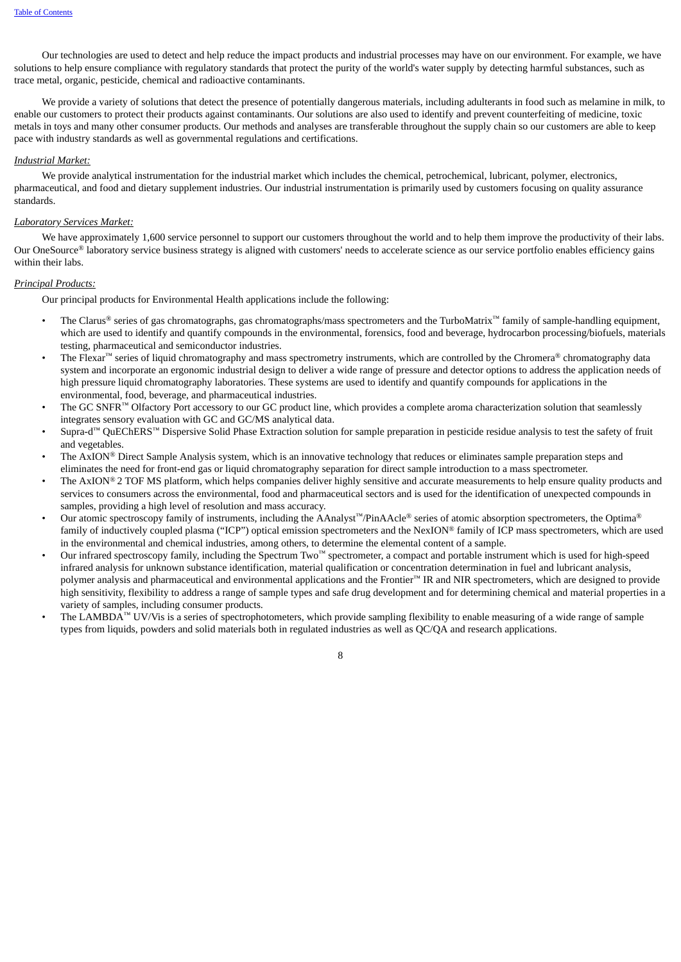Our technologies are used to detect and help reduce the impact products and industrial processes may have on our environment. For example, we have solutions to help ensure compliance with regulatory standards that protect the purity of the world's water supply by detecting harmful substances, such as trace metal, organic, pesticide, chemical and radioactive contaminants.

We provide a variety of solutions that detect the presence of potentially dangerous materials, including adulterants in food such as melamine in milk, to enable our customers to protect their products against contaminants. Our solutions are also used to identify and prevent counterfeiting of medicine, toxic metals in toys and many other consumer products. Our methods and analyses are transferable throughout the supply chain so our customers are able to keep pace with industry standards as well as governmental regulations and certifications.

#### *Industrial Market:*

We provide analytical instrumentation for the industrial market which includes the chemical, petrochemical, lubricant, polymer, electronics, pharmaceutical, and food and dietary supplement industries. Our industrial instrumentation is primarily used by customers focusing on quality assurance standards.

#### *Laboratory Services Market:*

We have approximately 1,600 service personnel to support our customers throughout the world and to help them improve the productivity of their labs. Our OneSource® laboratory service business strategy is aligned with customers' needs to accelerate science as our service portfolio enables efficiency gains within their labs.

#### *Principal Products:*

Our principal products for Environmental Health applications include the following:

- The Clarus® series of gas chromatographs, gas chromatographs/mass spectrometers and the TurboMatrix™ family of sample-handling equipment, which are used to identify and quantify compounds in the environmental, forensics, food and beverage, hydrocarbon processing/biofuels, materials testing, pharmaceutical and semiconductor industries.
- The Flexar<sup>™</sup> series of liquid chromatography and mass spectrometry instruments, which are controlled by the Chromera® chromatography data system and incorporate an ergonomic industrial design to deliver a wide range of pressure and detector options to address the application needs of high pressure liquid chromatography laboratories. These systems are used to identify and quantify compounds for applications in the environmental, food, beverage, and pharmaceutical industries.
- The GC SNFR™ Olfactory Port accessory to our GC product line, which provides a complete aroma characterization solution that seamlessly integrates sensory evaluation with GC and GC/MS analytical data.
- Supra-d™ QuEChERS™ Dispersive Solid Phase Extraction solution for sample preparation in pesticide residue analysis to test the safety of fruit and vegetables.
- The AxION® Direct Sample Analysis system, which is an innovative technology that reduces or eliminates sample preparation steps and eliminates the need for front-end gas or liquid chromatography separation for direct sample introduction to a mass spectrometer.
- The AxION® 2 TOF MS platform, which helps companies deliver highly sensitive and accurate measurements to help ensure quality products and services to consumers across the environmental, food and pharmaceutical sectors and is used for the identification of unexpected compounds in samples, providing a high level of resolution and mass accuracy.
- Our atomic spectroscopy family of instruments, including the AAnalyst™/PinAAcle® series of atomic absorption spectrometers, the Optima® family of inductively coupled plasma ("ICP") optical emission spectrometers and the NexION® family of ICP mass spectrometers, which are used in the environmental and chemical industries, among others, to determine the elemental content of a sample.
- Our infrared spectroscopy family, including the Spectrum Two™ spectrometer, a compact and portable instrument which is used for high-speed infrared analysis for unknown substance identification, material qualification or concentration determination in fuel and lubricant analysis, polymer analysis and pharmaceutical and environmental applications and the Frontier™ IR and NIR spectrometers, which are designed to provide high sensitivity, flexibility to address a range of sample types and safe drug development and for determining chemical and material properties in a variety of samples, including consumer products.
- The LAMBDA<sup>™</sup> UV/Vis is a series of spectrophotometers, which provide sampling flexibility to enable measuring of a wide range of sample types from liquids, powders and solid materials both in regulated industries as well as QC/QA and research applications.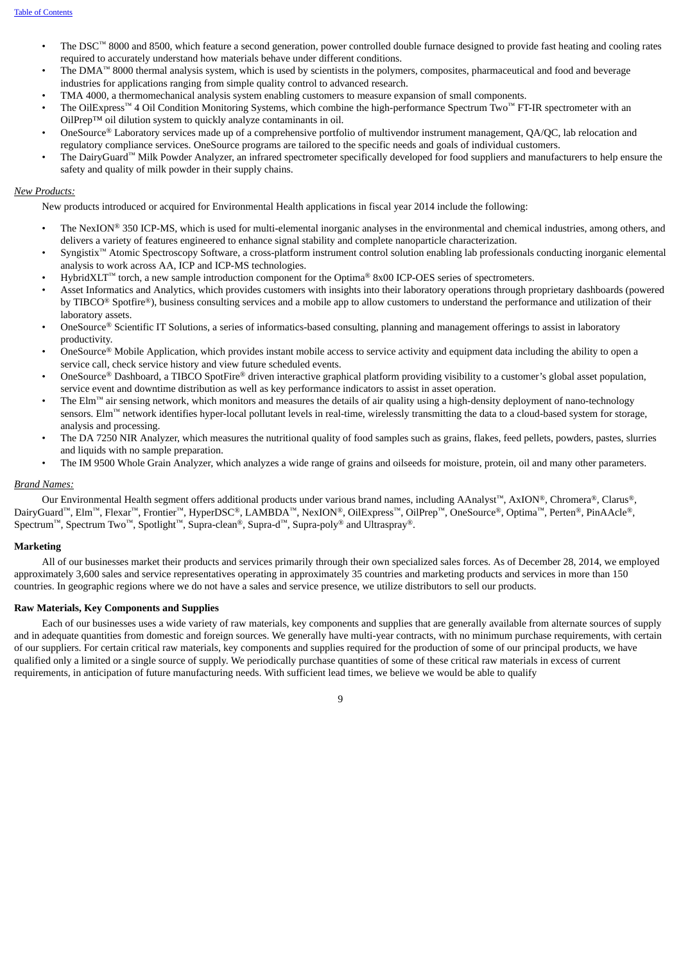- The DSC<sup>™</sup> 8000 and 8500, which feature a second generation, power controlled double furnace designed to provide fast heating and cooling rates required to accurately understand how materials behave under different conditions.
- The DMA<sup>™</sup> 8000 thermal analysis system, which is used by scientists in the polymers, composites, pharmaceutical and food and beverage industries for applications ranging from simple quality control to advanced research.
- TMA 4000, a thermomechanical analysis system enabling customers to measure expansion of small components.
- The OilExpress™ 4 Oil Condition Monitoring Systems, which combine the high-performance Spectrum Two™ FT-IR spectrometer with an OilPrep™ oil dilution system to quickly analyze contaminants in oil.
- OneSource® Laboratory services made up of a comprehensive portfolio of multivendor instrument management, QA/QC, lab relocation and regulatory compliance services. OneSource programs are tailored to the specific needs and goals of individual customers.
- The DairyGuard™ Milk Powder Analyzer, an infrared spectrometer specifically developed for food suppliers and manufacturers to help ensure the safety and quality of milk powder in their supply chains.

## *New Products:*

New products introduced or acquired for Environmental Health applications in fiscal year 2014 include the following:

- The NexION® 350 ICP-MS, which is used for multi-elemental inorganic analyses in the environmental and chemical industries, among others, and delivers a variety of features engineered to enhance signal stability and complete nanoparticle characterization.
- Syngistix™ Atomic Spectroscopy Software, a cross-platform instrument control solution enabling lab professionals conducting inorganic elemental analysis to work across AA, ICP and ICP-MS technologies.
- HybridXLT™ torch, a new sample introduction component for the Optima® 8x00 ICP-OES series of spectrometers.
- Asset Informatics and Analytics, which provides customers with insights into their laboratory operations through proprietary dashboards (powered by TIBCO<sup>®</sup> Spotfire®), business consulting services and a mobile app to allow customers to understand the performance and utilization of their laboratory assets.
- OneSource® Scientific IT Solutions, a series of informatics-based consulting, planning and management offerings to assist in laboratory productivity.
- OneSource® Mobile Application, which provides instant mobile access to service activity and equipment data including the ability to open a service call, check service history and view future scheduled events.
- OneSource® Dashboard, a TIBCO SpotFire® driven interactive graphical platform providing visibility to a customer's global asset population, service event and downtime distribution as well as key performance indicators to assist in asset operation.
- The  $\text{Elm}^m$  air sensing network, which monitors and measures the details of air quality using a high-density deployment of nano-technology sensors. Elm™ network identifies hyper-local pollutant levels in real-time, wirelessly transmitting the data to a cloud-based system for storage, analysis and processing.
- The DA 7250 NIR Analyzer, which measures the nutritional quality of food samples such as grains, flakes, feed pellets, powders, pastes, slurries and liquids with no sample preparation.
- The IM 9500 Whole Grain Analyzer, which analyzes a wide range of grains and oilseeds for moisture, protein, oil and many other parameters.

## *Brand Names:*

Our Environmental Health segment offers additional products under various brand names, including AAnalyst™, AxION®, Chromera®, Clarus®, DairyGuard™, Elm™, Flexar™, Frontier™, HyperDSC®, LAMBDA™, NexION®, OilExpress™, OilPrep™, OneSource®, Optima™, Perten®, PinAAcle®, Spectrum™, Spectrum Two™, Spotlight™, Supra-clean®, Supra-d™, Supra-poly® and Ultraspray®.

## **Marketing**

All of our businesses market their products and services primarily through their own specialized sales forces. As of December 28, 2014, we employed approximately 3,600 sales and service representatives operating in approximately 35 countries and marketing products and services in more than 150 countries. In geographic regions where we do not have a sales and service presence, we utilize distributors to sell our products.

## **Raw Materials, Key Components and Supplies**

Each of our businesses uses a wide variety of raw materials, key components and supplies that are generally available from alternate sources of supply and in adequate quantities from domestic and foreign sources. We generally have multi-year contracts, with no minimum purchase requirements, with certain of our suppliers. For certain critical raw materials, key components and supplies required for the production of some of our principal products, we have qualified only a limited or a single source of supply. We periodically purchase quantities of some of these critical raw materials in excess of current requirements, in anticipation of future manufacturing needs. With sufficient lead times, we believe we would be able to qualify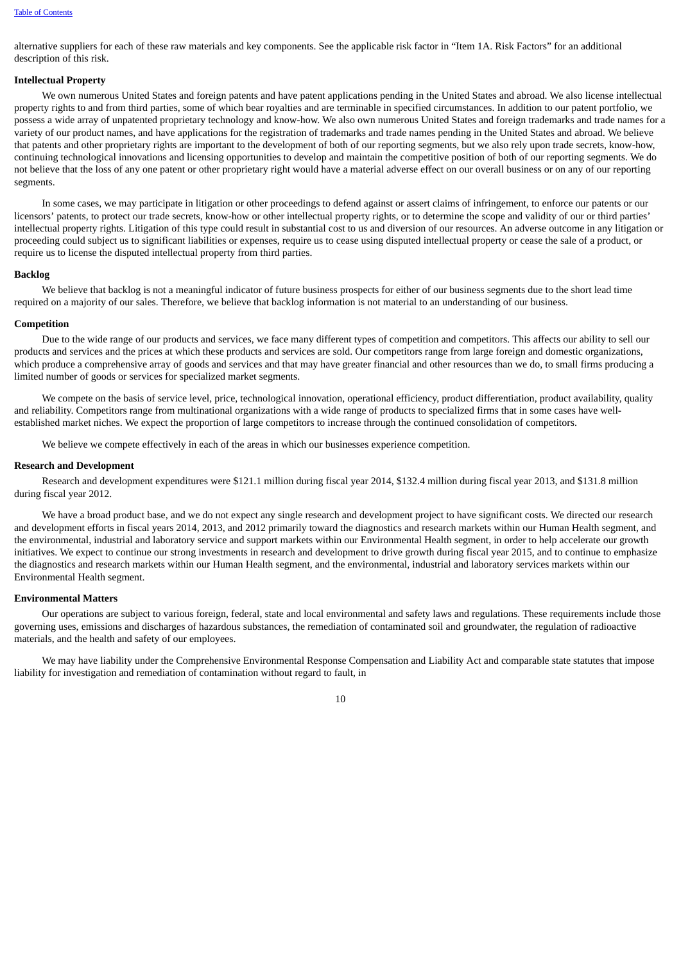alternative suppliers for each of these raw materials and key components. See the applicable risk factor in "Item 1A. Risk Factors" for an additional description of this risk.

## **Intellectual Property**

We own numerous United States and foreign patents and have patent applications pending in the United States and abroad. We also license intellectual property rights to and from third parties, some of which bear royalties and are terminable in specified circumstances. In addition to our patent portfolio, we possess a wide array of unpatented proprietary technology and know-how. We also own numerous United States and foreign trademarks and trade names for a variety of our product names, and have applications for the registration of trademarks and trade names pending in the United States and abroad. We believe that patents and other proprietary rights are important to the development of both of our reporting segments, but we also rely upon trade secrets, know-how, continuing technological innovations and licensing opportunities to develop and maintain the competitive position of both of our reporting segments. We do not believe that the loss of any one patent or other proprietary right would have a material adverse effect on our overall business or on any of our reporting segments.

In some cases, we may participate in litigation or other proceedings to defend against or assert claims of infringement, to enforce our patents or our licensors' patents, to protect our trade secrets, know-how or other intellectual property rights, or to determine the scope and validity of our or third parties' intellectual property rights. Litigation of this type could result in substantial cost to us and diversion of our resources. An adverse outcome in any litigation or proceeding could subject us to significant liabilities or expenses, require us to cease using disputed intellectual property or cease the sale of a product, or require us to license the disputed intellectual property from third parties.

#### **Backlog**

We believe that backlog is not a meaningful indicator of future business prospects for either of our business segments due to the short lead time required on a majority of our sales. Therefore, we believe that backlog information is not material to an understanding of our business.

#### **Competition**

Due to the wide range of our products and services, we face many different types of competition and competitors. This affects our ability to sell our products and services and the prices at which these products and services are sold. Our competitors range from large foreign and domestic organizations, which produce a comprehensive array of goods and services and that may have greater financial and other resources than we do, to small firms producing a limited number of goods or services for specialized market segments.

We compete on the basis of service level, price, technological innovation, operational efficiency, product differentiation, product availability, quality and reliability. Competitors range from multinational organizations with a wide range of products to specialized firms that in some cases have wellestablished market niches. We expect the proportion of large competitors to increase through the continued consolidation of competitors.

We believe we compete effectively in each of the areas in which our businesses experience competition.

#### **Research and Development**

Research and development expenditures were \$121.1 million during fiscal year 2014, \$132.4 million during fiscal year 2013, and \$131.8 million during fiscal year 2012.

We have a broad product base, and we do not expect any single research and development project to have significant costs. We directed our research and development efforts in fiscal years 2014, 2013, and 2012 primarily toward the diagnostics and research markets within our Human Health segment, and the environmental, industrial and laboratory service and support markets within our Environmental Health segment, in order to help accelerate our growth initiatives. We expect to continue our strong investments in research and development to drive growth during fiscal year 2015, and to continue to emphasize the diagnostics and research markets within our Human Health segment, and the environmental, industrial and laboratory services markets within our Environmental Health segment.

#### **Environmental Matters**

Our operations are subject to various foreign, federal, state and local environmental and safety laws and regulations. These requirements include those governing uses, emissions and discharges of hazardous substances, the remediation of contaminated soil and groundwater, the regulation of radioactive materials, and the health and safety of our employees.

We may have liability under the Comprehensive Environmental Response Compensation and Liability Act and comparable state statutes that impose liability for investigation and remediation of contamination without regard to fault, in

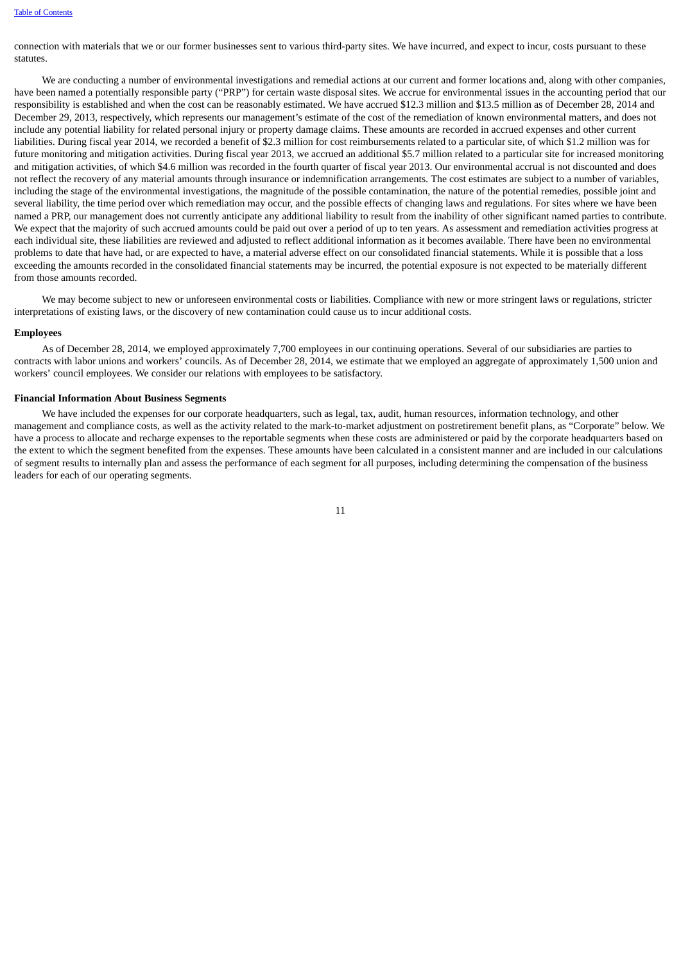connection with materials that we or our former businesses sent to various third-party sites. We have incurred, and expect to incur, costs pursuant to these statutes.

We are conducting a number of environmental investigations and remedial actions at our current and former locations and, along with other companies, have been named a potentially responsible party ("PRP") for certain waste disposal sites. We accrue for environmental issues in the accounting period that our responsibility is established and when the cost can be reasonably estimated. We have accrued \$12.3 million and \$13.5 million as of December 28, 2014 and December 29, 2013, respectively, which represents our management's estimate of the cost of the remediation of known environmental matters, and does not include any potential liability for related personal injury or property damage claims. These amounts are recorded in accrued expenses and other current liabilities. During fiscal year 2014, we recorded a benefit of \$2.3 million for cost reimbursements related to a particular site, of which \$1.2 million was for future monitoring and mitigation activities. During fiscal year 2013, we accrued an additional \$5.7 million related to a particular site for increased monitoring and mitigation activities, of which \$4.6 million was recorded in the fourth quarter of fiscal year 2013. Our environmental accrual is not discounted and does not reflect the recovery of any material amounts through insurance or indemnification arrangements. The cost estimates are subject to a number of variables, including the stage of the environmental investigations, the magnitude of the possible contamination, the nature of the potential remedies, possible joint and several liability, the time period over which remediation may occur, and the possible effects of changing laws and regulations. For sites where we have been named a PRP, our management does not currently anticipate any additional liability to result from the inability of other significant named parties to contribute. We expect that the majority of such accrued amounts could be paid out over a period of up to ten years. As assessment and remediation activities progress at each individual site, these liabilities are reviewed and adjusted to reflect additional information as it becomes available. There have been no environmental problems to date that have had, or are expected to have, a material adverse effect on our consolidated financial statements. While it is possible that a loss exceeding the amounts recorded in the consolidated financial statements may be incurred, the potential exposure is not expected to be materially different from those amounts recorded.

We may become subject to new or unforeseen environmental costs or liabilities. Compliance with new or more stringent laws or regulations, stricter interpretations of existing laws, or the discovery of new contamination could cause us to incur additional costs.

#### **Employees**

As of December 28, 2014, we employed approximately 7,700 employees in our continuing operations. Several of our subsidiaries are parties to contracts with labor unions and workers' councils. As of December 28, 2014, we estimate that we employed an aggregate of approximately 1,500 union and workers' council employees. We consider our relations with employees to be satisfactory.

## **Financial Information About Business Segments**

We have included the expenses for our corporate headquarters, such as legal, tax, audit, human resources, information technology, and other management and compliance costs, as well as the activity related to the mark-to-market adjustment on postretirement benefit plans, as "Corporate" below. We have a process to allocate and recharge expenses to the reportable segments when these costs are administered or paid by the corporate headquarters based on the extent to which the segment benefited from the expenses. These amounts have been calculated in a consistent manner and are included in our calculations of segment results to internally plan and assess the performance of each segment for all purposes, including determining the compensation of the business leaders for each of our operating segments.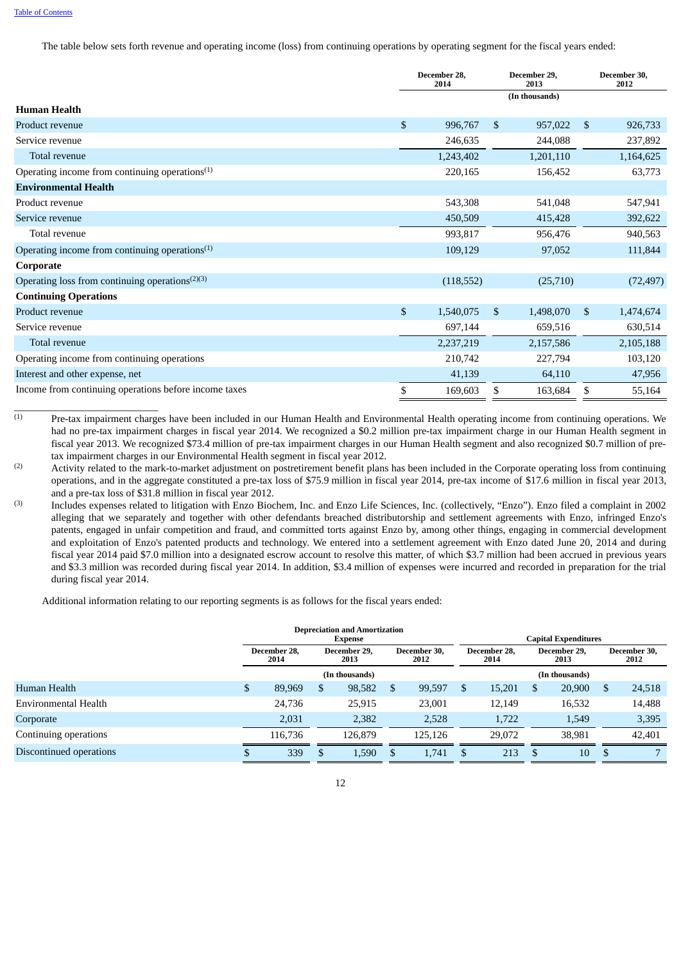$\frac{1}{2}$  ,  $\frac{1}{2}$  ,  $\frac{1}{2}$  ,  $\frac{1}{2}$  ,  $\frac{1}{2}$  ,  $\frac{1}{2}$  ,  $\frac{1}{2}$  ,  $\frac{1}{2}$  ,  $\frac{1}{2}$  ,  $\frac{1}{2}$  ,  $\frac{1}{2}$  ,  $\frac{1}{2}$  ,  $\frac{1}{2}$  ,  $\frac{1}{2}$  ,  $\frac{1}{2}$  ,  $\frac{1}{2}$  ,  $\frac{1}{2}$  ,  $\frac{1}{2}$  ,  $\frac{1$ 

The table below sets forth revenue and operating income (loss) from continuing operations by operating segment for the fiscal years ended:

|                                                            | December 28,<br>2014 |                | December 29,<br>2013 |               | December 30,<br>2012 |
|------------------------------------------------------------|----------------------|----------------|----------------------|---------------|----------------------|
|                                                            |                      |                | (In thousands)       |               |                      |
| <b>Human Health</b>                                        |                      |                |                      |               |                      |
| Product revenue                                            | \$<br>996,767        | $\mathfrak{S}$ | 957,022              | <sup>\$</sup> | 926,733              |
| Service revenue                                            | 246,635              |                | 244,088              |               | 237,892              |
| Total revenue                                              | 1,243,402            |                | 1,201,110            |               | 1,164,625            |
| Operating income from continuing operations $(1)$          | 220,165              |                | 156,452              |               | 63,773               |
| <b>Environmental Health</b>                                |                      |                |                      |               |                      |
| Product revenue                                            | 543,308              |                | 541,048              |               | 547,941              |
| Service revenue                                            | 450,509              |                | 415,428              |               | 392,622              |
| Total revenue                                              | 993,817              |                | 956,476              |               | 940,563              |
| Operating income from continuing operations <sup>(1)</sup> | 109,129              |                | 97,052               |               | 111,844              |
| Corporate                                                  |                      |                |                      |               |                      |
| Operating loss from continuing operations $(2)(3)$         | (118, 552)           |                | (25,710)             |               | (72, 497)            |
| <b>Continuing Operations</b>                               |                      |                |                      |               |                      |
| Product revenue                                            | \$<br>1,540,075      | \$             | 1,498,070            | <sup>\$</sup> | 1,474,674            |
| Service revenue                                            | 697,144              |                | 659,516              |               | 630,514              |
| Total revenue                                              | 2,237,219            |                | 2,157,586            |               | 2,105,188            |
| Operating income from continuing operations                | 210,742              |                | 227,794              |               | 103,120              |
| Interest and other expense, net                            | 41,139               |                | 64,110               |               | 47,956               |
| Income from continuing operations before income taxes      | \$<br>169,603        | \$             | 163,684              | \$            | 55,164               |

 $\overline{p}$ <sup>(1)</sup> Pre-tax impairment charges have been included in our Human Health and Environmental Health operating income from continuing operations. We had no pre-tax impairment charges in fiscal year 2014. We recognized a \$0.2 million pre-tax impairment charge in our Human Health segment in fiscal year 2013. We recognized \$73.4 million of pre-tax impairment charges in our Human Health segment and also recognized \$0.7 million of pretax impairment charges in our Environmental Health segment in fiscal year 2012.

(2) Activity related to the mark-to-market adjustment on postretirement benefit plans has been included in the Corporate operating loss from continuing operations, and in the aggregate constituted a pre-tax loss of \$75.9 million in fiscal year 2014, pre-tax income of \$17.6 million in fiscal year 2013, and a pre-tax loss of \$31.8 million in fiscal year 2012.

(3) Includes expenses related to litigation with Enzo Biochem, Inc. and Enzo Life Sciences, Inc. (collectively, "Enzo"). Enzo filed a complaint in 2002 alleging that we separately and together with other defendants breached distributorship and settlement agreements with Enzo, infringed Enzo's patents, engaged in unfair competition and fraud, and committed torts against Enzo by, among other things, engaging in commercial development and exploitation of Enzo's patented products and technology. We entered into a settlement agreement with Enzo dated June 20, 2014 and during fiscal year 2014 paid \$7.0 million into a designated escrow account to resolve this matter, of which \$3.7 million had been accrued in previous years and \$3.3 million was recorded during fiscal year 2014. In addition, \$3.4 million of expenses were incurred and recorded in preparation for the trial during fiscal year 2014.

Additional information relating to our reporting segments is as follows for the fiscal years ended:

|                         |                      |   | <b>Depreciation and Amortization</b><br><b>Expense</b> | <b>Capital Expenditures</b> |         |                      |        |                      |        |               |                      |  |
|-------------------------|----------------------|---|--------------------------------------------------------|-----------------------------|---------|----------------------|--------|----------------------|--------|---------------|----------------------|--|
|                         | December 28.<br>2014 |   | December 29,<br>2013                                   | December 30.<br>2012        |         | December 28.<br>2014 |        | December 29.<br>2013 |        |               | December 30.<br>2012 |  |
|                         |                      |   | (In thousands)                                         |                             |         | (In thousands)       |        |                      |        |               |                      |  |
| Human Health            | \$<br>89,969         | S | 98,582                                                 | S                           | 99,597  | £.                   | 15,201 | <b>S</b>             | 20,900 | <sup>\$</sup> | 24,518               |  |
| Environmental Health    | 24,736               |   | 25,915                                                 |                             | 23,001  |                      | 12,149 |                      | 16,532 |               | 14,488               |  |
| Corporate               | 2,031                |   | 2,382                                                  |                             | 2,528   |                      | 1,722  |                      | 1,549  |               | 3,395                |  |
| Continuing operations   | 116,736              |   | 126,879                                                |                             | 125,126 |                      | 29,072 |                      | 38,981 |               | 42,401               |  |
| Discontinued operations | 339                  |   | 1,590                                                  | \$.                         | 1,741   | <sup>\$</sup>        | 213    | -S                   | 10     | <sup>\$</sup> | $\overline{7}$       |  |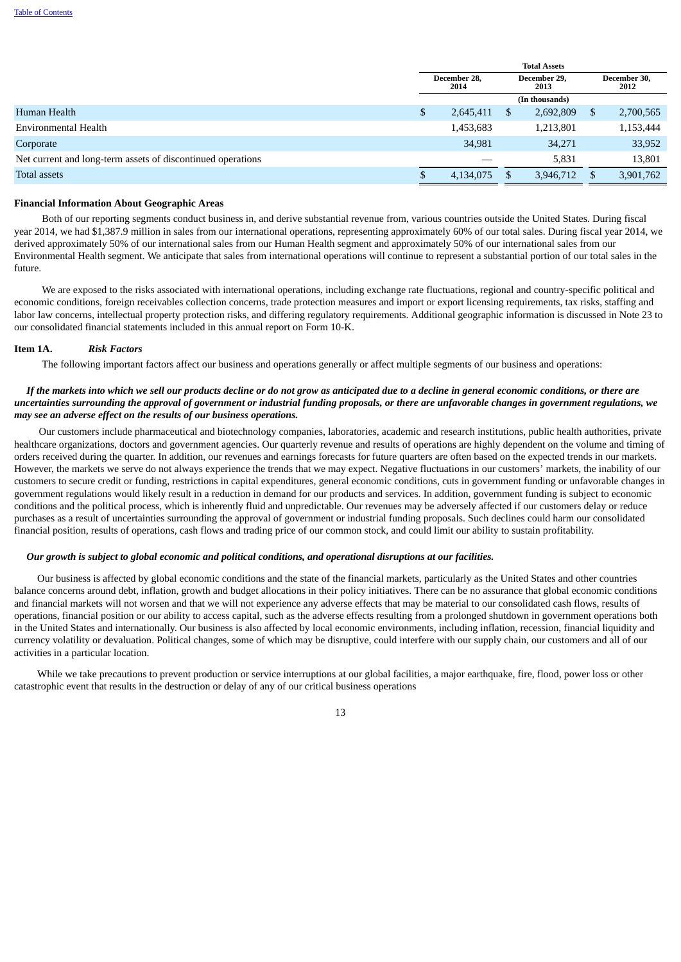|                                                             | <b>Total Assets</b> |                      |   |                      |               |                      |  |  |  |  |
|-------------------------------------------------------------|---------------------|----------------------|---|----------------------|---------------|----------------------|--|--|--|--|
|                                                             |                     | December 28,<br>2014 |   | December 29,<br>2013 |               | December 30,<br>2012 |  |  |  |  |
|                                                             |                     |                      |   | (In thousands)       |               |                      |  |  |  |  |
| Human Health                                                | \$                  | 2,645,411            | S | 2,692,809            | S             | 2,700,565            |  |  |  |  |
| Environmental Health                                        |                     | 1,453,683            |   | 1,213,801            |               | 1,153,444            |  |  |  |  |
| Corporate                                                   |                     | 34,981               |   | 34,271               |               | 33,952               |  |  |  |  |
| Net current and long-term assets of discontinued operations |                     |                      |   | 5.831                |               | 13,801               |  |  |  |  |
| Total assets                                                |                     | 4.134,075            |   | 3,946,712            | <sup>\$</sup> | 3,901,762            |  |  |  |  |

#### **Financial Information About Geographic Areas**

Both of our reporting segments conduct business in, and derive substantial revenue from, various countries outside the United States. During fiscal year 2014, we had \$1,387.9 million in sales from our international operations, representing approximately 60% of our total sales. During fiscal year 2014, we derived approximately 50% of our international sales from our Human Health segment and approximately 50% of our international sales from our Environmental Health segment. We anticipate that sales from international operations will continue to represent a substantial portion of our total sales in the future.

We are exposed to the risks associated with international operations, including exchange rate fluctuations, regional and country-specific political and economic conditions, foreign receivables collection concerns, trade protection measures and import or export licensing requirements, tax risks, staffing and labor law concerns, intellectual property protection risks, and differing regulatory requirements. Additional geographic information is discussed in Note 23 to our consolidated financial statements included in this annual report on Form 10-K.

#### <span id="page-12-0"></span>**Item 1A.** *Risk Factors*

The following important factors affect our business and operations generally or affect multiple segments of our business and operations:

## If the markets into which we sell our products decline or do not grow as anticipated due to a decline in general economic conditions, or there are uncertainties surrounding the approval of government or industrial funding proposals, or there are unfavorable changes in government regulations, we *may see an adverse effect on the results of our business operations.*

Our customers include pharmaceutical and biotechnology companies, laboratories, academic and research institutions, public health authorities, private healthcare organizations, doctors and government agencies. Our quarterly revenue and results of operations are highly dependent on the volume and timing of orders received during the quarter. In addition, our revenues and earnings forecasts for future quarters are often based on the expected trends in our markets. However, the markets we serve do not always experience the trends that we may expect. Negative fluctuations in our customers' markets, the inability of our customers to secure credit or funding, restrictions in capital expenditures, general economic conditions, cuts in government funding or unfavorable changes in government regulations would likely result in a reduction in demand for our products and services. In addition, government funding is subject to economic conditions and the political process, which is inherently fluid and unpredictable. Our revenues may be adversely affected if our customers delay or reduce purchases as a result of uncertainties surrounding the approval of government or industrial funding proposals. Such declines could harm our consolidated financial position, results of operations, cash flows and trading price of our common stock, and could limit our ability to sustain profitability.

## Our growth is subject to global economic and political conditions, and operational disruptions at our facilities.

Our business is affected by global economic conditions and the state of the financial markets, particularly as the United States and other countries balance concerns around debt, inflation, growth and budget allocations in their policy initiatives. There can be no assurance that global economic conditions and financial markets will not worsen and that we will not experience any adverse effects that may be material to our consolidated cash flows, results of operations, financial position or our ability to access capital, such as the adverse effects resulting from a prolonged shutdown in government operations both in the United States and internationally. Our business is also affected by local economic environments, including inflation, recession, financial liquidity and currency volatility or devaluation. Political changes, some of which may be disruptive, could interfere with our supply chain, our customers and all of our activities in a particular location.

While we take precautions to prevent production or service interruptions at our global facilities, a major earthquake, fire, flood, power loss or other catastrophic event that results in the destruction or delay of any of our critical business operations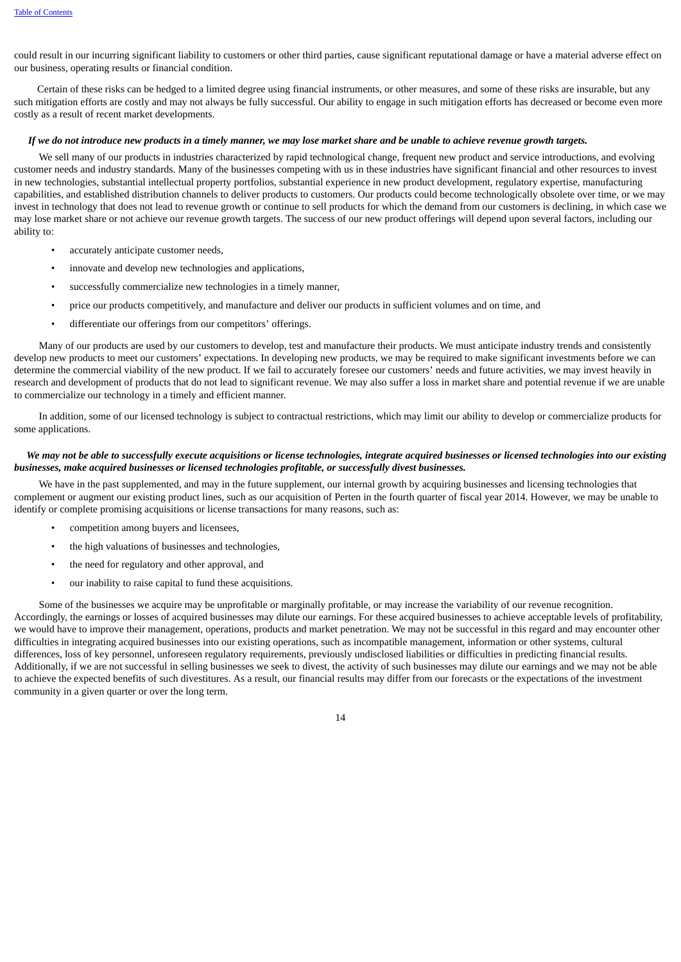could result in our incurring significant liability to customers or other third parties, cause significant reputational damage or have a material adverse effect on our business, operating results or financial condition.

Certain of these risks can be hedged to a limited degree using financial instruments, or other measures, and some of these risks are insurable, but any such mitigation efforts are costly and may not always be fully successful. Our ability to engage in such mitigation efforts has decreased or become even more costly as a result of recent market developments.

#### If we do not introduce new products in a timely manner, we may lose market share and be unable to achieve revenue growth targets.

We sell many of our products in industries characterized by rapid technological change, frequent new product and service introductions, and evolving customer needs and industry standards. Many of the businesses competing with us in these industries have significant financial and other resources to invest in new technologies, substantial intellectual property portfolios, substantial experience in new product development, regulatory expertise, manufacturing capabilities, and established distribution channels to deliver products to customers. Our products could become technologically obsolete over time, or we may invest in technology that does not lead to revenue growth or continue to sell products for which the demand from our customers is declining, in which case we may lose market share or not achieve our revenue growth targets. The success of our new product offerings will depend upon several factors, including our ability to:

- accurately anticipate customer needs,
- innovate and develop new technologies and applications,
- successfully commercialize new technologies in a timely manner,
- price our products competitively, and manufacture and deliver our products in sufficient volumes and on time, and
- differentiate our offerings from our competitors' offerings.

Many of our products are used by our customers to develop, test and manufacture their products. We must anticipate industry trends and consistently develop new products to meet our customers' expectations. In developing new products, we may be required to make significant investments before we can determine the commercial viability of the new product. If we fail to accurately foresee our customers' needs and future activities, we may invest heavily in research and development of products that do not lead to significant revenue. We may also suffer a loss in market share and potential revenue if we are unable to commercialize our technology in a timely and efficient manner.

In addition, some of our licensed technology is subject to contractual restrictions, which may limit our ability to develop or commercialize products for some applications.

## We may not be able to successfully execute acquisitions or license technologies, integrate acquired businesses or licensed technologies into our existing *businesses, make acquired businesses or licensed technologies profitable, or successfully divest businesses.*

We have in the past supplemented, and may in the future supplement, our internal growth by acquiring businesses and licensing technologies that complement or augment our existing product lines, such as our acquisition of Perten in the fourth quarter of fiscal year 2014. However, we may be unable to identify or complete promising acquisitions or license transactions for many reasons, such as:

- competition among buyers and licensees,
- the high valuations of businesses and technologies,
- the need for regulatory and other approval, and
- our inability to raise capital to fund these acquisitions.

Some of the businesses we acquire may be unprofitable or marginally profitable, or may increase the variability of our revenue recognition. Accordingly, the earnings or losses of acquired businesses may dilute our earnings. For these acquired businesses to achieve acceptable levels of profitability, we would have to improve their management, operations, products and market penetration. We may not be successful in this regard and may encounter other difficulties in integrating acquired businesses into our existing operations, such as incompatible management, information or other systems, cultural differences, loss of key personnel, unforeseen regulatory requirements, previously undisclosed liabilities or difficulties in predicting financial results. Additionally, if we are not successful in selling businesses we seek to divest, the activity of such businesses may dilute our earnings and we may not be able to achieve the expected benefits of such divestitures. As a result, our financial results may differ from our forecasts or the expectations of the investment community in a given quarter or over the long term.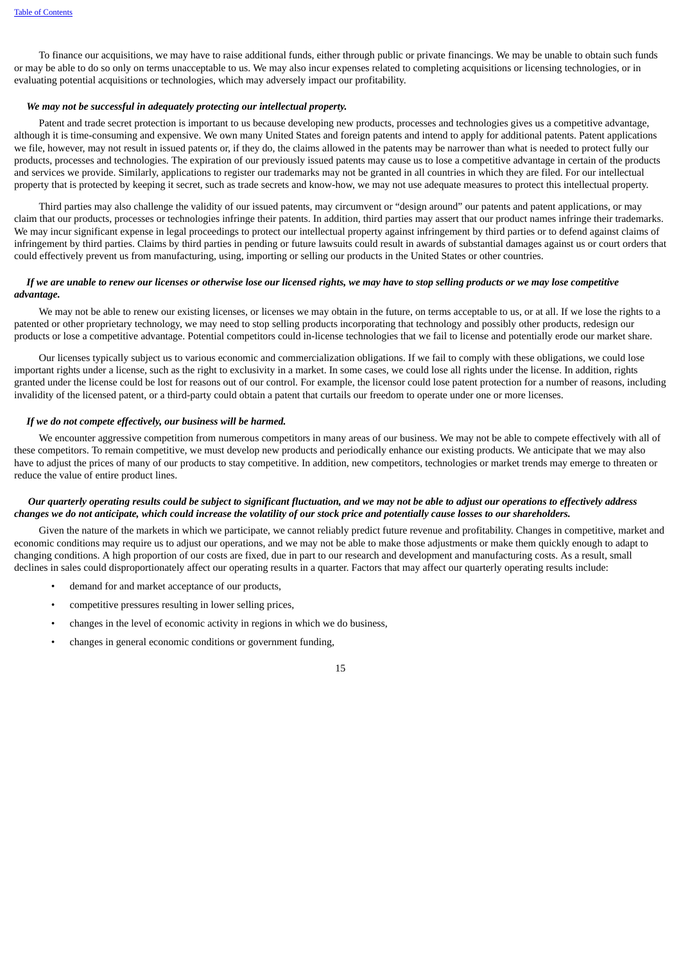To finance our acquisitions, we may have to raise additional funds, either through public or private financings. We may be unable to obtain such funds or may be able to do so only on terms unacceptable to us. We may also incur expenses related to completing acquisitions or licensing technologies, or in evaluating potential acquisitions or technologies, which may adversely impact our profitability.

## *We may not be successful in adequately protecting our intellectual property.*

Patent and trade secret protection is important to us because developing new products, processes and technologies gives us a competitive advantage, although it is time-consuming and expensive. We own many United States and foreign patents and intend to apply for additional patents. Patent applications we file, however, may not result in issued patents or, if they do, the claims allowed in the patents may be narrower than what is needed to protect fully our products, processes and technologies. The expiration of our previously issued patents may cause us to lose a competitive advantage in certain of the products and services we provide. Similarly, applications to register our trademarks may not be granted in all countries in which they are filed. For our intellectual property that is protected by keeping it secret, such as trade secrets and know-how, we may not use adequate measures to protect this intellectual property.

Third parties may also challenge the validity of our issued patents, may circumvent or "design around" our patents and patent applications, or may claim that our products, processes or technologies infringe their patents. In addition, third parties may assert that our product names infringe their trademarks. We may incur significant expense in legal proceedings to protect our intellectual property against infringement by third parties or to defend against claims of infringement by third parties. Claims by third parties in pending or future lawsuits could result in awards of substantial damages against us or court orders that could effectively prevent us from manufacturing, using, importing or selling our products in the United States or other countries.

## If we are unable to renew our licenses or otherwise lose our licensed rights, we may have to stop selling products or we may lose competitive *advantage.*

We may not be able to renew our existing licenses, or licenses we may obtain in the future, on terms acceptable to us, or at all. If we lose the rights to a patented or other proprietary technology, we may need to stop selling products incorporating that technology and possibly other products, redesign our products or lose a competitive advantage. Potential competitors could in-license technologies that we fail to license and potentially erode our market share.

Our licenses typically subject us to various economic and commercialization obligations. If we fail to comply with these obligations, we could lose important rights under a license, such as the right to exclusivity in a market. In some cases, we could lose all rights under the license. In addition, rights granted under the license could be lost for reasons out of our control. For example, the licensor could lose patent protection for a number of reasons, including invalidity of the licensed patent, or a third-party could obtain a patent that curtails our freedom to operate under one or more licenses.

## *If we do not compete effectively, our business will be harmed.*

We encounter aggressive competition from numerous competitors in many areas of our business. We may not be able to compete effectively with all of these competitors. To remain competitive, we must develop new products and periodically enhance our existing products. We anticipate that we may also have to adjust the prices of many of our products to stay competitive. In addition, new competitors, technologies or market trends may emerge to threaten or reduce the value of entire product lines.

## Our quarterly operatina results could be subiect to significant fluctuation, and we may not be able to adjust our operations to effectively address changes we do not anticipate, which could increase the volatility of our stock price and potentially cause losses to our shareholders.

Given the nature of the markets in which we participate, we cannot reliably predict future revenue and profitability. Changes in competitive, market and economic conditions may require us to adjust our operations, and we may not be able to make those adjustments or make them quickly enough to adapt to changing conditions. A high proportion of our costs are fixed, due in part to our research and development and manufacturing costs. As a result, small declines in sales could disproportionately affect our operating results in a quarter. Factors that may affect our quarterly operating results include:

- demand for and market acceptance of our products.
- competitive pressures resulting in lower selling prices,
- changes in the level of economic activity in regions in which we do business,
- changes in general economic conditions or government funding,

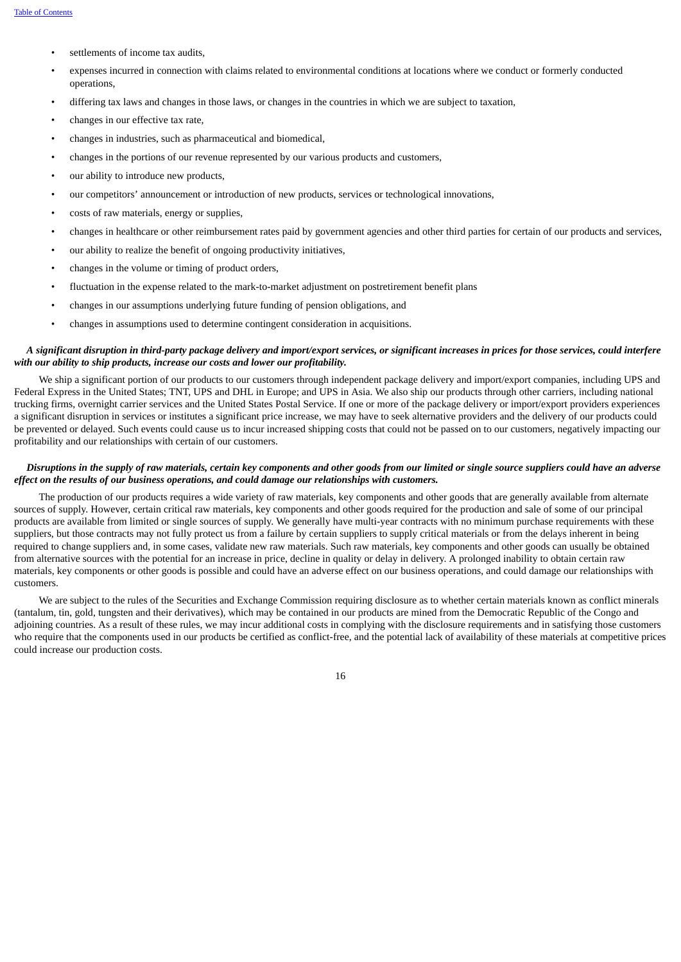- settlements of income tax audits,
- expenses incurred in connection with claims related to environmental conditions at locations where we conduct or formerly conducted operations,
- differing tax laws and changes in those laws, or changes in the countries in which we are subject to taxation,
- changes in our effective tax rate,
- changes in industries, such as pharmaceutical and biomedical,
- changes in the portions of our revenue represented by our various products and customers,
- our ability to introduce new products,
- our competitors' announcement or introduction of new products, services or technological innovations,
- costs of raw materials, energy or supplies,
- changes in healthcare or other reimbursement rates paid by government agencies and other third parties for certain of our products and services,
- our ability to realize the benefit of ongoing productivity initiatives,
- changes in the volume or timing of product orders,
- fluctuation in the expense related to the mark-to-market adjustment on postretirement benefit plans
- changes in our assumptions underlying future funding of pension obligations, and
- changes in assumptions used to determine contingent consideration in acquisitions.

## A significant disruption in third-party package delivery and import/export services, or significant increases in prices for those services, could interfere *with our ability to ship products, increase our costs and lower our profitability.*

We ship a significant portion of our products to our customers through independent package delivery and import/export companies, including UPS and Federal Express in the United States; TNT, UPS and DHL in Europe; and UPS in Asia. We also ship our products through other carriers, including national trucking firms, overnight carrier services and the United States Postal Service. If one or more of the package delivery or import/export providers experiences a significant disruption in services or institutes a significant price increase, we may have to seek alternative providers and the delivery of our products could be prevented or delayed. Such events could cause us to incur increased shipping costs that could not be passed on to our customers, negatively impacting our profitability and our relationships with certain of our customers.

## Disruptions in the supply of raw materials, certain key components and other goods from our limited or single source suppliers could have an adverse *effect on the results of our business operations, and could damage our relationships with customers.*

The production of our products requires a wide variety of raw materials, key components and other goods that are generally available from alternate sources of supply. However, certain critical raw materials, key components and other goods required for the production and sale of some of our principal products are available from limited or single sources of supply. We generally have multi-year contracts with no minimum purchase requirements with these suppliers, but those contracts may not fully protect us from a failure by certain suppliers to supply critical materials or from the delays inherent in being required to change suppliers and, in some cases, validate new raw materials. Such raw materials, key components and other goods can usually be obtained from alternative sources with the potential for an increase in price, decline in quality or delay in delivery. A prolonged inability to obtain certain raw materials, key components or other goods is possible and could have an adverse effect on our business operations, and could damage our relationships with customers.

We are subject to the rules of the Securities and Exchange Commission requiring disclosure as to whether certain materials known as conflict minerals (tantalum, tin, gold, tungsten and their derivatives), which may be contained in our products are mined from the Democratic Republic of the Congo and adjoining countries. As a result of these rules, we may incur additional costs in complying with the disclosure requirements and in satisfying those customers who require that the components used in our products be certified as conflict-free, and the potential lack of availability of these materials at competitive prices could increase our production costs.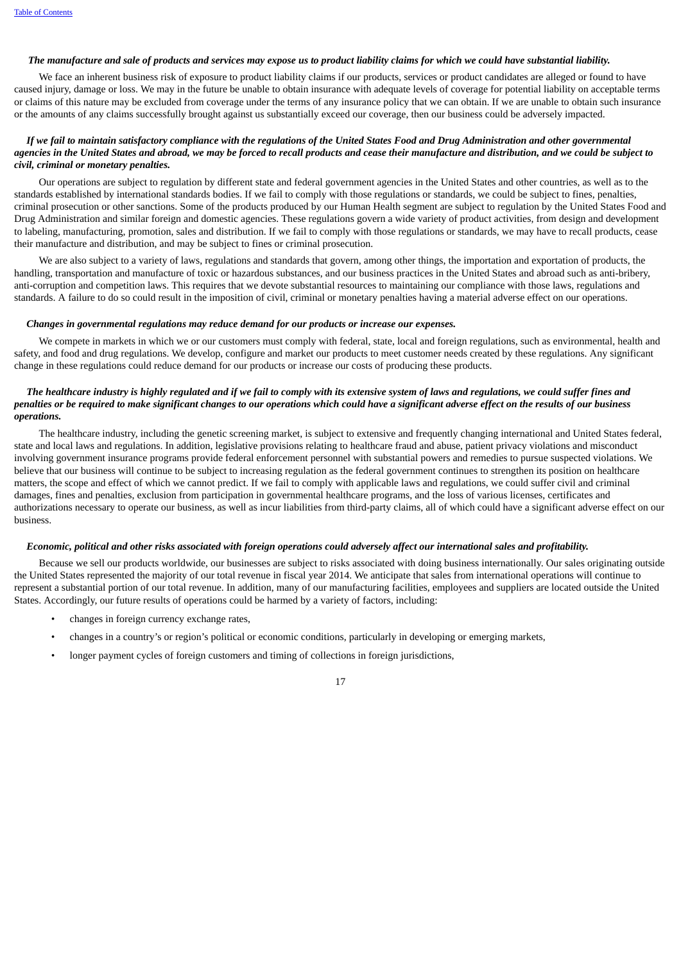## The manufacture and sale of products and services may expose us to product liability claims for which we could have substantial liability.

We face an inherent business risk of exposure to product liability claims if our products, services or product candidates are alleged or found to have caused injury, damage or loss. We may in the future be unable to obtain insurance with adequate levels of coverage for potential liability on acceptable terms or claims of this nature may be excluded from coverage under the terms of any insurance policy that we can obtain. If we are unable to obtain such insurance or the amounts of any claims successfully brought against us substantially exceed our coverage, then our business could be adversely impacted.

## If we fail to maintain satisfactory compliance with the regulations of the United States Food and Drug Administration and other governmental agencies in the United States and abroad, we may be forced to recall products and cease their manufacture and distribution, and we could be subject to *civil, criminal or monetary penalties.*

Our operations are subject to regulation by different state and federal government agencies in the United States and other countries, as well as to the standards established by international standards bodies. If we fail to comply with those regulations or standards, we could be subject to fines, penalties, criminal prosecution or other sanctions. Some of the products produced by our Human Health segment are subject to regulation by the United States Food and Drug Administration and similar foreign and domestic agencies. These regulations govern a wide variety of product activities, from design and development to labeling, manufacturing, promotion, sales and distribution. If we fail to comply with those regulations or standards, we may have to recall products, cease their manufacture and distribution, and may be subject to fines or criminal prosecution.

We are also subject to a variety of laws, regulations and standards that govern, among other things, the importation and exportation of products, the handling, transportation and manufacture of toxic or hazardous substances, and our business practices in the United States and abroad such as anti-bribery. anti-corruption and competition laws. This requires that we devote substantial resources to maintaining our compliance with those laws, regulations and standards. A failure to do so could result in the imposition of civil, criminal or monetary penalties having a material adverse effect on our operations.

## *Changes in governmental regulations may reduce demand for our products or increase our expenses.*

We compete in markets in which we or our customers must comply with federal, state, local and foreign regulations, such as environmental, health and safety, and food and drug regulations. We develop, configure and market our products to meet customer needs created by these regulations. Any significant change in these regulations could reduce demand for our products or increase our costs of producing these products.

## The healthcare industry is highly reaulated and if we fail to comply with its extensive system of laws and reaulations, we could suffer fines and penalties or be required to make significant changes to our operations which could have a significant adverse effect on the results of our business *operations.*

The healthcare industry, including the genetic screening market, is subject to extensive and frequently changing international and United States federal, state and local laws and regulations. In addition, legislative provisions relating to healthcare fraud and abuse, patient privacy violations and misconduct involving government insurance programs provide federal enforcement personnel with substantial powers and remedies to pursue suspected violations. We believe that our business will continue to be subject to increasing regulation as the federal government continues to strengthen its position on healthcare matters, the scope and effect of which we cannot predict. If we fail to comply with applicable laws and regulations, we could suffer civil and criminal damages, fines and penalties, exclusion from participation in governmental healthcare programs, and the loss of various licenses, certificates and authorizations necessary to operate our business, as well as incur liabilities from third-party claims, all of which could have a significant adverse effect on our business.

## Economic, political and other risks associated with foreign operations could adversely affect our international sales and profitability.

Because we sell our products worldwide, our businesses are subject to risks associated with doing business internationally. Our sales originating outside the United States represented the majority of our total revenue in fiscal year 2014. We anticipate that sales from international operations will continue to represent a substantial portion of our total revenue. In addition, many of our manufacturing facilities, employees and suppliers are located outside the United States. Accordingly, our future results of operations could be harmed by a variety of factors, including:

- changes in foreign currency exchange rates,
- changes in a country's or region's political or economic conditions, particularly in developing or emerging markets,
- longer payment cycles of foreign customers and timing of collections in foreign jurisdictions,

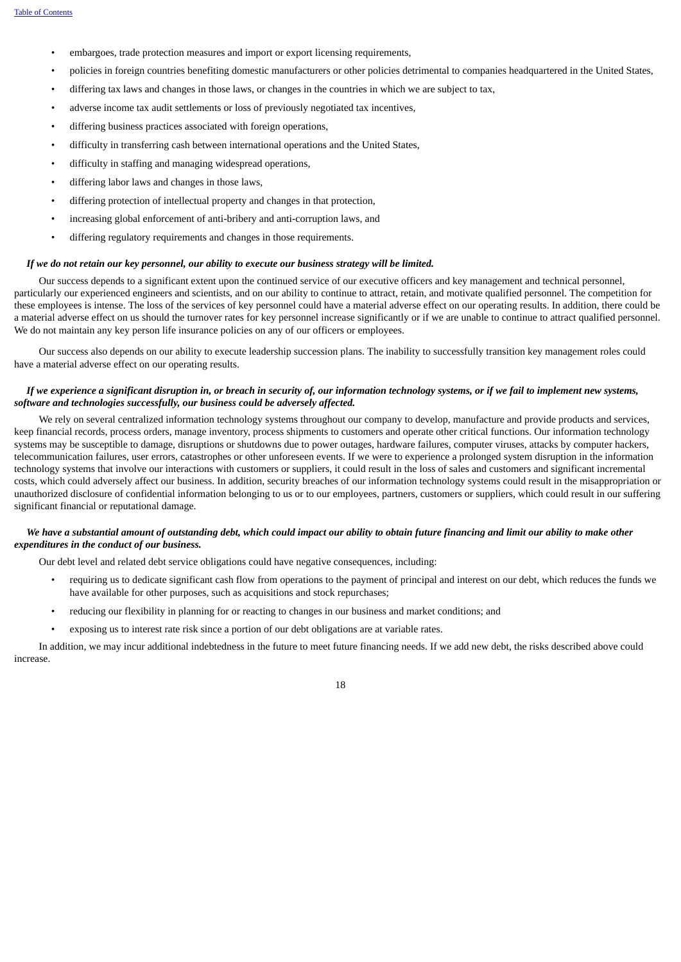- embargoes, trade protection measures and import or export licensing requirements,
- policies in foreign countries benefiting domestic manufacturers or other policies detrimental to companies headquartered in the United States,
- differing tax laws and changes in those laws, or changes in the countries in which we are subject to tax,
- adverse income tax audit settlements or loss of previously negotiated tax incentives,
- differing business practices associated with foreign operations,
- difficulty in transferring cash between international operations and the United States,
- difficulty in staffing and managing widespread operations,
- differing labor laws and changes in those laws,
- differing protection of intellectual property and changes in that protection,
- increasing global enforcement of anti-bribery and anti-corruption laws, and
- differing regulatory requirements and changes in those requirements.

## If we do not retain our key personnel, our ability to execute our business strategy will be limited.

Our success depends to a significant extent upon the continued service of our executive officers and key management and technical personnel, particularly our experienced engineers and scientists, and on our ability to continue to attract, retain, and motivate qualified personnel. The competition for these employees is intense. The loss of the services of key personnel could have a material adverse effect on our operating results. In addition, there could be a material adverse effect on us should the turnover rates for key personnel increase significantly or if we are unable to continue to attract qualified personnel. We do not maintain any key person life insurance policies on any of our officers or employees.

Our success also depends on our ability to execute leadership succession plans. The inability to successfully transition key management roles could have a material adverse effect on our operating results.

## If we experience a significant disruption in, or breach in security of, our information technology systems, or if we fail to implement new systems, *software and technologies successfully, our business could be adversely affected.*

We rely on several centralized information technology systems throughout our company to develop, manufacture and provide products and services, keep financial records, process orders, manage inventory, process shipments to customers and operate other critical functions. Our information technology systems may be susceptible to damage, disruptions or shutdowns due to power outages, hardware failures, computer viruses, attacks by computer hackers, telecommunication failures, user errors, catastrophes or other unforeseen events. If we were to experience a prolonged system disruption in the information technology systems that involve our interactions with customers or suppliers, it could result in the loss of sales and customers and significant incremental costs, which could adversely affect our business. In addition, security breaches of our information technology systems could result in the misappropriation or unauthorized disclosure of confidential information belonging to us or to our employees, partners, customers or suppliers, which could result in our suffering significant financial or reputational damage.

## We have a substantial amount of outstanding debt, which could impact our ability to obtain future financing and limit our ability to make other *expenditures in the conduct of our business.*

Our debt level and related debt service obligations could have negative consequences, including:

- requiring us to dedicate significant cash flow from operations to the payment of principal and interest on our debt, which reduces the funds we have available for other purposes, such as acquisitions and stock repurchases;
- reducing our flexibility in planning for or reacting to changes in our business and market conditions; and
- exposing us to interest rate risk since a portion of our debt obligations are at variable rates.

In addition, we may incur additional indebtedness in the future to meet future financing needs. If we add new debt, the risks described above could increase.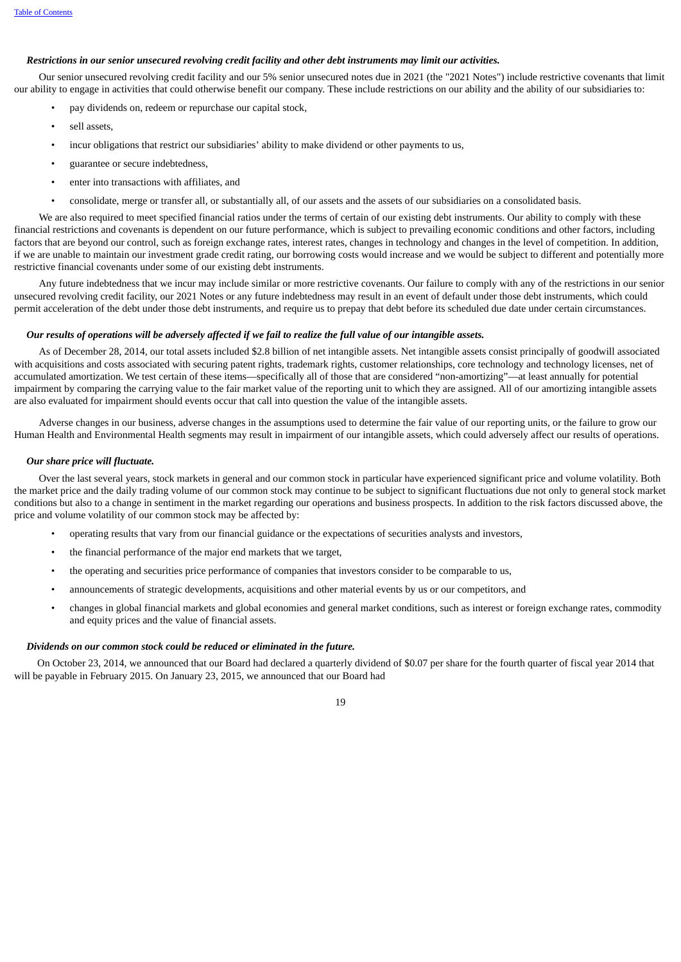## Restrictions in our senior unsecured revolving credit facility and other debt instruments may limit our activities.

Our senior unsecured revolving credit facility and our 5% senior unsecured notes due in 2021 (the "2021 Notes") include restrictive covenants that limit our ability to engage in activities that could otherwise benefit our company. These include restrictions on our ability and the ability of our subsidiaries to:

- pay dividends on, redeem or repurchase our capital stock,
- sell assets,
- incur obligations that restrict our subsidiaries' ability to make dividend or other payments to us,
- guarantee or secure indebtedness,
- enter into transactions with affiliates, and
- consolidate, merge or transfer all, or substantially all, of our assets and the assets of our subsidiaries on a consolidated basis.

We are also required to meet specified financial ratios under the terms of certain of our existing debt instruments. Our ability to comply with these financial restrictions and covenants is dependent on our future performance, which is subject to prevailing economic conditions and other factors, including factors that are beyond our control, such as foreign exchange rates, interest rates, changes in technology and changes in the level of competition. In addition, if we are unable to maintain our investment grade credit rating, our borrowing costs would increase and we would be subject to different and potentially more restrictive financial covenants under some of our existing debt instruments.

Any future indebtedness that we incur may include similar or more restrictive covenants. Our failure to comply with any of the restrictions in our senior unsecured revolving credit facility, our 2021 Notes or any future indebtedness may result in an event of default under those debt instruments, which could permit acceleration of the debt under those debt instruments, and require us to prepay that debt before its scheduled due date under certain circumstances.

## Our results of operations will be adversely affected if we fail to realize the full value of our intangible assets.

As of December 28, 2014, our total assets included \$2.8 billion of net intangible assets. Net intangible assets consist principally of goodwill associated with acquisitions and costs associated with securing patent rights, trademark rights, customer relationships, core technology and technology licenses, net of accumulated amortization. We test certain of these items—specifically all of those that are considered "non-amortizing"—at least annually for potential impairment by comparing the carrying value to the fair market value of the reporting unit to which they are assigned. All of our amortizing intangible assets are also evaluated for impairment should events occur that call into question the value of the intangible assets.

Adverse changes in our business, adverse changes in the assumptions used to determine the fair value of our reporting units, or the failure to grow our Human Health and Environmental Health segments may result in impairment of our intangible assets, which could adversely affect our results of operations.

## *Our share price will fluctuate.*

Over the last several years, stock markets in general and our common stock in particular have experienced significant price and volume volatility. Both the market price and the daily trading volume of our common stock may continue to be subject to significant fluctuations due not only to general stock market conditions but also to a change in sentiment in the market regarding our operations and business prospects. In addition to the risk factors discussed above, the price and volume volatility of our common stock may be affected by:

- operating results that vary from our financial guidance or the expectations of securities analysts and investors,
- the financial performance of the major end markets that we target,
- the operating and securities price performance of companies that investors consider to be comparable to us,
- announcements of strategic developments, acquisitions and other material events by us or our competitors, and
- changes in global financial markets and global economies and general market conditions, such as interest or foreign exchange rates, commodity and equity prices and the value of financial assets.

#### *Dividends on our common stock could be reduced or eliminated in the future.*

On October 23, 2014, we announced that our Board had declared a quarterly dividend of \$0.07 per share for the fourth quarter of fiscal year 2014 that will be payable in February 2015. On January 23, 2015, we announced that our Board had

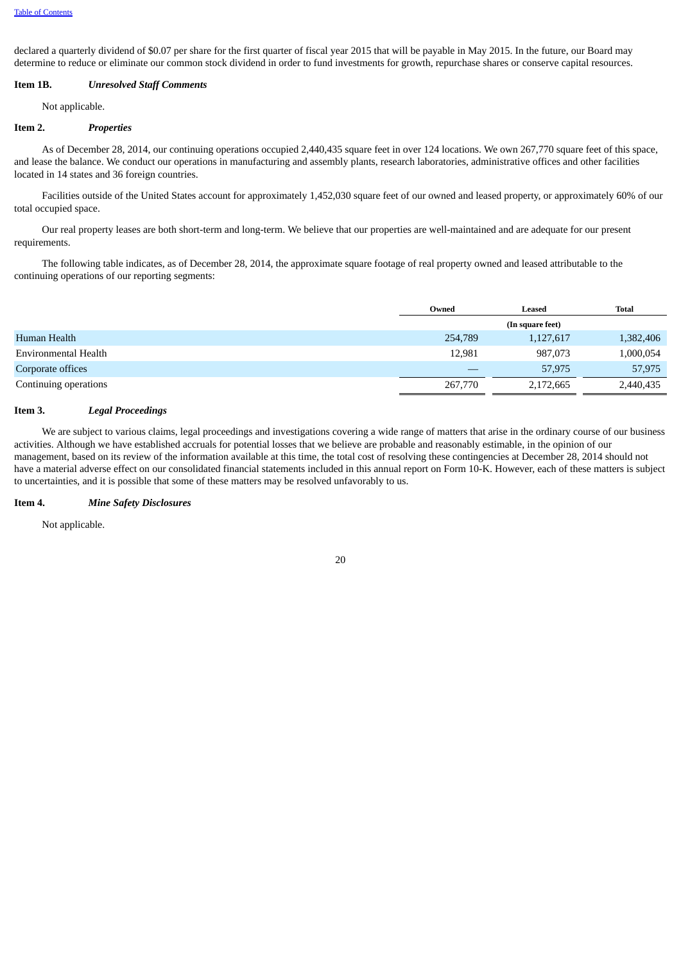declared a quarterly dividend of \$0.07 per share for the first quarter of fiscal year 2015 that will be payable in May 2015. In the future, our Board may determine to reduce or eliminate our common stock dividend in order to fund investments for growth, repurchase shares or conserve capital resources.

## <span id="page-19-0"></span>**Item 1B.** *Unresolved Staff Comments*

Not applicable.

#### <span id="page-19-1"></span>**Item 2.** *Properties*

As of December 28, 2014, our continuing operations occupied 2,440,435 square feet in over 124 locations. We own 267,770 square feet of this space, and lease the balance. We conduct our operations in manufacturing and assembly plants, research laboratories, administrative offices and other facilities located in 14 states and 36 foreign countries.

Facilities outside of the United States account for approximately 1,452,030 square feet of our owned and leased property, or approximately 60% of our total occupied space.

Our real property leases are both short-term and long-term. We believe that our properties are well-maintained and are adequate for our present requirements.

The following table indicates, as of December 28, 2014, the approximate square footage of real property owned and leased attributable to the continuing operations of our reporting segments:

|                       | Owned   | Leased           | <b>Total</b> |
|-----------------------|---------|------------------|--------------|
|                       |         | (In square feet) |              |
| Human Health          | 254,789 | 1,127,617        | 1,382,406    |
| Environmental Health  | 12,981  | 987,073          | 1,000,054    |
| Corporate offices     |         | 57,975           | 57,975       |
| Continuing operations | 267,770 | 2,172,665        | 2,440,435    |

## <span id="page-19-2"></span>**Item 3.** *Legal Proceedings*

We are subject to various claims, legal proceedings and investigations covering a wide range of matters that arise in the ordinary course of our business activities. Although we have established accruals for potential losses that we believe are probable and reasonably estimable, in the opinion of our management, based on its review of the information available at this time, the total cost of resolving these contingencies at December 28, 2014 should not have a material adverse effect on our consolidated financial statements included in this annual report on Form 10-K. However, each of these matters is subject to uncertainties, and it is possible that some of these matters may be resolved unfavorably to us.

#### <span id="page-19-3"></span>**Item 4.** *Mine Safety Disclosures*

Not applicable.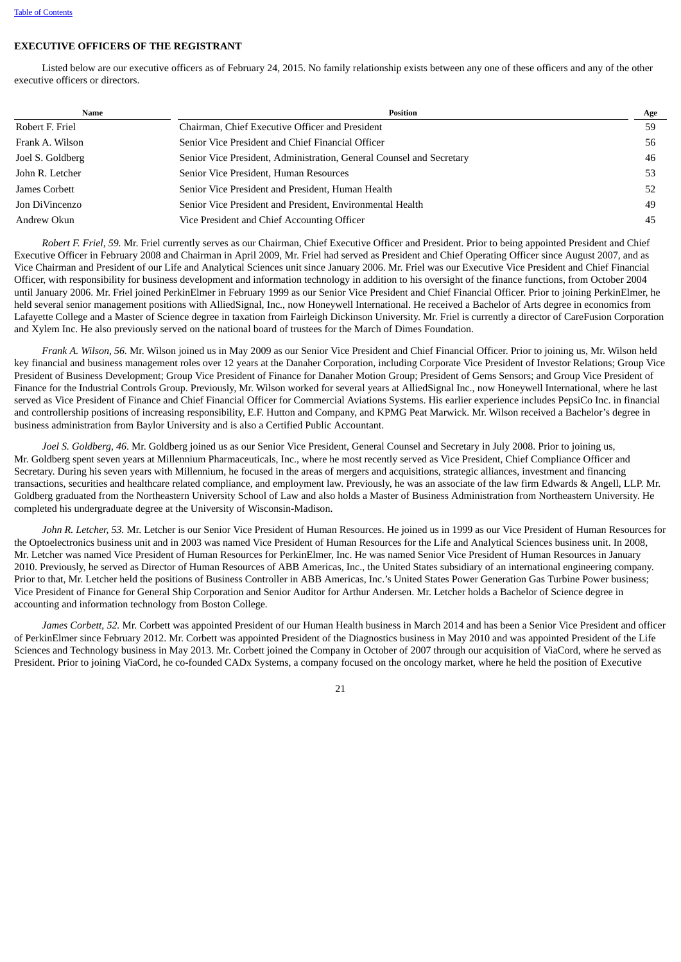## **EXECUTIVE OFFICERS OF THE REGISTRANT**

Listed below are our executive officers as of February 24, 2015. No family relationship exists between any one of these officers and any of the other executive officers or directors.

| Name             | Position                                                             | Age |
|------------------|----------------------------------------------------------------------|-----|
| Robert F. Friel  | Chairman, Chief Executive Officer and President                      | 59  |
| Frank A. Wilson  | Senior Vice President and Chief Financial Officer                    | 56  |
| Joel S. Goldberg | Senior Vice President, Administration, General Counsel and Secretary | 46  |
| John R. Letcher  | Senior Vice President, Human Resources                               | 53  |
| James Corbett    | Senior Vice President and President, Human Health                    | 52  |
| Jon DiVincenzo   | Senior Vice President and President, Environmental Health            | 49  |
| Andrew Okun      | Vice President and Chief Accounting Officer                          | 45  |

*Robert F. Friel, 59.* Mr. Friel currently serves as our Chairman, Chief Executive Officer and President. Prior to being appointed President and Chief Executive Officer in February 2008 and Chairman in April 2009, Mr. Friel had served as President and Chief Operating Officer since August 2007, and as Vice Chairman and President of our Life and Analytical Sciences unit since January 2006. Mr. Friel was our Executive Vice President and Chief Financial Officer, with responsibility for business development and information technology in addition to his oversight of the finance functions, from October 2004 until January 2006. Mr. Friel joined PerkinElmer in February 1999 as our Senior Vice President and Chief Financial Officer. Prior to joining PerkinElmer, he held several senior management positions with AlliedSignal, Inc., now Honeywell International. He received a Bachelor of Arts degree in economics from Lafayette College and a Master of Science degree in taxation from Fairleigh Dickinson University. Mr. Friel is currently a director of CareFusion Corporation and Xylem Inc. He also previously served on the national board of trustees for the March of Dimes Foundation.

*Frank A. Wilson, 56.* Mr. Wilson joined us in May 2009 as our Senior Vice President and Chief Financial Officer. Prior to joining us, Mr. Wilson held key financial and business management roles over 12 years at the Danaher Corporation, including Corporate Vice President of Investor Relations; Group Vice President of Business Development; Group Vice President of Finance for Danaher Motion Group; President of Gems Sensors; and Group Vice President of Finance for the Industrial Controls Group. Previously, Mr. Wilson worked for several years at AlliedSignal Inc., now Honeywell International, where he last served as Vice President of Finance and Chief Financial Officer for Commercial Aviations Systems. His earlier experience includes PepsiCo Inc. in financial and controllership positions of increasing responsibility, E.F. Hutton and Company, and KPMG Peat Marwick. Mr. Wilson received a Bachelor's degree in business administration from Baylor University and is also a Certified Public Accountant.

*Joel S. Goldberg*, *46*. Mr. Goldberg joined us as our Senior Vice President, General Counsel and Secretary in July 2008. Prior to joining us, Mr. Goldberg spent seven years at Millennium Pharmaceuticals, Inc., where he most recently served as Vice President, Chief Compliance Officer and Secretary. During his seven years with Millennium, he focused in the areas of mergers and acquisitions, strategic alliances, investment and financing transactions, securities and healthcare related compliance, and employment law. Previously, he was an associate of the law firm Edwards & Angell, LLP. Mr. Goldberg graduated from the Northeastern University School of Law and also holds a Master of Business Administration from Northeastern University. He completed his undergraduate degree at the University of Wisconsin-Madison.

*John R. Letcher, 53.* Mr. Letcher is our Senior Vice President of Human Resources. He joined us in 1999 as our Vice President of Human Resources for the Optoelectronics business unit and in 2003 was named Vice President of Human Resources for the Life and Analytical Sciences business unit. In 2008, Mr. Letcher was named Vice President of Human Resources for PerkinElmer, Inc. He was named Senior Vice President of Human Resources in January 2010. Previously, he served as Director of Human Resources of ABB Americas, Inc., the United States subsidiary of an international engineering company. Prior to that, Mr. Letcher held the positions of Business Controller in ABB Americas, Inc.'s United States Power Generation Gas Turbine Power business; Vice President of Finance for General Ship Corporation and Senior Auditor for Arthur Andersen. Mr. Letcher holds a Bachelor of Science degree in accounting and information technology from Boston College*.*

*James Corbett, 52.* Mr. Corbett was appointed President of our Human Health business in March 2014 and has been a Senior Vice President and officer of PerkinElmer since February 2012. Mr. Corbett was appointed President of the Diagnostics business in May 2010 and was appointed President of the Life Sciences and Technology business in May 2013. Mr. Corbett joined the Company in October of 2007 through our acquisition of ViaCord, where he served as President. Prior to joining ViaCord, he co-founded CADx Systems, a company focused on the oncology market, where he held the position of Executive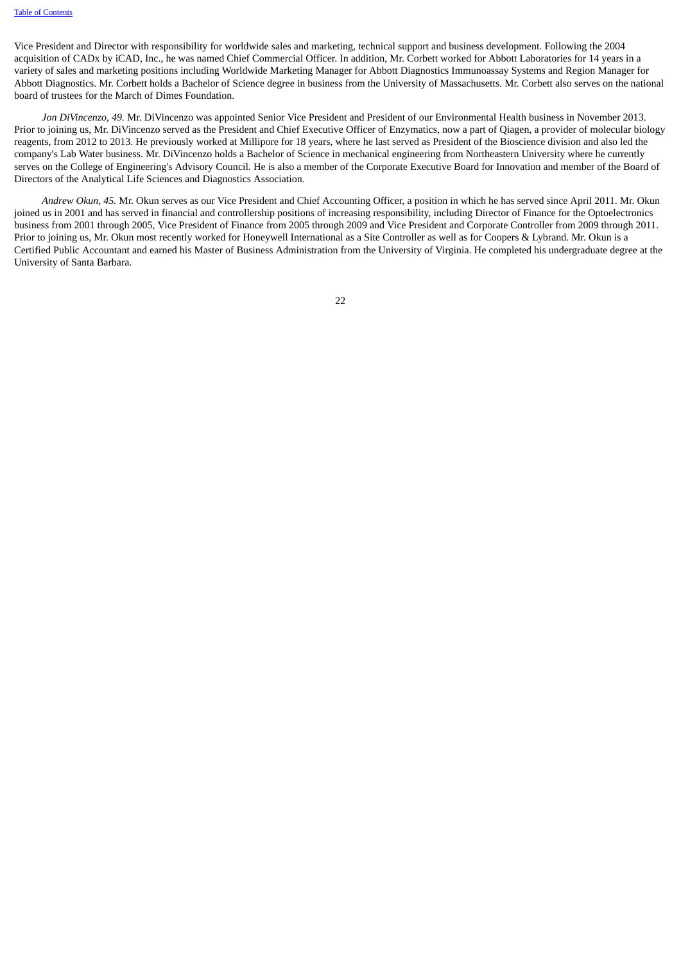Vice President and Director with responsibility for worldwide sales and marketing, technical support and business development. Following the 2004 acquisition of CADx by iCAD, Inc., he was named Chief Commercial Officer. In addition, Mr. Corbett worked for Abbott Laboratories for 14 years in a variety of sales and marketing positions including Worldwide Marketing Manager for Abbott Diagnostics Immunoassay Systems and Region Manager for Abbott Diagnostics. Mr. Corbett holds a Bachelor of Science degree in business from the University of Massachusetts. Mr. Corbett also serves on the national board of trustees for the March of Dimes Foundation.

*Jon DiVincenzo, 49.* Mr. DiVincenzo was appointed Senior Vice President and President of our Environmental Health business in November 2013. Prior to joining us, Mr. DiVincenzo served as the President and Chief Executive Officer of Enzymatics, now a part of Qiagen, a provider of molecular biology reagents, from 2012 to 2013. He previously worked at Millipore for 18 years, where he last served as President of the Bioscience division and also led the company's Lab Water business. Mr. DiVincenzo holds a Bachelor of Science in mechanical engineering from Northeastern University where he currently serves on the College of Engineering's Advisory Council. He is also a member of the Corporate Executive Board for Innovation and member of the Board of Directors of the Analytical Life Sciences and Diagnostics Association.

*Andrew Okun, 45.* Mr. Okun serves as our Vice President and Chief Accounting Officer, a position in which he has served since April 2011. Mr. Okun joined us in 2001 and has served in financial and controllership positions of increasing responsibility, including Director of Finance for the Optoelectronics business from 2001 through 2005, Vice President of Finance from 2005 through 2009 and Vice President and Corporate Controller from 2009 through 2011. Prior to joining us, Mr. Okun most recently worked for Honeywell International as a Site Controller as well as for Coopers & Lybrand. Mr. Okun is a Certified Public Accountant and earned his Master of Business Administration from the University of Virginia. He completed his undergraduate degree at the University of Santa Barbara*.*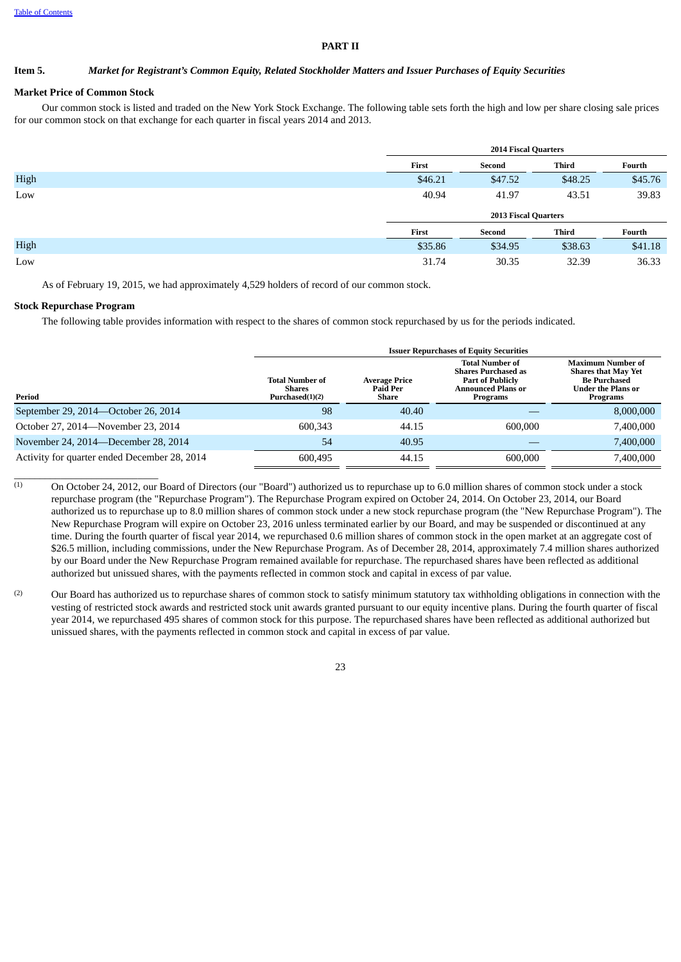## **PART II**

## <span id="page-22-0"></span>Item 5. Market for Registrant's Common Equity, Related Stockholder Matters and Issuer Purchases of Equity Securities

#### **Market Price of Common Stock**

Our common stock is listed and traded on the New York Stock Exchange. The following table sets forth the high and low per share closing sale prices for our common stock on that exchange for each quarter in fiscal years 2014 and 2013.

|      |         | <b>2014 Fiscal Quarters</b> |              |         |
|------|---------|-----------------------------|--------------|---------|
|      | First   | Second                      | <b>Third</b> | Fourth  |
| High | \$46.21 | \$47.52                     | \$48.25      | \$45.76 |
| Low  | 40.94   | 41.97                       | 43.51        | 39.83   |
|      |         |                             |              |         |
|      | First   | Second                      | <b>Third</b> | Fourth  |
| High | \$35.86 | \$34.95                     | \$38.63      | \$41.18 |
| Low  | 31.74   | 30.35                       | 32.39        | 36.33   |

As of February 19, 2015, we had approximately 4,529 holders of record of our common stock.

## **Stock Repurchase Program**

\_\_\_\_\_\_\_\_\_\_\_\_\_\_\_\_\_\_\_\_\_\_\_\_\_\_\_\_

The following table provides information with respect to the shares of common stock repurchased by us for the periods indicated.

|                                              | <b>Issuer Repurchases of Equity Securities</b>             |                                                  |                                                                                                                          |                                                                                                                        |  |  |  |  |  |  |  |  |
|----------------------------------------------|------------------------------------------------------------|--------------------------------------------------|--------------------------------------------------------------------------------------------------------------------------|------------------------------------------------------------------------------------------------------------------------|--|--|--|--|--|--|--|--|
| Period                                       | <b>Total Number of</b><br><b>Shares</b><br>Purchased(1)(2) | <b>Average Price</b><br><b>Paid Per</b><br>Share | <b>Total Number of</b><br><b>Shares Purchased as</b><br><b>Part of Publicly</b><br><b>Announced Plans or</b><br>Programs | <b>Maximum Number of</b><br><b>Shares that May Yet</b><br><b>Be Purchased</b><br><b>Under the Plans or</b><br>Programs |  |  |  |  |  |  |  |  |
| September 29, 2014—October 26, 2014          | 98                                                         | 40.40                                            |                                                                                                                          | 8,000,000                                                                                                              |  |  |  |  |  |  |  |  |
| October 27, 2014-November 23, 2014           | 600.343                                                    | 44.15                                            | 600,000                                                                                                                  | 7,400,000                                                                                                              |  |  |  |  |  |  |  |  |
| November 24, 2014—December 28, 2014          | 54                                                         | 40.95                                            |                                                                                                                          | 7,400,000                                                                                                              |  |  |  |  |  |  |  |  |
| Activity for quarter ended December 28, 2014 | 600.495                                                    | 44.15                                            | 600,000                                                                                                                  | 7,400,000                                                                                                              |  |  |  |  |  |  |  |  |

 $\overline{c}$  On October 24, 2012, our Board of Directors (our "Board") authorized us to repurchase up to 6.0 million shares of common stock under a stock repurchase program (the "Repurchase Program"). The Repurchase Program expired on October 24, 2014. On October 23, 2014, our Board authorized us to repurchase up to 8.0 million shares of common stock under a new stock repurchase program (the "New Repurchase Program"). The New Repurchase Program will expire on October 23, 2016 unless terminated earlier by our Board, and may be suspended or discontinued at any time. During the fourth quarter of fiscal year 2014, we repurchased 0.6 million shares of common stock in the open market at an aggregate cost of \$26.5 million, including commissions, under the New Repurchase Program. As of December 28, 2014, approximately 7.4 million shares authorized by our Board under the New Repurchase Program remained available for repurchase. The repurchased shares have been reflected as additional authorized but unissued shares, with the payments reflected in common stock and capital in excess of par value.

(2) Our Board has authorized us to repurchase shares of common stock to satisfy minimum statutory tax withholding obligations in connection with the vesting of restricted stock awards and restricted stock unit awards granted pursuant to our equity incentive plans. During the fourth quarter of fiscal year 2014, we repurchased 495 shares of common stock for this purpose. The repurchased shares have been reflected as additional authorized but unissued shares, with the payments reflected in common stock and capital in excess of par value.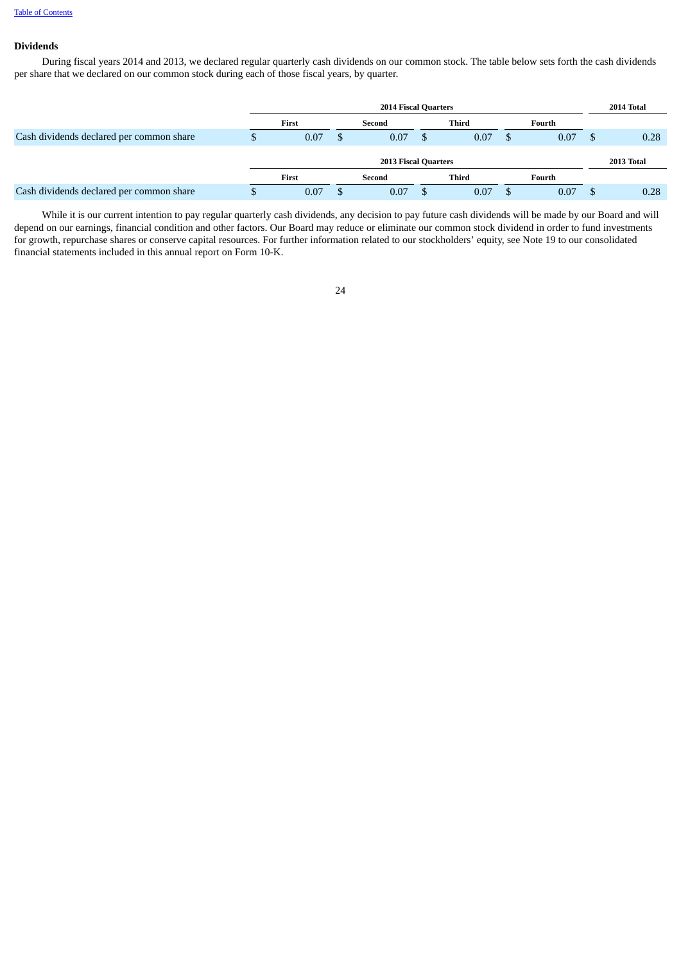## **Dividends**

During fiscal years 2014 and 2013, we declared regular quarterly cash dividends on our common stock. The table below sets forth the cash dividends per share that we declared on our common stock during each of those fiscal years, by quarter.

|                                          |       |       |  |                             | 2014 Total |              |  |        |    |            |
|------------------------------------------|-------|-------|--|-----------------------------|------------|--------------|--|--------|----|------------|
|                                          |       | First |  | Second                      |            | <b>Third</b> |  | Fourth |    |            |
| Cash dividends declared per common share | S     | 0.07  |  | 0.07                        |            | 0.07         |  | 0.07   | S  | 0.28       |
|                                          |       |       |  | <b>2013 Fiscal Quarters</b> |            |              |  |        |    | 2013 Total |
|                                          | First |       |  | Second                      |            | <b>Third</b> |  | Fourth |    |            |
| Cash dividends declared per common share | J     | 0.07  |  | 0.07                        |            | 0.07         |  | 0.07   | -5 | 0.28       |

While it is our current intention to pay regular quarterly cash dividends, any decision to pay future cash dividends will be made by our Board and will depend on our earnings, financial condition and other factors. Our Board may reduce or eliminate our common stock dividend in order to fund investments for growth, repurchase shares or conserve capital resources. For further information related to our stockholders' equity, see Note 19 to our consolidated financial statements included in this annual report on Form 10-K.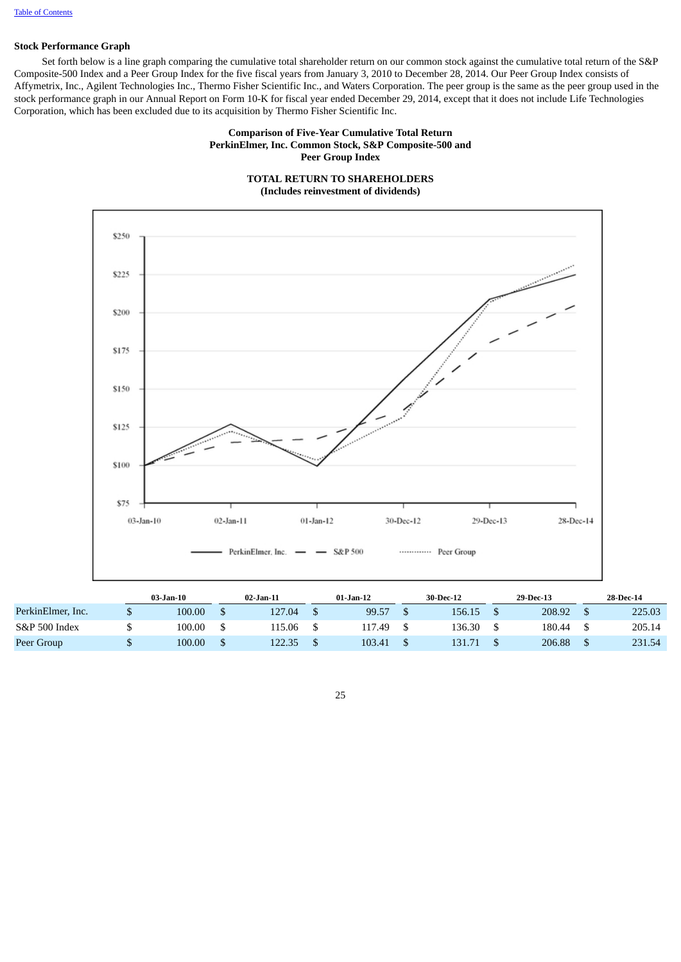## **Stock Performance Graph**

Set forth below is a line graph comparing the cumulative total shareholder return on our common stock against the cumulative total return of the S&P Composite-500 Index and a Peer Group Index for the five fiscal years from January 3, 2010 to December 28, 2014. Our Peer Group Index consists of Affymetrix, Inc., Agilent Technologies Inc., Thermo Fisher Scientific Inc., and Waters Corporation. The peer group is the same as the peer group used in the stock performance graph in our Annual Report on Form 10-K for fiscal year ended December 29, 2014, except that it does not include Life Technologies Corporation, which has been excluded due to its acquisition by Thermo Fisher Scientific Inc.

## **Comparison of Five-Year Cumulative Total Return PerkinElmer, Inc. Common Stock, S&P Composite-500 and Peer Group Index**

**TOTAL RETURN TO SHAREHOLDERS (Includes reinvestment of dividends)**



<span id="page-24-0"></span>

|                   | 03-Jan-10 |  | $02 - Jan-11$ | 01-Jan-12 | 30-Dec-12 | 29-Dec-13 | 28-Dec-14 |
|-------------------|-----------|--|---------------|-----------|-----------|-----------|-----------|
| PerkinElmer, Inc. | 100.00    |  | 127.04        | 99.57     | 156.15    | 208.92    | 225.03    |
| S&P 500 Index     | 100.00    |  | 115.06        | 117.49    | 136.30    | 180.44    | 205.14    |
| Peer Group        | 100.00    |  | 122.35        | 103.41    | 131.71    | 206.88    | 231.54    |

25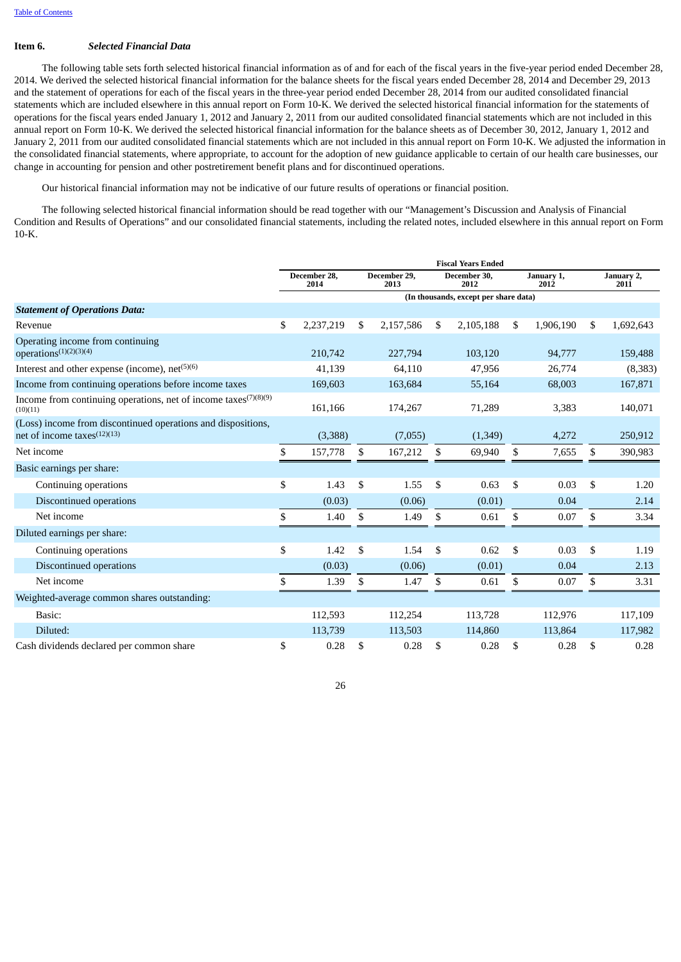## **Item 6.** *Selected Financial Data*

The following table sets forth selected historical financial information as of and for each of the fiscal years in the five-year period ended December 28, 2014. We derived the selected historical financial information for the balance sheets for the fiscal years ended December 28, 2014 and December 29, 2013 and the statement of operations for each of the fiscal years in the three-year period ended December 28, 2014 from our audited consolidated financial statements which are included elsewhere in this annual report on Form 10-K. We derived the selected historical financial information for the statements of operations for the fiscal years ended January 1, 2012 and January 2, 2011 from our audited consolidated financial statements which are not included in this annual report on Form 10-K. We derived the selected historical financial information for the balance sheets as of December 30, 2012, January 1, 2012 and January 2, 2011 from our audited consolidated financial statements which are not included in this annual report on Form 10-K. We adjusted the information in the consolidated financial statements, where appropriate, to account for the adoption of new guidance applicable to certain of our health care businesses, our change in accounting for pension and other postretirement benefit plans and for discontinued operations.

Our historical financial information may not be indicative of our future results of operations or financial position.

The following selected historical financial information should be read together with our "Management's Discussion and Analysis of Financial Condition and Results of Operations" and our consolidated financial statements, including the related notes, included elsewhere in this annual report on Form 10-K.

|                                                                                                | <b>Fiscal Years Ended</b> |                      |               |                      |    |                                       |                    |           |    |                    |
|------------------------------------------------------------------------------------------------|---------------------------|----------------------|---------------|----------------------|----|---------------------------------------|--------------------|-----------|----|--------------------|
|                                                                                                |                           | December 28,<br>2014 |               | December 29,<br>2013 |    | December 30,<br>2012                  | January 1,<br>2012 |           |    | January 2,<br>2011 |
|                                                                                                |                           |                      |               |                      |    | (In thousands, except per share data) |                    |           |    |                    |
| <b>Statement of Operations Data:</b>                                                           |                           |                      |               |                      |    |                                       |                    |           |    |                    |
| Revenue                                                                                        | \$                        | 2,237,219            | \$            | 2,157,586            | \$ | 2,105,188                             | \$                 | 1,906,190 | \$ | 1,692,643          |
| Operating income from continuing<br>operations $(1)(2)(3)(4)$                                  |                           | 210,742              |               | 227,794              |    | 103,120                               |                    | 94,777    |    | 159,488            |
| Interest and other expense (income), $net^{(5)(6)}$                                            |                           | 41,139               |               | 64,110               |    | 47,956                                |                    | 26,774    |    | (8,383)            |
| Income from continuing operations before income taxes                                          |                           | 169,603              |               | 163,684              |    | 55,164                                |                    | 68,003    |    | 167,871            |
| Income from continuing operations, net of income taxes $(7)(8)(9)$<br>(10)(11)                 |                           | 161,166              |               | 174,267              |    | 71,289                                |                    | 3,383     |    | 140,071            |
| (Loss) income from discontinued operations and dispositions,<br>net of income taxes $(12)(13)$ |                           | (3,388)              |               | (7,055)              |    | (1,349)                               |                    | 4,272     |    | 250,912            |
| Net income                                                                                     | \$                        | 157,778              | \$            | 167,212              | \$ | 69,940                                | \$                 | 7,655     | \$ | 390,983            |
| Basic earnings per share:                                                                      |                           |                      |               |                      |    |                                       |                    |           |    |                    |
| Continuing operations                                                                          | \$                        | 1.43                 | <sup>\$</sup> | 1.55                 | \$ | 0.63                                  | \$                 | 0.03      | \$ | 1.20               |
| Discontinued operations                                                                        |                           | (0.03)               |               | (0.06)               |    | (0.01)                                |                    | 0.04      |    | 2.14               |
| Net income                                                                                     | \$                        | 1.40                 | \$            | 1.49                 | \$ | 0.61                                  | \$                 | 0.07      | \$ | 3.34               |
| Diluted earnings per share:                                                                    |                           |                      |               |                      |    |                                       |                    |           |    |                    |
| Continuing operations                                                                          | \$                        | 1.42                 | <sup>\$</sup> | 1.54                 | \$ | 0.62                                  | \$                 | 0.03      | \$ | 1.19               |
| Discontinued operations                                                                        |                           | (0.03)               |               | (0.06)               |    | (0.01)                                |                    | 0.04      |    | 2.13               |
| Net income                                                                                     | \$                        | 1.39                 | \$            | 1.47                 | \$ | 0.61                                  | \$                 | 0.07      | \$ | 3.31               |
| Weighted-average common shares outstanding:                                                    |                           |                      |               |                      |    |                                       |                    |           |    |                    |
| Basic:                                                                                         |                           | 112,593              |               | 112,254              |    | 113,728                               |                    | 112,976   |    | 117,109            |
| Diluted:                                                                                       |                           | 113,739              |               | 113,503              |    | 114,860                               |                    | 113,864   |    | 117,982            |
| Cash dividends declared per common share                                                       | \$                        | 0.28                 | \$            | 0.28                 | \$ | 0.28                                  | \$                 | 0.28      | \$ | 0.28               |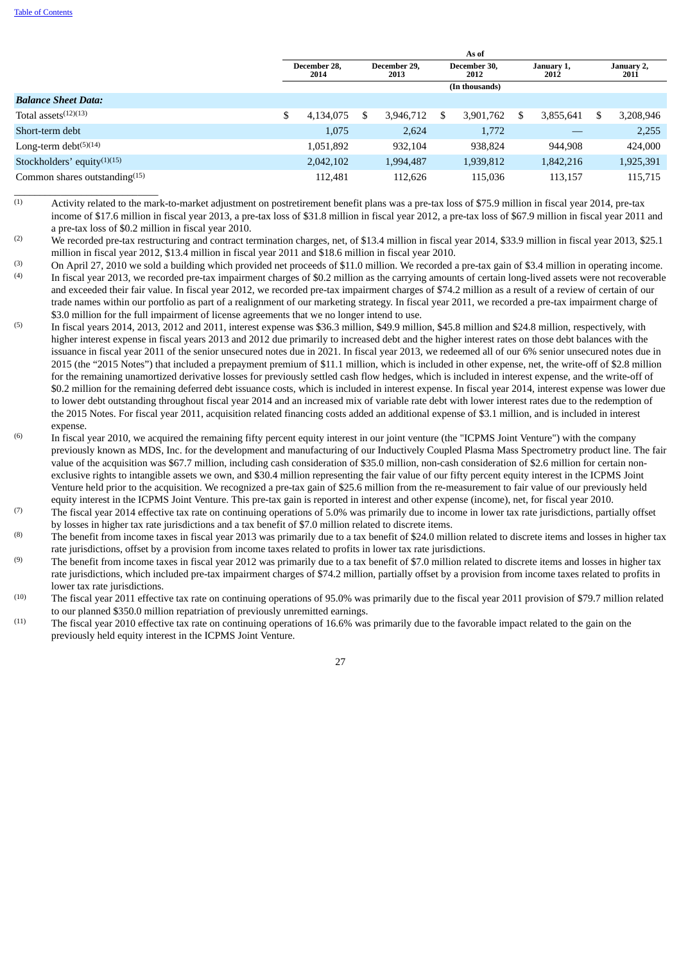\_\_\_\_\_\_\_\_\_\_\_\_\_\_\_\_\_\_\_\_\_\_\_\_\_\_\_\_

|                                         |                      |    |                      |     | As of                |    |                    |   |                    |
|-----------------------------------------|----------------------|----|----------------------|-----|----------------------|----|--------------------|---|--------------------|
|                                         | December 28,<br>2014 |    | December 29,<br>2013 |     | December 30,<br>2012 |    | January 1,<br>2012 |   | January 2,<br>2011 |
|                                         |                      |    |                      |     | (In thousands)       |    |                    |   |                    |
| <b>Balance Sheet Data:</b>              |                      |    |                      |     |                      |    |                    |   |                    |
| Total assets $(12)(13)$                 | \$<br>4,134,075      | \$ | 3,946,712            | \$. | 3,901,762            | \$ | 3,855,641          | S | 3,208,946          |
| Short-term debt                         | 1,075                |    | 2,624                |     | 1,772                |    |                    |   | 2,255              |
| Long-term $debt^{(5)(14)}$              | 1,051,892            |    | 932,104              |     | 938,824              |    | 944,908            |   | 424,000            |
| Stockholders' equity <sup>(1)(15)</sup> | 2,042,102            |    | 1,994,487            |     | 1,939,812            |    | 1,842,216          |   | 1,925,391          |
| Common shares outstanding $(15)$        | 112,481              |    | 112,626              |     | 115,036              |    | 113,157            |   | 115,715            |

 $\overline{a}$ <sup>(1)</sup> Activity related to the mark-to-market adjustment on postretirement benefit plans was a pre-tax loss of \$75.9 million in fiscal year 2014, pre-tax income of \$17.6 million in fiscal year 2013, a pre-tax loss of \$31.8 million in fiscal year 2012, a pre-tax loss of \$67.9 million in fiscal year 2011 and a pre-tax loss of \$0.2 million in fiscal year 2010.

- (2) We recorded pre-tax restructuring and contract termination charges, net, of \$13.4 million in fiscal year 2014, \$33.9 million in fiscal year 2013, \$25.1 million in fiscal year 2012, \$13.4 million in fiscal year 2011 and \$18.6 million in fiscal year 2010.
- (3) On April 27, 2010 we sold a building which provided net proceeds of \$11.0 million. We recorded a pre-tax gain of \$3.4 million in operating income.<br>(4) In fiscal year 2013, we recorded pre-tax impairment charges of \$0. In fiscal year 2013, we recorded pre-tax impairment charges of \$0.2 million as the carrying amounts of certain long-lived assets were not recoverable and exceeded their fair value. In fiscal year 2012, we recorded pre-tax impairment charges of \$74.2 million as a result of a review of certain of our trade names within our portfolio as part of a realignment of our marketing strategy. In fiscal year 2011, we recorded a pre-tax impairment charge of \$3.0 million for the full impairment of license agreements that we no longer intend to use.
- $(5)$  In fiscal years 2014, 2013, 2012 and 2011, interest expense was \$36.3 million, \$49.9 million, \$45.8 million and \$24.8 million, respectively, with higher interest expense in fiscal years 2013 and 2012 due primarily to increased debt and the higher interest rates on those debt balances with the issuance in fiscal year 2011 of the senior unsecured notes due in 2021. In fiscal year 2013, we redeemed all of our 6% senior unsecured notes due in 2015 (the "2015 Notes") that included a prepayment premium of \$11.1 million, which is included in other expense, net, the write-off of \$2.8 million for the remaining unamortized derivative losses for previously settled cash flow hedges, which is included in interest expense, and the write-off of \$0.2 million for the remaining deferred debt issuance costs, which is included in interest expense. In fiscal year 2014, interest expense was lower due to lower debt outstanding throughout fiscal year 2014 and an increased mix of variable rate debt with lower interest rates due to the redemption of the 2015 Notes. For fiscal year 2011, acquisition related financing costs added an additional expense of \$3.1 million, and is included in interest expense.
- <sup>(6)</sup> In fiscal year 2010, we acquired the remaining fifty percent equity interest in our joint venture (the "ICPMS Joint Venture") with the company previously known as MDS, Inc. for the development and manufacturing of our Inductively Coupled Plasma Mass Spectrometry product line. The fair value of the acquisition was \$67.7 million, including cash consideration of \$35.0 million, non-cash consideration of \$2.6 million for certain nonexclusive rights to intangible assets we own, and \$30.4 million representing the fair value of our fifty percent equity interest in the ICPMS Joint Venture held prior to the acquisition. We recognized a pre-tax gain of \$25.6 million from the re-measurement to fair value of our previously held equity interest in the ICPMS Joint Venture. This pre-tax gain is reported in interest and other expense (income), net, for fiscal year 2010.
- (7) The fiscal year 2014 effective tax rate on continuing operations of 5.0% was primarily due to income in lower tax rate jurisdictions, partially offset by losses in higher tax rate jurisdictions and a tax benefit of \$7.0 million related to discrete items.
- <sup>(8)</sup> The benefit from income taxes in fiscal year 2013 was primarily due to a tax benefit of \$24.0 million related to discrete items and losses in higher tax rate jurisdictions, offset by a provision from income taxes related to profits in lower tax rate jurisdictions.
- (9) The benefit from income taxes in fiscal year 2012 was primarily due to a tax benefit of \$7.0 million related to discrete items and losses in higher tax rate jurisdictions, which included pre-tax impairment charges of \$74.2 million, partially offset by a provision from income taxes related to profits in lower tax rate jurisdictions.
- (10) The fiscal year 2011 effective tax rate on continuing operations of 95.0% was primarily due to the fiscal year 2011 provision of \$79.7 million related to our planned \$350.0 million repatriation of previously unremitted earnings.
- $(11)$  The fiscal year 2010 effective tax rate on continuing operations of 16.6% was primarily due to the favorable impact related to the gain on the previously held equity interest in the ICPMS Joint Venture.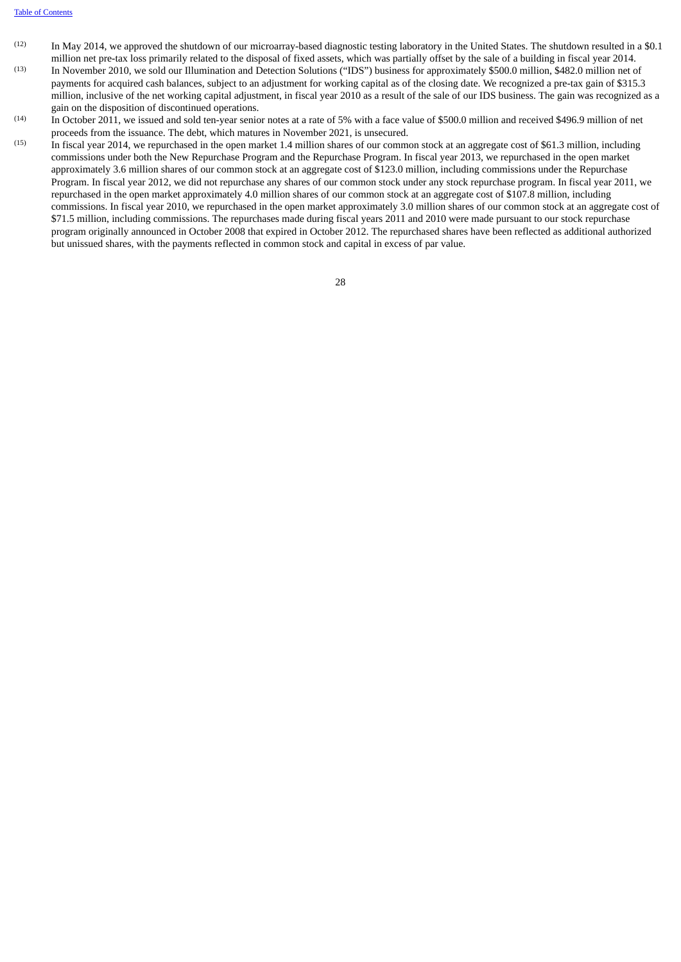- (12) In May 2014, we approved the shutdown of our microarray-based diagnostic testing laboratory in the United States. The shutdown resulted in a \$0.1 million net pre-tax loss primarily related to the disposal of fixed assets, which was partially offset by the sale of a building in fiscal year 2014.
- (13) In November 2010, we sold our Illumination and Detection Solutions ("IDS") business for approximately \$500.0 million, \$482.0 million net of payments for acquired cash balances, subject to an adjustment for working capital as of the closing date. We recognized a pre-tax gain of \$315.3 million, inclusive of the net working capital adjustment, in fiscal year 2010 as a result of the sale of our IDS business. The gain was recognized as a gain on the disposition of discontinued operations.
- $\frac{1}{14}$  In October 2011, we issued and sold ten-year senior notes at a rate of 5% with a face value of \$500.0 million and received \$496.9 million of net proceeds from the issuance. The debt, which matures in November 2021, is unsecured.
- <span id="page-27-0"></span> $\frac{15}{10}$  In fiscal year 2014, we repurchased in the open market 1.4 million shares of our common stock at an aggregate cost of \$61.3 million, including commissions under both the New Repurchase Program and the Repurchase Program. In fiscal year 2013, we repurchased in the open market approximately 3.6 million shares of our common stock at an aggregate cost of \$123.0 million, including commissions under the Repurchase Program. In fiscal year 2012, we did not repurchase any shares of our common stock under any stock repurchase program. In fiscal year 2011, we repurchased in the open market approximately 4.0 million shares of our common stock at an aggregate cost of \$107.8 million, including commissions. In fiscal year 2010, we repurchased in the open market approximately 3.0 million shares of our common stock at an aggregate cost of \$71.5 million, including commissions. The repurchases made during fiscal years 2011 and 2010 were made pursuant to our stock repurchase program originally announced in October 2008 that expired in October 2012. The repurchased shares have been reflected as additional authorized but unissued shares, with the payments reflected in common stock and capital in excess of par value.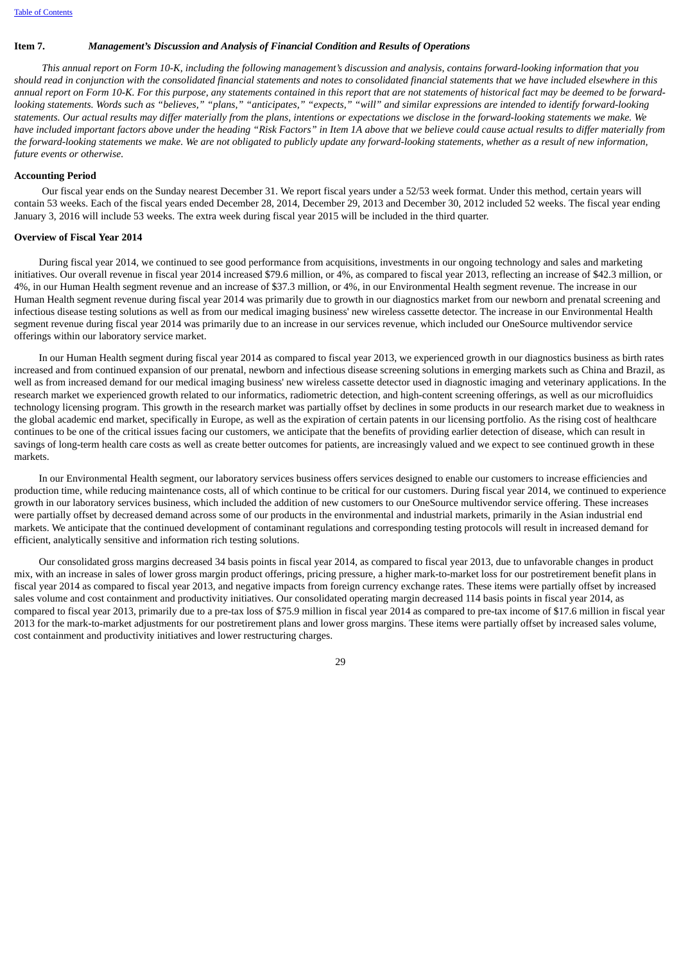## **Item 7.** *Management's Discussion and Analysis of Financial Condition and Results of Operations*

This annual report on Form 10-K, including the following management's discussion and analysis, contains forward-looking information that you should read in conjunction with the consolidated financial statements and notes to consolidated financial statements that we have included elsewhere in this annual report on Form 10-K. For this purpose, any statements contained in this report that are not statements of historical fact may be deemed to be forwardlooking statements. Words such as "believes," "plans," "anticipates," "expects," "will" and similar expressions are intended to identify forward-looking statements. Our actual results may differ materially from the plans, intentions or expectations we disclose in the forward-looking statements we make. We have included important factors above under the heading "Risk Factors" in Item 1A above that we believe could cause actual results to differ materially from the forward-looking statements we make. We are not obligated to publicly update any forward-looking statements, whether as a result of new information, *future events or otherwise.*

#### **Accounting Period**

Our fiscal year ends on the Sunday nearest December 31. We report fiscal years under a 52/53 week format. Under this method, certain years will contain 53 weeks. Each of the fiscal years ended December 28, 2014, December 29, 2013 and December 30, 2012 included 52 weeks. The fiscal year ending January 3, 2016 will include 53 weeks. The extra week during fiscal year 2015 will be included in the third quarter.

## **Overview of Fiscal Year 2014**

During fiscal year 2014, we continued to see good performance from acquisitions, investments in our ongoing technology and sales and marketing initiatives. Our overall revenue in fiscal year 2014 increased \$79.6 million, or 4%, as compared to fiscal year 2013, reflecting an increase of \$42.3 million, or 4%, in our Human Health segment revenue and an increase of \$37.3 million, or 4%, in our Environmental Health segment revenue. The increase in our Human Health segment revenue during fiscal year 2014 was primarily due to growth in our diagnostics market from our newborn and prenatal screening and infectious disease testing solutions as well as from our medical imaging business' new wireless cassette detector. The increase in our Environmental Health segment revenue during fiscal year 2014 was primarily due to an increase in our services revenue, which included our OneSource multivendor service offerings within our laboratory service market.

In our Human Health segment during fiscal year 2014 as compared to fiscal year 2013, we experienced growth in our diagnostics business as birth rates increased and from continued expansion of our prenatal, newborn and infectious disease screening solutions in emerging markets such as China and Brazil, as well as from increased demand for our medical imaging business' new wireless cassette detector used in diagnostic imaging and veterinary applications. In the research market we experienced growth related to our informatics, radiometric detection, and high-content screening offerings, as well as our microfluidics technology licensing program. This growth in the research market was partially offset by declines in some products in our research market due to weakness in the global academic end market, specifically in Europe, as well as the expiration of certain patents in our licensing portfolio. As the rising cost of healthcare continues to be one of the critical issues facing our customers, we anticipate that the benefits of providing earlier detection of disease, which can result in savings of long-term health care costs as well as create better outcomes for patients, are increasingly valued and we expect to see continued growth in these markets.

In our Environmental Health segment, our laboratory services business offers services designed to enable our customers to increase efficiencies and production time, while reducing maintenance costs, all of which continue to be critical for our customers. During fiscal year 2014, we continued to experience growth in our laboratory services business, which included the addition of new customers to our OneSource multivendor service offering. These increases were partially offset by decreased demand across some of our products in the environmental and industrial markets, primarily in the Asian industrial end markets. We anticipate that the continued development of contaminant regulations and corresponding testing protocols will result in increased demand for efficient, analytically sensitive and information rich testing solutions.

Our consolidated gross margins decreased 34 basis points in fiscal year 2014, as compared to fiscal year 2013, due to unfavorable changes in product mix, with an increase in sales of lower gross margin product offerings, pricing pressure, a higher mark-to-market loss for our postretirement benefit plans in fiscal year 2014 as compared to fiscal year 2013, and negative impacts from foreign currency exchange rates. These items were partially offset by increased sales volume and cost containment and productivity initiatives. Our consolidated operating margin decreased 114 basis points in fiscal year 2014, as compared to fiscal year 2013, primarily due to a pre-tax loss of \$75.9 million in fiscal year 2014 as compared to pre-tax income of \$17.6 million in fiscal year 2013 for the mark-to-market adjustments for our postretirement plans and lower gross margins. These items were partially offset by increased sales volume, cost containment and productivity initiatives and lower restructuring charges.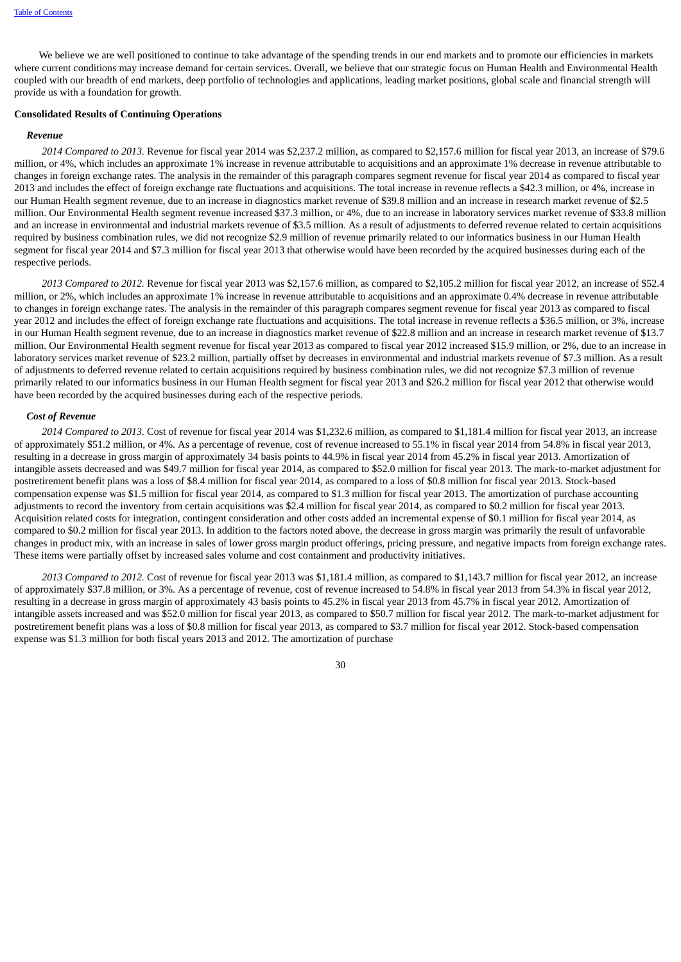We believe we are well positioned to continue to take advantage of the spending trends in our end markets and to promote our efficiencies in markets where current conditions may increase demand for certain services. Overall, we believe that our strategic focus on Human Health and Environmental Health coupled with our breadth of end markets, deep portfolio of technologies and applications, leading market positions, global scale and financial strength will provide us with a foundation for growth.

## **Consolidated Results of Continuing Operations**

#### *Revenue*

*2014 Compared to 2013.* Revenue for fiscal year 2014 was \$2,237.2 million, as compared to \$2,157.6 million for fiscal year 2013, an increase of \$79.6 million, or 4%, which includes an approximate 1% increase in revenue attributable to acquisitions and an approximate 1% decrease in revenue attributable to changes in foreign exchange rates. The analysis in the remainder of this paragraph compares segment revenue for fiscal year 2014 as compared to fiscal year 2013 and includes the effect of foreign exchange rate fluctuations and acquisitions. The total increase in revenue reflects a \$42.3 million, or 4%, increase in our Human Health segment revenue, due to an increase in diagnostics market revenue of \$39.8 million and an increase in research market revenue of \$2.5 million. Our Environmental Health segment revenue increased \$37.3 million, or 4%, due to an increase in laboratory services market revenue of \$33.8 million and an increase in environmental and industrial markets revenue of \$3.5 million. As a result of adjustments to deferred revenue related to certain acquisitions required by business combination rules, we did not recognize \$2.9 million of revenue primarily related to our informatics business in our Human Health segment for fiscal year 2014 and \$7.3 million for fiscal year 2013 that otherwise would have been recorded by the acquired businesses during each of the respective periods.

*2013 Compared to 2012.* Revenue for fiscal year 2013 was \$2,157.6 million, as compared to \$2,105.2 million for fiscal year 2012, an increase of \$52.4 million, or 2%, which includes an approximate 1% increase in revenue attributable to acquisitions and an approximate 0.4% decrease in revenue attributable to changes in foreign exchange rates. The analysis in the remainder of this paragraph compares segment revenue for fiscal year 2013 as compared to fiscal year 2012 and includes the effect of foreign exchange rate fluctuations and acquisitions. The total increase in revenue reflects a \$36.5 million, or 3%, increase in our Human Health segment revenue, due to an increase in diagnostics market revenue of \$22.8 million and an increase in research market revenue of \$13.7 million. Our Environmental Health segment revenue for fiscal year 2013 as compared to fiscal year 2012 increased \$15.9 million, or 2%, due to an increase in laboratory services market revenue of \$23.2 million, partially offset by decreases in environmental and industrial markets revenue of \$7.3 million. As a result of adjustments to deferred revenue related to certain acquisitions required by business combination rules, we did not recognize \$7.3 million of revenue primarily related to our informatics business in our Human Health segment for fiscal year 2013 and \$26.2 million for fiscal year 2012 that otherwise would have been recorded by the acquired businesses during each of the respective periods.

#### *Cost of Revenue*

*2014 Compared to 2013.* Cost of revenue for fiscal year 2014 was \$1,232.6 million, as compared to \$1,181.4 million for fiscal year 2013, an increase of approximately \$51.2 million, or 4%. As a percentage of revenue, cost of revenue increased to 55.1% in fiscal year 2014 from 54.8% in fiscal year 2013, resulting in a decrease in gross margin of approximately 34 basis points to 44.9% in fiscal year 2014 from 45.2% in fiscal year 2013. Amortization of intangible assets decreased and was \$49.7 million for fiscal year 2014, as compared to \$52.0 million for fiscal year 2013. The mark-to-market adjustment for postretirement benefit plans was a loss of \$8.4 million for fiscal year 2014, as compared to a loss of \$0.8 million for fiscal year 2013. Stock-based compensation expense was \$1.5 million for fiscal year 2014, as compared to \$1.3 million for fiscal year 2013. The amortization of purchase accounting adjustments to record the inventory from certain acquisitions was \$2.4 million for fiscal year 2014, as compared to \$0.2 million for fiscal year 2013. Acquisition related costs for integration, contingent consideration and other costs added an incremental expense of \$0.1 million for fiscal year 2014, as compared to \$0.2 million for fiscal year 2013. In addition to the factors noted above, the decrease in gross margin was primarily the result of unfavorable changes in product mix, with an increase in sales of lower gross margin product offerings, pricing pressure, and negative impacts from foreign exchange rates. These items were partially offset by increased sales volume and cost containment and productivity initiatives.

*2013 Compared to 2012.* Cost of revenue for fiscal year 2013 was \$1,181.4 million, as compared to \$1,143.7 million for fiscal year 2012, an increase of approximately \$37.8 million, or 3%. As a percentage of revenue, cost of revenue increased to 54.8% in fiscal year 2013 from 54.3% in fiscal year 2012, resulting in a decrease in gross margin of approximately 43 basis points to 45.2% in fiscal year 2013 from 45.7% in fiscal year 2012. Amortization of intangible assets increased and was \$52.0 million for fiscal year 2013, as compared to \$50.7 million for fiscal year 2012. The mark-to-market adjustment for postretirement benefit plans was a loss of \$0.8 million for fiscal year 2013, as compared to \$3.7 million for fiscal year 2012. Stock-based compensation expense was \$1.3 million for both fiscal years 2013 and 2012. The amortization of purchase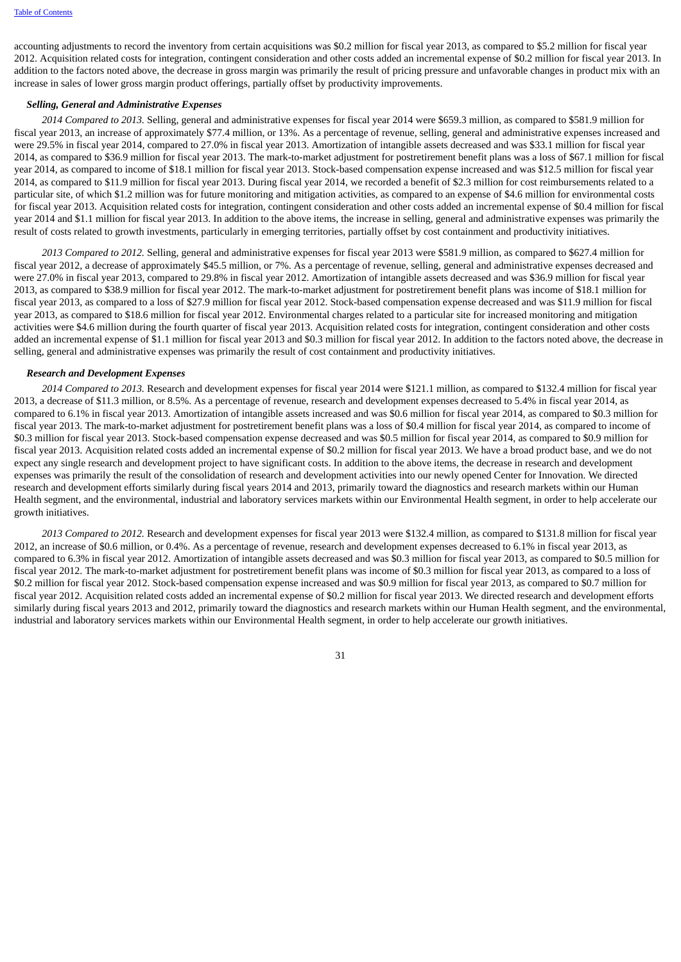accounting adjustments to record the inventory from certain acquisitions was \$0.2 million for fiscal year 2013, as compared to \$5.2 million for fiscal year 2012. Acquisition related costs for integration, contingent consideration and other costs added an incremental expense of \$0.2 million for fiscal year 2013. In addition to the factors noted above, the decrease in gross margin was primarily the result of pricing pressure and unfavorable changes in product mix with an increase in sales of lower gross margin product offerings, partially offset by productivity improvements.

#### *Selling, General and Administrative Expenses*

*2014 Compared to 2013.* Selling, general and administrative expenses for fiscal year 2014 were \$659.3 million, as compared to \$581.9 million for fiscal year 2013, an increase of approximately \$77.4 million, or 13%. As a percentage of revenue, selling, general and administrative expenses increased and were 29.5% in fiscal year 2014, compared to 27.0% in fiscal year 2013. Amortization of intangible assets decreased and was \$33.1 million for fiscal year 2014, as compared to \$36.9 million for fiscal year 2013. The mark-to-market adjustment for postretirement benefit plans was a loss of \$67.1 million for fiscal year 2014, as compared to income of \$18.1 million for fiscal year 2013. Stock-based compensation expense increased and was \$12.5 million for fiscal year 2014, as compared to \$11.9 million for fiscal year 2013. During fiscal year 2014, we recorded a benefit of \$2.3 million for cost reimbursements related to a particular site, of which \$1.2 million was for future monitoring and mitigation activities, as compared to an expense of \$4.6 million for environmental costs for fiscal year 2013. Acquisition related costs for integration, contingent consideration and other costs added an incremental expense of \$0.4 million for fiscal year 2014 and \$1.1 million for fiscal year 2013. In addition to the above items, the increase in selling, general and administrative expenses was primarily the result of costs related to growth investments, particularly in emerging territories, partially offset by cost containment and productivity initiatives.

*2013 Compared to 2012.* Selling, general and administrative expenses for fiscal year 2013 were \$581.9 million, as compared to \$627.4 million for fiscal year 2012, a decrease of approximately \$45.5 million, or 7%. As a percentage of revenue, selling, general and administrative expenses decreased and were 27.0% in fiscal year 2013, compared to 29.8% in fiscal year 2012. Amortization of intangible assets decreased and was \$36.9 million for fiscal year 2013, as compared to \$38.9 million for fiscal year 2012. The mark-to-market adjustment for postretirement benefit plans was income of \$18.1 million for fiscal year 2013, as compared to a loss of \$27.9 million for fiscal year 2012. Stock-based compensation expense decreased and was \$11.9 million for fiscal year 2013, as compared to \$18.6 million for fiscal year 2012. Environmental charges related to a particular site for increased monitoring and mitigation activities were \$4.6 million during the fourth quarter of fiscal year 2013. Acquisition related costs for integration, contingent consideration and other costs added an incremental expense of \$1.1 million for fiscal year 2013 and \$0.3 million for fiscal year 2012. In addition to the factors noted above, the decrease in selling, general and administrative expenses was primarily the result of cost containment and productivity initiatives.

## *Research and Development Expenses*

*2014 Compared to 2013.* Research and development expenses for fiscal year 2014 were \$121.1 million, as compared to \$132.4 million for fiscal year 2013, a decrease of \$11.3 million, or 8.5%. As a percentage of revenue, research and development expenses decreased to 5.4% in fiscal year 2014, as compared to 6.1% in fiscal year 2013. Amortization of intangible assets increased and was \$0.6 million for fiscal year 2014, as compared to \$0.3 million for fiscal year 2013. The mark-to-market adjustment for postretirement benefit plans was a loss of \$0.4 million for fiscal year 2014, as compared to income of \$0.3 million for fiscal year 2013. Stock-based compensation expense decreased and was \$0.5 million for fiscal year 2014, as compared to \$0.9 million for fiscal year 2013. Acquisition related costs added an incremental expense of \$0.2 million for fiscal year 2013. We have a broad product base, and we do not expect any single research and development project to have significant costs. In addition to the above items, the decrease in research and development expenses was primarily the result of the consolidation of research and development activities into our newly opened Center for Innovation. We directed research and development efforts similarly during fiscal years 2014 and 2013, primarily toward the diagnostics and research markets within our Human Health segment, and the environmental, industrial and laboratory services markets within our Environmental Health segment, in order to help accelerate our growth initiatives.

*2013 Compared to 2012.* Research and development expenses for fiscal year 2013 were \$132.4 million, as compared to \$131.8 million for fiscal year 2012, an increase of \$0.6 million, or 0.4%. As a percentage of revenue, research and development expenses decreased to 6.1% in fiscal year 2013, as compared to 6.3% in fiscal year 2012. Amortization of intangible assets decreased and was \$0.3 million for fiscal year 2013, as compared to \$0.5 million for fiscal year 2012. The mark-to-market adjustment for postretirement benefit plans was income of \$0.3 million for fiscal year 2013, as compared to a loss of \$0.2 million for fiscal year 2012. Stock-based compensation expense increased and was \$0.9 million for fiscal year 2013, as compared to \$0.7 million for fiscal year 2012. Acquisition related costs added an incremental expense of \$0.2 million for fiscal year 2013. We directed research and development efforts similarly during fiscal years 2013 and 2012, primarily toward the diagnostics and research markets within our Human Health segment, and the environmental, industrial and laboratory services markets within our Environmental Health segment, in order to help accelerate our growth initiatives.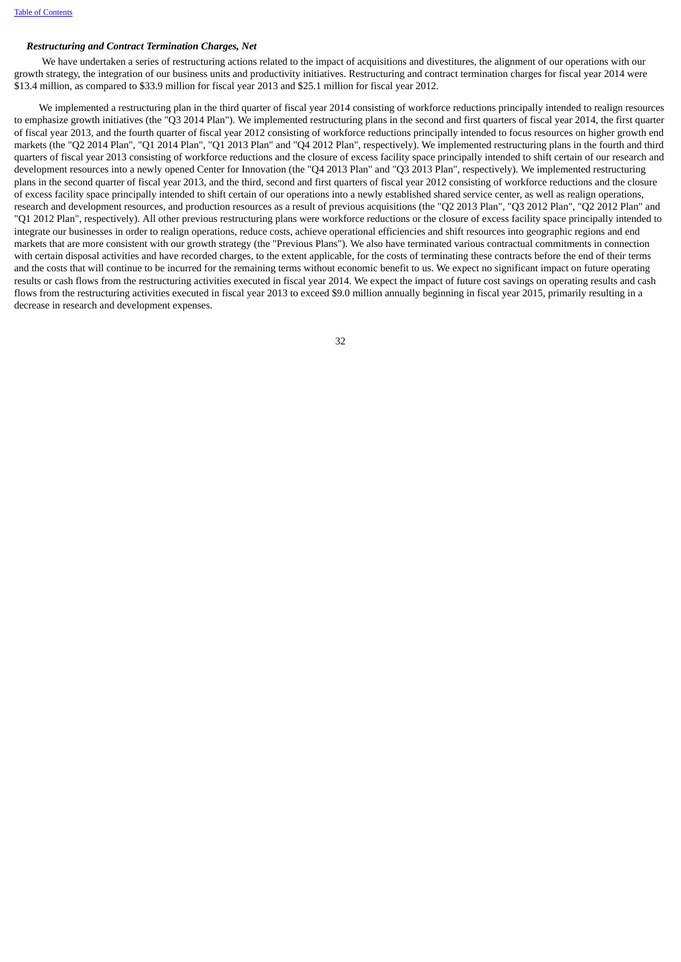## *Restructuring and Contract Termination Charges, Net*

We have undertaken a series of restructuring actions related to the impact of acquisitions and divestitures, the alignment of our operations with our growth strategy, the integration of our business units and productivity initiatives. Restructuring and contract termination charges for fiscal year 2014 were \$13.4 million, as compared to \$33.9 million for fiscal year 2013 and \$25.1 million for fiscal year 2012.

We implemented a restructuring plan in the third quarter of fiscal year 2014 consisting of workforce reductions principally intended to realign resources to emphasize growth initiatives (the "Q3 2014 Plan"). We implemented restructuring plans in the second and first quarters of fiscal year 2014, the first quarter of fiscal year 2013, and the fourth quarter of fiscal year 2012 consisting of workforce reductions principally intended to focus resources on higher growth end markets (the "Q2 2014 Plan", "Q1 2014 Plan", "Q1 2013 Plan" and "Q4 2012 Plan", respectively). We implemented restructuring plans in the fourth and third quarters of fiscal year 2013 consisting of workforce reductions and the closure of excess facility space principally intended to shift certain of our research and development resources into a newly opened Center for Innovation (the "Q4 2013 Plan" and "Q3 2013 Plan", respectively). We implemented restructuring plans in the second quarter of fiscal year 2013, and the third, second and first quarters of fiscal year 2012 consisting of workforce reductions and the closure of excess facility space principally intended to shift certain of our operations into a newly established shared service center, as well as realign operations, research and development resources, and production resources as a result of previous acquisitions (the "Q2 2013 Plan", "Q3 2012 Plan", "Q2 2012 Plan" and "Q1 2012 Plan", respectively). All other previous restructuring plans were workforce reductions or the closure of excess facility space principally intended to integrate our businesses in order to realign operations, reduce costs, achieve operational efficiencies and shift resources into geographic regions and end markets that are more consistent with our growth strategy (the "Previous Plans"). We also have terminated various contractual commitments in connection with certain disposal activities and have recorded charges, to the extent applicable, for the costs of terminating these contracts before the end of their terms and the costs that will continue to be incurred for the remaining terms without economic benefit to us. We expect no significant impact on future operating results or cash flows from the restructuring activities executed in fiscal year 2014. We expect the impact of future cost savings on operating results and cash flows from the restructuring activities executed in fiscal year 2013 to exceed \$9.0 million annually beginning in fiscal year 2015, primarily resulting in a decrease in research and development expenses.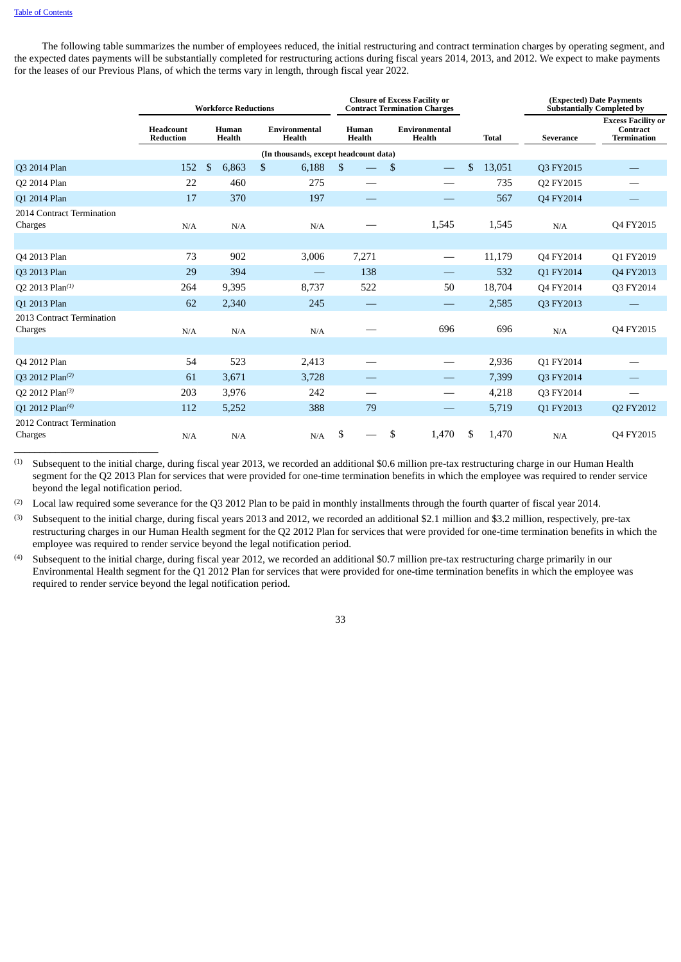The following table summarizes the number of employees reduced, the initial restructuring and contract termination charges by operating segment, and the expected dates payments will be substantially completed for restructuring actions during fiscal years 2014, 2013, and 2012. We expect to make payments for the leases of our Previous Plans, of which the terms vary in length, through fiscal year 2022.

|                                      |                                      | <b>Workforce Reductions</b> |                                       |                        | <b>Closure of Excess Facility or</b><br><b>Contract Termination Charges</b> |              | (Expected) Date Payments<br><b>Substantially Completed by</b> |                                                             |  |  |
|--------------------------------------|--------------------------------------|-----------------------------|---------------------------------------|------------------------|-----------------------------------------------------------------------------|--------------|---------------------------------------------------------------|-------------------------------------------------------------|--|--|
|                                      | <b>Headcount</b><br><b>Reduction</b> | Human<br>Health             | <b>Environmental</b><br><b>Health</b> | Human<br><b>Health</b> | <b>Environmental</b><br>Health                                              | <b>Total</b> | <b>Severance</b>                                              | <b>Excess Facility or</b><br>Contract<br><b>Termination</b> |  |  |
|                                      |                                      |                             | (In thousands, except headcount data) |                        |                                                                             |              |                                                               |                                                             |  |  |
| Q3 2014 Plan                         | 152                                  | \$<br>6,863                 | 6,188<br>\$                           | \$                     | <sup>\$</sup><br>$\hspace{0.05cm}$                                          | \$<br>13,051 | Q3 FY2015                                                     |                                                             |  |  |
| Q2 2014 Plan                         | 22                                   | 460                         | 275                                   |                        |                                                                             | 735          | Q2 FY2015                                                     |                                                             |  |  |
| Q1 2014 Plan                         | 17                                   | 370                         | 197                                   |                        |                                                                             | 567          | Q4 FY2014                                                     |                                                             |  |  |
| 2014 Contract Termination<br>Charges | N/A                                  | N/A                         | N/A                                   |                        | 1,545                                                                       | 1,545        | N/A                                                           | Q4 FY2015                                                   |  |  |
|                                      |                                      |                             |                                       |                        |                                                                             |              |                                                               |                                                             |  |  |
| Q4 2013 Plan                         | 73                                   | 902                         | 3,006                                 | 7,271                  |                                                                             | 11,179       | Q4 FY2014                                                     | Q1 FY2019                                                   |  |  |
| Q3 2013 Plan                         | 29                                   | 394                         |                                       | 138                    |                                                                             | 532          | Q1 FY2014                                                     | Q4 FY2013                                                   |  |  |
| Q2 2013 Plan $^{(1)}$                | 264                                  | 9,395                       | 8,737                                 | 522                    | 50                                                                          | 18,704       | Q4 FY2014                                                     | Q3 FY2014                                                   |  |  |
| Q1 2013 Plan                         | 62                                   | 2,340                       | 245                                   |                        | $\overline{\phantom{0}}$                                                    | 2,585        | Q3 FY2013                                                     |                                                             |  |  |
| 2013 Contract Termination<br>Charges | N/A                                  | N/A                         | N/A                                   |                        | 696                                                                         | 696          | N/A                                                           | Q4 FY2015                                                   |  |  |
|                                      |                                      |                             |                                       |                        |                                                                             |              |                                                               |                                                             |  |  |
| Q4 2012 Plan                         | 54                                   | 523                         | 2,413                                 |                        |                                                                             | 2,936        | Q1 FY2014                                                     |                                                             |  |  |
| Q3 2012 Plan(2)                      | 61                                   | 3,671                       | 3,728                                 |                        |                                                                             | 7,399        | Q3 FY2014                                                     |                                                             |  |  |
| Q2 2012 Plan(3)                      | 203                                  | 3,976                       | 242                                   |                        |                                                                             | 4,218        | Q3 FY2014                                                     |                                                             |  |  |
| Q1 2012 Plan(4)                      | 112                                  | 5,252                       | 388                                   | 79                     |                                                                             | 5,719        | Q1 FY2013                                                     | Q2 FY2012                                                   |  |  |
| 2012 Contract Termination<br>Charges | N/A                                  | N/A                         | N/A                                   | \$                     | \$<br>1,470                                                                 | \$<br>1,470  | N/A                                                           | Q4 FY2015                                                   |  |  |

(1) Subsequent to the initial charge, during fiscal year 2013, we recorded an additional \$0.6 million pre-tax restructuring charge in our Human Health segment for the Q2 2013 Plan for services that were provided for one-time termination benefits in which the employee was required to render service beyond the legal notification period.

(2) Local law required some severance for the Q3 2012 Plan to be paid in monthly installments through the fourth quarter of fiscal year 2014.

(3) Subsequent to the initial charge, during fiscal years 2013 and 2012, we recorded an additional \$2.1 million and \$3.2 million, respectively, pre-tax restructuring charges in our Human Health segment for the Q2 2012 Plan for services that were provided for one-time termination benefits in which the employee was required to render service beyond the legal notification period.

(4) Subsequent to the initial charge, during fiscal year 2012, we recorded an additional \$0.7 million pre-tax restructuring charge primarily in our Environmental Health segment for the Q1 2012 Plan for services that were provided for one-time termination benefits in which the employee was required to render service beyond the legal notification period.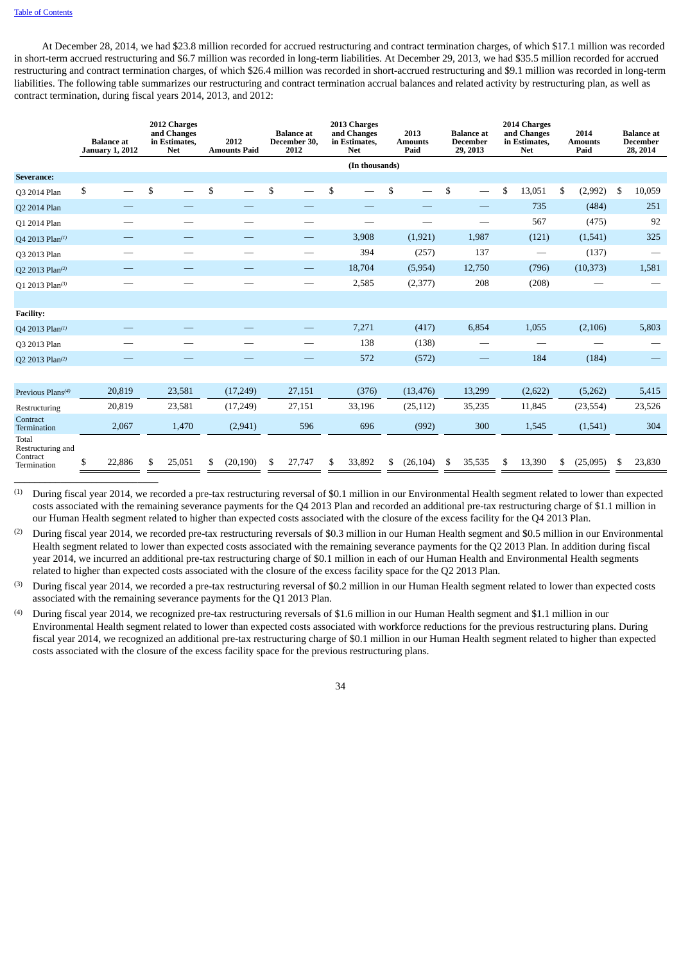\_\_\_\_\_\_\_\_\_\_\_\_\_\_\_\_\_\_\_\_\_\_\_\_\_\_\_\_

At December 28, 2014, we had \$23.8 million recorded for accrued restructuring and contract termination charges, of which \$17.1 million was recorded in short-term accrued restructuring and \$6.7 million was recorded in long-term liabilities. At December 29, 2013, we had \$35.5 million recorded for accrued restructuring and contract termination charges, of which \$26.4 million was recorded in short-accrued restructuring and \$9.1 million was recorded in long-term liabilities. The following table summarizes our restructuring and contract termination accrual balances and related activity by restructuring plan, as well as contract termination, during fiscal years 2014, 2013, and 2012:

|                                                       | <b>Balance</b> at<br><b>January 1, 2012</b> | 2012 Charges<br>and Changes<br>in Estimates,<br><b>Net</b> |    | 2012<br><b>Amounts Paid</b> | <b>Balance</b> at<br>December 30,<br>2012 | 2013 Charges<br>and Changes<br>in Estimates.<br><b>Net</b> | 2013<br><b>Amounts</b><br>Paid |    | <b>Balance</b> at<br><b>December</b><br>29, 2013 | 2014 Charges<br>and Changes<br>in Estimates.<br><b>Net</b> | 2014<br><b>Amounts</b><br>Paid | <b>Balance</b> at<br><b>December</b><br>28, 2014 |        |
|-------------------------------------------------------|---------------------------------------------|------------------------------------------------------------|----|-----------------------------|-------------------------------------------|------------------------------------------------------------|--------------------------------|----|--------------------------------------------------|------------------------------------------------------------|--------------------------------|--------------------------------------------------|--------|
|                                                       |                                             |                                                            |    |                             |                                           | (In thousands)                                             |                                |    |                                                  |                                                            |                                |                                                  |        |
| Severance:                                            |                                             |                                                            |    |                             |                                           |                                                            |                                |    |                                                  |                                                            |                                |                                                  |        |
| Q3 2014 Plan                                          | \$                                          | \$                                                         | \$ |                             | \$                                        | \$<br>$\overline{\phantom{0}}$                             | \$                             | \$ |                                                  | \$<br>13,051                                               | \$<br>(2,992)                  | \$                                               | 10,059 |
| Q2 2014 Plan                                          |                                             |                                                            |    |                             |                                           |                                                            |                                |    |                                                  | 735                                                        | (484)                          |                                                  | 251    |
| Q1 2014 Plan                                          |                                             |                                                            |    |                             |                                           |                                                            |                                |    |                                                  | 567                                                        | (475)                          |                                                  | 92     |
| Q4 2013 Plan(1)                                       |                                             |                                                            |    |                             |                                           | 3,908                                                      | (1,921)                        |    | 1,987                                            | (121)                                                      | (1,541)                        |                                                  | 325    |
| Q3 2013 Plan                                          |                                             |                                                            |    |                             |                                           | 394                                                        | (257)                          |    | 137                                              | $\overline{\phantom{0}}$                                   | (137)                          |                                                  |        |
| Q2 2013 Plan(2)                                       |                                             |                                                            |    |                             |                                           | 18,704                                                     | (5,954)                        |    | 12,750                                           | (796)                                                      | (10, 373)                      |                                                  | 1,581  |
| Q1 2013 Plan $^{(3)}$                                 |                                             |                                                            |    |                             |                                           | 2,585                                                      | (2,377)                        |    | 208                                              | (208)                                                      |                                |                                                  |        |
|                                                       |                                             |                                                            |    |                             |                                           |                                                            |                                |    |                                                  |                                                            |                                |                                                  |        |
| <b>Facility:</b>                                      |                                             |                                                            |    |                             |                                           |                                                            |                                |    |                                                  |                                                            |                                |                                                  |        |
| Q4 2013 Plan(1)                                       |                                             |                                                            |    |                             |                                           | 7,271                                                      | (417)                          |    | 6,854                                            | 1,055                                                      | (2,106)                        |                                                  | 5,803  |
| Q3 2013 Plan                                          |                                             |                                                            |    |                             |                                           | 138                                                        | (138)                          |    |                                                  |                                                            |                                |                                                  |        |
| Q2 2013 Plan(2)                                       |                                             |                                                            |    |                             |                                           | 572                                                        | (572)                          |    |                                                  | 184                                                        | (184)                          |                                                  |        |
|                                                       |                                             |                                                            |    |                             |                                           |                                                            |                                |    |                                                  |                                                            |                                |                                                  |        |
| Previous Plans <sup>(4)</sup>                         | 20,819                                      | 23,581                                                     |    | (17,249)                    | 27,151                                    | (376)                                                      | (13, 476)                      |    | 13,299                                           | (2,622)                                                    | (5,262)                        |                                                  | 5,415  |
| Restructuring                                         | 20,819                                      | 23,581                                                     |    | (17, 249)                   | 27,151                                    | 33,196                                                     | (25, 112)                      |    | 35,235                                           | 11,845                                                     | (23, 554)                      |                                                  | 23,526 |
| Contract<br>Termination                               | 2,067                                       | 1,470                                                      |    | (2,941)                     | 596                                       | 696                                                        | (992)                          |    | 300                                              | 1,545                                                      | (1,541)                        |                                                  | 304    |
| Total<br>Restructuring and<br>Contract<br>Termination | \$<br>22,886                                | \$<br>25,051                                               | S  | (20, 190)                   | \$<br>27,747                              | \$<br>33,892                                               | \$<br>(26, 104)                | S  | 35,535                                           | \$<br>13,390                                               | \$<br>(25,095)                 |                                                  | 23,830 |

(1) During fiscal year 2014, we recorded a pre-tax restructuring reversal of \$0.1 million in our Environmental Health segment related to lower than expected costs associated with the remaining severance payments for the Q4 2013 Plan and recorded an additional pre-tax restructuring charge of \$1.1 million in our Human Health segment related to higher than expected costs associated with the closure of the excess facility for the Q4 2013 Plan.

(2) During fiscal year 2014, we recorded pre-tax restructuring reversals of \$0.3 million in our Human Health segment and \$0.5 million in our Environmental Health segment related to lower than expected costs associated with the remaining severance payments for the Q2 2013 Plan. In addition during fiscal year 2014, we incurred an additional pre-tax restructuring charge of \$0.1 million in each of our Human Health and Environmental Health segments related to higher than expected costs associated with the closure of the excess facility space for the Q2 2013 Plan.

(3) During fiscal year 2014, we recorded a pre-tax restructuring reversal of \$0.2 million in our Human Health segment related to lower than expected costs associated with the remaining severance payments for the Q1 2013 Plan.

(4) During fiscal year 2014, we recognized pre-tax restructuring reversals of \$1.6 million in our Human Health segment and \$1.1 million in our Environmental Health segment related to lower than expected costs associated with workforce reductions for the previous restructuring plans. During fiscal year 2014, we recognized an additional pre-tax restructuring charge of \$0.1 million in our Human Health segment related to higher than expected costs associated with the closure of the excess facility space for the previous restructuring plans.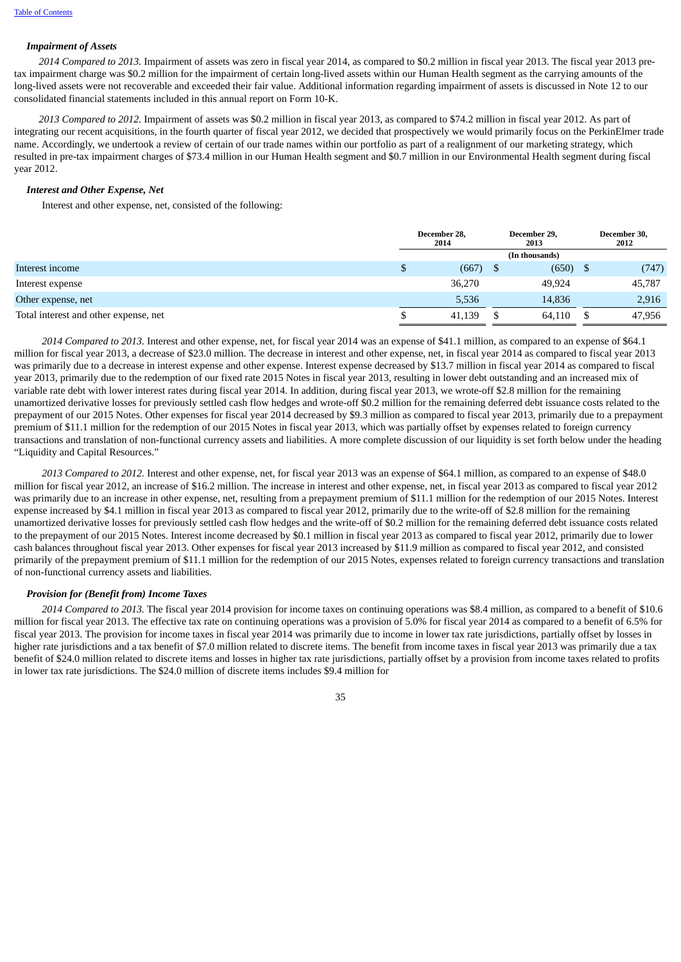## *Impairment of Assets*

*2014 Compared to 2013.* Impairment of assets was zero in fiscal year 2014, as compared to \$0.2 million in fiscal year 2013. The fiscal year 2013 pretax impairment charge was \$0.2 million for the impairment of certain long-lived assets within our Human Health segment as the carrying amounts of the long-lived assets were not recoverable and exceeded their fair value. Additional information regarding impairment of assets is discussed in Note 12 to our consolidated financial statements included in this annual report on Form 10-K.

*2013 Compared to 2012.* Impairment of assets was \$0.2 million in fiscal year 2013, as compared to \$74.2 million in fiscal year 2012. As part of integrating our recent acquisitions, in the fourth quarter of fiscal year 2012, we decided that prospectively we would primarily focus on the PerkinElmer trade name. Accordingly, we undertook a review of certain of our trade names within our portfolio as part of a realignment of our marketing strategy, which resulted in pre-tax impairment charges of \$73.4 million in our Human Health segment and \$0.7 million in our Environmental Health segment during fiscal year 2012.

## *Interest and Other Expense, Net*

Interest and other expense, net, consisted of the following:

|                                       | December 28,<br>2014 | December 29,<br>2013 | December 30,<br>2012 |
|---------------------------------------|----------------------|----------------------|----------------------|
|                                       |                      | (In thousands)       |                      |
| Interest income                       | (667)<br>\$          | (650)                | (747)<br>- \$        |
| Interest expense                      | 36,270               | 49,924               | 45,787               |
| Other expense, net                    | 5,536                | 14,836               | 2,916                |
| Total interest and other expense, net | 41,139               | 64,110               | 47,956               |

*2014 Compared to 2013.* Interest and other expense, net, for fiscal year 2014 was an expense of \$41.1 million, as compared to an expense of \$64.1 million for fiscal year 2013, a decrease of \$23.0 million. The decrease in interest and other expense, net, in fiscal year 2014 as compared to fiscal year 2013 was primarily due to a decrease in interest expense and other expense. Interest expense decreased by \$13.7 million in fiscal year 2014 as compared to fiscal year 2013, primarily due to the redemption of our fixed rate 2015 Notes in fiscal year 2013, resulting in lower debt outstanding and an increased mix of variable rate debt with lower interest rates during fiscal year 2014. In addition, during fiscal year 2013, we wrote-off \$2.8 million for the remaining unamortized derivative losses for previously settled cash flow hedges and wrote-off \$0.2 million for the remaining deferred debt issuance costs related to the prepayment of our 2015 Notes. Other expenses for fiscal year 2014 decreased by \$9.3 million as compared to fiscal year 2013, primarily due to a prepayment premium of \$11.1 million for the redemption of our 2015 Notes in fiscal year 2013, which was partially offset by expenses related to foreign currency transactions and translation of non-functional currency assets and liabilities. A more complete discussion of our liquidity is set forth below under the heading "Liquidity and Capital Resources."

*2013 Compared to 2012.* Interest and other expense, net, for fiscal year 2013 was an expense of \$64.1 million, as compared to an expense of \$48.0 million for fiscal year 2012, an increase of \$16.2 million. The increase in interest and other expense, net, in fiscal year 2013 as compared to fiscal year 2012 was primarily due to an increase in other expense, net, resulting from a prepayment premium of \$11.1 million for the redemption of our 2015 Notes. Interest expense increased by \$4.1 million in fiscal year 2013 as compared to fiscal year 2012, primarily due to the write-off of \$2.8 million for the remaining unamortized derivative losses for previously settled cash flow hedges and the write-off of \$0.2 million for the remaining deferred debt issuance costs related to the prepayment of our 2015 Notes. Interest income decreased by \$0.1 million in fiscal year 2013 as compared to fiscal year 2012, primarily due to lower cash balances throughout fiscal year 2013. Other expenses for fiscal year 2013 increased by \$11.9 million as compared to fiscal year 2012, and consisted primarily of the prepayment premium of \$11.1 million for the redemption of our 2015 Notes, expenses related to foreign currency transactions and translation of non-functional currency assets and liabilities.

## *Provision for (Benefit from) Income Taxes*

*2014 Compared to 2013.* The fiscal year 2014 provision for income taxes on continuing operations was \$8.4 million, as compared to a benefit of \$10.6 million for fiscal year 2013. The effective tax rate on continuing operations was a provision of 5.0% for fiscal year 2014 as compared to a benefit of 6.5% for fiscal year 2013. The provision for income taxes in fiscal year 2014 was primarily due to income in lower tax rate jurisdictions, partially offset by losses in higher rate jurisdictions and a tax benefit of \$7.0 million related to discrete items. The benefit from income taxes in fiscal year 2013 was primarily due a tax benefit of \$24.0 million related to discrete items and losses in higher tax rate jurisdictions, partially offset by a provision from income taxes related to profits in lower tax rate jurisdictions. The \$24.0 million of discrete items includes \$9.4 million for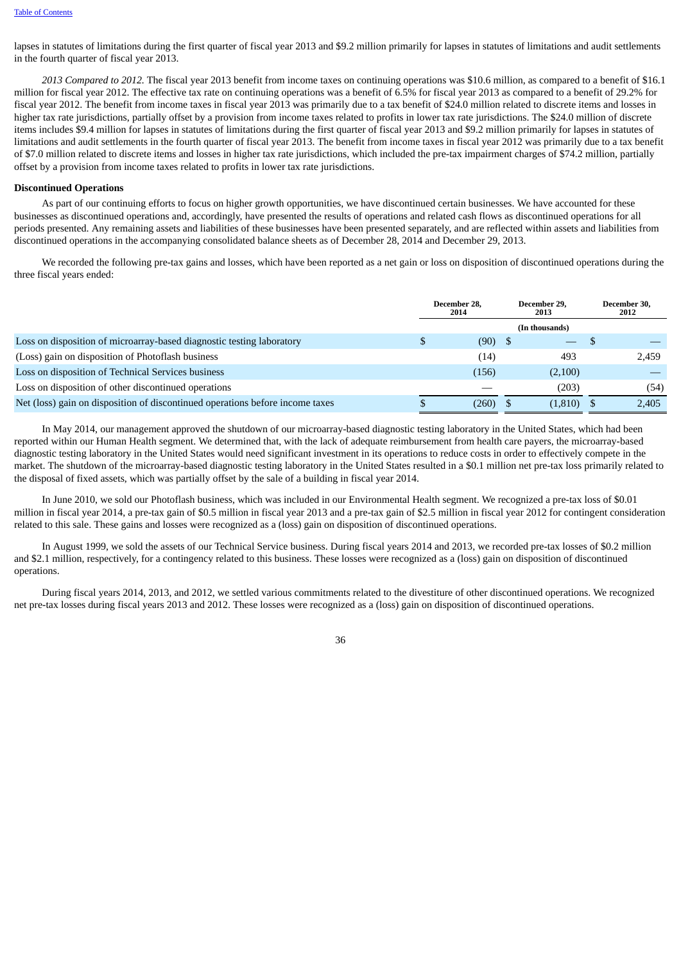lapses in statutes of limitations during the first quarter of fiscal year 2013 and \$9.2 million primarily for lapses in statutes of limitations and audit settlements in the fourth quarter of fiscal year 2013.

*2013 Compared to 2012.* The fiscal year 2013 benefit from income taxes on continuing operations was \$10.6 million, as compared to a benefit of \$16.1 million for fiscal year 2012. The effective tax rate on continuing operations was a benefit of 6.5% for fiscal year 2013 as compared to a benefit of 29.2% for fiscal year 2012. The benefit from income taxes in fiscal year 2013 was primarily due to a tax benefit of \$24.0 million related to discrete items and losses in higher tax rate jurisdictions, partially offset by a provision from income taxes related to profits in lower tax rate jurisdictions. The \$24.0 million of discrete items includes \$9.4 million for lapses in statutes of limitations during the first quarter of fiscal year 2013 and \$9.2 million primarily for lapses in statutes of limitations and audit settlements in the fourth quarter of fiscal year 2013. The benefit from income taxes in fiscal year 2012 was primarily due to a tax benefit of \$7.0 million related to discrete items and losses in higher tax rate jurisdictions, which included the pre-tax impairment charges of \$74.2 million, partially offset by a provision from income taxes related to profits in lower tax rate jurisdictions.

#### **Discontinued Operations**

As part of our continuing efforts to focus on higher growth opportunities, we have discontinued certain businesses. We have accounted for these businesses as discontinued operations and, accordingly, have presented the results of operations and related cash flows as discontinued operations for all periods presented. Any remaining assets and liabilities of these businesses have been presented separately, and are reflected within assets and liabilities from discontinued operations in the accompanying consolidated balance sheets as of December 28, 2014 and December 29, 2013.

We recorded the following pre-tax gains and losses, which have been reported as a net gain or loss on disposition of discontinued operations during the three fiscal years ended:

|                                                                               | December 28.<br>2014 |                | December 29,<br>2013 | December 30,<br>2012 |       |  |
|-------------------------------------------------------------------------------|----------------------|----------------|----------------------|----------------------|-------|--|
|                                                                               |                      | (In thousands) |                      |                      |       |  |
| Loss on disposition of microarray-based diagnostic testing laboratory         | (90)                 | - \$           |                      | ۰D                   |       |  |
| (Loss) gain on disposition of Photoflash business                             | (14)                 |                | 493                  |                      | 2,459 |  |
| Loss on disposition of Technical Services business                            | (156)                |                | (2,100)              |                      |       |  |
| Loss on disposition of other discontinued operations                          |                      |                | (203)                |                      | (54)  |  |
| Net (loss) gain on disposition of discontinued operations before income taxes | (260)                |                | (1,810)              |                      | 2,405 |  |

In May 2014, our management approved the shutdown of our microarray-based diagnostic testing laboratory in the United States, which had been reported within our Human Health segment. We determined that, with the lack of adequate reimbursement from health care payers, the microarray-based diagnostic testing laboratory in the United States would need significant investment in its operations to reduce costs in order to effectively compete in the market. The shutdown of the microarray-based diagnostic testing laboratory in the United States resulted in a \$0.1 million net pre-tax loss primarily related to the disposal of fixed assets, which was partially offset by the sale of a building in fiscal year 2014.

In June 2010, we sold our Photoflash business, which was included in our Environmental Health segment. We recognized a pre-tax loss of \$0.01 million in fiscal year 2014, a pre-tax gain of \$0.5 million in fiscal year 2013 and a pre-tax gain of \$2.5 million in fiscal year 2012 for contingent consideration related to this sale. These gains and losses were recognized as a (loss) gain on disposition of discontinued operations.

In August 1999, we sold the assets of our Technical Service business. During fiscal years 2014 and 2013, we recorded pre-tax losses of \$0.2 million and \$2.1 million, respectively, for a contingency related to this business. These losses were recognized as a (loss) gain on disposition of discontinued operations.

During fiscal years 2014, 2013, and 2012, we settled various commitments related to the divestiture of other discontinued operations. We recognized net pre-tax losses during fiscal years 2013 and 2012. These losses were recognized as a (loss) gain on disposition of discontinued operations.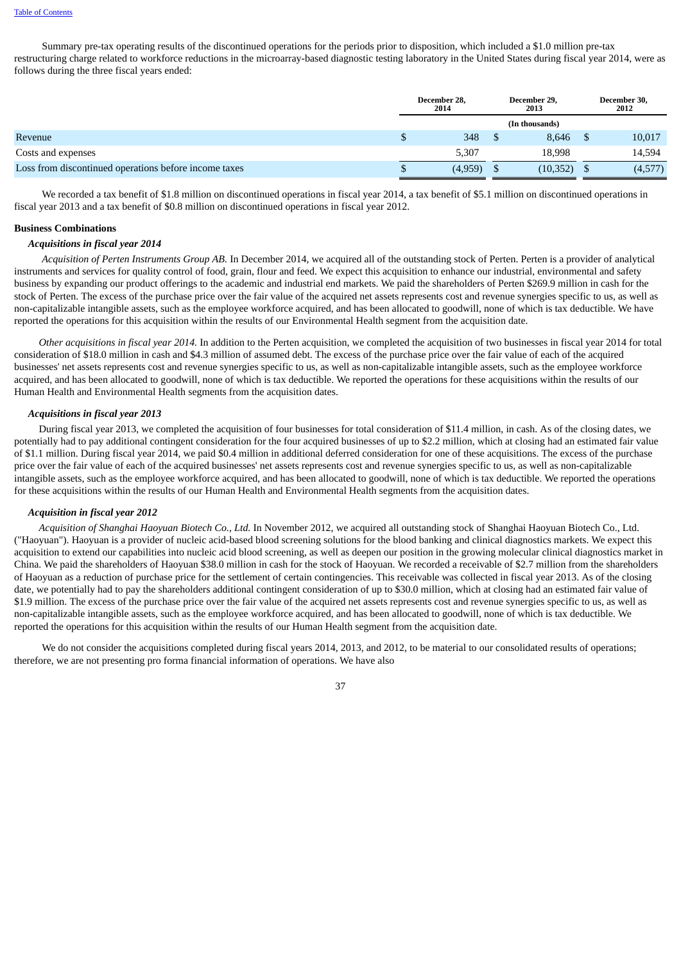Summary pre-tax operating results of the discontinued operations for the periods prior to disposition, which included a \$1.0 million pre-tax restructuring charge related to workforce reductions in the microarray-based diagnostic testing laboratory in the United States during fiscal year 2014, were as follows during the three fiscal years ended:

|                                                       | December 28,<br>2014 | December 29,<br>2013 | December 30,<br>2012 |
|-------------------------------------------------------|----------------------|----------------------|----------------------|
|                                                       |                      | (In thousands)       |                      |
| Revenue                                               | 348                  | 8.646                | 10,017               |
| Costs and expenses                                    | 5.307                | 18,998               | 14,594               |
| Loss from discontinued operations before income taxes | (4,959)              | (10, 352)            | (4,577)              |

We recorded a tax benefit of \$1.8 million on discontinued operations in fiscal year 2014, a tax benefit of \$5.1 million on discontinued operations in fiscal year 2013 and a tax benefit of \$0.8 million on discontinued operations in fiscal year 2012.

#### **Business Combinations**

### *Acquisitions in fiscal year 2014*

*Acquisition of Perten Instruments Group AB.* In December 2014, we acquired all of the outstanding stock of Perten. Perten is a provider of analytical instruments and services for quality control of food, grain, flour and feed. We expect this acquisition to enhance our industrial, environmental and safety business by expanding our product offerings to the academic and industrial end markets. We paid the shareholders of Perten \$269.9 million in cash for the stock of Perten. The excess of the purchase price over the fair value of the acquired net assets represents cost and revenue synergies specific to us, as well as non-capitalizable intangible assets, such as the employee workforce acquired, and has been allocated to goodwill, none of which is tax deductible. We have reported the operations for this acquisition within the results of our Environmental Health segment from the acquisition date.

*Other acquisitions in fiscal year 2014.* In addition to the Perten acquisition, we completed the acquisition of two businesses in fiscal year 2014 for total consideration of \$18.0 million in cash and \$4.3 million of assumed debt. The excess of the purchase price over the fair value of each of the acquired businesses' net assets represents cost and revenue synergies specific to us, as well as non-capitalizable intangible assets, such as the employee workforce acquired, and has been allocated to goodwill, none of which is tax deductible. We reported the operations for these acquisitions within the results of our Human Health and Environmental Health segments from the acquisition dates.

#### *Acquisitions in fiscal year 2013*

During fiscal year 2013, we completed the acquisition of four businesses for total consideration of \$11.4 million, in cash. As of the closing dates, we potentially had to pay additional contingent consideration for the four acquired businesses of up to \$2.2 million, which at closing had an estimated fair value of \$1.1 million. During fiscal year 2014, we paid \$0.4 million in additional deferred consideration for one of these acquisitions. The excess of the purchase price over the fair value of each of the acquired businesses' net assets represents cost and revenue synergies specific to us, as well as non-capitalizable intangible assets, such as the employee workforce acquired, and has been allocated to goodwill, none of which is tax deductible. We reported the operations for these acquisitions within the results of our Human Health and Environmental Health segments from the acquisition dates.

### *Acquisition in fiscal year 2012*

*Acquisition of Shanghai Haoyuan Biotech Co., Ltd.* In November 2012, we acquired all outstanding stock of Shanghai Haoyuan Biotech Co., Ltd. ("Haoyuan"). Haoyuan is a provider of nucleic acid-based blood screening solutions for the blood banking and clinical diagnostics markets. We expect this acquisition to extend our capabilities into nucleic acid blood screening, as well as deepen our position in the growing molecular clinical diagnostics market in China. We paid the shareholders of Haoyuan \$38.0 million in cash for the stock of Haoyuan. We recorded a receivable of \$2.7 million from the shareholders of Haoyuan as a reduction of purchase price for the settlement of certain contingencies. This receivable was collected in fiscal year 2013. As of the closing date, we potentially had to pay the shareholders additional contingent consideration of up to \$30.0 million, which at closing had an estimated fair value of \$1.9 million. The excess of the purchase price over the fair value of the acquired net assets represents cost and revenue synergies specific to us, as well as non-capitalizable intangible assets, such as the employee workforce acquired, and has been allocated to goodwill, none of which is tax deductible. We reported the operations for this acquisition within the results of our Human Health segment from the acquisition date.

We do not consider the acquisitions completed during fiscal years 2014, 2013, and 2012, to be material to our consolidated results of operations; therefore, we are not presenting pro forma financial information of operations. We have also

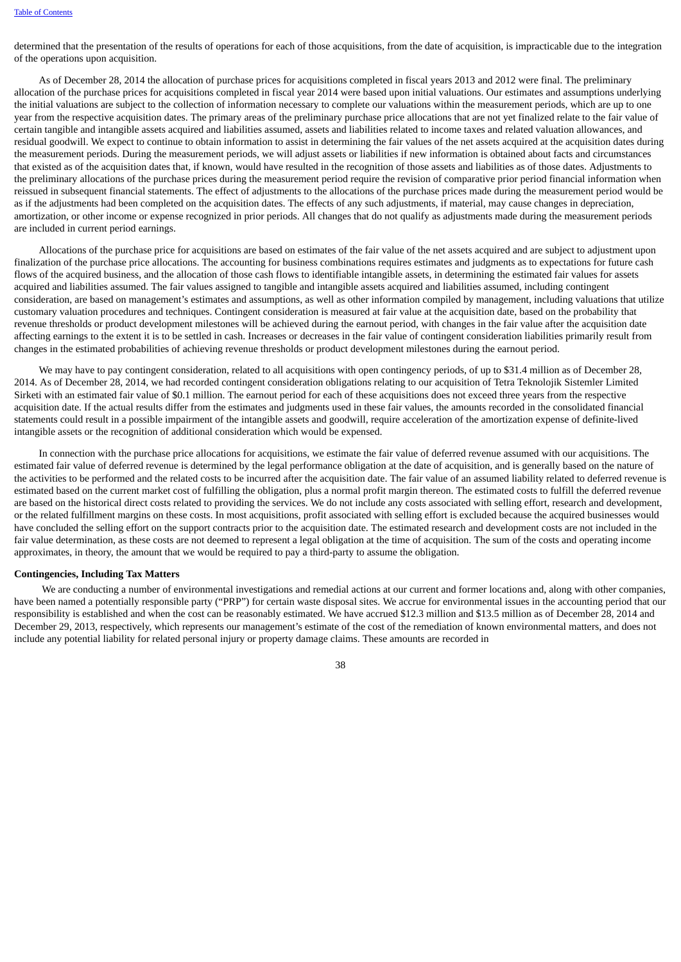determined that the presentation of the results of operations for each of those acquisitions, from the date of acquisition, is impracticable due to the integration of the operations upon acquisition.

As of December 28, 2014 the allocation of purchase prices for acquisitions completed in fiscal years 2013 and 2012 were final. The preliminary allocation of the purchase prices for acquisitions completed in fiscal year 2014 were based upon initial valuations. Our estimates and assumptions underlying the initial valuations are subject to the collection of information necessary to complete our valuations within the measurement periods, which are up to one year from the respective acquisition dates. The primary areas of the preliminary purchase price allocations that are not yet finalized relate to the fair value of certain tangible and intangible assets acquired and liabilities assumed, assets and liabilities related to income taxes and related valuation allowances, and residual goodwill. We expect to continue to obtain information to assist in determining the fair values of the net assets acquired at the acquisition dates during the measurement periods. During the measurement periods, we will adjust assets or liabilities if new information is obtained about facts and circumstances that existed as of the acquisition dates that, if known, would have resulted in the recognition of those assets and liabilities as of those dates. Adjustments to the preliminary allocations of the purchase prices during the measurement period require the revision of comparative prior period financial information when reissued in subsequent financial statements. The effect of adjustments to the allocations of the purchase prices made during the measurement period would be as if the adjustments had been completed on the acquisition dates. The effects of any such adjustments, if material, may cause changes in depreciation, amortization, or other income or expense recognized in prior periods. All changes that do not qualify as adjustments made during the measurement periods are included in current period earnings.

Allocations of the purchase price for acquisitions are based on estimates of the fair value of the net assets acquired and are subject to adjustment upon finalization of the purchase price allocations. The accounting for business combinations requires estimates and judgments as to expectations for future cash flows of the acquired business, and the allocation of those cash flows to identifiable intangible assets, in determining the estimated fair values for assets acquired and liabilities assumed. The fair values assigned to tangible and intangible assets acquired and liabilities assumed, including contingent consideration, are based on management's estimates and assumptions, as well as other information compiled by management, including valuations that utilize customary valuation procedures and techniques. Contingent consideration is measured at fair value at the acquisition date, based on the probability that revenue thresholds or product development milestones will be achieved during the earnout period, with changes in the fair value after the acquisition date affecting earnings to the extent it is to be settled in cash. Increases or decreases in the fair value of contingent consideration liabilities primarily result from changes in the estimated probabilities of achieving revenue thresholds or product development milestones during the earnout period.

We may have to pay contingent consideration, related to all acquisitions with open contingency periods, of up to \$31.4 million as of December 28, 2014. As of December 28, 2014, we had recorded contingent consideration obligations relating to our acquisition of Tetra Teknolojik Sistemler Limited Sirketi with an estimated fair value of \$0.1 million. The earnout period for each of these acquisitions does not exceed three years from the respective acquisition date. If the actual results differ from the estimates and judgments used in these fair values, the amounts recorded in the consolidated financial statements could result in a possible impairment of the intangible assets and goodwill, require acceleration of the amortization expense of definite-lived intangible assets or the recognition of additional consideration which would be expensed.

In connection with the purchase price allocations for acquisitions, we estimate the fair value of deferred revenue assumed with our acquisitions. The estimated fair value of deferred revenue is determined by the legal performance obligation at the date of acquisition, and is generally based on the nature of the activities to be performed and the related costs to be incurred after the acquisition date. The fair value of an assumed liability related to deferred revenue is estimated based on the current market cost of fulfilling the obligation, plus a normal profit margin thereon. The estimated costs to fulfill the deferred revenue are based on the historical direct costs related to providing the services. We do not include any costs associated with selling effort, research and development, or the related fulfillment margins on these costs. In most acquisitions, profit associated with selling effort is excluded because the acquired businesses would have concluded the selling effort on the support contracts prior to the acquisition date. The estimated research and development costs are not included in the fair value determination, as these costs are not deemed to represent a legal obligation at the time of acquisition. The sum of the costs and operating income approximates, in theory, the amount that we would be required to pay a third-party to assume the obligation.

### **Contingencies, Including Tax Matters**

We are conducting a number of environmental investigations and remedial actions at our current and former locations and, along with other companies, have been named a potentially responsible party ("PRP") for certain waste disposal sites. We accrue for environmental issues in the accounting period that our responsibility is established and when the cost can be reasonably estimated. We have accrued \$12.3 million and \$13.5 million as of December 28, 2014 and December 29, 2013, respectively, which represents our management's estimate of the cost of the remediation of known environmental matters, and does not include any potential liability for related personal injury or property damage claims. These amounts are recorded in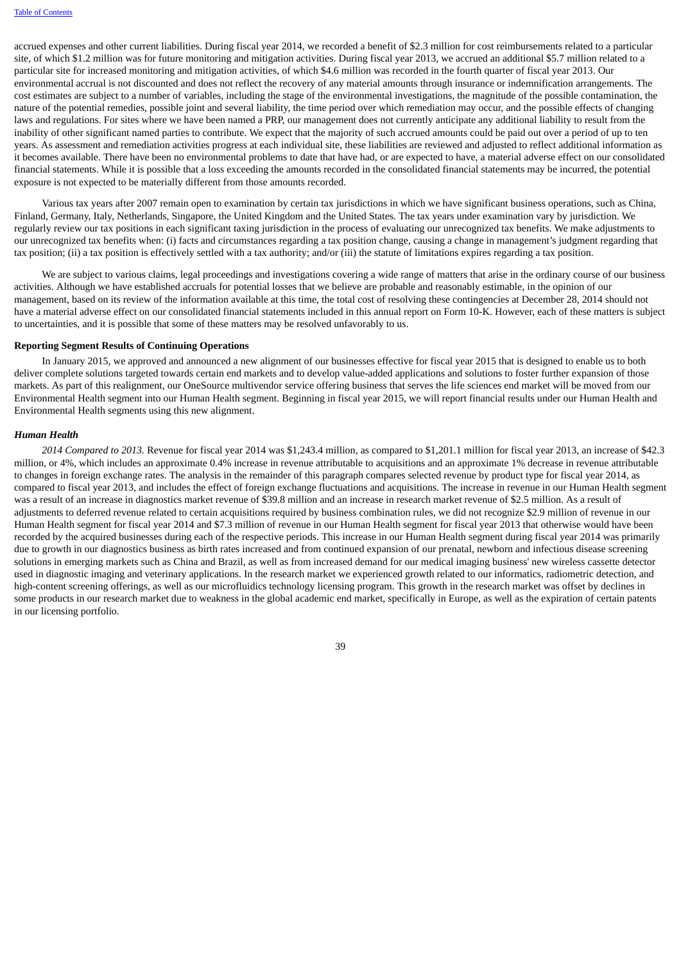accrued expenses and other current liabilities. During fiscal year 2014, we recorded a benefit of \$2.3 million for cost reimbursements related to a particular site, of which \$1.2 million was for future monitoring and mitigation activities. During fiscal year 2013, we accrued an additional \$5.7 million related to a particular site for increased monitoring and mitigation activities, of which \$4.6 million was recorded in the fourth quarter of fiscal year 2013. Our environmental accrual is not discounted and does not reflect the recovery of any material amounts through insurance or indemnification arrangements. The cost estimates are subject to a number of variables, including the stage of the environmental investigations, the magnitude of the possible contamination, the nature of the potential remedies, possible joint and several liability, the time period over which remediation may occur, and the possible effects of changing laws and regulations. For sites where we have been named a PRP, our management does not currently anticipate any additional liability to result from the inability of other significant named parties to contribute. We expect that the majority of such accrued amounts could be paid out over a period of up to ten years. As assessment and remediation activities progress at each individual site, these liabilities are reviewed and adjusted to reflect additional information as it becomes available. There have been no environmental problems to date that have had, or are expected to have, a material adverse effect on our consolidated financial statements. While it is possible that a loss exceeding the amounts recorded in the consolidated financial statements may be incurred, the potential exposure is not expected to be materially different from those amounts recorded.

Various tax years after 2007 remain open to examination by certain tax jurisdictions in which we have significant business operations, such as China, Finland, Germany, Italy, Netherlands, Singapore, the United Kingdom and the United States. The tax years under examination vary by jurisdiction. We regularly review our tax positions in each significant taxing jurisdiction in the process of evaluating our unrecognized tax benefits. We make adjustments to our unrecognized tax benefits when: (i) facts and circumstances regarding a tax position change, causing a change in management's judgment regarding that tax position; (ii) a tax position is effectively settled with a tax authority; and/or (iii) the statute of limitations expires regarding a tax position.

We are subject to various claims, legal proceedings and investigations covering a wide range of matters that arise in the ordinary course of our business activities. Although we have established accruals for potential losses that we believe are probable and reasonably estimable, in the opinion of our management, based on its review of the information available at this time, the total cost of resolving these contingencies at December 28, 2014 should not have a material adverse effect on our consolidated financial statements included in this annual report on Form 10-K. However, each of these matters is subject to uncertainties, and it is possible that some of these matters may be resolved unfavorably to us.

### **Reporting Segment Results of Continuing Operations**

In January 2015, we approved and announced a new alignment of our businesses effective for fiscal year 2015 that is designed to enable us to both deliver complete solutions targeted towards certain end markets and to develop value-added applications and solutions to foster further expansion of those markets. As part of this realignment, our OneSource multivendor service offering business that serves the life sciences end market will be moved from our Environmental Health segment into our Human Health segment. Beginning in fiscal year 2015, we will report financial results under our Human Health and Environmental Health segments using this new alignment.

#### *Human Health*

*2014 Compared to 2013.* Revenue for fiscal year 2014 was \$1,243.4 million, as compared to \$1,201.1 million for fiscal year 2013, an increase of \$42.3 million, or 4%, which includes an approximate 0.4% increase in revenue attributable to acquisitions and an approximate 1% decrease in revenue attributable to changes in foreign exchange rates. The analysis in the remainder of this paragraph compares selected revenue by product type for fiscal year 2014, as compared to fiscal year 2013, and includes the effect of foreign exchange fluctuations and acquisitions. The increase in revenue in our Human Health segment was a result of an increase in diagnostics market revenue of \$39.8 million and an increase in research market revenue of \$2.5 million. As a result of adjustments to deferred revenue related to certain acquisitions required by business combination rules, we did not recognize \$2.9 million of revenue in our Human Health segment for fiscal year 2014 and \$7.3 million of revenue in our Human Health segment for fiscal year 2013 that otherwise would have been recorded by the acquired businesses during each of the respective periods. This increase in our Human Health segment during fiscal year 2014 was primarily due to growth in our diagnostics business as birth rates increased and from continued expansion of our prenatal, newborn and infectious disease screening solutions in emerging markets such as China and Brazil, as well as from increased demand for our medical imaging business' new wireless cassette detector used in diagnostic imaging and veterinary applications. In the research market we experienced growth related to our informatics, radiometric detection, and high-content screening offerings, as well as our microfluidics technology licensing program. This growth in the research market was offset by declines in some products in our research market due to weakness in the global academic end market, specifically in Europe, as well as the expiration of certain patents in our licensing portfolio.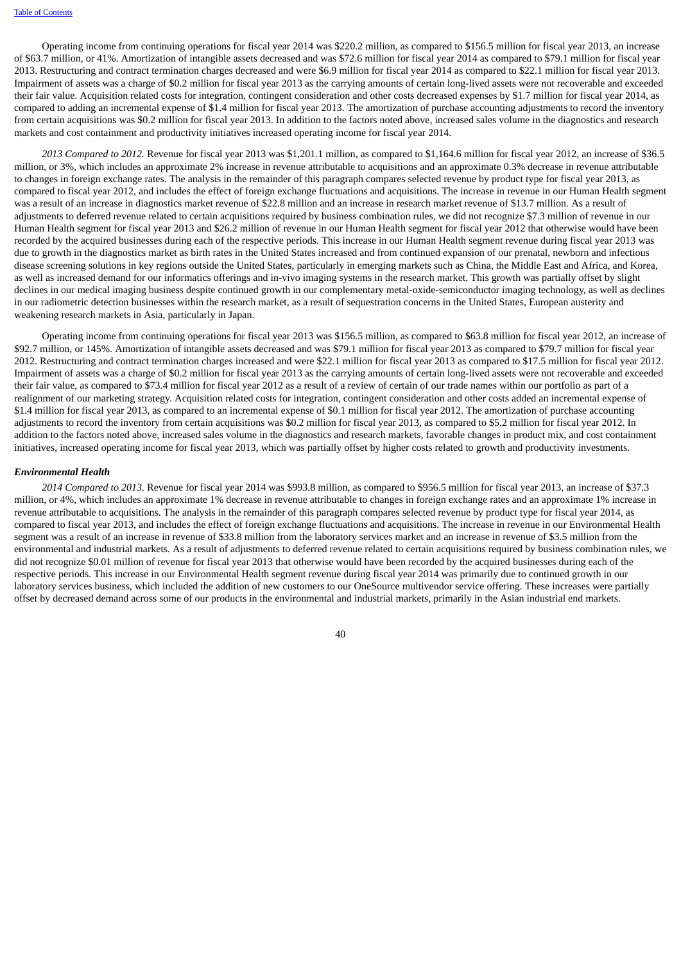Operating income from continuing operations for fiscal year 2014 was \$220.2 million, as compared to \$156.5 million for fiscal year 2013, an increase of \$63.7 million, or 41%. Amortization of intangible assets decreased and was \$72.6 million for fiscal year 2014 as compared to \$79.1 million for fiscal year 2013. Restructuring and contract termination charges decreased and were \$6.9 million for fiscal year 2014 as compared to \$22.1 million for fiscal year 2013. Impairment of assets was a charge of \$0.2 million for fiscal year 2013 as the carrying amounts of certain long-lived assets were not recoverable and exceeded their fair value. Acquisition related costs for integration, contingent consideration and other costs decreased expenses by \$1.7 million for fiscal year 2014, as compared to adding an incremental expense of \$1.4 million for fiscal year 2013. The amortization of purchase accounting adjustments to record the inventory from certain acquisitions was \$0.2 million for fiscal year 2013. In addition to the factors noted above, increased sales volume in the diagnostics and research markets and cost containment and productivity initiatives increased operating income for fiscal year 2014.

*2013 Compared to 2012.* Revenue for fiscal year 2013 was \$1,201.1 million, as compared to \$1,164.6 million for fiscal year 2012, an increase of \$36.5 million, or 3%, which includes an approximate 2% increase in revenue attributable to acquisitions and an approximate 0.3% decrease in revenue attributable to changes in foreign exchange rates. The analysis in the remainder of this paragraph compares selected revenue by product type for fiscal year 2013, as compared to fiscal year 2012, and includes the effect of foreign exchange fluctuations and acquisitions. The increase in revenue in our Human Health segment was a result of an increase in diagnostics market revenue of \$22.8 million and an increase in research market revenue of \$13.7 million. As a result of adjustments to deferred revenue related to certain acquisitions required by business combination rules, we did not recognize \$7.3 million of revenue in our Human Health segment for fiscal year 2013 and \$26.2 million of revenue in our Human Health segment for fiscal year 2012 that otherwise would have been recorded by the acquired businesses during each of the respective periods. This increase in our Human Health segment revenue during fiscal year 2013 was due to growth in the diagnostics market as birth rates in the United States increased and from continued expansion of our prenatal, newborn and infectious disease screening solutions in key regions outside the United States, particularly in emerging markets such as China, the Middle East and Africa, and Korea, as well as increased demand for our informatics offerings and in-vivo imaging systems in the research market. This growth was partially offset by slight declines in our medical imaging business despite continued growth in our complementary metal-oxide-semiconductor imaging technology, as well as declines in our radiometric detection businesses within the research market, as a result of sequestration concerns in the United States, European austerity and weakening research markets in Asia, particularly in Japan.

Operating income from continuing operations for fiscal year 2013 was \$156.5 million, as compared to \$63.8 million for fiscal year 2012, an increase of \$92.7 million, or 145%. Amortization of intangible assets decreased and was \$79.1 million for fiscal year 2013 as compared to \$79.7 million for fiscal year 2012. Restructuring and contract termination charges increased and were \$22.1 million for fiscal year 2013 as compared to \$17.5 million for fiscal year 2012. Impairment of assets was a charge of \$0.2 million for fiscal year 2013 as the carrying amounts of certain long-lived assets were not recoverable and exceeded their fair value, as compared to \$73.4 million for fiscal year 2012 as a result of a review of certain of our trade names within our portfolio as part of a realignment of our marketing strategy. Acquisition related costs for integration, contingent consideration and other costs added an incremental expense of \$1.4 million for fiscal year 2013, as compared to an incremental expense of \$0.1 million for fiscal year 2012. The amortization of purchase accounting adjustments to record the inventory from certain acquisitions was \$0.2 million for fiscal year 2013, as compared to \$5.2 million for fiscal year 2012. In addition to the factors noted above, increased sales volume in the diagnostics and research markets, favorable changes in product mix, and cost containment initiatives, increased operating income for fiscal year 2013, which was partially offset by higher costs related to growth and productivity investments.

### *Environmental Health*

*2014 Compared to 2013.* Revenue for fiscal year 2014 was \$993.8 million, as compared to \$956.5 million for fiscal year 2013, an increase of \$37.3 million, or 4%, which includes an approximate 1% decrease in revenue attributable to changes in foreign exchange rates and an approximate 1% increase in revenue attributable to acquisitions. The analysis in the remainder of this paragraph compares selected revenue by product type for fiscal year 2014, as compared to fiscal year 2013, and includes the effect of foreign exchange fluctuations and acquisitions. The increase in revenue in our Environmental Health segment was a result of an increase in revenue of \$33.8 million from the laboratory services market and an increase in revenue of \$3.5 million from the environmental and industrial markets. As a result of adjustments to deferred revenue related to certain acquisitions required by business combination rules, we did not recognize \$0.01 million of revenue for fiscal year 2013 that otherwise would have been recorded by the acquired businesses during each of the respective periods. This increase in our Environmental Health segment revenue during fiscal year 2014 was primarily due to continued growth in our laboratory services business, which included the addition of new customers to our OneSource multivendor service offering. These increases were partially offset by decreased demand across some of our products in the environmental and industrial markets, primarily in the Asian industrial end markets.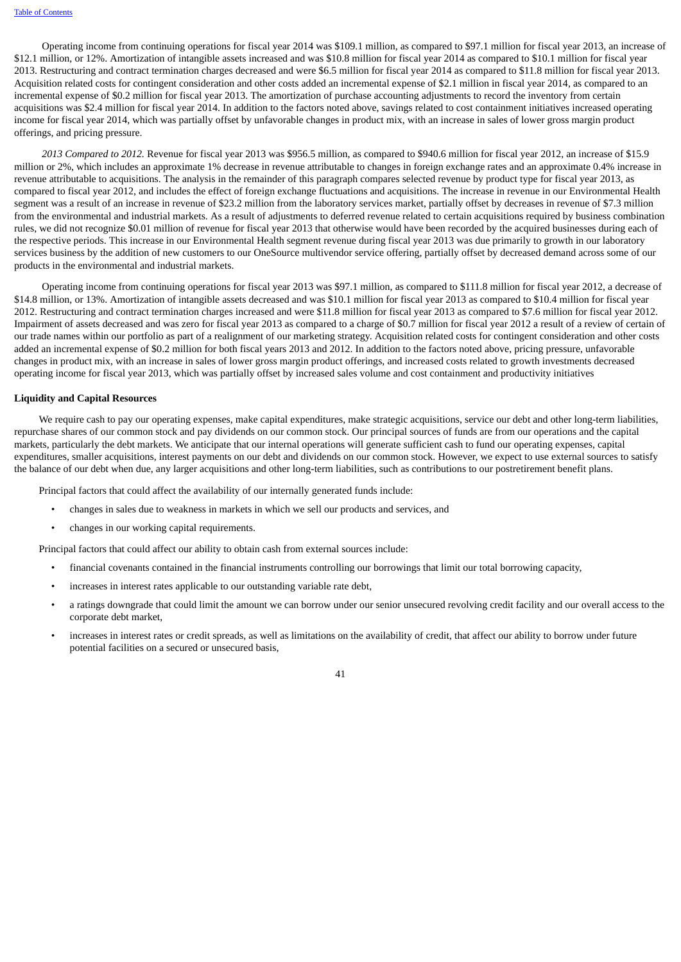Operating income from continuing operations for fiscal year 2014 was \$109.1 million, as compared to \$97.1 million for fiscal year 2013, an increase of \$12.1 million, or 12%. Amortization of intangible assets increased and was \$10.8 million for fiscal year 2014 as compared to \$10.1 million for fiscal year 2013. Restructuring and contract termination charges decreased and were \$6.5 million for fiscal year 2014 as compared to \$11.8 million for fiscal year 2013. Acquisition related costs for contingent consideration and other costs added an incremental expense of \$2.1 million in fiscal year 2014, as compared to an incremental expense of \$0.2 million for fiscal year 2013. The amortization of purchase accounting adjustments to record the inventory from certain acquisitions was \$2.4 million for fiscal year 2014. In addition to the factors noted above, savings related to cost containment initiatives increased operating income for fiscal year 2014, which was partially offset by unfavorable changes in product mix, with an increase in sales of lower gross margin product offerings, and pricing pressure.

*2013 Compared to 2012.* Revenue for fiscal year 2013 was \$956.5 million, as compared to \$940.6 million for fiscal year 2012, an increase of \$15.9 million or 2%, which includes an approximate 1% decrease in revenue attributable to changes in foreign exchange rates and an approximate 0.4% increase in revenue attributable to acquisitions. The analysis in the remainder of this paragraph compares selected revenue by product type for fiscal year 2013, as compared to fiscal year 2012, and includes the effect of foreign exchange fluctuations and acquisitions. The increase in revenue in our Environmental Health segment was a result of an increase in revenue of \$23.2 million from the laboratory services market, partially offset by decreases in revenue of \$7.3 million from the environmental and industrial markets. As a result of adjustments to deferred revenue related to certain acquisitions required by business combination rules, we did not recognize \$0.01 million of revenue for fiscal year 2013 that otherwise would have been recorded by the acquired businesses during each of the respective periods. This increase in our Environmental Health segment revenue during fiscal year 2013 was due primarily to growth in our laboratory services business by the addition of new customers to our OneSource multivendor service offering, partially offset by decreased demand across some of our products in the environmental and industrial markets.

Operating income from continuing operations for fiscal year 2013 was \$97.1 million, as compared to \$111.8 million for fiscal year 2012, a decrease of \$14.8 million, or 13%. Amortization of intangible assets decreased and was \$10.1 million for fiscal year 2013 as compared to \$10.4 million for fiscal year 2012. Restructuring and contract termination charges increased and were \$11.8 million for fiscal year 2013 as compared to \$7.6 million for fiscal year 2012. Impairment of assets decreased and was zero for fiscal year 2013 as compared to a charge of \$0.7 million for fiscal year 2012 a result of a review of certain of our trade names within our portfolio as part of a realignment of our marketing strategy. Acquisition related costs for contingent consideration and other costs added an incremental expense of \$0.2 million for both fiscal years 2013 and 2012. In addition to the factors noted above, pricing pressure, unfavorable changes in product mix, with an increase in sales of lower gross margin product offerings, and increased costs related to growth investments decreased operating income for fiscal year 2013, which was partially offset by increased sales volume and cost containment and productivity initiatives

## **Liquidity and Capital Resources**

We require cash to pay our operating expenses, make capital expenditures, make strategic acquisitions, service our debt and other long-term liabilities, repurchase shares of our common stock and pay dividends on our common stock. Our principal sources of funds are from our operations and the capital markets, particularly the debt markets. We anticipate that our internal operations will generate sufficient cash to fund our operating expenses, capital expenditures, smaller acquisitions, interest payments on our debt and dividends on our common stock. However, we expect to use external sources to satisfy the balance of our debt when due, any larger acquisitions and other long-term liabilities, such as contributions to our postretirement benefit plans.

Principal factors that could affect the availability of our internally generated funds include:

- changes in sales due to weakness in markets in which we sell our products and services, and
- changes in our working capital requirements.

Principal factors that could affect our ability to obtain cash from external sources include:

- financial covenants contained in the financial instruments controlling our borrowings that limit our total borrowing capacity,
- increases in interest rates applicable to our outstanding variable rate debt,
- a ratings downgrade that could limit the amount we can borrow under our senior unsecured revolving credit facility and our overall access to the corporate debt market,
- increases in interest rates or credit spreads, as well as limitations on the availability of credit, that affect our ability to borrow under future potential facilities on a secured or unsecured basis,

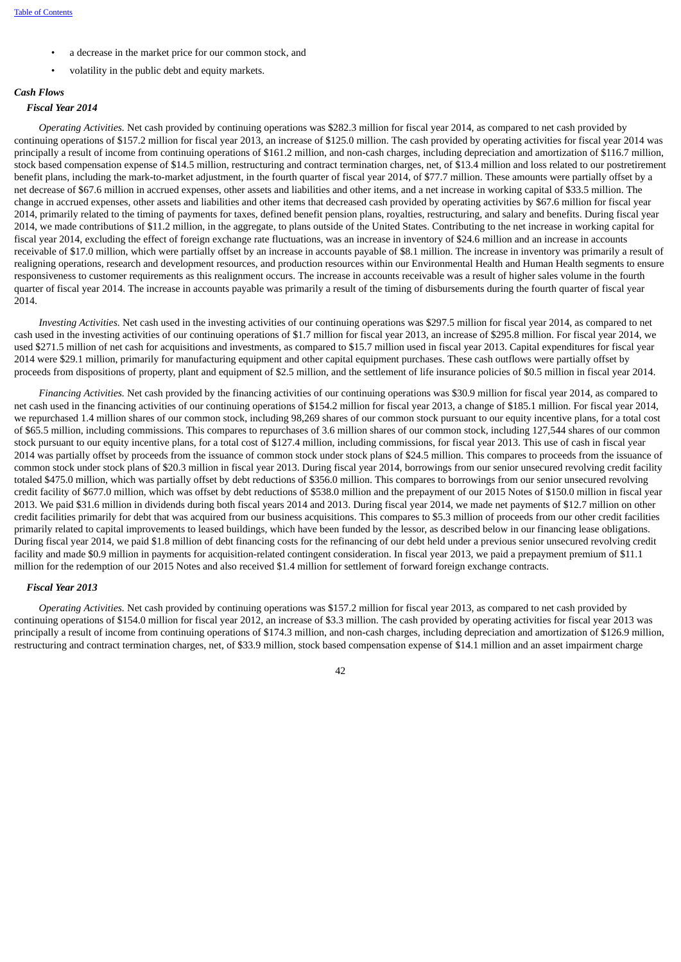- a decrease in the market price for our common stock, and
- volatility in the public debt and equity markets.

## *Cash Flows*

### *Fiscal Year 2014*

*Operating Activities.* Net cash provided by continuing operations was \$282.3 million for fiscal year 2014, as compared to net cash provided by continuing operations of \$157.2 million for fiscal year 2013, an increase of \$125.0 million. The cash provided by operating activities for fiscal year 2014 was principally a result of income from continuing operations of \$161.2 million, and non-cash charges, including depreciation and amortization of \$116.7 million, stock based compensation expense of \$14.5 million, restructuring and contract termination charges, net, of \$13.4 million and loss related to our postretirement benefit plans, including the mark-to-market adjustment, in the fourth quarter of fiscal year 2014, of \$77.7 million. These amounts were partially offset by a net decrease of \$67.6 million in accrued expenses, other assets and liabilities and other items, and a net increase in working capital of \$33.5 million. The change in accrued expenses, other assets and liabilities and other items that decreased cash provided by operating activities by \$67.6 million for fiscal year 2014, primarily related to the timing of payments for taxes, defined benefit pension plans, royalties, restructuring, and salary and benefits. During fiscal year 2014, we made contributions of \$11.2 million, in the aggregate, to plans outside of the United States. Contributing to the net increase in working capital for fiscal year 2014, excluding the effect of foreign exchange rate fluctuations, was an increase in inventory of \$24.6 million and an increase in accounts receivable of \$17.0 million, which were partially offset by an increase in accounts payable of \$8.1 million. The increase in inventory was primarily a result of realigning operations, research and development resources, and production resources within our Environmental Health and Human Health segments to ensure responsiveness to customer requirements as this realignment occurs. The increase in accounts receivable was a result of higher sales volume in the fourth quarter of fiscal year 2014. The increase in accounts payable was primarily a result of the timing of disbursements during the fourth quarter of fiscal year 2014.

*Investing Activities.* Net cash used in the investing activities of our continuing operations was \$297.5 million for fiscal year 2014, as compared to net cash used in the investing activities of our continuing operations of \$1.7 million for fiscal year 2013, an increase of \$295.8 million. For fiscal year 2014, we used \$271.5 million of net cash for acquisitions and investments, as compared to \$15.7 million used in fiscal year 2013. Capital expenditures for fiscal year 2014 were \$29.1 million, primarily for manufacturing equipment and other capital equipment purchases. These cash outflows were partially offset by proceeds from dispositions of property, plant and equipment of \$2.5 million, and the settlement of life insurance policies of \$0.5 million in fiscal year 2014.

*Financing Activities.* Net cash provided by the financing activities of our continuing operations was \$30.9 million for fiscal year 2014, as compared to net cash used in the financing activities of our continuing operations of \$154.2 million for fiscal year 2013, a change of \$185.1 million. For fiscal year 2014, we repurchased 1.4 million shares of our common stock, including 98,269 shares of our common stock pursuant to our equity incentive plans, for a total cost of \$65.5 million, including commissions. This compares to repurchases of 3.6 million shares of our common stock, including 127,544 shares of our common stock pursuant to our equity incentive plans, for a total cost of \$127.4 million, including commissions, for fiscal year 2013. This use of cash in fiscal year 2014 was partially offset by proceeds from the issuance of common stock under stock plans of \$24.5 million. This compares to proceeds from the issuance of common stock under stock plans of \$20.3 million in fiscal year 2013. During fiscal year 2014, borrowings from our senior unsecured revolving credit facility totaled \$475.0 million, which was partially offset by debt reductions of \$356.0 million. This compares to borrowings from our senior unsecured revolving credit facility of \$677.0 million, which was offset by debt reductions of \$538.0 million and the prepayment of our 2015 Notes of \$150.0 million in fiscal year 2013. We paid \$31.6 million in dividends during both fiscal years 2014 and 2013. During fiscal year 2014, we made net payments of \$12.7 million on other credit facilities primarily for debt that was acquired from our business acquisitions. This compares to \$5.3 million of proceeds from our other credit facilities primarily related to capital improvements to leased buildings, which have been funded by the lessor, as described below in our financing lease obligations. During fiscal year 2014, we paid \$1.8 million of debt financing costs for the refinancing of our debt held under a previous senior unsecured revolving credit facility and made \$0.9 million in payments for acquisition-related contingent consideration. In fiscal year 2013, we paid a prepayment premium of \$11.1 million for the redemption of our 2015 Notes and also received \$1.4 million for settlement of forward foreign exchange contracts.

### *Fiscal Year 2013*

*Operating Activities.* Net cash provided by continuing operations was \$157.2 million for fiscal year 2013, as compared to net cash provided by continuing operations of \$154.0 million for fiscal year 2012, an increase of \$3.3 million. The cash provided by operating activities for fiscal year 2013 was principally a result of income from continuing operations of \$174.3 million, and non-cash charges, including depreciation and amortization of \$126.9 million, restructuring and contract termination charges, net, of \$33.9 million, stock based compensation expense of \$14.1 million and an asset impairment charge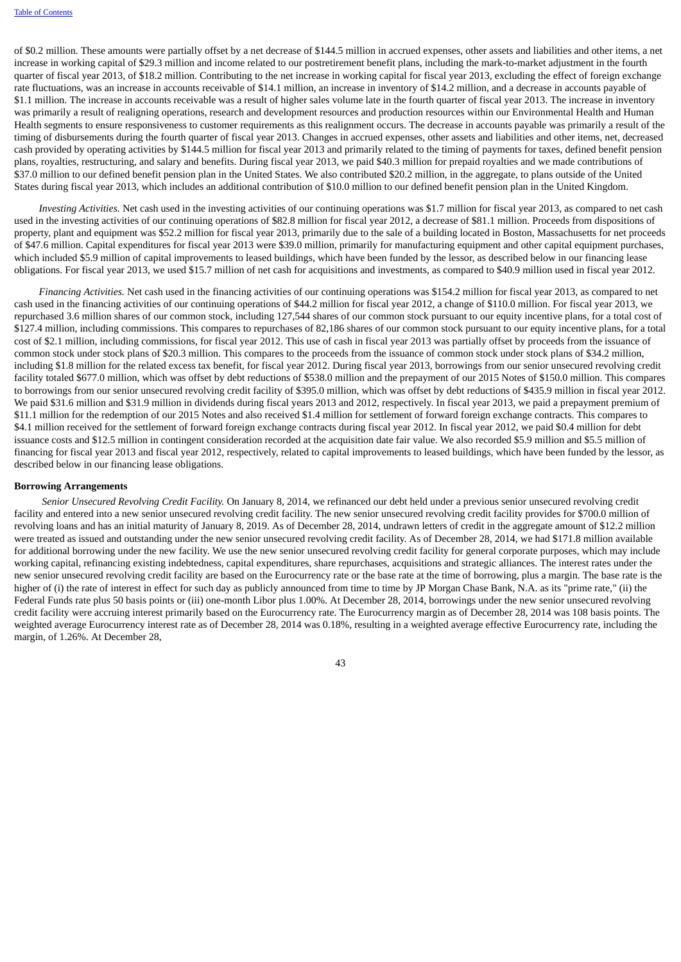of \$0.2 million. These amounts were partially offset by a net decrease of \$144.5 million in accrued expenses, other assets and liabilities and other items, a net increase in working capital of \$29.3 million and income related to our postretirement benefit plans, including the mark-to-market adjustment in the fourth quarter of fiscal year 2013, of \$18.2 million. Contributing to the net increase in working capital for fiscal year 2013, excluding the effect of foreign exchange rate fluctuations, was an increase in accounts receivable of \$14.1 million, an increase in inventory of \$14.2 million, and a decrease in accounts payable of \$1.1 million. The increase in accounts receivable was a result of higher sales volume late in the fourth quarter of fiscal year 2013. The increase in inventory was primarily a result of realigning operations, research and development resources and production resources within our Environmental Health and Human Health segments to ensure responsiveness to customer requirements as this realignment occurs. The decrease in accounts payable was primarily a result of the timing of disbursements during the fourth quarter of fiscal year 2013. Changes in accrued expenses, other assets and liabilities and other items, net, decreased cash provided by operating activities by \$144.5 million for fiscal year 2013 and primarily related to the timing of payments for taxes, defined benefit pension plans, royalties, restructuring, and salary and benefits. During fiscal year 2013, we paid \$40.3 million for prepaid royalties and we made contributions of \$37.0 million to our defined benefit pension plan in the United States. We also contributed \$20.2 million, in the aggregate, to plans outside of the United States during fiscal year 2013, which includes an additional contribution of \$10.0 million to our defined benefit pension plan in the United Kingdom.

*Investing Activities.* Net cash used in the investing activities of our continuing operations was \$1.7 million for fiscal year 2013, as compared to net cash used in the investing activities of our continuing operations of \$82.8 million for fiscal year 2012, a decrease of \$81.1 million. Proceeds from dispositions of property, plant and equipment was \$52.2 million for fiscal year 2013, primarily due to the sale of a building located in Boston, Massachusetts for net proceeds of \$47.6 million. Capital expenditures for fiscal year 2013 were \$39.0 million, primarily for manufacturing equipment and other capital equipment purchases, which included \$5.9 million of capital improvements to leased buildings, which have been funded by the lessor, as described below in our financing lease obligations. For fiscal year 2013, we used \$15.7 million of net cash for acquisitions and investments, as compared to \$40.9 million used in fiscal year 2012.

*Financing Activities.* Net cash used in the financing activities of our continuing operations was \$154.2 million for fiscal year 2013, as compared to net cash used in the financing activities of our continuing operations of \$44.2 million for fiscal year 2012, a change of \$110.0 million. For fiscal year 2013, we repurchased 3.6 million shares of our common stock, including 127,544 shares of our common stock pursuant to our equity incentive plans, for a total cost of \$127.4 million, including commissions. This compares to repurchases of 82,186 shares of our common stock pursuant to our equity incentive plans, for a total cost of \$2.1 million, including commissions, for fiscal year 2012. This use of cash in fiscal year 2013 was partially offset by proceeds from the issuance of common stock under stock plans of \$20.3 million. This compares to the proceeds from the issuance of common stock under stock plans of \$34.2 million, including \$1.8 million for the related excess tax benefit, for fiscal year 2012. During fiscal year 2013, borrowings from our senior unsecured revolving credit facility totaled \$677.0 million, which was offset by debt reductions of \$538.0 million and the prepayment of our 2015 Notes of \$150.0 million. This compares to borrowings from our senior unsecured revolving credit facility of \$395.0 million, which was offset by debt reductions of \$435.9 million in fiscal year 2012. We paid \$31.6 million and \$31.9 million in dividends during fiscal years 2013 and 2012, respectively. In fiscal year 2013, we paid a prepayment premium of \$11.1 million for the redemption of our 2015 Notes and also received \$1.4 million for settlement of forward foreign exchange contracts. This compares to \$4.1 million received for the settlement of forward foreign exchange contracts during fiscal year 2012. In fiscal year 2012, we paid \$0.4 million for debt issuance costs and \$12.5 million in contingent consideration recorded at the acquisition date fair value. We also recorded \$5.9 million and \$5.5 million of financing for fiscal year 2013 and fiscal year 2012, respectively, related to capital improvements to leased buildings, which have been funded by the lessor, as described below in our financing lease obligations.

#### **Borrowing Arrangements**

*Senior Unsecured Revolving Credit Facility.* On January 8, 2014, we refinanced our debt held under a previous senior unsecured revolving credit facility and entered into a new senior unsecured revolving credit facility. The new senior unsecured revolving credit facility provides for \$700.0 million of revolving loans and has an initial maturity of January 8, 2019. As of December 28, 2014, undrawn letters of credit in the aggregate amount of \$12.2 million were treated as issued and outstanding under the new senior unsecured revolving credit facility. As of December 28, 2014, we had \$171.8 million available for additional borrowing under the new facility. We use the new senior unsecured revolving credit facility for general corporate purposes, which may include working capital, refinancing existing indebtedness, capital expenditures, share repurchases, acquisitions and strategic alliances. The interest rates under the new senior unsecured revolving credit facility are based on the Eurocurrency rate or the base rate at the time of borrowing, plus a margin. The base rate is the higher of (i) the rate of interest in effect for such day as publicly announced from time to time by JP Morgan Chase Bank, N.A. as its "prime rate," (ii) the Federal Funds rate plus 50 basis points or (iii) one-month Libor plus 1.00%. At December 28, 2014, borrowings under the new senior unsecured revolving credit facility were accruing interest primarily based on the Eurocurrency rate. The Eurocurrency margin as of December 28, 2014 was 108 basis points. The weighted average Eurocurrency interest rate as of December 28, 2014 was 0.18%, resulting in a weighted average effective Eurocurrency rate, including the margin, of 1.26%. At December 28,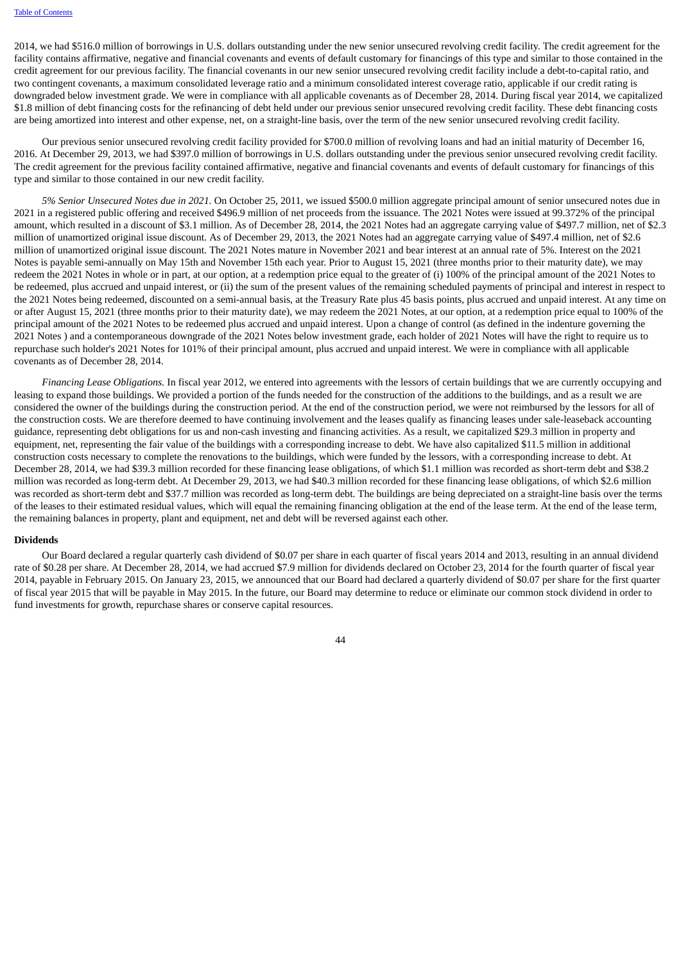2014, we had \$516.0 million of borrowings in U.S. dollars outstanding under the new senior unsecured revolving credit facility. The credit agreement for the facility contains affirmative, negative and financial covenants and events of default customary for financings of this type and similar to those contained in the credit agreement for our previous facility. The financial covenants in our new senior unsecured revolving credit facility include a debt-to-capital ratio, and two contingent covenants, a maximum consolidated leverage ratio and a minimum consolidated interest coverage ratio, applicable if our credit rating is downgraded below investment grade. We were in compliance with all applicable covenants as of December 28, 2014. During fiscal year 2014, we capitalized \$1.8 million of debt financing costs for the refinancing of debt held under our previous senior unsecured revolving credit facility. These debt financing costs are being amortized into interest and other expense, net, on a straight-line basis, over the term of the new senior unsecured revolving credit facility.

Our previous senior unsecured revolving credit facility provided for \$700.0 million of revolving loans and had an initial maturity of December 16, 2016. At December 29, 2013, we had \$397.0 million of borrowings in U.S. dollars outstanding under the previous senior unsecured revolving credit facility. The credit agreement for the previous facility contained affirmative, negative and financial covenants and events of default customary for financings of this type and similar to those contained in our new credit facility.

*5% Senior Unsecured Notes due in 2021.* On October 25, 2011, we issued \$500.0 million aggregate principal amount of senior unsecured notes due in 2021 in a registered public offering and received \$496.9 million of net proceeds from the issuance. The 2021 Notes were issued at 99.372% of the principal amount, which resulted in a discount of \$3.1 million. As of December 28, 2014, the 2021 Notes had an aggregate carrying value of \$497.7 million, net of \$2.3 million of unamortized original issue discount. As of December 29, 2013, the 2021 Notes had an aggregate carrying value of \$497.4 million, net of \$2.6 million of unamortized original issue discount. The 2021 Notes mature in November 2021 and bear interest at an annual rate of 5%. Interest on the 2021 Notes is payable semi-annually on May 15th and November 15th each year. Prior to August 15, 2021 (three months prior to their maturity date), we may redeem the 2021 Notes in whole or in part, at our option, at a redemption price equal to the greater of (i) 100% of the principal amount of the 2021 Notes to be redeemed, plus accrued and unpaid interest, or (ii) the sum of the present values of the remaining scheduled payments of principal and interest in respect to the 2021 Notes being redeemed, discounted on a semi-annual basis, at the Treasury Rate plus 45 basis points, plus accrued and unpaid interest. At any time on or after August 15, 2021 (three months prior to their maturity date), we may redeem the 2021 Notes, at our option, at a redemption price equal to 100% of the principal amount of the 2021 Notes to be redeemed plus accrued and unpaid interest. Upon a change of control (as defined in the indenture governing the 2021 Notes ) and a contemporaneous downgrade of the 2021 Notes below investment grade, each holder of 2021 Notes will have the right to require us to repurchase such holder's 2021 Notes for 101% of their principal amount, plus accrued and unpaid interest. We were in compliance with all applicable covenants as of December 28, 2014.

*Financing Lease Obligations.* In fiscal year 2012, we entered into agreements with the lessors of certain buildings that we are currently occupying and leasing to expand those buildings. We provided a portion of the funds needed for the construction of the additions to the buildings, and as a result we are considered the owner of the buildings during the construction period. At the end of the construction period, we were not reimbursed by the lessors for all of the construction costs. We are therefore deemed to have continuing involvement and the leases qualify as financing leases under sale-leaseback accounting guidance, representing debt obligations for us and non-cash investing and financing activities. As a result, we capitalized \$29.3 million in property and equipment, net, representing the fair value of the buildings with a corresponding increase to debt. We have also capitalized \$11.5 million in additional construction costs necessary to complete the renovations to the buildings, which were funded by the lessors, with a corresponding increase to debt. At December 28, 2014, we had \$39.3 million recorded for these financing lease obligations, of which \$1.1 million was recorded as short-term debt and \$38.2 million was recorded as long-term debt. At December 29, 2013, we had \$40.3 million recorded for these financing lease obligations, of which \$2.6 million was recorded as short-term debt and \$37.7 million was recorded as long-term debt. The buildings are being depreciated on a straight-line basis over the terms of the leases to their estimated residual values, which will equal the remaining financing obligation at the end of the lease term. At the end of the lease term, the remaining balances in property, plant and equipment, net and debt will be reversed against each other.

### **Dividends**

Our Board declared a regular quarterly cash dividend of \$0.07 per share in each quarter of fiscal years 2014 and 2013, resulting in an annual dividend rate of \$0.28 per share. At December 28, 2014, we had accrued \$7.9 million for dividends declared on October 23, 2014 for the fourth quarter of fiscal year 2014, payable in February 2015. On January 23, 2015, we announced that our Board had declared a quarterly dividend of \$0.07 per share for the first quarter of fiscal year 2015 that will be payable in May 2015. In the future, our Board may determine to reduce or eliminate our common stock dividend in order to fund investments for growth, repurchase shares or conserve capital resources.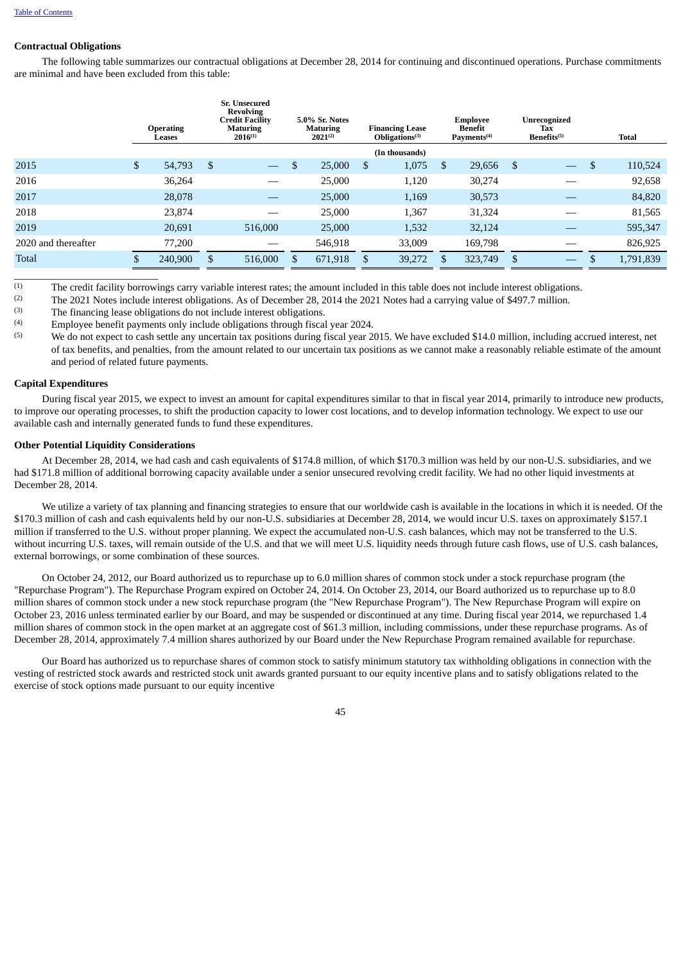## **Contractual Obligations**

The following table summarizes our contractual obligations at December 28, 2014 for continuing and discontinued operations. Purchase commitments are minimal and have been excluded from this table:

|                     |    | <b>Operating</b><br>Leases |               | <b>Sr. Unsecured</b><br><b>Revolving</b><br><b>Credit Facility</b><br><b>Maturing</b><br>$2016^{(1)}$ | 5.0% Sr. Notes<br><b>Maturing</b><br>$2021^{(2)}$ |         | <b>Financing Lease</b><br>Obligations <sup>(3)</sup> |                | Employee<br>Benefit<br>Payments <sup>(4)</sup> |         | Unrecognized<br>Tax<br>Benefits <sup>(5)</sup> |                          | <b>Total</b>  |
|---------------------|----|----------------------------|---------------|-------------------------------------------------------------------------------------------------------|---------------------------------------------------|---------|------------------------------------------------------|----------------|------------------------------------------------|---------|------------------------------------------------|--------------------------|---------------|
|                     |    |                            |               |                                                                                                       |                                                   |         |                                                      | (In thousands) |                                                |         |                                                |                          |               |
| 2015                | \$ | 54,793                     | \$            |                                                                                                       | \$                                                | 25,000  | \$                                                   | 1,075          | S                                              | 29,656  | \$                                             | $\overline{\phantom{0}}$ | \$<br>110,524 |
| 2016                |    | 36,264                     |               |                                                                                                       |                                                   | 25,000  |                                                      | 1,120          |                                                | 30,274  |                                                |                          | 92,658        |
| 2017                |    | 28,078                     |               |                                                                                                       |                                                   | 25,000  |                                                      | 1,169          |                                                | 30,573  |                                                |                          | 84,820        |
| 2018                |    | 23,874                     |               |                                                                                                       |                                                   | 25,000  |                                                      | 1,367          |                                                | 31,324  |                                                |                          | 81,565        |
| 2019                |    | 20,691                     |               | 516,000                                                                                               |                                                   | 25,000  |                                                      | 1,532          |                                                | 32,124  |                                                |                          | 595,347       |
| 2020 and thereafter |    | 77,200                     |               |                                                                                                       |                                                   | 546,918 |                                                      | 33,009         |                                                | 169,798 |                                                |                          | 826,925       |
| <b>Total</b>        | c  | 240,900                    | <sup>\$</sup> | 516,000                                                                                               | \$.                                               | 671,918 | \$                                                   | 39,272         |                                                | 323,749 | \$.                                            |                          | 1,791,839     |

(1) The credit facility borrowings carry variable interest rates; the amount included in this table does not include interest obligations.<br>(2) The 2021 Notes include interest obligations. As of Desember 28, 2021 Notes had

(2) The 2021 Notes include interest obligations. As of December 28, 2014 the 2021 Notes had a carrying value of \$497.7 million.<br>(3) The financing lease obligations do not include interest obligations

(3) The financing lease obligations do not include interest obligations.<br>(4) Employee benefit payments only include obligations through fiscal

Employee benefit payments only include obligations through fiscal year 2024.

<sup>(5)</sup> We do not expect to cash settle any uncertain tax positions during fiscal year 2015. We have excluded \$14.0 million, including accrued interest, net of tax benefits, and penalties, from the amount related to our uncertain tax positions as we cannot make a reasonably reliable estimate of the amount and period of related future payments.

### **Capital Expenditures**

\_\_\_\_\_\_\_\_\_\_\_\_\_\_\_\_\_\_\_\_\_\_\_\_\_\_\_\_

During fiscal year 2015, we expect to invest an amount for capital expenditures similar to that in fiscal year 2014, primarily to introduce new products, to improve our operating processes, to shift the production capacity to lower cost locations, and to develop information technology. We expect to use our available cash and internally generated funds to fund these expenditures.

## **Other Potential Liquidity Considerations**

At December 28, 2014, we had cash and cash equivalents of \$174.8 million, of which \$170.3 million was held by our non-U.S. subsidiaries, and we had \$171.8 million of additional borrowing capacity available under a senior unsecured revolving credit facility. We had no other liquid investments at December 28, 2014.

We utilize a variety of tax planning and financing strategies to ensure that our worldwide cash is available in the locations in which it is needed. Of the \$170.3 million of cash and cash equivalents held by our non-U.S. subsidiaries at December 28, 2014, we would incur U.S. taxes on approximately \$157.1 million if transferred to the U.S. without proper planning. We expect the accumulated non-U.S. cash balances, which may not be transferred to the U.S. without incurring U.S. taxes, will remain outside of the U.S. and that we will meet U.S. liquidity needs through future cash flows, use of U.S. cash balances, external borrowings, or some combination of these sources.

On October 24, 2012, our Board authorized us to repurchase up to 6.0 million shares of common stock under a stock repurchase program (the "Repurchase Program"). The Repurchase Program expired on October 24, 2014. On October 23, 2014, our Board authorized us to repurchase up to 8.0 million shares of common stock under a new stock repurchase program (the "New Repurchase Program"). The New Repurchase Program will expire on October 23, 2016 unless terminated earlier by our Board, and may be suspended or discontinued at any time. During fiscal year 2014, we repurchased 1.4 million shares of common stock in the open market at an aggregate cost of \$61.3 million, including commissions, under these repurchase programs. As of December 28, 2014, approximately 7.4 million shares authorized by our Board under the New Repurchase Program remained available for repurchase.

Our Board has authorized us to repurchase shares of common stock to satisfy minimum statutory tax withholding obligations in connection with the vesting of restricted stock awards and restricted stock unit awards granted pursuant to our equity incentive plans and to satisfy obligations related to the exercise of stock options made pursuant to our equity incentive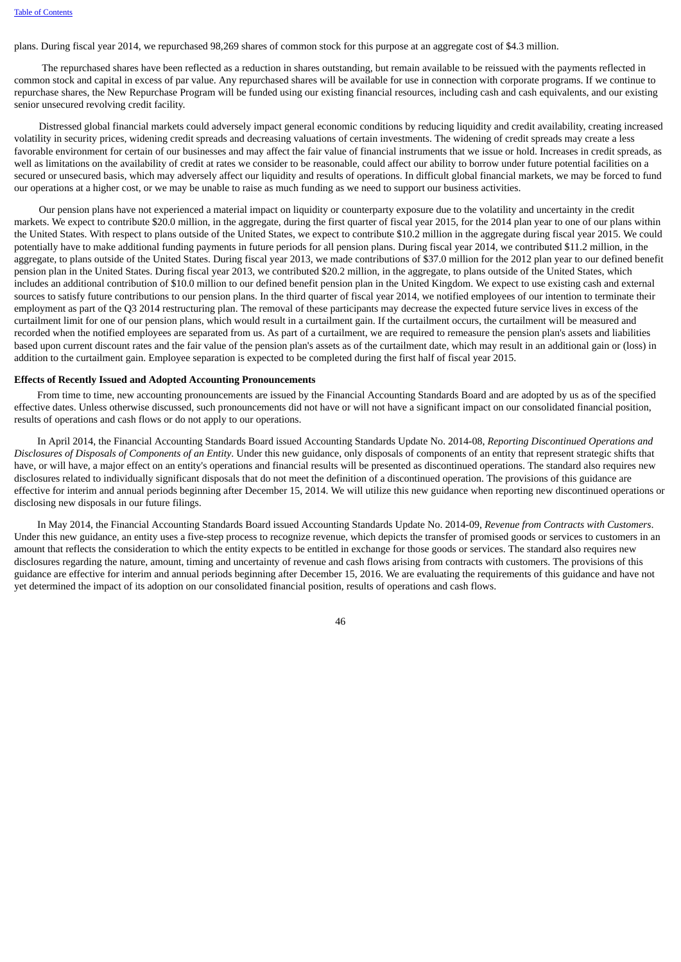plans. During fiscal year 2014, we repurchased 98,269 shares of common stock for this purpose at an aggregate cost of \$4.3 million.

The repurchased shares have been reflected as a reduction in shares outstanding, but remain available to be reissued with the payments reflected in common stock and capital in excess of par value. Any repurchased shares will be available for use in connection with corporate programs. If we continue to repurchase shares, the New Repurchase Program will be funded using our existing financial resources, including cash and cash equivalents, and our existing senior unsecured revolving credit facility.

Distressed global financial markets could adversely impact general economic conditions by reducing liquidity and credit availability, creating increased volatility in security prices, widening credit spreads and decreasing valuations of certain investments. The widening of credit spreads may create a less favorable environment for certain of our businesses and may affect the fair value of financial instruments that we issue or hold. Increases in credit spreads, as well as limitations on the availability of credit at rates we consider to be reasonable, could affect our ability to borrow under future potential facilities on a secured or unsecured basis, which may adversely affect our liquidity and results of operations. In difficult global financial markets, we may be forced to fund our operations at a higher cost, or we may be unable to raise as much funding as we need to support our business activities.

Our pension plans have not experienced a material impact on liquidity or counterparty exposure due to the volatility and uncertainty in the credit markets. We expect to contribute \$20.0 million, in the aggregate, during the first quarter of fiscal year 2015, for the 2014 plan year to one of our plans within the United States. With respect to plans outside of the United States, we expect to contribute \$10.2 million in the aggregate during fiscal year 2015. We could potentially have to make additional funding payments in future periods for all pension plans. During fiscal year 2014, we contributed \$11.2 million, in the aggregate, to plans outside of the United States. During fiscal year 2013, we made contributions of \$37.0 million for the 2012 plan year to our defined benefit pension plan in the United States. During fiscal year 2013, we contributed \$20.2 million, in the aggregate, to plans outside of the United States, which includes an additional contribution of \$10.0 million to our defined benefit pension plan in the United Kingdom. We expect to use existing cash and external sources to satisfy future contributions to our pension plans. In the third quarter of fiscal year 2014, we notified employees of our intention to terminate their employment as part of the Q3 2014 restructuring plan. The removal of these participants may decrease the expected future service lives in excess of the curtailment limit for one of our pension plans, which would result in a curtailment gain. If the curtailment occurs, the curtailment will be measured and recorded when the notified employees are separated from us. As part of a curtailment, we are required to remeasure the pension plan's assets and liabilities based upon current discount rates and the fair value of the pension plan's assets as of the curtailment date, which may result in an additional gain or (loss) in addition to the curtailment gain. Employee separation is expected to be completed during the first half of fiscal year 2015.

## **Effects of Recently Issued and Adopted Accounting Pronouncements**

From time to time, new accounting pronouncements are issued by the Financial Accounting Standards Board and are adopted by us as of the specified effective dates. Unless otherwise discussed, such pronouncements did not have or will not have a significant impact on our consolidated financial position, results of operations and cash flows or do not apply to our operations.

In April 2014, the Financial Accounting Standards Board issued Accounting Standards Update No. 2014-08, *Reporting Discontinued Operations and Disclosures of Disposals of Components of an Entity*. Under this new guidance, only disposals of components of an entity that represent strategic shifts that have, or will have, a major effect on an entity's operations and financial results will be presented as discontinued operations. The standard also requires new disclosures related to individually significant disposals that do not meet the definition of a discontinued operation. The provisions of this guidance are effective for interim and annual periods beginning after December 15, 2014. We will utilize this new guidance when reporting new discontinued operations or disclosing new disposals in our future filings.

In May 2014, the Financial Accounting Standards Board issued Accounting Standards Update No. 2014-09, *Revenue from Contracts with Customers*. Under this new guidance, an entity uses a five-step process to recognize revenue, which depicts the transfer of promised goods or services to customers in an amount that reflects the consideration to which the entity expects to be entitled in exchange for those goods or services. The standard also requires new disclosures regarding the nature, amount, timing and uncertainty of revenue and cash flows arising from contracts with customers. The provisions of this guidance are effective for interim and annual periods beginning after December 15, 2016. We are evaluating the requirements of this guidance and have not yet determined the impact of its adoption on our consolidated financial position, results of operations and cash flows.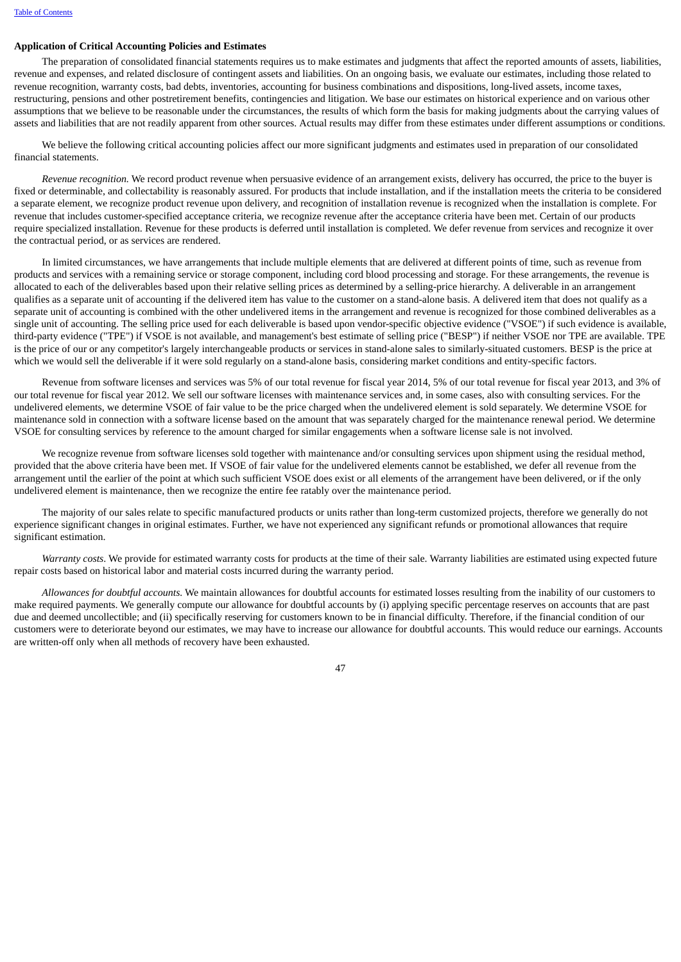## **Application of Critical Accounting Policies and Estimates**

The preparation of consolidated financial statements requires us to make estimates and judgments that affect the reported amounts of assets, liabilities, revenue and expenses, and related disclosure of contingent assets and liabilities. On an ongoing basis, we evaluate our estimates, including those related to revenue recognition, warranty costs, bad debts, inventories, accounting for business combinations and dispositions, long-lived assets, income taxes, restructuring, pensions and other postretirement benefits, contingencies and litigation. We base our estimates on historical experience and on various other assumptions that we believe to be reasonable under the circumstances, the results of which form the basis for making judgments about the carrying values of assets and liabilities that are not readily apparent from other sources. Actual results may differ from these estimates under different assumptions or conditions.

We believe the following critical accounting policies affect our more significant judgments and estimates used in preparation of our consolidated financial statements.

*Revenue recognition.* We record product revenue when persuasive evidence of an arrangement exists, delivery has occurred, the price to the buyer is fixed or determinable, and collectability is reasonably assured. For products that include installation, and if the installation meets the criteria to be considered a separate element, we recognize product revenue upon delivery, and recognition of installation revenue is recognized when the installation is complete. For revenue that includes customer-specified acceptance criteria, we recognize revenue after the acceptance criteria have been met. Certain of our products require specialized installation. Revenue for these products is deferred until installation is completed. We defer revenue from services and recognize it over the contractual period, or as services are rendered.

In limited circumstances, we have arrangements that include multiple elements that are delivered at different points of time, such as revenue from products and services with a remaining service or storage component, including cord blood processing and storage. For these arrangements, the revenue is allocated to each of the deliverables based upon their relative selling prices as determined by a selling-price hierarchy. A deliverable in an arrangement qualifies as a separate unit of accounting if the delivered item has value to the customer on a stand-alone basis. A delivered item that does not qualify as a separate unit of accounting is combined with the other undelivered items in the arrangement and revenue is recognized for those combined deliverables as a single unit of accounting. The selling price used for each deliverable is based upon vendor-specific objective evidence ("VSOE") if such evidence is available, third-party evidence ("TPE") if VSOE is not available, and management's best estimate of selling price ("BESP") if neither VSOE nor TPE are available. TPE is the price of our or any competitor's largely interchangeable products or services in stand-alone sales to similarly-situated customers. BESP is the price at which we would sell the deliverable if it were sold regularly on a stand-alone basis, considering market conditions and entity-specific factors.

Revenue from software licenses and services was 5% of our total revenue for fiscal year 2014, 5% of our total revenue for fiscal year 2013, and 3% of our total revenue for fiscal year 2012. We sell our software licenses with maintenance services and, in some cases, also with consulting services. For the undelivered elements, we determine VSOE of fair value to be the price charged when the undelivered element is sold separately. We determine VSOE for maintenance sold in connection with a software license based on the amount that was separately charged for the maintenance renewal period. We determine VSOE for consulting services by reference to the amount charged for similar engagements when a software license sale is not involved.

We recognize revenue from software licenses sold together with maintenance and/or consulting services upon shipment using the residual method, provided that the above criteria have been met. If VSOE of fair value for the undelivered elements cannot be established, we defer all revenue from the arrangement until the earlier of the point at which such sufficient VSOE does exist or all elements of the arrangement have been delivered, or if the only undelivered element is maintenance, then we recognize the entire fee ratably over the maintenance period.

The majority of our sales relate to specific manufactured products or units rather than long-term customized projects, therefore we generally do not experience significant changes in original estimates. Further, we have not experienced any significant refunds or promotional allowances that require significant estimation.

*Warranty costs*. We provide for estimated warranty costs for products at the time of their sale. Warranty liabilities are estimated using expected future repair costs based on historical labor and material costs incurred during the warranty period.

*Allowances for doubtful accounts.* We maintain allowances for doubtful accounts for estimated losses resulting from the inability of our customers to make required payments. We generally compute our allowance for doubtful accounts by (i) applying specific percentage reserves on accounts that are past due and deemed uncollectible; and (ii) specifically reserving for customers known to be in financial difficulty. Therefore, if the financial condition of our customers were to deteriorate beyond our estimates, we may have to increase our allowance for doubtful accounts. This would reduce our earnings. Accounts are written-off only when all methods of recovery have been exhausted.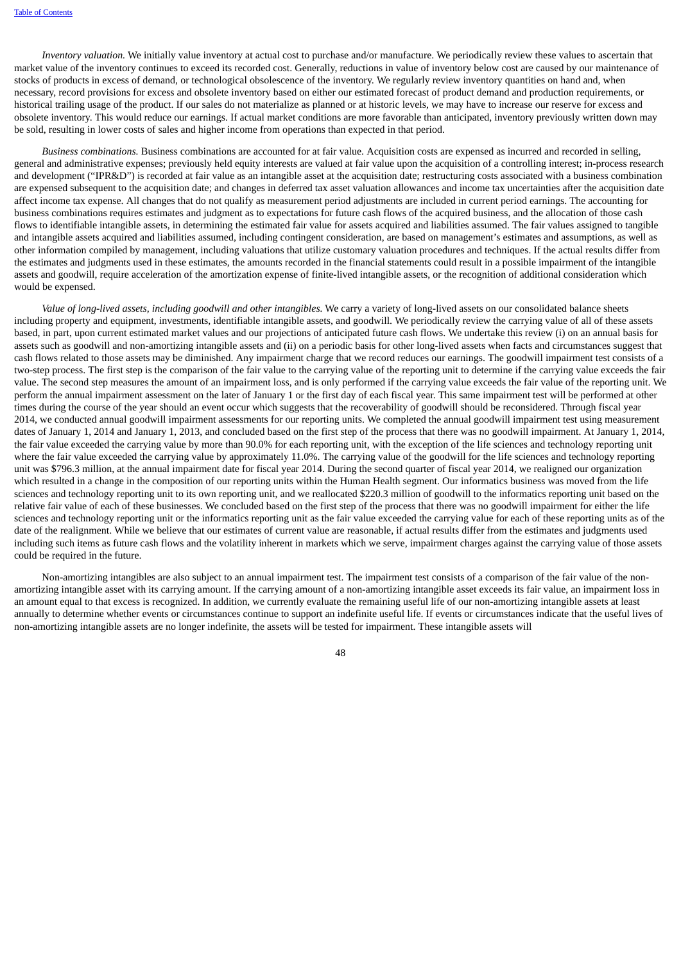*Inventory valuation.* We initially value inventory at actual cost to purchase and/or manufacture. We periodically review these values to ascertain that market value of the inventory continues to exceed its recorded cost. Generally, reductions in value of inventory below cost are caused by our maintenance of stocks of products in excess of demand, or technological obsolescence of the inventory. We regularly review inventory quantities on hand and, when necessary, record provisions for excess and obsolete inventory based on either our estimated forecast of product demand and production requirements, or historical trailing usage of the product. If our sales do not materialize as planned or at historic levels, we may have to increase our reserve for excess and obsolete inventory. This would reduce our earnings. If actual market conditions are more favorable than anticipated, inventory previously written down may be sold, resulting in lower costs of sales and higher income from operations than expected in that period.

*Business combinations.* Business combinations are accounted for at fair value. Acquisition costs are expensed as incurred and recorded in selling, general and administrative expenses; previously held equity interests are valued at fair value upon the acquisition of a controlling interest; in-process research and development ("IPR&D") is recorded at fair value as an intangible asset at the acquisition date; restructuring costs associated with a business combination are expensed subsequent to the acquisition date; and changes in deferred tax asset valuation allowances and income tax uncertainties after the acquisition date affect income tax expense. All changes that do not qualify as measurement period adjustments are included in current period earnings. The accounting for business combinations requires estimates and judgment as to expectations for future cash flows of the acquired business, and the allocation of those cash flows to identifiable intangible assets, in determining the estimated fair value for assets acquired and liabilities assumed. The fair values assigned to tangible and intangible assets acquired and liabilities assumed, including contingent consideration, are based on management's estimates and assumptions, as well as other information compiled by management, including valuations that utilize customary valuation procedures and techniques. If the actual results differ from the estimates and judgments used in these estimates, the amounts recorded in the financial statements could result in a possible impairment of the intangible assets and goodwill, require acceleration of the amortization expense of finite-lived intangible assets, or the recognition of additional consideration which would be expensed.

*Value of long-lived assets, including goodwill and other intangibles.* We carry a variety of long-lived assets on our consolidated balance sheets including property and equipment, investments, identifiable intangible assets, and goodwill. We periodically review the carrying value of all of these assets based, in part, upon current estimated market values and our projections of anticipated future cash flows. We undertake this review (i) on an annual basis for assets such as goodwill and non-amortizing intangible assets and (ii) on a periodic basis for other long-lived assets when facts and circumstances suggest that cash flows related to those assets may be diminished. Any impairment charge that we record reduces our earnings. The goodwill impairment test consists of a two-step process. The first step is the comparison of the fair value to the carrying value of the reporting unit to determine if the carrying value exceeds the fair value. The second step measures the amount of an impairment loss, and is only performed if the carrying value exceeds the fair value of the reporting unit. We perform the annual impairment assessment on the later of January 1 or the first day of each fiscal year. This same impairment test will be performed at other times during the course of the year should an event occur which suggests that the recoverability of goodwill should be reconsidered. Through fiscal year 2014, we conducted annual goodwill impairment assessments for our reporting units. We completed the annual goodwill impairment test using measurement dates of January 1, 2014 and January 1, 2013, and concluded based on the first step of the process that there was no goodwill impairment. At January 1, 2014, the fair value exceeded the carrying value by more than 90.0% for each reporting unit, with the exception of the life sciences and technology reporting unit where the fair value exceeded the carrying value by approximately 11.0%. The carrying value of the goodwill for the life sciences and technology reporting unit was \$796.3 million, at the annual impairment date for fiscal year 2014. During the second quarter of fiscal year 2014, we realigned our organization which resulted in a change in the composition of our reporting units within the Human Health segment. Our informatics business was moved from the life sciences and technology reporting unit to its own reporting unit, and we reallocated \$220.3 million of goodwill to the informatics reporting unit based on the relative fair value of each of these businesses. We concluded based on the first step of the process that there was no goodwill impairment for either the life sciences and technology reporting unit or the informatics reporting unit as the fair value exceeded the carrying value for each of these reporting units as of the date of the realignment. While we believe that our estimates of current value are reasonable, if actual results differ from the estimates and judgments used including such items as future cash flows and the volatility inherent in markets which we serve, impairment charges against the carrying value of those assets could be required in the future.

Non-amortizing intangibles are also subject to an annual impairment test. The impairment test consists of a comparison of the fair value of the nonamortizing intangible asset with its carrying amount. If the carrying amount of a non-amortizing intangible asset exceeds its fair value, an impairment loss in an amount equal to that excess is recognized. In addition, we currently evaluate the remaining useful life of our non-amortizing intangible assets at least annually to determine whether events or circumstances continue to support an indefinite useful life. If events or circumstances indicate that the useful lives of non-amortizing intangible assets are no longer indefinite, the assets will be tested for impairment. These intangible assets will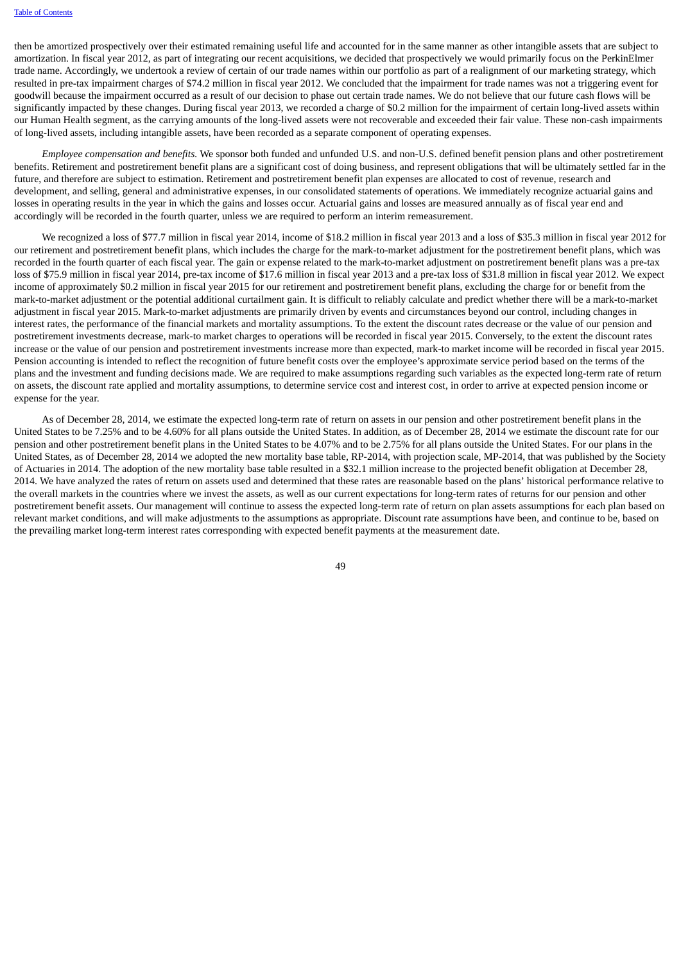then be amortized prospectively over their estimated remaining useful life and accounted for in the same manner as other intangible assets that are subject to amortization. In fiscal year 2012, as part of integrating our recent acquisitions, we decided that prospectively we would primarily focus on the PerkinElmer trade name. Accordingly, we undertook a review of certain of our trade names within our portfolio as part of a realignment of our marketing strategy, which resulted in pre-tax impairment charges of \$74.2 million in fiscal year 2012. We concluded that the impairment for trade names was not a triggering event for goodwill because the impairment occurred as a result of our decision to phase out certain trade names. We do not believe that our future cash flows will be significantly impacted by these changes. During fiscal year 2013, we recorded a charge of \$0.2 million for the impairment of certain long-lived assets within our Human Health segment, as the carrying amounts of the long-lived assets were not recoverable and exceeded their fair value. These non-cash impairments of long-lived assets, including intangible assets, have been recorded as a separate component of operating expenses.

*Employee compensation and benefits.* We sponsor both funded and unfunded U.S. and non-U.S. defined benefit pension plans and other postretirement benefits. Retirement and postretirement benefit plans are a significant cost of doing business, and represent obligations that will be ultimately settled far in the future, and therefore are subject to estimation. Retirement and postretirement benefit plan expenses are allocated to cost of revenue, research and development, and selling, general and administrative expenses, in our consolidated statements of operations. We immediately recognize actuarial gains and losses in operating results in the year in which the gains and losses occur. Actuarial gains and losses are measured annually as of fiscal year end and accordingly will be recorded in the fourth quarter, unless we are required to perform an interim remeasurement.

We recognized a loss of \$77.7 million in fiscal year 2014, income of \$18.2 million in fiscal year 2013 and a loss of \$35.3 million in fiscal year 2012 for our retirement and postretirement benefit plans, which includes the charge for the mark-to-market adjustment for the postretirement benefit plans, which was recorded in the fourth quarter of each fiscal year. The gain or expense related to the mark-to-market adjustment on postretirement benefit plans was a pre-tax loss of \$75.9 million in fiscal year 2014, pre-tax income of \$17.6 million in fiscal year 2013 and a pre-tax loss of \$31.8 million in fiscal year 2012. We expect income of approximately \$0.2 million in fiscal year 2015 for our retirement and postretirement benefit plans, excluding the charge for or benefit from the mark-to-market adjustment or the potential additional curtailment gain. It is difficult to reliably calculate and predict whether there will be a mark-to-market adjustment in fiscal year 2015. Mark-to-market adjustments are primarily driven by events and circumstances beyond our control, including changes in interest rates, the performance of the financial markets and mortality assumptions. To the extent the discount rates decrease or the value of our pension and postretirement investments decrease, mark-to market charges to operations will be recorded in fiscal year 2015. Conversely, to the extent the discount rates increase or the value of our pension and postretirement investments increase more than expected, mark-to market income will be recorded in fiscal year 2015. Pension accounting is intended to reflect the recognition of future benefit costs over the employee's approximate service period based on the terms of the plans and the investment and funding decisions made. We are required to make assumptions regarding such variables as the expected long-term rate of return on assets, the discount rate applied and mortality assumptions, to determine service cost and interest cost, in order to arrive at expected pension income or expense for the year.

As of December 28, 2014, we estimate the expected long-term rate of return on assets in our pension and other postretirement benefit plans in the United States to be 7.25% and to be 4.60% for all plans outside the United States. In addition, as of December 28, 2014 we estimate the discount rate for our pension and other postretirement benefit plans in the United States to be 4.07% and to be 2.75% for all plans outside the United States. For our plans in the United States, as of December 28, 2014 we adopted the new mortality base table, RP-2014, with projection scale, MP-2014, that was published by the Society of Actuaries in 2014. The adoption of the new mortality base table resulted in a \$32.1 million increase to the projected benefit obligation at December 28, 2014. We have analyzed the rates of return on assets used and determined that these rates are reasonable based on the plans' historical performance relative to the overall markets in the countries where we invest the assets, as well as our current expectations for long-term rates of returns for our pension and other postretirement benefit assets. Our management will continue to assess the expected long-term rate of return on plan assets assumptions for each plan based on relevant market conditions, and will make adjustments to the assumptions as appropriate. Discount rate assumptions have been, and continue to be, based on the prevailing market long-term interest rates corresponding with expected benefit payments at the measurement date.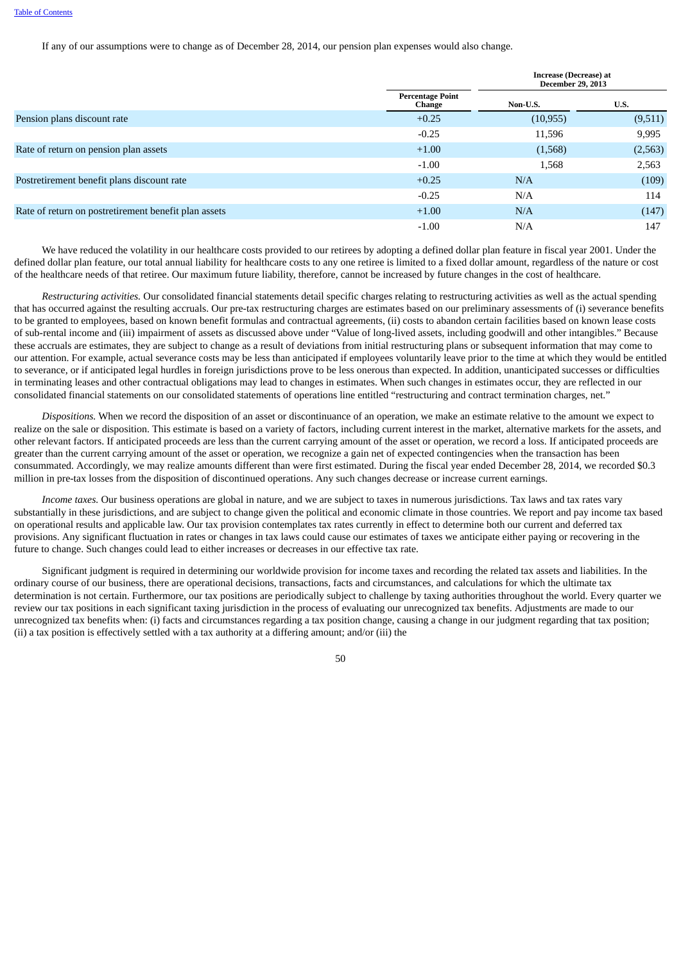If any of our assumptions were to change as of December 28, 2014, our pension plan expenses would also change.

|                                                      |                                   | <b>Increase (Decrease) at</b><br><b>December 29, 2013</b> |         |
|------------------------------------------------------|-----------------------------------|-----------------------------------------------------------|---------|
|                                                      | <b>Percentage Point</b><br>Change | Non-U.S.                                                  | U.S.    |
| Pension plans discount rate                          | $+0.25$                           | (10, 955)                                                 | (9,511) |
|                                                      | $-0.25$                           | 11,596                                                    | 9,995   |
| Rate of return on pension plan assets                | $+1.00$                           | (1,568)                                                   | (2,563) |
|                                                      | $-1.00$                           | 1,568                                                     | 2,563   |
| Postretirement benefit plans discount rate           | $+0.25$                           | N/A                                                       | (109)   |
|                                                      | $-0.25$                           | N/A                                                       | 114     |
| Rate of return on postretirement benefit plan assets | $+1.00$                           | N/A                                                       | (147)   |
|                                                      | $-1.00$                           | N/A                                                       | 147     |

We have reduced the volatility in our healthcare costs provided to our retirees by adopting a defined dollar plan feature in fiscal year 2001. Under the defined dollar plan feature, our total annual liability for healthcare costs to any one retiree is limited to a fixed dollar amount, regardless of the nature or cost of the healthcare needs of that retiree. Our maximum future liability, therefore, cannot be increased by future changes in the cost of healthcare.

*Restructuring activities.* Our consolidated financial statements detail specific charges relating to restructuring activities as well as the actual spending that has occurred against the resulting accruals. Our pre-tax restructuring charges are estimates based on our preliminary assessments of (i) severance benefits to be granted to employees, based on known benefit formulas and contractual agreements, (ii) costs to abandon certain facilities based on known lease costs of sub-rental income and (iii) impairment of assets as discussed above under "Value of long-lived assets, including goodwill and other intangibles." Because these accruals are estimates, they are subject to change as a result of deviations from initial restructuring plans or subsequent information that may come to our attention. For example, actual severance costs may be less than anticipated if employees voluntarily leave prior to the time at which they would be entitled to severance, or if anticipated legal hurdles in foreign jurisdictions prove to be less onerous than expected. In addition, unanticipated successes or difficulties in terminating leases and other contractual obligations may lead to changes in estimates. When such changes in estimates occur, they are reflected in our consolidated financial statements on our consolidated statements of operations line entitled "restructuring and contract termination charges, net."

*Dispositions.* When we record the disposition of an asset or discontinuance of an operation, we make an estimate relative to the amount we expect to realize on the sale or disposition. This estimate is based on a variety of factors, including current interest in the market, alternative markets for the assets, and other relevant factors. If anticipated proceeds are less than the current carrying amount of the asset or operation, we record a loss. If anticipated proceeds are greater than the current carrying amount of the asset or operation, we recognize a gain net of expected contingencies when the transaction has been consummated. Accordingly, we may realize amounts different than were first estimated. During the fiscal year ended December 28, 2014, we recorded \$0.3 million in pre-tax losses from the disposition of discontinued operations. Any such changes decrease or increase current earnings.

*Income taxes.* Our business operations are global in nature, and we are subject to taxes in numerous jurisdictions. Tax laws and tax rates vary substantially in these jurisdictions, and are subject to change given the political and economic climate in those countries. We report and pay income tax based on operational results and applicable law. Our tax provision contemplates tax rates currently in effect to determine both our current and deferred tax provisions. Any significant fluctuation in rates or changes in tax laws could cause our estimates of taxes we anticipate either paying or recovering in the future to change. Such changes could lead to either increases or decreases in our effective tax rate.

Significant judgment is required in determining our worldwide provision for income taxes and recording the related tax assets and liabilities. In the ordinary course of our business, there are operational decisions, transactions, facts and circumstances, and calculations for which the ultimate tax determination is not certain. Furthermore, our tax positions are periodically subject to challenge by taxing authorities throughout the world. Every quarter we review our tax positions in each significant taxing jurisdiction in the process of evaluating our unrecognized tax benefits. Adjustments are made to our unrecognized tax benefits when: (i) facts and circumstances regarding a tax position change, causing a change in our judgment regarding that tax position; (ii) a tax position is effectively settled with a tax authority at a differing amount; and/or (iii) the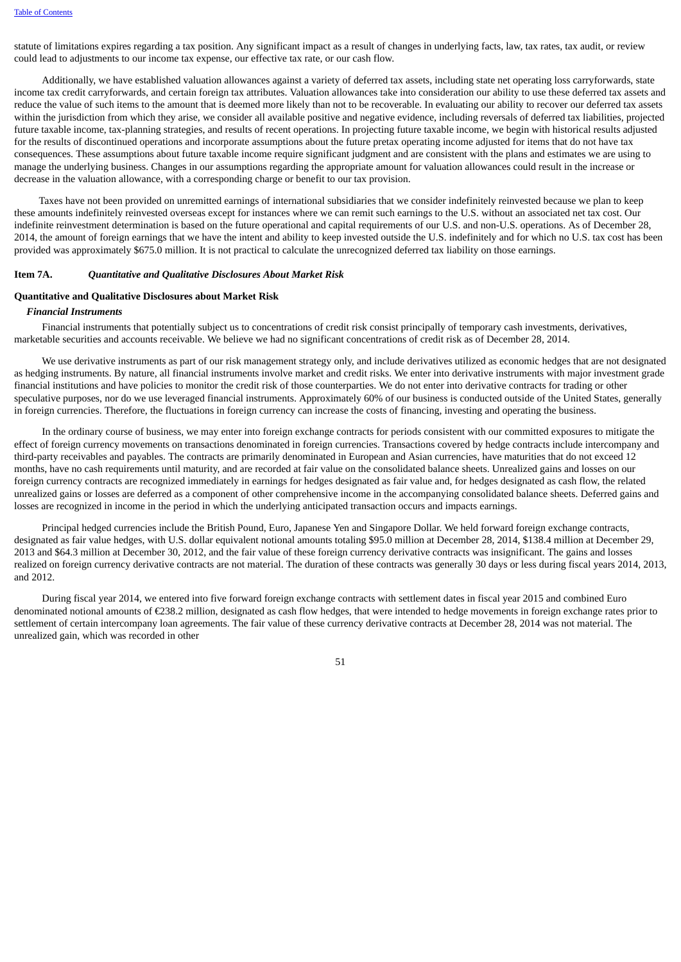statute of limitations expires regarding a tax position. Any significant impact as a result of changes in underlying facts, law, tax rates, tax audit, or review could lead to adjustments to our income tax expense, our effective tax rate, or our cash flow.

Additionally, we have established valuation allowances against a variety of deferred tax assets, including state net operating loss carryforwards, state income tax credit carryforwards, and certain foreign tax attributes. Valuation allowances take into consideration our ability to use these deferred tax assets and reduce the value of such items to the amount that is deemed more likely than not to be recoverable. In evaluating our ability to recover our deferred tax assets within the jurisdiction from which they arise, we consider all available positive and negative evidence, including reversals of deferred tax liabilities, projected future taxable income, tax-planning strategies, and results of recent operations. In projecting future taxable income, we begin with historical results adjusted for the results of discontinued operations and incorporate assumptions about the future pretax operating income adjusted for items that do not have tax consequences. These assumptions about future taxable income require significant judgment and are consistent with the plans and estimates we are using to manage the underlying business. Changes in our assumptions regarding the appropriate amount for valuation allowances could result in the increase or decrease in the valuation allowance, with a corresponding charge or benefit to our tax provision.

Taxes have not been provided on unremitted earnings of international subsidiaries that we consider indefinitely reinvested because we plan to keep these amounts indefinitely reinvested overseas except for instances where we can remit such earnings to the U.S. without an associated net tax cost. Our indefinite reinvestment determination is based on the future operational and capital requirements of our U.S. and non-U.S. operations. As of December 28, 2014, the amount of foreign earnings that we have the intent and ability to keep invested outside the U.S. indefinitely and for which no U.S. tax cost has been provided was approximately \$675.0 million. It is not practical to calculate the unrecognized deferred tax liability on those earnings.

#### **Item 7A.** *Quantitative and Qualitative Disclosures About Market Risk*

### **Quantitative and Qualitative Disclosures about Market Risk**

#### *Financial Instruments*

Financial instruments that potentially subject us to concentrations of credit risk consist principally of temporary cash investments, derivatives, marketable securities and accounts receivable. We believe we had no significant concentrations of credit risk as of December 28, 2014.

We use derivative instruments as part of our risk management strategy only, and include derivatives utilized as economic hedges that are not designated as hedging instruments. By nature, all financial instruments involve market and credit risks. We enter into derivative instruments with major investment grade financial institutions and have policies to monitor the credit risk of those counterparties. We do not enter into derivative contracts for trading or other speculative purposes, nor do we use leveraged financial instruments. Approximately 60% of our business is conducted outside of the United States, generally in foreign currencies. Therefore, the fluctuations in foreign currency can increase the costs of financing, investing and operating the business.

In the ordinary course of business, we may enter into foreign exchange contracts for periods consistent with our committed exposures to mitigate the effect of foreign currency movements on transactions denominated in foreign currencies. Transactions covered by hedge contracts include intercompany and third-party receivables and payables. The contracts are primarily denominated in European and Asian currencies, have maturities that do not exceed 12 months, have no cash requirements until maturity, and are recorded at fair value on the consolidated balance sheets. Unrealized gains and losses on our foreign currency contracts are recognized immediately in earnings for hedges designated as fair value and, for hedges designated as cash flow, the related unrealized gains or losses are deferred as a component of other comprehensive income in the accompanying consolidated balance sheets. Deferred gains and losses are recognized in income in the period in which the underlying anticipated transaction occurs and impacts earnings.

Principal hedged currencies include the British Pound, Euro, Japanese Yen and Singapore Dollar. We held forward foreign exchange contracts, designated as fair value hedges, with U.S. dollar equivalent notional amounts totaling \$95.0 million at December 28, 2014, \$138.4 million at December 29, 2013 and \$64.3 million at December 30, 2012, and the fair value of these foreign currency derivative contracts was insignificant. The gains and losses realized on foreign currency derivative contracts are not material. The duration of these contracts was generally 30 days or less during fiscal years 2014, 2013, and 2012.

During fiscal year 2014, we entered into five forward foreign exchange contracts with settlement dates in fiscal year 2015 and combined Euro denominated notional amounts of €238.2 million, designated as cash flow hedges, that were intended to hedge movements in foreign exchange rates prior to settlement of certain intercompany loan agreements. The fair value of these currency derivative contracts at December 28, 2014 was not material. The unrealized gain, which was recorded in other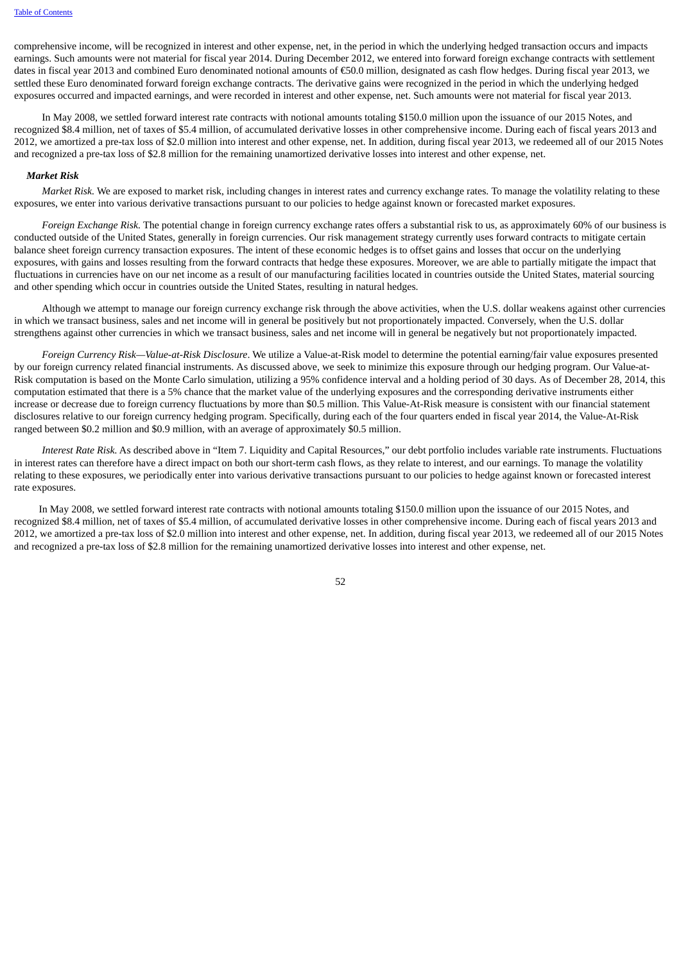comprehensive income, will be recognized in interest and other expense, net, in the period in which the underlying hedged transaction occurs and impacts earnings. Such amounts were not material for fiscal year 2014. During December 2012, we entered into forward foreign exchange contracts with settlement dates in fiscal year 2013 and combined Euro denominated notional amounts of €50.0 million, designated as cash flow hedges. During fiscal year 2013, we settled these Euro denominated forward foreign exchange contracts. The derivative gains were recognized in the period in which the underlying hedged exposures occurred and impacted earnings, and were recorded in interest and other expense, net. Such amounts were not material for fiscal year 2013.

In May 2008, we settled forward interest rate contracts with notional amounts totaling \$150.0 million upon the issuance of our 2015 Notes, and recognized \$8.4 million, net of taxes of \$5.4 million, of accumulated derivative losses in other comprehensive income. During each of fiscal years 2013 and 2012, we amortized a pre-tax loss of \$2.0 million into interest and other expense, net. In addition, during fiscal year 2013, we redeemed all of our 2015 Notes and recognized a pre-tax loss of \$2.8 million for the remaining unamortized derivative losses into interest and other expense, net.

### *Market Risk*

*Market Risk.* We are exposed to market risk, including changes in interest rates and currency exchange rates. To manage the volatility relating to these exposures, we enter into various derivative transactions pursuant to our policies to hedge against known or forecasted market exposures.

*Foreign Exchange Risk.* The potential change in foreign currency exchange rates offers a substantial risk to us, as approximately 60% of our business is conducted outside of the United States, generally in foreign currencies. Our risk management strategy currently uses forward contracts to mitigate certain balance sheet foreign currency transaction exposures. The intent of these economic hedges is to offset gains and losses that occur on the underlying exposures, with gains and losses resulting from the forward contracts that hedge these exposures. Moreover, we are able to partially mitigate the impact that fluctuations in currencies have on our net income as a result of our manufacturing facilities located in countries outside the United States, material sourcing and other spending which occur in countries outside the United States, resulting in natural hedges.

Although we attempt to manage our foreign currency exchange risk through the above activities, when the U.S. dollar weakens against other currencies in which we transact business, sales and net income will in general be positively but not proportionately impacted. Conversely, when the U.S. dollar strengthens against other currencies in which we transact business, sales and net income will in general be negatively but not proportionately impacted.

*Foreign Currency Risk—Value-at-Risk Disclosure*. We utilize a Value-at-Risk model to determine the potential earning/fair value exposures presented by our foreign currency related financial instruments. As discussed above, we seek to minimize this exposure through our hedging program. Our Value-at-Risk computation is based on the Monte Carlo simulation, utilizing a 95% confidence interval and a holding period of 30 days. As of December 28, 2014, this computation estimated that there is a 5% chance that the market value of the underlying exposures and the corresponding derivative instruments either increase or decrease due to foreign currency fluctuations by more than \$0.5 million. This Value-At-Risk measure is consistent with our financial statement disclosures relative to our foreign currency hedging program. Specifically, during each of the four quarters ended in fiscal year 2014, the Value-At-Risk ranged between \$0.2 million and \$0.9 million, with an average of approximately \$0.5 million.

*Interest Rate Risk.* As described above in "Item 7. Liquidity and Capital Resources," our debt portfolio includes variable rate instruments. Fluctuations in interest rates can therefore have a direct impact on both our short-term cash flows, as they relate to interest, and our earnings. To manage the volatility relating to these exposures, we periodically enter into various derivative transactions pursuant to our policies to hedge against known or forecasted interest rate exposures.

In May 2008, we settled forward interest rate contracts with notional amounts totaling \$150.0 million upon the issuance of our 2015 Notes, and recognized \$8.4 million, net of taxes of \$5.4 million, of accumulated derivative losses in other comprehensive income. During each of fiscal years 2013 and 2012, we amortized a pre-tax loss of \$2.0 million into interest and other expense, net. In addition, during fiscal year 2013, we redeemed all of our 2015 Notes and recognized a pre-tax loss of \$2.8 million for the remaining unamortized derivative losses into interest and other expense, net.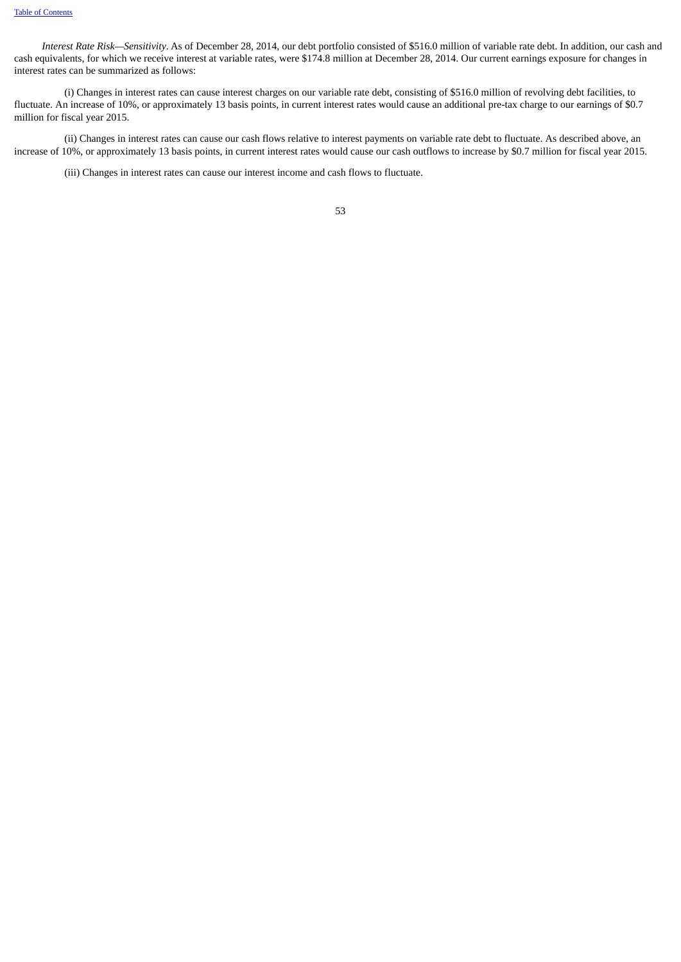*Interest Rate Risk—Sensitivity*. As of December 28, 2014, our debt portfolio consisted of \$516.0 million of variable rate debt. In addition, our cash and cash equivalents, for which we receive interest at variable rates, were \$174.8 million at December 28, 2014. Our current earnings exposure for changes in interest rates can be summarized as follows:

(i) Changes in interest rates can cause interest charges on our variable rate debt, consisting of \$516.0 million of revolving debt facilities, to fluctuate. An increase of 10%, or approximately 13 basis points, in current interest rates would cause an additional pre-tax charge to our earnings of \$0.7 million for fiscal year 2015.

(ii) Changes in interest rates can cause our cash flows relative to interest payments on variable rate debt to fluctuate. As described above, an increase of 10%, or approximately 13 basis points, in current interest rates would cause our cash outflows to increase by \$0.7 million for fiscal year 2015.

(iii) Changes in interest rates can cause our interest income and cash flows to fluctuate.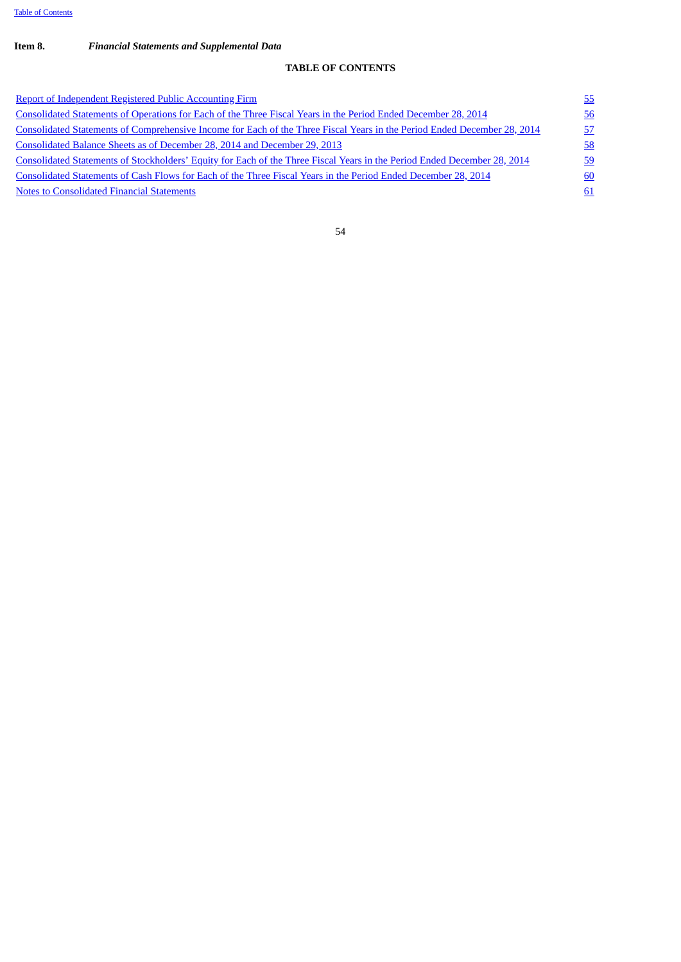# **Item 8.** *Financial Statements and Supplemental Data*

# **TABLE OF CONTENTS**

<span id="page-53-0"></span>

| <b>Report of Independent Registered Public Accounting Firm</b>                                                           | 55 |
|--------------------------------------------------------------------------------------------------------------------------|----|
| Consolidated Statements of Operations for Each of the Three Fiscal Years in the Period Ended December 28, 2014           | 56 |
| Consolidated Statements of Comprehensive Income for Each of the Three Fiscal Years in the Period Ended December 28, 2014 | 57 |
| Consolidated Balance Sheets as of December 28, 2014 and December 29, 2013                                                | 58 |
| Consolidated Statements of Stockholders' Equity for Each of the Three Fiscal Years in the Period Ended December 28, 2014 | 59 |
| Consolidated Statements of Cash Flows for Each of the Three Fiscal Years in the Period Ended December 28, 2014           | 60 |
| <b>Notes to Consolidated Financial Statements</b>                                                                        | 61 |
|                                                                                                                          |    |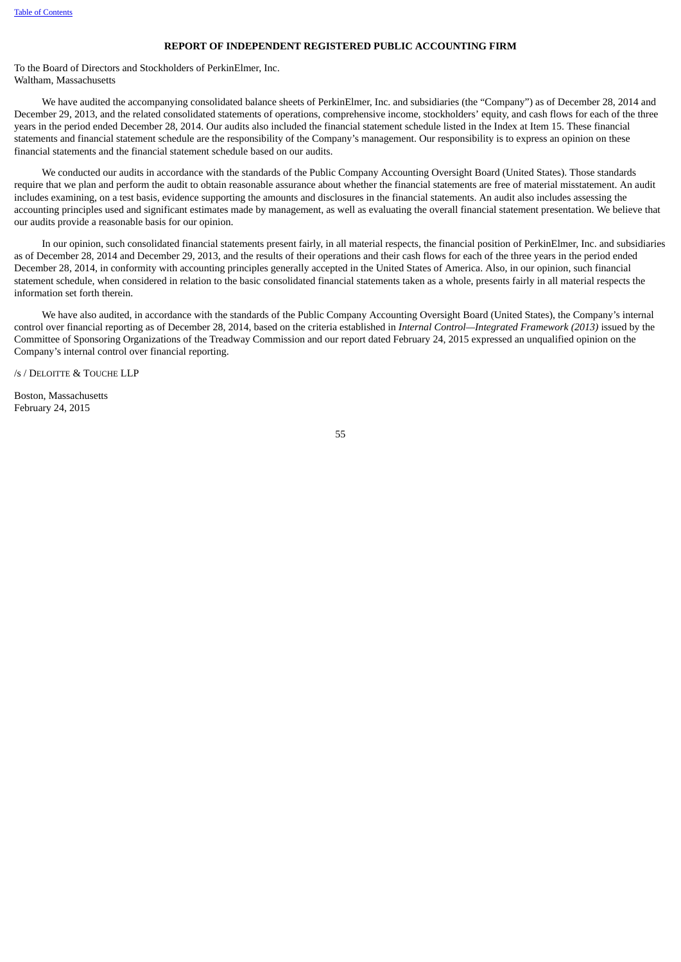# **REPORT OF INDEPENDENT REGISTERED PUBLIC ACCOUNTING FIRM**

To the Board of Directors and Stockholders of PerkinElmer, Inc. Waltham, Massachusetts

We have audited the accompanying consolidated balance sheets of PerkinElmer, Inc. and subsidiaries (the "Company") as of December 28, 2014 and December 29, 2013, and the related consolidated statements of operations, comprehensive income, stockholders' equity, and cash flows for each of the three years in the period ended December 28, 2014. Our audits also included the financial statement schedule listed in the Index at Item 15. These financial statements and financial statement schedule are the responsibility of the Company's management. Our responsibility is to express an opinion on these financial statements and the financial statement schedule based on our audits.

We conducted our audits in accordance with the standards of the Public Company Accounting Oversight Board (United States). Those standards require that we plan and perform the audit to obtain reasonable assurance about whether the financial statements are free of material misstatement. An audit includes examining, on a test basis, evidence supporting the amounts and disclosures in the financial statements. An audit also includes assessing the accounting principles used and significant estimates made by management, as well as evaluating the overall financial statement presentation. We believe that our audits provide a reasonable basis for our opinion.

In our opinion, such consolidated financial statements present fairly, in all material respects, the financial position of PerkinElmer, Inc. and subsidiaries as of December 28, 2014 and December 29, 2013, and the results of their operations and their cash flows for each of the three years in the period ended December 28, 2014, in conformity with accounting principles generally accepted in the United States of America. Also, in our opinion, such financial statement schedule, when considered in relation to the basic consolidated financial statements taken as a whole, presents fairly in all material respects the information set forth therein.

We have also audited, in accordance with the standards of the Public Company Accounting Oversight Board (United States), the Company's internal control over financial reporting as of December 28, 2014, based on the criteria established in *Internal Control—Integrated Framework (2013)* issued by the Committee of Sponsoring Organizations of the Treadway Commission and our report dated February 24, 2015 expressed an unqualified opinion on the Company's internal control over financial reporting.

/s / DELOITTE & TOUCHE LLP

<span id="page-54-0"></span>Boston, Massachusetts February 24, 2015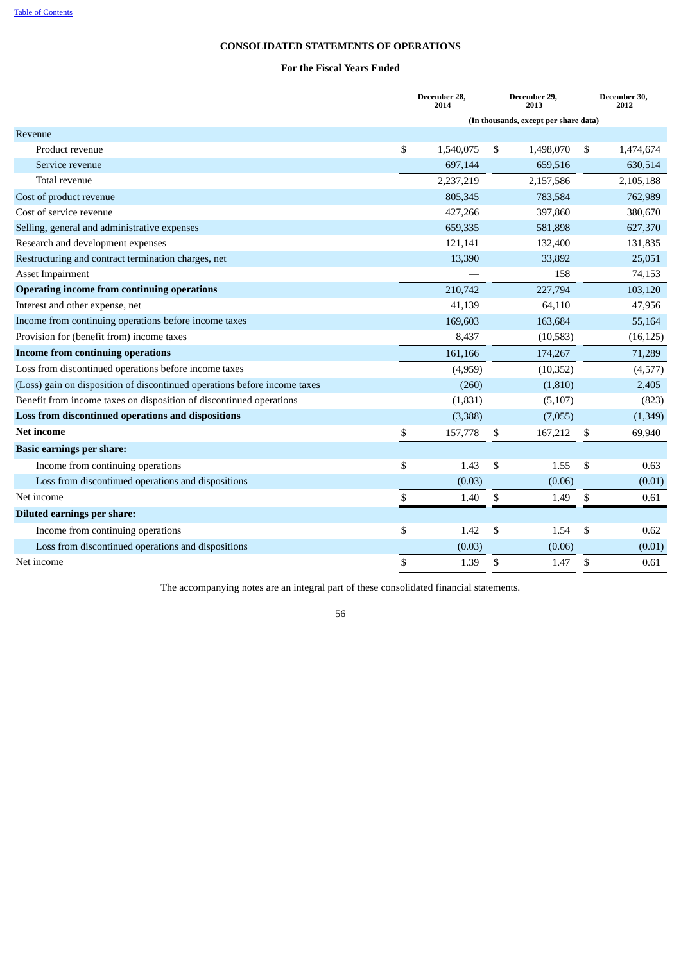# **CONSOLIDATED STATEMENTS OF OPERATIONS**

# **For the Fiscal Years Ended**

|                                                                           | December 28,<br>2014 | December 29,<br>2013                  |               | December 30,<br>2012 |  |
|---------------------------------------------------------------------------|----------------------|---------------------------------------|---------------|----------------------|--|
|                                                                           |                      | (In thousands, except per share data) |               |                      |  |
| Revenue                                                                   |                      |                                       |               |                      |  |
| Product revenue                                                           | \$<br>1,540,075      | \$<br>1,498,070                       | \$            | 1,474,674            |  |
| Service revenue                                                           | 697,144              | 659,516                               |               | 630,514              |  |
| Total revenue                                                             | 2,237,219            | 2,157,586                             |               | 2,105,188            |  |
| Cost of product revenue                                                   | 805,345              | 783,584                               |               | 762,989              |  |
| Cost of service revenue                                                   | 427,266              | 397,860                               |               | 380,670              |  |
| Selling, general and administrative expenses                              | 659,335              | 581,898                               |               | 627,370              |  |
| Research and development expenses                                         | 121,141              | 132,400                               |               | 131,835              |  |
| Restructuring and contract termination charges, net                       | 13,390               | 33,892                                |               | 25,051               |  |
| Asset Impairment                                                          |                      | 158                                   |               | 74,153               |  |
| <b>Operating income from continuing operations</b>                        | 210,742              | 227,794                               |               | 103,120              |  |
| Interest and other expense, net                                           | 41,139               | 64,110                                |               | 47,956               |  |
| Income from continuing operations before income taxes                     | 169,603              | 163,684                               |               | 55,164               |  |
| Provision for (benefit from) income taxes                                 | 8,437                | (10, 583)                             |               | (16, 125)            |  |
| <b>Income from continuing operations</b>                                  | 161,166              | 174,267                               |               | 71,289               |  |
| Loss from discontinued operations before income taxes                     | (4,959)              | (10, 352)                             |               | (4,577)              |  |
| (Loss) gain on disposition of discontinued operations before income taxes | (260)                | (1,810)                               |               | 2,405                |  |
| Benefit from income taxes on disposition of discontinued operations       | (1, 831)             | (5, 107)                              |               | (823)                |  |
| Loss from discontinued operations and dispositions                        | (3,388)              | (7,055)                               |               | (1,349)              |  |
| <b>Net income</b>                                                         | \$<br>157,778        | \$<br>167,212                         | \$            | 69,940               |  |
| <b>Basic earnings per share:</b>                                          |                      |                                       |               |                      |  |
| Income from continuing operations                                         | \$<br>1.43           | \$<br>1.55                            | \$            | 0.63                 |  |
| Loss from discontinued operations and dispositions                        | (0.03)               | (0.06)                                |               | (0.01)               |  |
| Net income                                                                | \$<br>1.40           | \$<br>1.49                            | \$            | 0.61                 |  |
| <b>Diluted earnings per share:</b>                                        |                      |                                       |               |                      |  |
| Income from continuing operations                                         | \$<br>1.42           | \$<br>1.54                            | \$            | 0.62                 |  |
| Loss from discontinued operations and dispositions                        | (0.03)               | (0.06)                                |               | (0.01)               |  |
| Net income                                                                | \$<br>1.39           | \$<br>1.47                            | <sup>\$</sup> | 0.61                 |  |

<span id="page-55-0"></span>The accompanying notes are an integral part of these consolidated financial statements.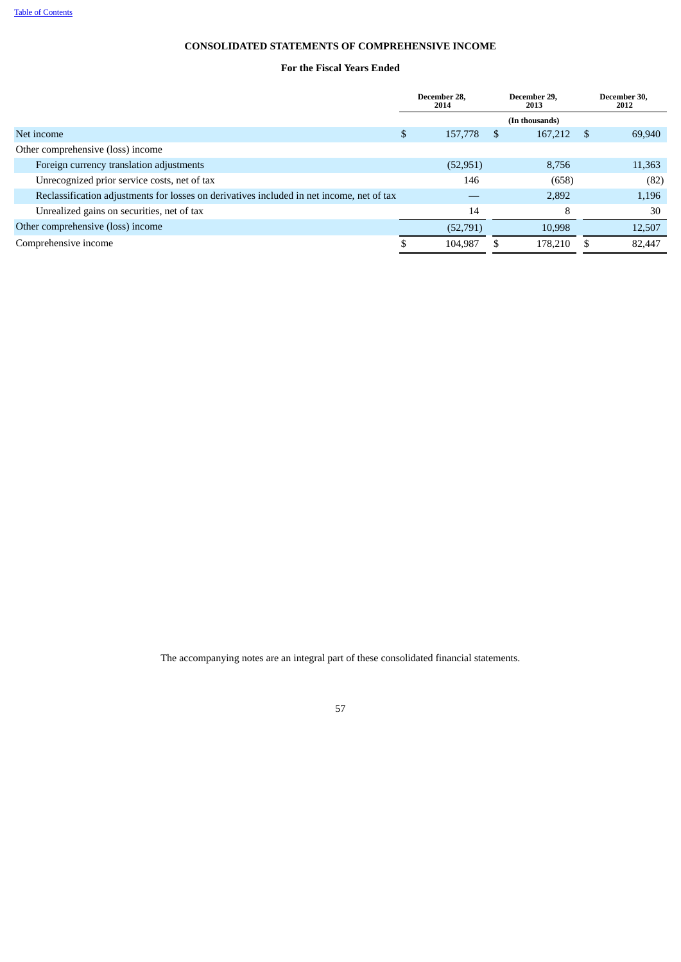# **CONSOLIDATED STATEMENTS OF COMPREHENSIVE INCOME**

# **For the Fiscal Years Ended**

|                                                                                           | December 28.<br>2014 | December 29.<br>2013 |                |              | December 30,<br>2012 |  |
|-------------------------------------------------------------------------------------------|----------------------|----------------------|----------------|--------------|----------------------|--|
|                                                                                           |                      |                      | (In thousands) |              |                      |  |
| Net income                                                                                | \$<br>157,778        | -S                   | 167,212        | <sup>S</sup> | 69,940               |  |
| Other comprehensive (loss) income                                                         |                      |                      |                |              |                      |  |
| Foreign currency translation adjustments                                                  | (52, 951)            |                      | 8,756          |              | 11,363               |  |
| Unrecognized prior service costs, net of tax                                              | 146                  |                      | (658)          |              | (82)                 |  |
| Reclassification adjustments for losses on derivatives included in net income, net of tax |                      |                      | 2,892          |              | 1,196                |  |
| Unrealized gains on securities, net of tax                                                | 14                   |                      | 8              |              | 30                   |  |
| Other comprehensive (loss) income                                                         | (52,791)             |                      | 10,998         |              | 12,507               |  |
| Comprehensive income                                                                      | 104,987              |                      | 178.210        |              | 82,447               |  |

<span id="page-56-0"></span>The accompanying notes are an integral part of these consolidated financial statements.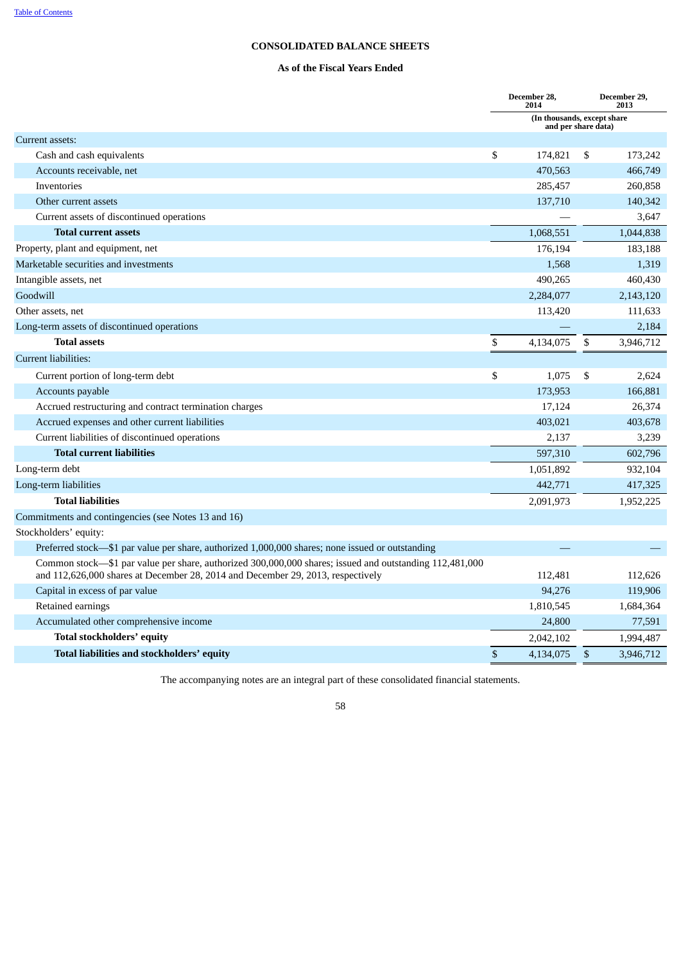# **CONSOLIDATED BALANCE SHEETS**

# **As of the Fiscal Years Ended**

|                                                                                                                                                                                            |              | December 28,<br>2014                               |              | December 29,<br>2013 |
|--------------------------------------------------------------------------------------------------------------------------------------------------------------------------------------------|--------------|----------------------------------------------------|--------------|----------------------|
|                                                                                                                                                                                            |              | (In thousands, except share<br>and per share data) |              |                      |
| Current assets:                                                                                                                                                                            |              |                                                    |              |                      |
| Cash and cash equivalents                                                                                                                                                                  | \$           | 174,821                                            | \$           | 173,242              |
| Accounts receivable, net                                                                                                                                                                   |              | 470,563                                            |              | 466,749              |
| <b>Inventories</b>                                                                                                                                                                         |              | 285,457                                            |              | 260,858              |
| Other current assets                                                                                                                                                                       |              | 137,710                                            |              | 140,342              |
| Current assets of discontinued operations                                                                                                                                                  |              |                                                    |              | 3,647                |
| <b>Total current assets</b>                                                                                                                                                                |              | 1,068,551                                          |              | 1,044,838            |
| Property, plant and equipment, net                                                                                                                                                         |              | 176,194                                            |              | 183,188              |
| Marketable securities and investments                                                                                                                                                      |              | 1,568                                              |              | 1,319                |
| Intangible assets, net                                                                                                                                                                     |              | 490,265                                            |              | 460,430              |
| Goodwill                                                                                                                                                                                   |              | 2,284,077                                          |              | 2,143,120            |
| Other assets, net                                                                                                                                                                          |              | 113,420                                            |              | 111,633              |
| Long-term assets of discontinued operations                                                                                                                                                |              |                                                    |              | 2,184                |
| <b>Total assets</b>                                                                                                                                                                        | \$           | 4,134,075                                          | \$           | 3,946,712            |
| Current liabilities:                                                                                                                                                                       |              |                                                    |              |                      |
| Current portion of long-term debt                                                                                                                                                          | \$           | 1,075                                              | -S           | 2,624                |
| Accounts payable                                                                                                                                                                           |              | 173,953                                            |              | 166,881              |
| Accrued restructuring and contract termination charges                                                                                                                                     |              | 17,124                                             |              | 26,374               |
| Accrued expenses and other current liabilities                                                                                                                                             |              | 403,021                                            |              | 403,678              |
| Current liabilities of discontinued operations                                                                                                                                             |              | 2,137                                              |              | 3,239                |
| <b>Total current liabilities</b>                                                                                                                                                           |              | 597,310                                            |              | 602,796              |
| Long-term debt                                                                                                                                                                             |              | 1,051,892                                          |              | 932,104              |
| Long-term liabilities                                                                                                                                                                      |              | 442,771                                            |              | 417,325              |
| <b>Total liabilities</b>                                                                                                                                                                   |              | 2,091,973                                          |              | 1,952,225            |
| Commitments and contingencies (see Notes 13 and 16)                                                                                                                                        |              |                                                    |              |                      |
| Stockholders' equity:                                                                                                                                                                      |              |                                                    |              |                      |
| Preferred stock—\$1 par value per share, authorized 1,000,000 shares; none issued or outstanding                                                                                           |              |                                                    |              |                      |
| Common stock-\$1 par value per share, authorized 300,000,000 shares; issued and outstanding 112,481,000<br>and 112,626,000 shares at December 28, 2014 and December 29, 2013, respectively |              | 112,481                                            |              | 112,626              |
| Capital in excess of par value                                                                                                                                                             |              | 94,276                                             |              | 119,906              |
| Retained earnings                                                                                                                                                                          |              | 1,810,545                                          |              | 1,684,364            |
| Accumulated other comprehensive income                                                                                                                                                     |              | 24,800                                             |              | 77,591               |
| <b>Total stockholders' equity</b>                                                                                                                                                          |              | 2,042,102                                          |              | 1,994,487            |
| Total liabilities and stockholders' equity                                                                                                                                                 | $\mathbb{S}$ | 4,134,075                                          | $\mathbb{S}$ | 3,946,712            |

<span id="page-57-0"></span>The accompanying notes are an integral part of these consolidated financial statements.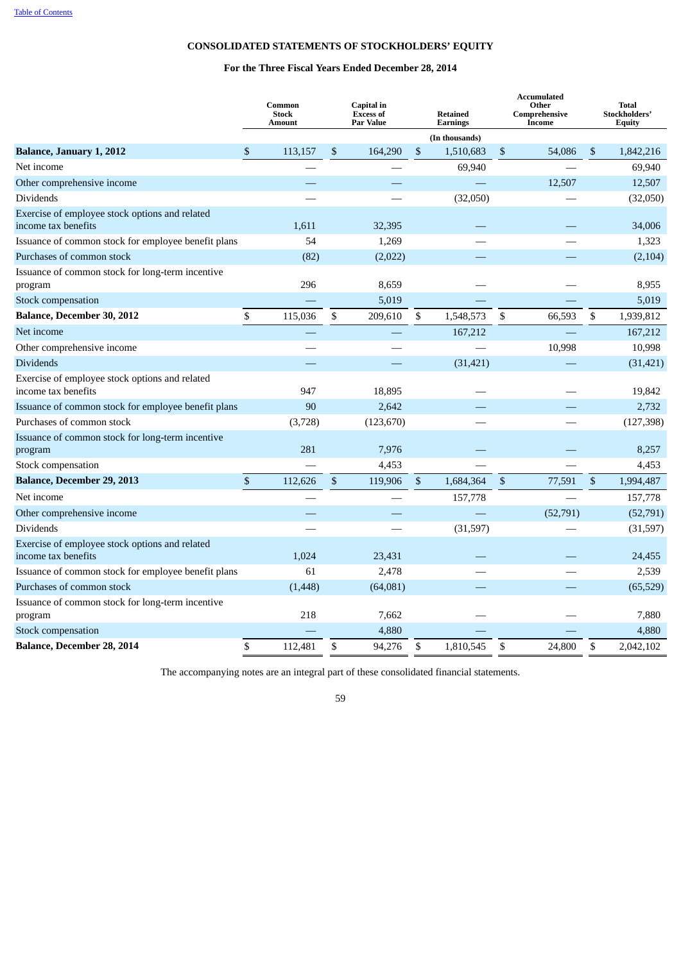# **CONSOLIDATED STATEMENTS OF STOCKHOLDERS' EQUITY**

# **For the Three Fiscal Years Ended December 28, 2014**

|                                                                       |                           | Common<br><b>Stock</b><br><b>Amount</b> |                           | <b>Capital</b> in<br><b>Excess of</b><br>Par Value |                           | <b>Retained</b><br><b>Earnings</b> |                           | Accumulated<br>Other<br>Comprehensive<br><b>Income</b> | <b>Total</b><br>Stockholders'<br><b>Equity</b> |
|-----------------------------------------------------------------------|---------------------------|-----------------------------------------|---------------------------|----------------------------------------------------|---------------------------|------------------------------------|---------------------------|--------------------------------------------------------|------------------------------------------------|
|                                                                       |                           |                                         |                           |                                                    |                           | (In thousands)                     |                           |                                                        |                                                |
| <b>Balance, January 1, 2012</b>                                       | \$                        | 113,157                                 | \$                        | 164,290                                            | $\boldsymbol{\mathsf{S}}$ | 1,510,683                          | \$                        | 54,086                                                 | \$<br>1,842,216                                |
| Net income                                                            |                           |                                         |                           |                                                    |                           | 69,940                             |                           |                                                        | 69,940                                         |
| Other comprehensive income                                            |                           |                                         |                           |                                                    |                           |                                    |                           | 12,507                                                 | 12,507                                         |
| Dividends                                                             |                           |                                         |                           |                                                    |                           | (32,050)                           |                           |                                                        | (32,050)                                       |
| Exercise of employee stock options and related<br>income tax benefits |                           | 1,611                                   |                           | 32,395                                             |                           |                                    |                           |                                                        | 34,006                                         |
| Issuance of common stock for employee benefit plans                   |                           | 54                                      |                           | 1,269                                              |                           |                                    |                           |                                                        | 1,323                                          |
| Purchases of common stock                                             |                           | (82)                                    |                           | (2,022)                                            |                           |                                    |                           |                                                        | (2, 104)                                       |
| Issuance of common stock for long-term incentive<br>program           |                           | 296                                     |                           | 8,659                                              |                           |                                    |                           |                                                        | 8,955                                          |
| Stock compensation                                                    |                           |                                         |                           | 5,019                                              |                           |                                    |                           |                                                        | 5,019                                          |
| Balance, December 30, 2012                                            | \$                        | 115,036                                 | \$                        | 209,610                                            | \$                        | 1,548,573                          | \$                        | 66,593                                                 | \$<br>1,939,812                                |
| Net income                                                            |                           |                                         |                           |                                                    |                           | 167,212                            |                           |                                                        | 167,212                                        |
| Other comprehensive income                                            |                           |                                         |                           |                                                    |                           |                                    |                           | 10,998                                                 | 10,998                                         |
| <b>Dividends</b>                                                      |                           |                                         |                           |                                                    |                           | (31, 421)                          |                           |                                                        | (31, 421)                                      |
| Exercise of employee stock options and related<br>income tax benefits |                           | 947                                     |                           | 18,895                                             |                           |                                    |                           |                                                        | 19,842                                         |
| Issuance of common stock for employee benefit plans                   |                           | 90                                      |                           | 2,642                                              |                           |                                    |                           |                                                        | 2,732                                          |
| Purchases of common stock                                             |                           | (3,728)                                 |                           | (123, 670)                                         |                           |                                    |                           |                                                        | (127, 398)                                     |
| Issuance of common stock for long-term incentive                      |                           |                                         |                           |                                                    |                           |                                    |                           |                                                        |                                                |
| program                                                               |                           | 281                                     |                           | 7,976                                              |                           |                                    |                           |                                                        | 8,257                                          |
| Stock compensation                                                    |                           |                                         |                           | 4,453                                              |                           |                                    |                           |                                                        | 4,453                                          |
| Balance, December 29, 2013                                            | $\boldsymbol{\mathsf{S}}$ | 112,626                                 | $\boldsymbol{\mathsf{S}}$ | 119,906                                            | \$                        | 1,684,364                          | $\boldsymbol{\mathsf{S}}$ | 77,591                                                 | \$<br>1,994,487                                |
| Net income                                                            |                           |                                         |                           |                                                    |                           | 157,778                            |                           |                                                        | 157,778                                        |
| Other comprehensive income                                            |                           |                                         |                           |                                                    |                           |                                    |                           | (52, 791)                                              | (52, 791)                                      |
| <b>Dividends</b>                                                      |                           |                                         |                           |                                                    |                           | (31,597)                           |                           |                                                        | (31, 597)                                      |
| Exercise of employee stock options and related<br>income tax benefits |                           | 1,024                                   |                           | 23,431                                             |                           |                                    |                           |                                                        | 24,455                                         |
| Issuance of common stock for employee benefit plans                   |                           | 61                                      |                           | 2,478                                              |                           |                                    |                           |                                                        | 2,539                                          |
| Purchases of common stock                                             |                           | (1, 448)                                |                           | (64,081)                                           |                           |                                    |                           |                                                        | (65, 529)                                      |
| Issuance of common stock for long-term incentive<br>program           |                           | 218                                     |                           | 7,662                                              |                           |                                    |                           |                                                        | 7,880                                          |
| Stock compensation                                                    |                           |                                         |                           | 4,880                                              |                           |                                    |                           |                                                        | 4,880                                          |
| Balance, December 28, 2014                                            | \$                        | 112,481                                 | \$                        | 94,276                                             | \$                        | 1,810,545                          | \$                        | 24,800                                                 | \$<br>2,042,102                                |

<span id="page-58-0"></span>The accompanying notes are an integral part of these consolidated financial statements.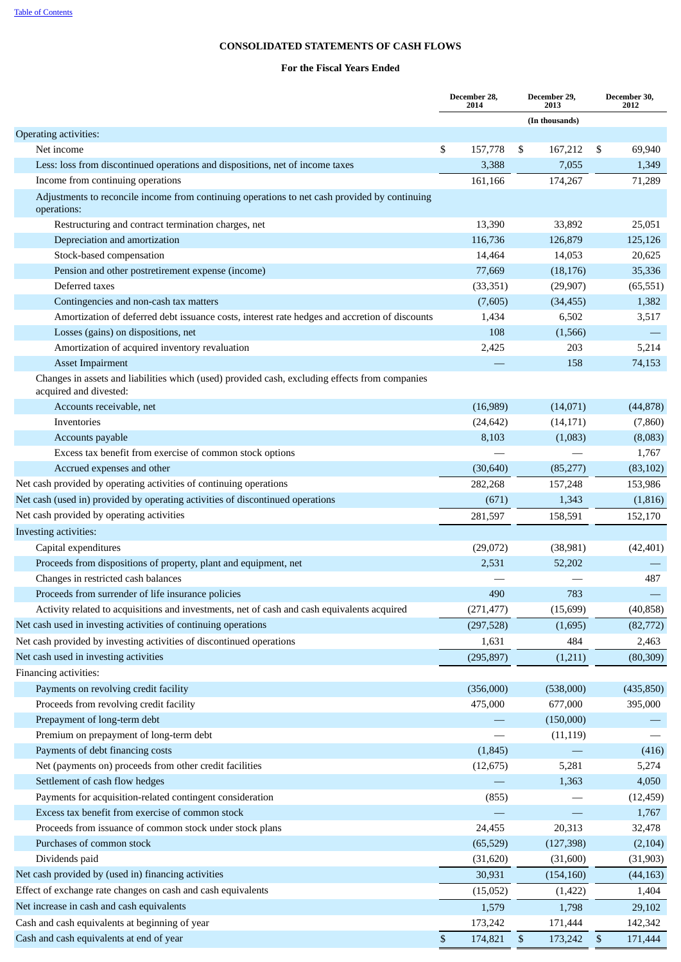# **CONSOLIDATED STATEMENTS OF CASH FLOWS**

# **For the Fiscal Years Ended**

|                                                                                                                          | December 28,<br>2014    | December 29,<br>2013 | December 30,<br>2012 |
|--------------------------------------------------------------------------------------------------------------------------|-------------------------|----------------------|----------------------|
|                                                                                                                          |                         | (In thousands)       |                      |
| Operating activities:                                                                                                    |                         |                      |                      |
| Net income                                                                                                               | \$<br>157,778           | \$<br>167,212        | \$<br>69,940         |
| Less: loss from discontinued operations and dispositions, net of income taxes                                            | 3,388                   | 7,055                | 1,349                |
| Income from continuing operations                                                                                        | 161,166                 | 174,267              | 71,289               |
| Adjustments to reconcile income from continuing operations to net cash provided by continuing<br>operations:             |                         |                      |                      |
| Restructuring and contract termination charges, net                                                                      | 13,390                  | 33,892               | 25,051               |
| Depreciation and amortization                                                                                            | 116,736                 | 126,879              | 125,126              |
| Stock-based compensation                                                                                                 | 14,464                  | 14,053               | 20,625               |
| Pension and other postretirement expense (income)                                                                        | 77,669                  | (18, 176)            | 35,336               |
| Deferred taxes                                                                                                           | (33, 351)               | (29, 907)            | (65, 551)            |
| Contingencies and non-cash tax matters                                                                                   | (7,605)                 | (34, 455)            | 1,382                |
| Amortization of deferred debt issuance costs, interest rate hedges and accretion of discounts                            | 1,434                   | 6,502                | 3,517                |
| Losses (gains) on dispositions, net                                                                                      | 108                     | (1, 566)             |                      |
| Amortization of acquired inventory revaluation                                                                           | 2,425                   | 203                  | 5,214                |
| Asset Impairment                                                                                                         |                         | 158                  | 74,153               |
| Changes in assets and liabilities which (used) provided cash, excluding effects from companies<br>acquired and divested: |                         |                      |                      |
| Accounts receivable, net                                                                                                 | (16,989)                | (14,071)             | (44, 878)            |
| Inventories                                                                                                              | (24, 642)               | (14, 171)            | (7,860)              |
| Accounts payable                                                                                                         | 8,103                   | (1,083)              | (8,083)              |
| Excess tax benefit from exercise of common stock options                                                                 |                         |                      | 1,767                |
| Accrued expenses and other                                                                                               | (30,640)                | (85, 277)            | (83, 102)            |
| Net cash provided by operating activities of continuing operations                                                       | 282,268                 | 157,248              | 153,986              |
| Net cash (used in) provided by operating activities of discontinued operations                                           | (671)                   | 1,343                | (1, 816)             |
| Net cash provided by operating activities                                                                                | 281,597                 | 158,591              | 152,170              |
| Investing activities:                                                                                                    |                         |                      |                      |
| Capital expenditures                                                                                                     | (29,072)                | (38, 981)            | (42, 401)            |
| Proceeds from dispositions of property, plant and equipment, net                                                         | 2,531                   | 52,202               |                      |
| Changes in restricted cash balances                                                                                      |                         |                      | 487                  |
| Proceeds from surrender of life insurance policies                                                                       | 490                     | 783                  |                      |
| Activity related to acquisitions and investments, net of cash and cash equivalents acquired                              | (271, 477)              | (15,699)             | (40, 858)            |
| Net cash used in investing activities of continuing operations                                                           | (297, 528)              | (1,695)              | (82,772)             |
| Net cash provided by investing activities of discontinued operations                                                     | 1,631                   | 484                  | 2,463                |
| Net cash used in investing activities                                                                                    | (295, 897)              | (1,211)              | (80, 309)            |
| Financing activities:                                                                                                    |                         |                      |                      |
| Payments on revolving credit facility                                                                                    | (356,000)               | (538,000)            | (435, 850)           |
| Proceeds from revolving credit facility                                                                                  | 475,000                 | 677,000              | 395,000              |
| Prepayment of long-term debt                                                                                             |                         | (150,000)            |                      |
| Premium on prepayment of long-term debt                                                                                  |                         | (11, 119)            |                      |
| Payments of debt financing costs                                                                                         | (1,845)                 |                      | (416)                |
| Net (payments on) proceeds from other credit facilities                                                                  | (12, 675)               | 5,281                | 5,274                |
| Settlement of cash flow hedges                                                                                           |                         | 1,363                | 4,050                |
| Payments for acquisition-related contingent consideration                                                                | (855)                   |                      | (12, 459)            |
| Excess tax benefit from exercise of common stock                                                                         |                         |                      | 1,767                |
| Proceeds from issuance of common stock under stock plans                                                                 | 24,455                  | 20,313               | 32,478               |
| Purchases of common stock                                                                                                | (65, 529)               | (127, 398)           | (2, 104)             |
| Dividends paid                                                                                                           | (31,620)                | (31,600)             | (31, 903)            |
| Net cash provided by (used in) financing activities                                                                      | 30,931                  | (154, 160)           | (44, 163)            |
| Effect of exchange rate changes on cash and cash equivalents                                                             | (15,052)                | (1, 422)             | 1,404                |
| Net increase in cash and cash equivalents                                                                                | 1,579                   | 1,798                | 29,102               |
| Cash and cash equivalents at beginning of year                                                                           | 173,242                 | 171,444              | 142,342              |
| Cash and cash equivalents at end of year                                                                                 | $\mathbb{S}$<br>174,821 | \$<br>173,242        | \$<br>171,444        |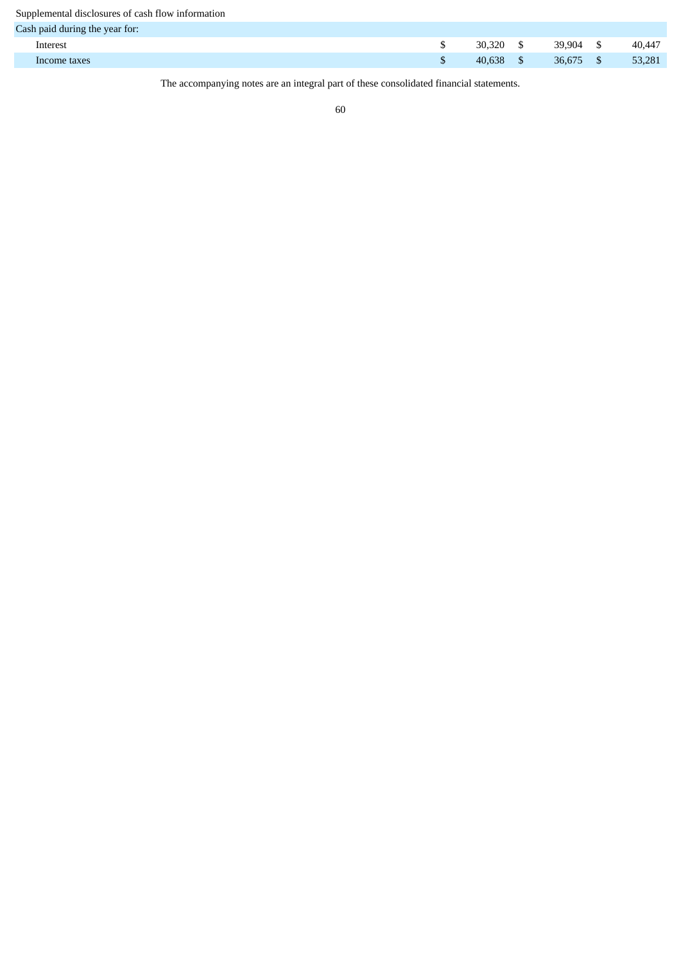# Supplemental disclosures of cash flow information

<span id="page-60-0"></span>

| Cash paid during the year for: |             |             |        |
|--------------------------------|-------------|-------------|--------|
| Interest                       | 30.320 \$   | 39.904 \$   | 40,447 |
| Income taxes                   | $40.638$ \$ | $36.675$ \$ | 53,281 |

The accompanying notes are an integral part of these consolidated financial statements.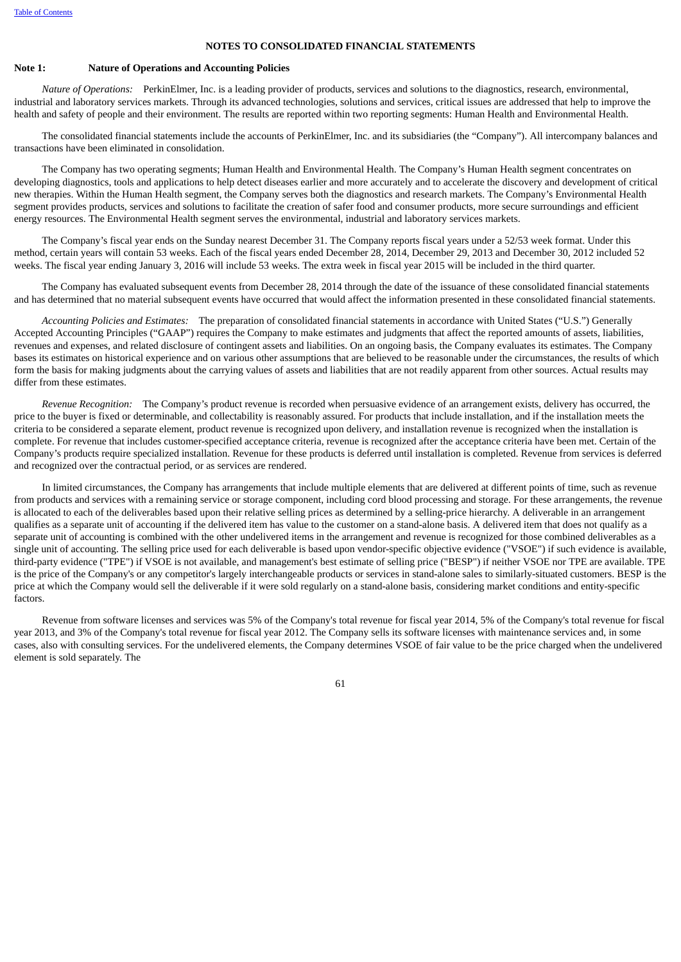# **NOTES TO CONSOLIDATED FINANCIAL STATEMENTS**

## **Note 1: Nature of Operations and Accounting Policies**

*Nature of Operations:* PerkinElmer, Inc. is a leading provider of products, services and solutions to the diagnostics, research, environmental, industrial and laboratory services markets. Through its advanced technologies, solutions and services, critical issues are addressed that help to improve the health and safety of people and their environment. The results are reported within two reporting segments: Human Health and Environmental Health.

The consolidated financial statements include the accounts of PerkinElmer, Inc. and its subsidiaries (the "Company"). All intercompany balances and transactions have been eliminated in consolidation.

The Company has two operating segments; Human Health and Environmental Health. The Company's Human Health segment concentrates on developing diagnostics, tools and applications to help detect diseases earlier and more accurately and to accelerate the discovery and development of critical new therapies. Within the Human Health segment, the Company serves both the diagnostics and research markets. The Company's Environmental Health segment provides products, services and solutions to facilitate the creation of safer food and consumer products, more secure surroundings and efficient energy resources. The Environmental Health segment serves the environmental, industrial and laboratory services markets.

The Company's fiscal year ends on the Sunday nearest December 31. The Company reports fiscal years under a 52/53 week format. Under this method, certain years will contain 53 weeks. Each of the fiscal years ended December 28, 2014, December 29, 2013 and December 30, 2012 included 52 weeks. The fiscal year ending January 3, 2016 will include 53 weeks. The extra week in fiscal year 2015 will be included in the third quarter.

The Company has evaluated subsequent events from December 28, 2014 through the date of the issuance of these consolidated financial statements and has determined that no material subsequent events have occurred that would affect the information presented in these consolidated financial statements.

*Accounting Policies and Estimates:* The preparation of consolidated financial statements in accordance with United States ("U.S.") Generally Accepted Accounting Principles ("GAAP") requires the Company to make estimates and judgments that affect the reported amounts of assets, liabilities, revenues and expenses, and related disclosure of contingent assets and liabilities. On an ongoing basis, the Company evaluates its estimates. The Company bases its estimates on historical experience and on various other assumptions that are believed to be reasonable under the circumstances, the results of which form the basis for making judgments about the carrying values of assets and liabilities that are not readily apparent from other sources. Actual results may differ from these estimates.

*Revenue Recognition:* The Company's product revenue is recorded when persuasive evidence of an arrangement exists, delivery has occurred, the price to the buyer is fixed or determinable, and collectability is reasonably assured. For products that include installation, and if the installation meets the criteria to be considered a separate element, product revenue is recognized upon delivery, and installation revenue is recognized when the installation is complete. For revenue that includes customer-specified acceptance criteria, revenue is recognized after the acceptance criteria have been met. Certain of the Company's products require specialized installation. Revenue for these products is deferred until installation is completed. Revenue from services is deferred and recognized over the contractual period, or as services are rendered.

In limited circumstances, the Company has arrangements that include multiple elements that are delivered at different points of time, such as revenue from products and services with a remaining service or storage component, including cord blood processing and storage. For these arrangements, the revenue is allocated to each of the deliverables based upon their relative selling prices as determined by a selling-price hierarchy. A deliverable in an arrangement qualifies as a separate unit of accounting if the delivered item has value to the customer on a stand-alone basis. A delivered item that does not qualify as a separate unit of accounting is combined with the other undelivered items in the arrangement and revenue is recognized for those combined deliverables as a single unit of accounting. The selling price used for each deliverable is based upon vendor-specific objective evidence ("VSOE") if such evidence is available, third-party evidence ("TPE") if VSOE is not available, and management's best estimate of selling price ("BESP") if neither VSOE nor TPE are available. TPE is the price of the Company's or any competitor's largely interchangeable products or services in stand-alone sales to similarly-situated customers. BESP is the price at which the Company would sell the deliverable if it were sold regularly on a stand-alone basis, considering market conditions and entity-specific factors.

Revenue from software licenses and services was 5% of the Company's total revenue for fiscal year 2014, 5% of the Company's total revenue for fiscal year 2013, and 3% of the Company's total revenue for fiscal year 2012. The Company sells its software licenses with maintenance services and, in some cases, also with consulting services. For the undelivered elements, the Company determines VSOE of fair value to be the price charged when the undelivered element is sold separately. The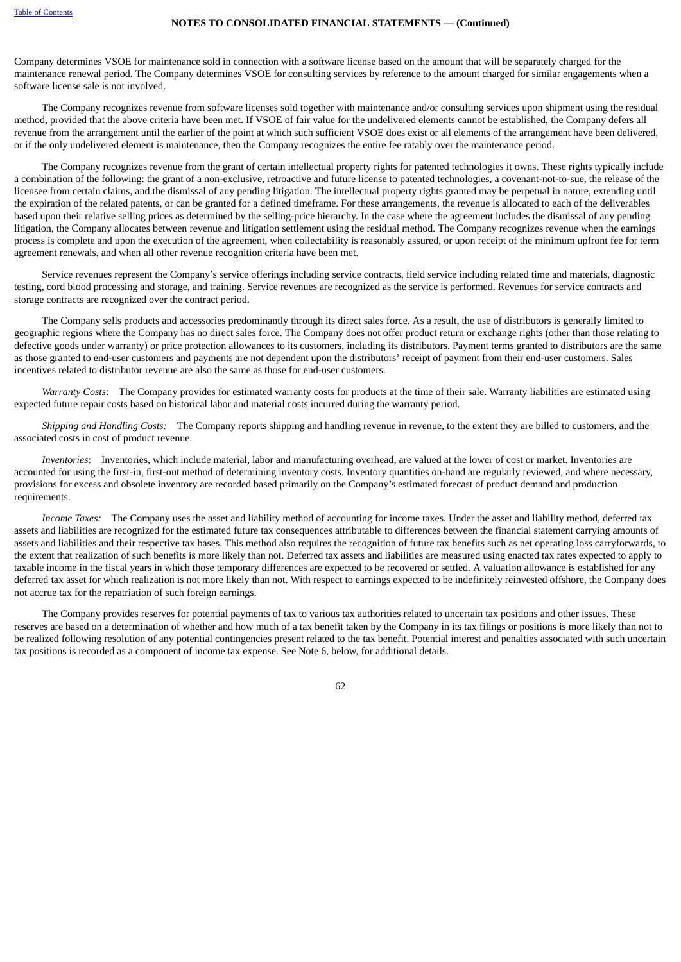Company determines VSOE for maintenance sold in connection with a software license based on the amount that will be separately charged for the maintenance renewal period. The Company determines VSOE for consulting services by reference to the amount charged for similar engagements when a software license sale is not involved.

The Company recognizes revenue from software licenses sold together with maintenance and/or consulting services upon shipment using the residual method, provided that the above criteria have been met. If VSOE of fair value for the undelivered elements cannot be established, the Company defers all revenue from the arrangement until the earlier of the point at which such sufficient VSOE does exist or all elements of the arrangement have been delivered, or if the only undelivered element is maintenance, then the Company recognizes the entire fee ratably over the maintenance period.

The Company recognizes revenue from the grant of certain intellectual property rights for patented technologies it owns. These rights typically include a combination of the following: the grant of a non-exclusive, retroactive and future license to patented technologies, a covenant-not-to-sue, the release of the licensee from certain claims, and the dismissal of any pending litigation. The intellectual property rights granted may be perpetual in nature, extending until the expiration of the related patents, or can be granted for a defined timeframe. For these arrangements, the revenue is allocated to each of the deliverables based upon their relative selling prices as determined by the selling-price hierarchy. In the case where the agreement includes the dismissal of any pending litigation, the Company allocates between revenue and litigation settlement using the residual method. The Company recognizes revenue when the earnings process is complete and upon the execution of the agreement, when collectability is reasonably assured, or upon receipt of the minimum upfront fee for term agreement renewals, and when all other revenue recognition criteria have been met.

Service revenues represent the Company's service offerings including service contracts, field service including related time and materials, diagnostic testing, cord blood processing and storage, and training. Service revenues are recognized as the service is performed. Revenues for service contracts and storage contracts are recognized over the contract period.

The Company sells products and accessories predominantly through its direct sales force. As a result, the use of distributors is generally limited to geographic regions where the Company has no direct sales force. The Company does not offer product return or exchange rights (other than those relating to defective goods under warranty) or price protection allowances to its customers, including its distributors. Payment terms granted to distributors are the same as those granted to end-user customers and payments are not dependent upon the distributors' receipt of payment from their end-user customers. Sales incentives related to distributor revenue are also the same as those for end-user customers.

*Warranty Costs*: The Company provides for estimated warranty costs for products at the time of their sale. Warranty liabilities are estimated using expected future repair costs based on historical labor and material costs incurred during the warranty period.

*Shipping and Handling Costs:* The Company reports shipping and handling revenue in revenue, to the extent they are billed to customers, and the associated costs in cost of product revenue.

*Inventories*: Inventories, which include material, labor and manufacturing overhead, are valued at the lower of cost or market. Inventories are accounted for using the first-in, first-out method of determining inventory costs. Inventory quantities on-hand are regularly reviewed, and where necessary, provisions for excess and obsolete inventory are recorded based primarily on the Company's estimated forecast of product demand and production requirements.

*Income Taxes:* The Company uses the asset and liability method of accounting for income taxes. Under the asset and liability method, deferred tax assets and liabilities are recognized for the estimated future tax consequences attributable to differences between the financial statement carrying amounts of assets and liabilities and their respective tax bases. This method also requires the recognition of future tax benefits such as net operating loss carryforwards, to the extent that realization of such benefits is more likely than not. Deferred tax assets and liabilities are measured using enacted tax rates expected to apply to taxable income in the fiscal years in which those temporary differences are expected to be recovered or settled. A valuation allowance is established for any deferred tax asset for which realization is not more likely than not. With respect to earnings expected to be indefinitely reinvested offshore, the Company does not accrue tax for the repatriation of such foreign earnings.

The Company provides reserves for potential payments of tax to various tax authorities related to uncertain tax positions and other issues. These reserves are based on a determination of whether and how much of a tax benefit taken by the Company in its tax filings or positions is more likely than not to be realized following resolution of any potential contingencies present related to the tax benefit. Potential interest and penalties associated with such uncertain tax positions is recorded as a component of income tax expense. See Note 6, below, for additional details.

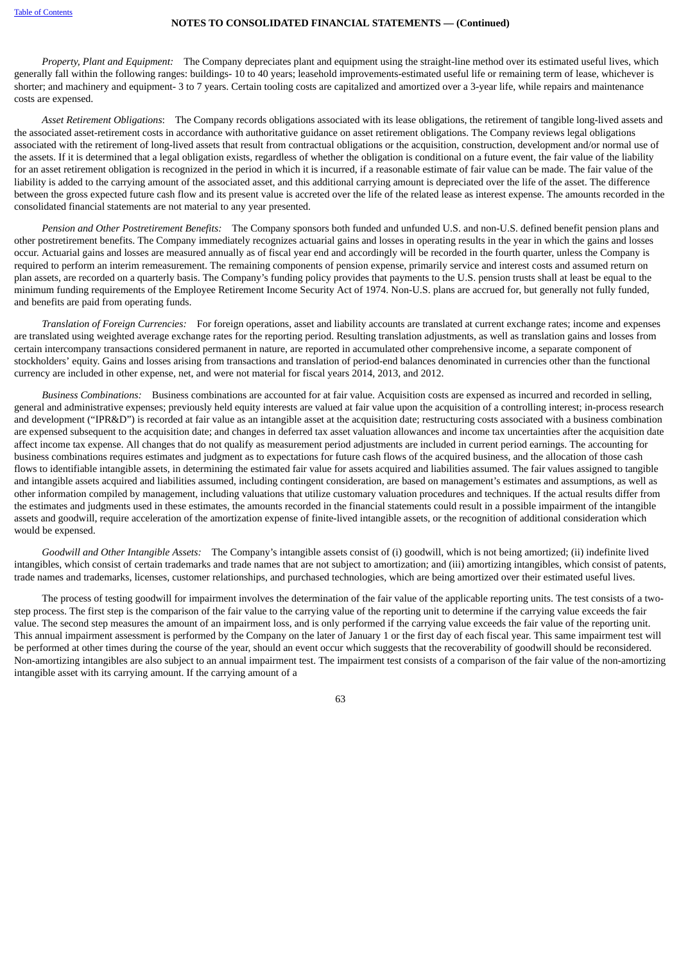*Property, Plant and Equipment:* The Company depreciates plant and equipment using the straight-line method over its estimated useful lives, which generally fall within the following ranges: buildings- 10 to 40 years; leasehold improvements-estimated useful life or remaining term of lease, whichever is shorter; and machinery and equipment- 3 to 7 years. Certain tooling costs are capitalized and amortized over a 3-year life, while repairs and maintenance costs are expensed.

*Asset Retirement Obligations*: The Company records obligations associated with its lease obligations, the retirement of tangible long-lived assets and the associated asset-retirement costs in accordance with authoritative guidance on asset retirement obligations. The Company reviews legal obligations associated with the retirement of long-lived assets that result from contractual obligations or the acquisition, construction, development and/or normal use of the assets. If it is determined that a legal obligation exists, regardless of whether the obligation is conditional on a future event, the fair value of the liability for an asset retirement obligation is recognized in the period in which it is incurred, if a reasonable estimate of fair value can be made. The fair value of the liability is added to the carrying amount of the associated asset, and this additional carrying amount is depreciated over the life of the asset. The difference between the gross expected future cash flow and its present value is accreted over the life of the related lease as interest expense. The amounts recorded in the consolidated financial statements are not material to any year presented.

*Pension and Other Postretirement Benefits:* The Company sponsors both funded and unfunded U.S. and non-U.S. defined benefit pension plans and other postretirement benefits. The Company immediately recognizes actuarial gains and losses in operating results in the year in which the gains and losses occur. Actuarial gains and losses are measured annually as of fiscal year end and accordingly will be recorded in the fourth quarter, unless the Company is required to perform an interim remeasurement. The remaining components of pension expense, primarily service and interest costs and assumed return on plan assets, are recorded on a quarterly basis. The Company's funding policy provides that payments to the U.S. pension trusts shall at least be equal to the minimum funding requirements of the Employee Retirement Income Security Act of 1974. Non-U.S. plans are accrued for, but generally not fully funded, and benefits are paid from operating funds.

*Translation of Foreign Currencies:* For foreign operations, asset and liability accounts are translated at current exchange rates; income and expenses are translated using weighted average exchange rates for the reporting period. Resulting translation adjustments, as well as translation gains and losses from certain intercompany transactions considered permanent in nature, are reported in accumulated other comprehensive income, a separate component of stockholders' equity. Gains and losses arising from transactions and translation of period-end balances denominated in currencies other than the functional currency are included in other expense, net, and were not material for fiscal years 2014, 2013, and 2012.

*Business Combinations:* Business combinations are accounted for at fair value. Acquisition costs are expensed as incurred and recorded in selling, general and administrative expenses; previously held equity interests are valued at fair value upon the acquisition of a controlling interest; in-process research and development ("IPR&D") is recorded at fair value as an intangible asset at the acquisition date; restructuring costs associated with a business combination are expensed subsequent to the acquisition date; and changes in deferred tax asset valuation allowances and income tax uncertainties after the acquisition date affect income tax expense. All changes that do not qualify as measurement period adjustments are included in current period earnings. The accounting for business combinations requires estimates and judgment as to expectations for future cash flows of the acquired business, and the allocation of those cash flows to identifiable intangible assets, in determining the estimated fair value for assets acquired and liabilities assumed. The fair values assigned to tangible and intangible assets acquired and liabilities assumed, including contingent consideration, are based on management's estimates and assumptions, as well as other information compiled by management, including valuations that utilize customary valuation procedures and techniques. If the actual results differ from the estimates and judgments used in these estimates, the amounts recorded in the financial statements could result in a possible impairment of the intangible assets and goodwill, require acceleration of the amortization expense of finite-lived intangible assets, or the recognition of additional consideration which would be expensed.

*Goodwill and Other Intangible Assets:* The Company's intangible assets consist of (i) goodwill, which is not being amortized; (ii) indefinite lived intangibles, which consist of certain trademarks and trade names that are not subject to amortization; and (iii) amortizing intangibles, which consist of patents, trade names and trademarks, licenses, customer relationships, and purchased technologies, which are being amortized over their estimated useful lives.

The process of testing goodwill for impairment involves the determination of the fair value of the applicable reporting units. The test consists of a twostep process. The first step is the comparison of the fair value to the carrying value of the reporting unit to determine if the carrying value exceeds the fair value. The second step measures the amount of an impairment loss, and is only performed if the carrying value exceeds the fair value of the reporting unit. This annual impairment assessment is performed by the Company on the later of January 1 or the first day of each fiscal year. This same impairment test will be performed at other times during the course of the year, should an event occur which suggests that the recoverability of goodwill should be reconsidered. Non-amortizing intangibles are also subject to an annual impairment test. The impairment test consists of a comparison of the fair value of the non-amortizing intangible asset with its carrying amount. If the carrying amount of a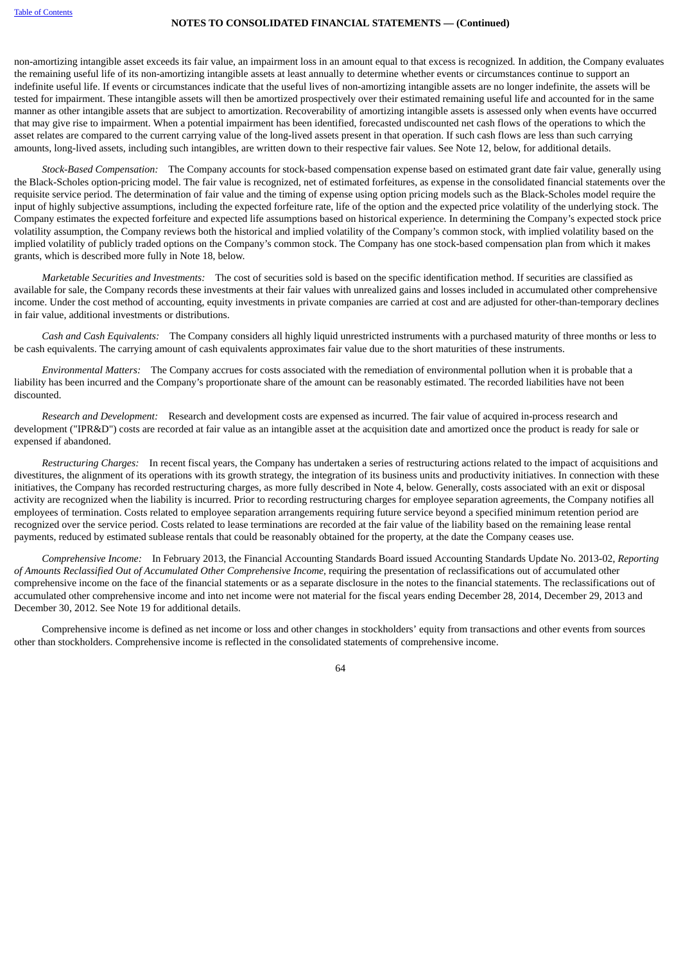non-amortizing intangible asset exceeds its fair value, an impairment loss in an amount equal to that excess is recognized*.* In addition, the Company evaluates the remaining useful life of its non-amortizing intangible assets at least annually to determine whether events or circumstances continue to support an indefinite useful life. If events or circumstances indicate that the useful lives of non-amortizing intangible assets are no longer indefinite, the assets will be tested for impairment. These intangible assets will then be amortized prospectively over their estimated remaining useful life and accounted for in the same manner as other intangible assets that are subject to amortization. Recoverability of amortizing intangible assets is assessed only when events have occurred that may give rise to impairment. When a potential impairment has been identified, forecasted undiscounted net cash flows of the operations to which the asset relates are compared to the current carrying value of the long-lived assets present in that operation. If such cash flows are less than such carrying amounts, long-lived assets, including such intangibles, are written down to their respective fair values. See Note 12, below, for additional details.

*Stock-Based Compensation:* The Company accounts for stock-based compensation expense based on estimated grant date fair value, generally using the Black-Scholes option-pricing model. The fair value is recognized, net of estimated forfeitures, as expense in the consolidated financial statements over the requisite service period. The determination of fair value and the timing of expense using option pricing models such as the Black-Scholes model require the input of highly subjective assumptions, including the expected forfeiture rate, life of the option and the expected price volatility of the underlying stock. The Company estimates the expected forfeiture and expected life assumptions based on historical experience. In determining the Company's expected stock price volatility assumption, the Company reviews both the historical and implied volatility of the Company's common stock, with implied volatility based on the implied volatility of publicly traded options on the Company's common stock. The Company has one stock-based compensation plan from which it makes grants, which is described more fully in Note 18, below.

*Marketable Securities and Investments:* The cost of securities sold is based on the specific identification method. If securities are classified as available for sale, the Company records these investments at their fair values with unrealized gains and losses included in accumulated other comprehensive income. Under the cost method of accounting, equity investments in private companies are carried at cost and are adjusted for other-than-temporary declines in fair value, additional investments or distributions.

*Cash and Cash Equivalents:* The Company considers all highly liquid unrestricted instruments with a purchased maturity of three months or less to be cash equivalents. The carrying amount of cash equivalents approximates fair value due to the short maturities of these instruments.

*Environmental Matters:* The Company accrues for costs associated with the remediation of environmental pollution when it is probable that a liability has been incurred and the Company's proportionate share of the amount can be reasonably estimated. The recorded liabilities have not been discounted.

*Research and Development:* Research and development costs are expensed as incurred. The fair value of acquired in-process research and development ("IPR&D") costs are recorded at fair value as an intangible asset at the acquisition date and amortized once the product is ready for sale or expensed if abandoned.

*Restructuring Charges:* In recent fiscal years, the Company has undertaken a series of restructuring actions related to the impact of acquisitions and divestitures, the alignment of its operations with its growth strategy, the integration of its business units and productivity initiatives. In connection with these initiatives, the Company has recorded restructuring charges, as more fully described in Note 4, below. Generally, costs associated with an exit or disposal activity are recognized when the liability is incurred. Prior to recording restructuring charges for employee separation agreements, the Company notifies all employees of termination. Costs related to employee separation arrangements requiring future service beyond a specified minimum retention period are recognized over the service period. Costs related to lease terminations are recorded at the fair value of the liability based on the remaining lease rental payments, reduced by estimated sublease rentals that could be reasonably obtained for the property, at the date the Company ceases use.

*Comprehensive Income:* In February 2013, the Financial Accounting Standards Board issued Accounting Standards Update No. 2013-02, *Reporting of Amounts Reclassified Out of Accumulated Other Comprehensive Income,* requiring the presentation of reclassifications out of accumulated other comprehensive income on the face of the financial statements or as a separate disclosure in the notes to the financial statements. The reclassifications out of accumulated other comprehensive income and into net income were not material for the fiscal years ending December 28, 2014, December 29, 2013 and December 30, 2012. See Note 19 for additional details.

Comprehensive income is defined as net income or loss and other changes in stockholders' equity from transactions and other events from sources other than stockholders. Comprehensive income is reflected in the consolidated statements of comprehensive income.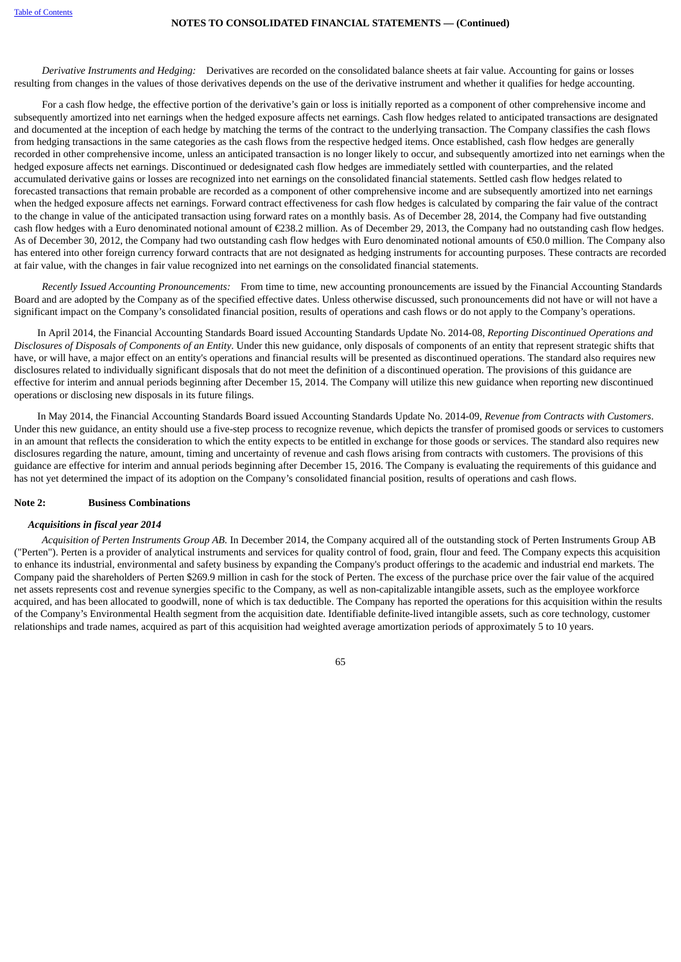*Derivative Instruments and Hedging:* Derivatives are recorded on the consolidated balance sheets at fair value. Accounting for gains or losses resulting from changes in the values of those derivatives depends on the use of the derivative instrument and whether it qualifies for hedge accounting.

For a cash flow hedge, the effective portion of the derivative's gain or loss is initially reported as a component of other comprehensive income and subsequently amortized into net earnings when the hedged exposure affects net earnings. Cash flow hedges related to anticipated transactions are designated and documented at the inception of each hedge by matching the terms of the contract to the underlying transaction. The Company classifies the cash flows from hedging transactions in the same categories as the cash flows from the respective hedged items. Once established, cash flow hedges are generally recorded in other comprehensive income, unless an anticipated transaction is no longer likely to occur, and subsequently amortized into net earnings when the hedged exposure affects net earnings. Discontinued or dedesignated cash flow hedges are immediately settled with counterparties, and the related accumulated derivative gains or losses are recognized into net earnings on the consolidated financial statements. Settled cash flow hedges related to forecasted transactions that remain probable are recorded as a component of other comprehensive income and are subsequently amortized into net earnings when the hedged exposure affects net earnings. Forward contract effectiveness for cash flow hedges is calculated by comparing the fair value of the contract to the change in value of the anticipated transaction using forward rates on a monthly basis. As of December 28, 2014, the Company had five outstanding cash flow hedges with a Euro denominated notional amount of €238.2 million. As of December 29, 2013, the Company had no outstanding cash flow hedges. As of December 30, 2012, the Company had two outstanding cash flow hedges with Euro denominated notional amounts of €50.0 million. The Company also has entered into other foreign currency forward contracts that are not designated as hedging instruments for accounting purposes. These contracts are recorded at fair value, with the changes in fair value recognized into net earnings on the consolidated financial statements.

*Recently Issued Accounting Pronouncements:* From time to time, new accounting pronouncements are issued by the Financial Accounting Standards Board and are adopted by the Company as of the specified effective dates. Unless otherwise discussed, such pronouncements did not have or will not have a significant impact on the Company's consolidated financial position, results of operations and cash flows or do not apply to the Company's operations.

In April 2014, the Financial Accounting Standards Board issued Accounting Standards Update No. 2014-08, *Reporting Discontinued Operations and Disclosures of Disposals of Components of an Entity*. Under this new guidance, only disposals of components of an entity that represent strategic shifts that have, or will have, a major effect on an entity's operations and financial results will be presented as discontinued operations. The standard also requires new disclosures related to individually significant disposals that do not meet the definition of a discontinued operation. The provisions of this guidance are effective for interim and annual periods beginning after December 15, 2014. The Company will utilize this new guidance when reporting new discontinued operations or disclosing new disposals in its future filings.

In May 2014, the Financial Accounting Standards Board issued Accounting Standards Update No. 2014-09, *Revenue from Contracts with Customers*. Under this new guidance, an entity should use a five-step process to recognize revenue, which depicts the transfer of promised goods or services to customers in an amount that reflects the consideration to which the entity expects to be entitled in exchange for those goods or services. The standard also requires new disclosures regarding the nature, amount, timing and uncertainty of revenue and cash flows arising from contracts with customers. The provisions of this guidance are effective for interim and annual periods beginning after December 15, 2016. The Company is evaluating the requirements of this guidance and has not yet determined the impact of its adoption on the Company's consolidated financial position, results of operations and cash flows.

#### **Note 2: Business Combinations**

#### *Acquisitions in fiscal year 2014*

*Acquisition of Perten Instruments Group AB.* In December 2014, the Company acquired all of the outstanding stock of Perten Instruments Group AB ("Perten"). Perten is a provider of analytical instruments and services for quality control of food, grain, flour and feed. The Company expects this acquisition to enhance its industrial, environmental and safety business by expanding the Company's product offerings to the academic and industrial end markets. The Company paid the shareholders of Perten \$269.9 million in cash for the stock of Perten. The excess of the purchase price over the fair value of the acquired net assets represents cost and revenue synergies specific to the Company, as well as non-capitalizable intangible assets, such as the employee workforce acquired, and has been allocated to goodwill, none of which is tax deductible. The Company has reported the operations for this acquisition within the results of the Company's Environmental Health segment from the acquisition date. Identifiable definite-lived intangible assets, such as core technology, customer relationships and trade names, acquired as part of this acquisition had weighted average amortization periods of approximately 5 to 10 years.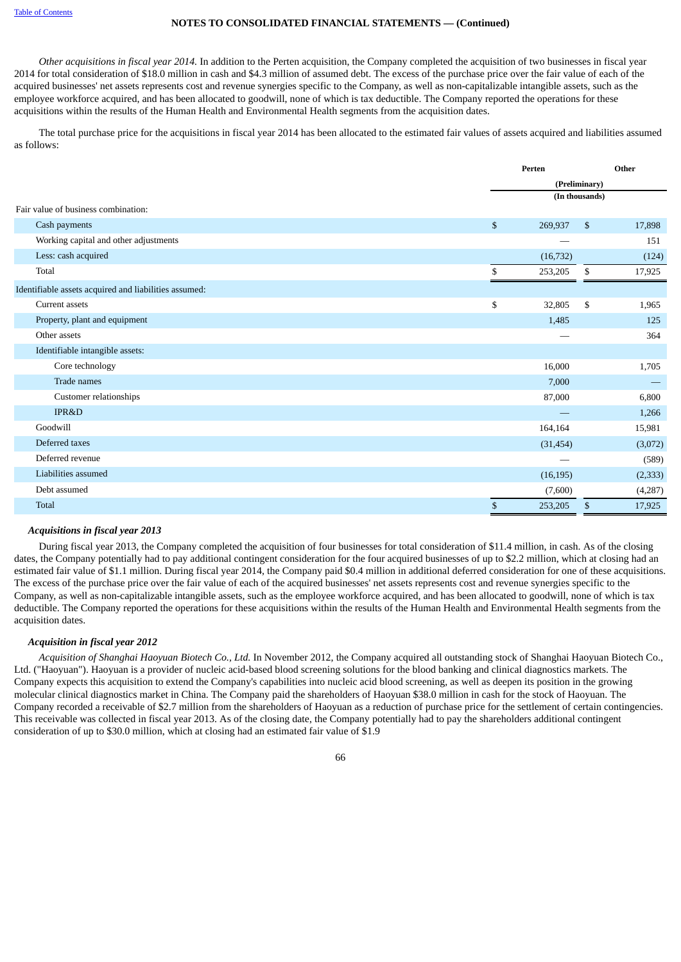*Other acquisitions in fiscal year 2014.* In addition to the Perten acquisition, the Company completed the acquisition of two businesses in fiscal year 2014 for total consideration of \$18.0 million in cash and \$4.3 million of assumed debt. The excess of the purchase price over the fair value of each of the acquired businesses' net assets represents cost and revenue synergies specific to the Company, as well as non-capitalizable intangible assets, such as the employee workforce acquired, and has been allocated to goodwill, none of which is tax deductible. The Company reported the operations for these acquisitions within the results of the Human Health and Environmental Health segments from the acquisition dates.

The total purchase price for the acquisitions in fiscal year 2014 has been allocated to the estimated fair values of assets acquired and liabilities assumed as follows:

|                                                       |                | Perten         |                | Other    |
|-------------------------------------------------------|----------------|----------------|----------------|----------|
|                                                       |                | (Preliminary)  |                |          |
|                                                       |                | (In thousands) |                |          |
| Fair value of business combination:                   |                |                |                |          |
| Cash payments                                         | $\mathfrak{S}$ | 269,937        | $\mathbb{S}$   | 17,898   |
| Working capital and other adjustments                 |                |                |                | 151      |
| Less: cash acquired                                   |                | (16, 732)      |                | (124)    |
| Total                                                 | \$             | 253,205        | \$             | 17,925   |
| Identifiable assets acquired and liabilities assumed: |                |                |                |          |
| Current assets                                        | \$             | 32,805         | \$             | 1,965    |
| Property, plant and equipment                         |                | 1,485          |                | 125      |
| Other assets                                          |                |                |                | 364      |
| Identifiable intangible assets:                       |                |                |                |          |
| Core technology                                       |                | 16,000         |                | 1,705    |
| Trade names                                           |                | 7,000          |                |          |
| Customer relationships                                |                | 87,000         |                | 6,800    |
| IPR&D                                                 |                |                |                | 1,266    |
| Goodwill                                              |                | 164,164        |                | 15,981   |
| Deferred taxes                                        |                | (31, 454)      |                | (3,072)  |
| Deferred revenue                                      |                |                |                | (589)    |
| Liabilities assumed                                   |                | (16, 195)      |                | (2, 333) |
| Debt assumed                                          |                | (7,600)        |                | (4,287)  |
| Total                                                 | \$             | 253,205        | $\mathfrak{S}$ | 17,925   |

## *Acquisitions in fiscal year 2013*

During fiscal year 2013, the Company completed the acquisition of four businesses for total consideration of \$11.4 million, in cash. As of the closing dates, the Company potentially had to pay additional contingent consideration for the four acquired businesses of up to \$2.2 million, which at closing had an estimated fair value of \$1.1 million. During fiscal year 2014, the Company paid \$0.4 million in additional deferred consideration for one of these acquisitions. The excess of the purchase price over the fair value of each of the acquired businesses' net assets represents cost and revenue synergies specific to the Company, as well as non-capitalizable intangible assets, such as the employee workforce acquired, and has been allocated to goodwill, none of which is tax deductible. The Company reported the operations for these acquisitions within the results of the Human Health and Environmental Health segments from the acquisition dates.

## *Acquisition in fiscal year 2012*

*Acquisition of Shanghai Haoyuan Biotech Co., Ltd.* In November 2012, the Company acquired all outstanding stock of Shanghai Haoyuan Biotech Co., Ltd. ("Haoyuan"). Haoyuan is a provider of nucleic acid-based blood screening solutions for the blood banking and clinical diagnostics markets. The Company expects this acquisition to extend the Company's capabilities into nucleic acid blood screening, as well as deepen its position in the growing molecular clinical diagnostics market in China. The Company paid the shareholders of Haoyuan \$38.0 million in cash for the stock of Haoyuan. The Company recorded a receivable of \$2.7 million from the shareholders of Haoyuan as a reduction of purchase price for the settlement of certain contingencies. This receivable was collected in fiscal year 2013. As of the closing date, the Company potentially had to pay the shareholders additional contingent consideration of up to \$30.0 million, which at closing had an estimated fair value of \$1.9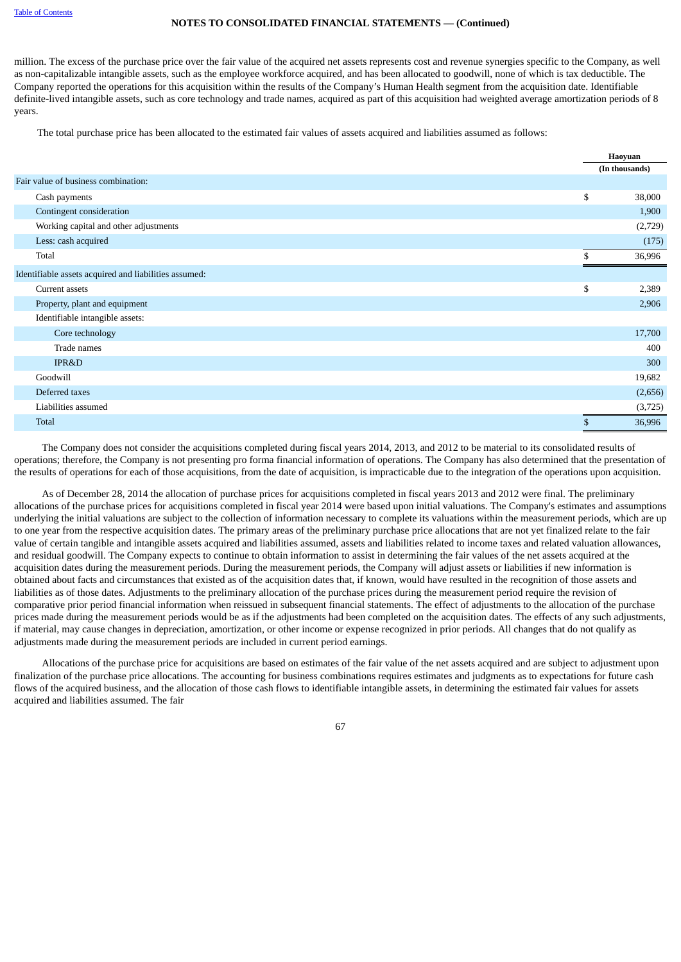million. The excess of the purchase price over the fair value of the acquired net assets represents cost and revenue synergies specific to the Company, as well as non-capitalizable intangible assets, such as the employee workforce acquired, and has been allocated to goodwill, none of which is tax deductible. The Company reported the operations for this acquisition within the results of the Company's Human Health segment from the acquisition date. Identifiable definite-lived intangible assets, such as core technology and trade names, acquired as part of this acquisition had weighted average amortization periods of 8 years.

The total purchase price has been allocated to the estimated fair values of assets acquired and liabilities assumed as follows:

|                                                       | Haoyuan        |
|-------------------------------------------------------|----------------|
|                                                       | (In thousands) |
| Fair value of business combination:                   |                |
| Cash payments                                         | \$<br>38,000   |
| Contingent consideration                              | 1,900          |
| Working capital and other adjustments                 | (2,729)        |
| Less: cash acquired                                   | (175)          |
| Total                                                 | \$<br>36,996   |
| Identifiable assets acquired and liabilities assumed: |                |
| Current assets                                        | \$<br>2,389    |
| Property, plant and equipment                         | 2,906          |
| Identifiable intangible assets:                       |                |
| Core technology                                       | 17,700         |
| Trade names                                           | 400            |
| IPR&D                                                 | 300            |
| Goodwill                                              | 19,682         |
| Deferred taxes                                        | (2,656)        |
| Liabilities assumed                                   | (3, 725)       |
| Total                                                 | \$<br>36,996   |

The Company does not consider the acquisitions completed during fiscal years 2014, 2013, and 2012 to be material to its consolidated results of operations; therefore, the Company is not presenting pro forma financial information of operations. The Company has also determined that the presentation of the results of operations for each of those acquisitions, from the date of acquisition, is impracticable due to the integration of the operations upon acquisition.

As of December 28, 2014 the allocation of purchase prices for acquisitions completed in fiscal years 2013 and 2012 were final. The preliminary allocations of the purchase prices for acquisitions completed in fiscal year 2014 were based upon initial valuations. The Company's estimates and assumptions underlying the initial valuations are subject to the collection of information necessary to complete its valuations within the measurement periods, which are up to one year from the respective acquisition dates. The primary areas of the preliminary purchase price allocations that are not yet finalized relate to the fair value of certain tangible and intangible assets acquired and liabilities assumed, assets and liabilities related to income taxes and related valuation allowances, and residual goodwill. The Company expects to continue to obtain information to assist in determining the fair values of the net assets acquired at the acquisition dates during the measurement periods. During the measurement periods, the Company will adjust assets or liabilities if new information is obtained about facts and circumstances that existed as of the acquisition dates that, if known, would have resulted in the recognition of those assets and liabilities as of those dates. Adjustments to the preliminary allocation of the purchase prices during the measurement period require the revision of comparative prior period financial information when reissued in subsequent financial statements. The effect of adjustments to the allocation of the purchase prices made during the measurement periods would be as if the adjustments had been completed on the acquisition dates. The effects of any such adjustments, if material, may cause changes in depreciation, amortization, or other income or expense recognized in prior periods. All changes that do not qualify as adjustments made during the measurement periods are included in current period earnings.

Allocations of the purchase price for acquisitions are based on estimates of the fair value of the net assets acquired and are subject to adjustment upon finalization of the purchase price allocations. The accounting for business combinations requires estimates and judgments as to expectations for future cash flows of the acquired business, and the allocation of those cash flows to identifiable intangible assets, in determining the estimated fair values for assets acquired and liabilities assumed. The fair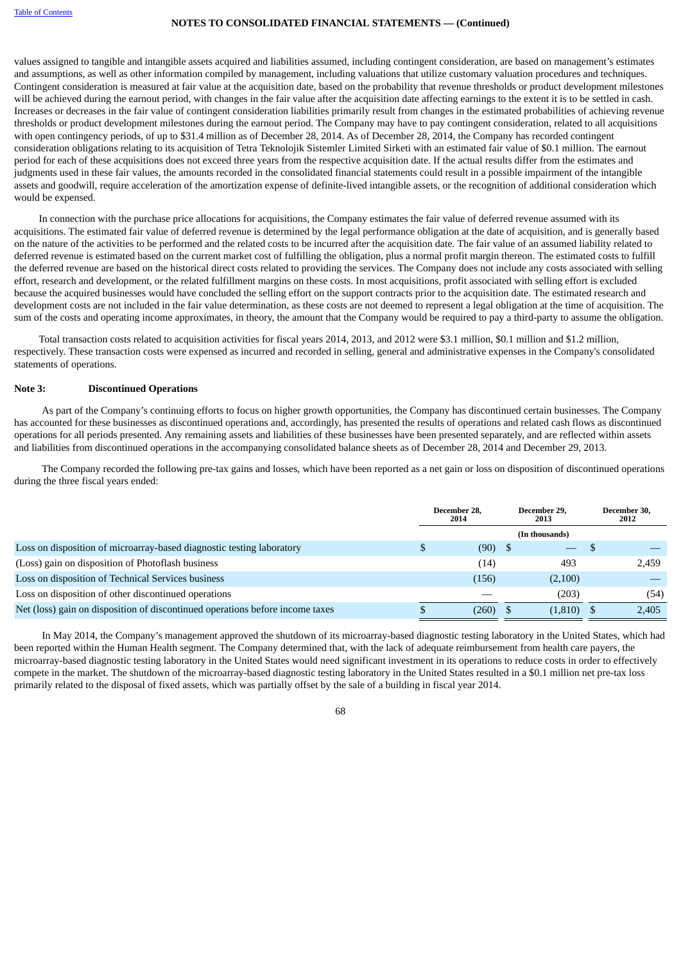values assigned to tangible and intangible assets acquired and liabilities assumed, including contingent consideration, are based on management's estimates and assumptions, as well as other information compiled by management, including valuations that utilize customary valuation procedures and techniques. Contingent consideration is measured at fair value at the acquisition date, based on the probability that revenue thresholds or product development milestones will be achieved during the earnout period, with changes in the fair value after the acquisition date affecting earnings to the extent it is to be settled in cash. Increases or decreases in the fair value of contingent consideration liabilities primarily result from changes in the estimated probabilities of achieving revenue thresholds or product development milestones during the earnout period. The Company may have to pay contingent consideration, related to all acquisitions with open contingency periods, of up to \$31.4 million as of December 28, 2014. As of December 28, 2014, the Company has recorded contingent consideration obligations relating to its acquisition of Tetra Teknolojik Sistemler Limited Sirketi with an estimated fair value of \$0.1 million. The earnout period for each of these acquisitions does not exceed three years from the respective acquisition date. If the actual results differ from the estimates and judgments used in these fair values, the amounts recorded in the consolidated financial statements could result in a possible impairment of the intangible assets and goodwill, require acceleration of the amortization expense of definite-lived intangible assets, or the recognition of additional consideration which would be expensed.

In connection with the purchase price allocations for acquisitions, the Company estimates the fair value of deferred revenue assumed with its acquisitions. The estimated fair value of deferred revenue is determined by the legal performance obligation at the date of acquisition, and is generally based on the nature of the activities to be performed and the related costs to be incurred after the acquisition date. The fair value of an assumed liability related to deferred revenue is estimated based on the current market cost of fulfilling the obligation, plus a normal profit margin thereon. The estimated costs to fulfill the deferred revenue are based on the historical direct costs related to providing the services. The Company does not include any costs associated with selling effort, research and development, or the related fulfillment margins on these costs. In most acquisitions, profit associated with selling effort is excluded because the acquired businesses would have concluded the selling effort on the support contracts prior to the acquisition date. The estimated research and development costs are not included in the fair value determination, as these costs are not deemed to represent a legal obligation at the time of acquisition. The sum of the costs and operating income approximates, in theory, the amount that the Company would be required to pay a third-party to assume the obligation.

Total transaction costs related to acquisition activities for fiscal years 2014, 2013, and 2012 were \$3.1 million, \$0.1 million and \$1.2 million, respectively. These transaction costs were expensed as incurred and recorded in selling, general and administrative expenses in the Company's consolidated statements of operations.

## **Note 3: Discontinued Operations**

As part of the Company's continuing efforts to focus on higher growth opportunities, the Company has discontinued certain businesses. The Company has accounted for these businesses as discontinued operations and, accordingly, has presented the results of operations and related cash flows as discontinued operations for all periods presented. Any remaining assets and liabilities of these businesses have been presented separately, and are reflected within assets and liabilities from discontinued operations in the accompanying consolidated balance sheets as of December 28, 2014 and December 29, 2013.

The Company recorded the following pre-tax gains and losses, which have been reported as a net gain or loss on disposition of discontinued operations during the three fiscal years ended:

|                                                                               | December 28.<br>2014 | December 29.<br>2013 | December 30.<br>2012 |  |
|-------------------------------------------------------------------------------|----------------------|----------------------|----------------------|--|
|                                                                               |                      |                      |                      |  |
| Loss on disposition of microarray-based diagnostic testing laboratory         | $(90)$ \$            |                      |                      |  |
| (Loss) gain on disposition of Photoflash business                             | (14)                 | 493                  | 2,459                |  |
| Loss on disposition of Technical Services business                            | (156)                | (2,100)              |                      |  |
| Loss on disposition of other discontinued operations                          |                      | (203)                | (54)                 |  |
| Net (loss) gain on disposition of discontinued operations before income taxes | $(260)$ \$           | (1,810)              | 2,405                |  |

In May 2014, the Company's management approved the shutdown of its microarray-based diagnostic testing laboratory in the United States, which had been reported within the Human Health segment. The Company determined that, with the lack of adequate reimbursement from health care payers, the microarray-based diagnostic testing laboratory in the United States would need significant investment in its operations to reduce costs in order to effectively compete in the market. The shutdown of the microarray-based diagnostic testing laboratory in the United States resulted in a \$0.1 million net pre-tax loss primarily related to the disposal of fixed assets, which was partially offset by the sale of a building in fiscal year 2014.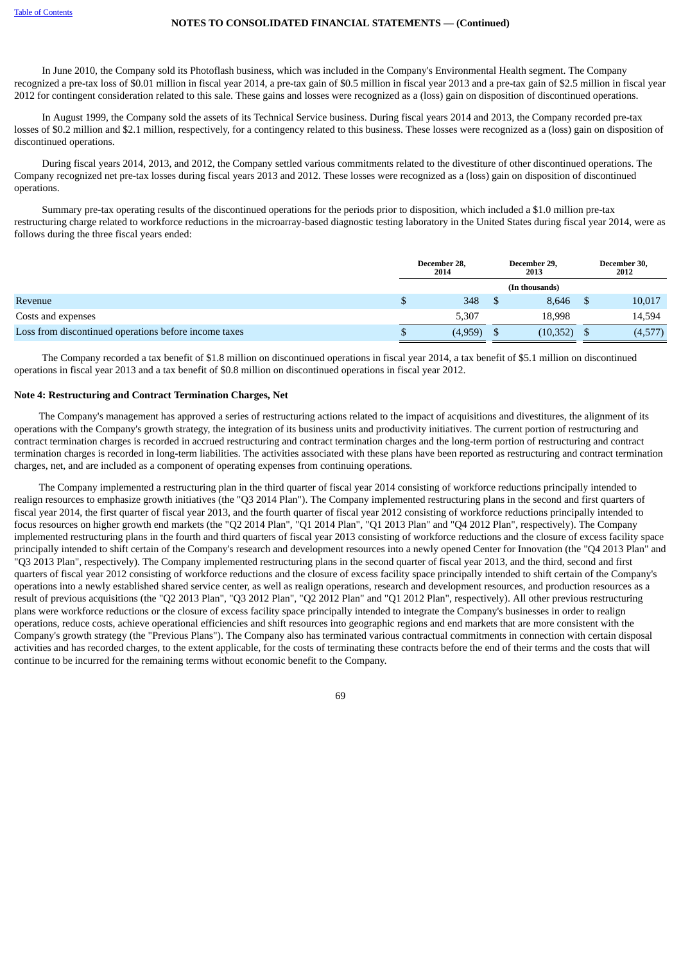In June 2010, the Company sold its Photoflash business, which was included in the Company's Environmental Health segment. The Company recognized a pre-tax loss of \$0.01 million in fiscal year 2014, a pre-tax gain of \$0.5 million in fiscal year 2013 and a pre-tax gain of \$2.5 million in fiscal year 2012 for contingent consideration related to this sale. These gains and losses were recognized as a (loss) gain on disposition of discontinued operations.

In August 1999, the Company sold the assets of its Technical Service business. During fiscal years 2014 and 2013, the Company recorded pre-tax losses of \$0.2 million and \$2.1 million, respectively, for a contingency related to this business. These losses were recognized as a (loss) gain on disposition of discontinued operations.

During fiscal years 2014, 2013, and 2012, the Company settled various commitments related to the divestiture of other discontinued operations. The Company recognized net pre-tax losses during fiscal years 2013 and 2012. These losses were recognized as a (loss) gain on disposition of discontinued operations.

Summary pre-tax operating results of the discontinued operations for the periods prior to disposition, which included a \$1.0 million pre-tax restructuring charge related to workforce reductions in the microarray-based diagnostic testing laboratory in the United States during fiscal year 2014, were as follows during the three fiscal years ended:

|                                                       |   | December 28,<br>2014 | December 29,<br>2013 |           |  | December 30,<br>2012 |
|-------------------------------------------------------|---|----------------------|----------------------|-----------|--|----------------------|
|                                                       |   |                      |                      |           |  |                      |
| Revenue                                               |   | 348                  |                      | 8.646     |  | 10,017               |
| Costs and expenses                                    |   | 5.307                |                      | 18,998    |  | 14,594               |
| Loss from discontinued operations before income taxes | S | (4,959)              |                      | (10, 352) |  | (4,577)              |

The Company recorded a tax benefit of \$1.8 million on discontinued operations in fiscal year 2014, a tax benefit of \$5.1 million on discontinued operations in fiscal year 2013 and a tax benefit of \$0.8 million on discontinued operations in fiscal year 2012.

# **Note 4: Restructuring and Contract Termination Charges, Net**

The Company's management has approved a series of restructuring actions related to the impact of acquisitions and divestitures, the alignment of its operations with the Company's growth strategy, the integration of its business units and productivity initiatives. The current portion of restructuring and contract termination charges is recorded in accrued restructuring and contract termination charges and the long-term portion of restructuring and contract termination charges is recorded in long-term liabilities. The activities associated with these plans have been reported as restructuring and contract termination charges, net, and are included as a component of operating expenses from continuing operations.

The Company implemented a restructuring plan in the third quarter of fiscal year 2014 consisting of workforce reductions principally intended to realign resources to emphasize growth initiatives (the "Q3 2014 Plan"). The Company implemented restructuring plans in the second and first quarters of fiscal year 2014, the first quarter of fiscal year 2013, and the fourth quarter of fiscal year 2012 consisting of workforce reductions principally intended to focus resources on higher growth end markets (the "Q2 2014 Plan", "Q1 2014 Plan", "Q1 2013 Plan" and "Q4 2012 Plan", respectively). The Company implemented restructuring plans in the fourth and third quarters of fiscal year 2013 consisting of workforce reductions and the closure of excess facility space principally intended to shift certain of the Company's research and development resources into a newly opened Center for Innovation (the "Q4 2013 Plan" and "Q3 2013 Plan", respectively). The Company implemented restructuring plans in the second quarter of fiscal year 2013, and the third, second and first quarters of fiscal year 2012 consisting of workforce reductions and the closure of excess facility space principally intended to shift certain of the Company's operations into a newly established shared service center, as well as realign operations, research and development resources, and production resources as a result of previous acquisitions (the "Q2 2013 Plan", "Q3 2012 Plan", "Q2 2012 Plan" and "Q1 2012 Plan", respectively). All other previous restructuring plans were workforce reductions or the closure of excess facility space principally intended to integrate the Company's businesses in order to realign operations, reduce costs, achieve operational efficiencies and shift resources into geographic regions and end markets that are more consistent with the Company's growth strategy (the "Previous Plans"). The Company also has terminated various contractual commitments in connection with certain disposal activities and has recorded charges, to the extent applicable, for the costs of terminating these contracts before the end of their terms and the costs that will continue to be incurred for the remaining terms without economic benefit to the Company.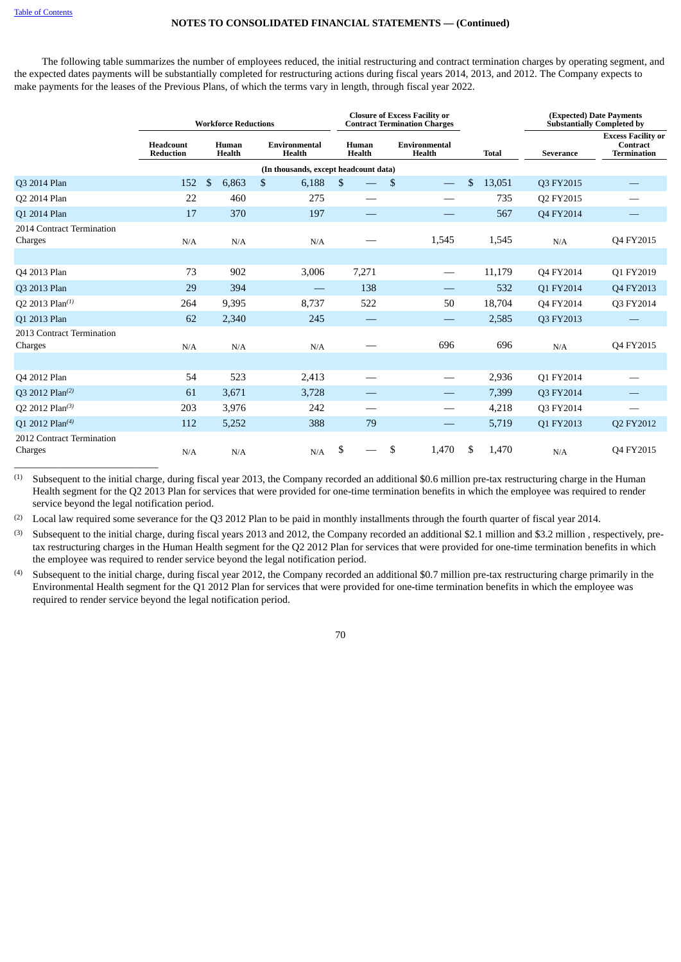The following table summarizes the number of employees reduced, the initial restructuring and contract termination charges by operating segment, and the expected dates payments will be substantially completed for restructuring actions during fiscal years 2014, 2013, and 2012. The Company expects to make payments for the leases of the Previous Plans, of which the terms vary in length, through fiscal year 2022.

|                                      |                                                         | <b>Workforce Reductions</b> |                                       |                        | <b>Closure of Excess Facility or</b><br><b>Contract Termination Charges</b> |              |                  | (Expected) Date Payments<br><b>Substantially Completed by</b> |
|--------------------------------------|---------------------------------------------------------|-----------------------------|---------------------------------------|------------------------|-----------------------------------------------------------------------------|--------------|------------------|---------------------------------------------------------------|
|                                      | Headcount<br>Human<br><b>Reduction</b><br><b>Health</b> |                             | <b>Environmental</b><br><b>Health</b> | Human<br><b>Health</b> | <b>Environmental</b><br>Health                                              | <b>Total</b> | <b>Severance</b> | <b>Excess Facility or</b><br>Contract<br><b>Termination</b>   |
|                                      |                                                         |                             | (In thousands, except headcount data) |                        |                                                                             |              |                  |                                                               |
| Q3 2014 Plan                         | 152                                                     | $\mathfrak{s}$<br>6,863     | \$<br>6,188                           | $\mathfrak{S}$         | \$                                                                          | \$<br>13,051 | Q3 FY2015        |                                                               |
| Q2 2014 Plan                         | 22                                                      | 460                         | 275                                   |                        |                                                                             | 735          | Q2 FY2015        |                                                               |
| Q1 2014 Plan                         | 17                                                      | 370                         | 197                                   |                        |                                                                             | 567          | Q4 FY2014        |                                                               |
| 2014 Contract Termination<br>Charges | N/A                                                     | N/A                         | N/A                                   |                        | 1,545                                                                       | 1,545        | N/A              | Q4 FY2015                                                     |
|                                      |                                                         |                             |                                       |                        |                                                                             |              |                  |                                                               |
| Q4 2013 Plan                         | 73                                                      | 902                         | 3,006                                 | 7,271                  |                                                                             | 11,179       | Q4 FY2014        | Q1 FY2019                                                     |
| Q3 2013 Plan                         | 29                                                      | 394                         |                                       | 138                    |                                                                             | 532          | Q1 FY2014        | Q4 FY2013                                                     |
| Q2 2013 Plan(1)                      | 264                                                     | 9,395                       | 8,737                                 | 522                    | 50                                                                          | 18,704       | Q4 FY2014        | Q3 FY2014                                                     |
| Q1 2013 Plan                         | 62                                                      | 2,340                       | 245                                   |                        | $\overline{\phantom{0}}$                                                    | 2,585        | Q3 FY2013        |                                                               |
| 2013 Contract Termination<br>Charges | N/A                                                     | N/A                         | N/A                                   |                        | 696                                                                         | 696          | N/A              | Q4 FY2015                                                     |
|                                      |                                                         |                             |                                       |                        |                                                                             |              |                  |                                                               |
| Q4 2012 Plan                         | 54                                                      | 523                         | 2,413                                 |                        |                                                                             | 2,936        | Q1 FY2014        |                                                               |
| Q3 2012 Plan(2)                      | 61                                                      | 3,671                       | 3,728                                 |                        |                                                                             | 7,399        | Q3 FY2014        |                                                               |
| Q2 2012 Plan(3)                      | 203                                                     | 3,976                       | 242                                   |                        |                                                                             | 4,218        | Q3 FY2014        |                                                               |
| Q1 2012 Plan(4)                      | 112                                                     | 5,252                       | 388                                   | 79                     | $\overline{\phantom{0}}$                                                    | 5,719        | Q1 FY2013        | Q2 FY2012                                                     |
| 2012 Contract Termination<br>Charges | N/A                                                     | N/A                         | N/A                                   | \$                     | \$<br>1,470                                                                 | \$<br>1,470  | N/A              | Q4 FY2015                                                     |

 $<sup>(1)</sup>$  Subsequent to the initial charge, during fiscal year 2013, the Company recorded an additional \$0.6 million pre-tax restructuring charge in the Human</sup> Health segment for the Q2 2013 Plan for services that were provided for one-time termination benefits in which the employee was required to render service beyond the legal notification period.

(2) Local law required some severance for the Q3 2012 Plan to be paid in monthly installments through the fourth quarter of fiscal year 2014.

<sup>(3)</sup> Subsequent to the initial charge, during fiscal years 2013 and 2012, the Company recorded an additional \$2.1 million and \$3.2 million , respectively, pretax restructuring charges in the Human Health segment for the Q2 2012 Plan for services that were provided for one-time termination benefits in which the employee was required to render service beyond the legal notification period.

(4) Subsequent to the initial charge, during fiscal year 2012, the Company recorded an additional \$0.7 million pre-tax restructuring charge primarily in the Environmental Health segment for the Q1 2012 Plan for services that were provided for one-time termination benefits in which the employee was required to render service beyond the legal notification period.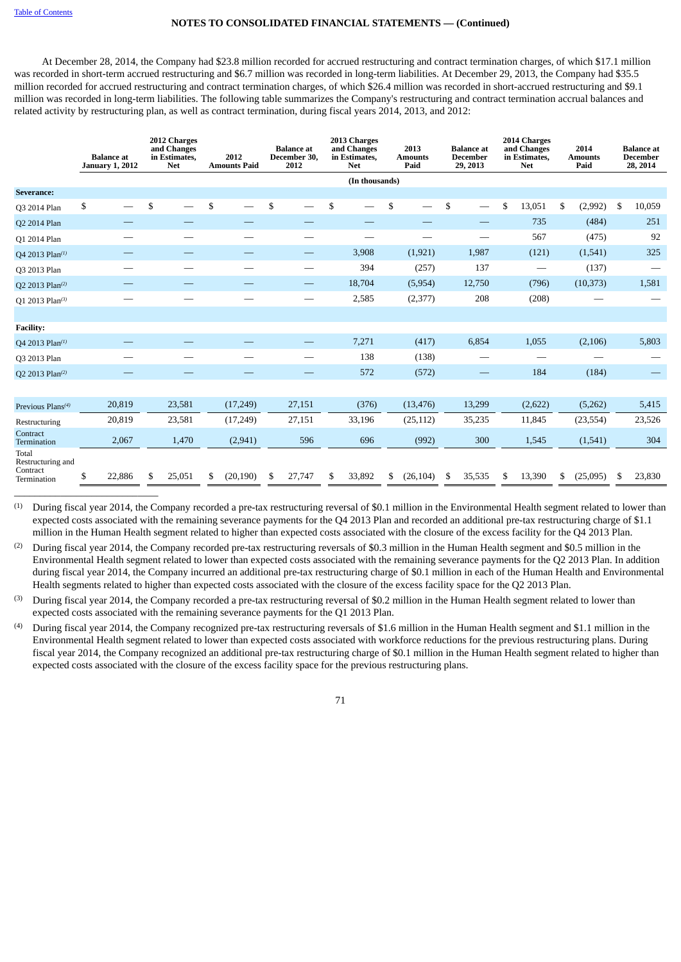At December 28, 2014, the Company had \$23.8 million recorded for accrued restructuring and contract termination charges, of which \$17.1 million was recorded in short-term accrued restructuring and \$6.7 million was recorded in long-term liabilities. At December 29, 2013, the Company had \$35.5 million recorded for accrued restructuring and contract termination charges, of which \$26.4 million was recorded in short-accrued restructuring and \$9.1 million was recorded in long-term liabilities. The following table summarizes the Company's restructuring and contract termination accrual balances and related activity by restructuring plan, as well as contract termination, during fiscal years 2014, 2013, and 2012:

|                                                       | <b>Balance</b> at<br><b>January 1, 2012</b> | 2012 Charges<br>and Changes<br>in Estimates,<br><b>Net</b> |    | 2012<br><b>Amounts Paid</b> | <b>Balance</b> at<br>December 30,<br>2012 | 2013 Charges<br>and Changes<br>in Estimates,<br><b>Net</b> |    | 2013<br><b>Amounts</b><br>Paid | <b>Balance</b> at<br><b>December</b><br>29, 2013 |    | 2014 Charges<br>and Changes<br>in Estimates,<br><b>Net</b> |    | 2014<br><b>Amounts</b><br>Paid |    | <b>Balance</b> at<br><b>December</b><br>28, 2014 |
|-------------------------------------------------------|---------------------------------------------|------------------------------------------------------------|----|-----------------------------|-------------------------------------------|------------------------------------------------------------|----|--------------------------------|--------------------------------------------------|----|------------------------------------------------------------|----|--------------------------------|----|--------------------------------------------------|
|                                                       |                                             |                                                            |    |                             |                                           | (In thousands)                                             |    |                                |                                                  |    |                                                            |    |                                |    |                                                  |
| Severance:                                            |                                             |                                                            |    |                             |                                           |                                                            |    |                                |                                                  |    |                                                            |    |                                |    |                                                  |
| Q3 2014 Plan                                          | \$                                          | \$                                                         | \$ |                             | \$                                        | \$                                                         | \$ |                                | \$                                               | \$ | 13,051                                                     | \$ | (2,992)                        | \$ | 10,059                                           |
| Q2 2014 Plan                                          |                                             |                                                            |    |                             |                                           |                                                            |    |                                |                                                  |    | 735                                                        |    | (484)                          |    | 251                                              |
| Q1 2014 Plan                                          |                                             |                                                            |    |                             |                                           |                                                            |    | $\hspace{0.05cm}$              | $\overline{\phantom{0}}$                         |    | 567                                                        |    | (475)                          |    | 92                                               |
| Q4 2013 Plan(1)                                       |                                             |                                                            |    |                             |                                           | 3,908                                                      |    | (1,921)                        | 1,987                                            |    | (121)                                                      |    | (1,541)                        |    | 325                                              |
| Q3 2013 Plan                                          |                                             |                                                            |    |                             |                                           | 394                                                        |    | (257)                          | 137                                              |    |                                                            |    | (137)                          |    | $\qquad \qquad$                                  |
| Q2 2013 Plan(2)                                       |                                             |                                                            |    |                             | —                                         | 18,704                                                     |    | (5,954)                        | 12,750                                           |    | (796)                                                      |    | (10, 373)                      |    | 1,581                                            |
| Q1 2013 Plan(3)                                       |                                             |                                                            |    |                             |                                           | 2,585                                                      |    | (2, 377)                       | 208                                              |    | (208)                                                      |    |                                |    |                                                  |
|                                                       |                                             |                                                            |    |                             |                                           |                                                            |    |                                |                                                  |    |                                                            |    |                                |    |                                                  |
| <b>Facility:</b>                                      |                                             |                                                            |    |                             |                                           |                                                            |    |                                |                                                  |    |                                                            |    |                                |    |                                                  |
| Q4 2013 Plan(1)                                       |                                             |                                                            |    |                             |                                           | 7,271                                                      |    | (417)                          | 6,854                                            |    | 1,055                                                      |    | (2,106)                        |    | 5,803                                            |
| Q3 2013 Plan                                          |                                             |                                                            |    |                             |                                           | 138                                                        |    | (138)                          |                                                  |    |                                                            |    |                                |    |                                                  |
| Q2 2013 Plan(2)                                       |                                             |                                                            |    |                             |                                           | 572                                                        |    | (572)                          |                                                  |    | 184                                                        |    | (184)                          |    |                                                  |
|                                                       |                                             |                                                            |    |                             |                                           |                                                            |    |                                |                                                  |    |                                                            |    |                                |    |                                                  |
| Previous Plans <sup>(4)</sup>                         | 20,819                                      | 23,581                                                     |    | (17, 249)                   | 27,151                                    | (376)                                                      |    | (13, 476)                      | 13,299                                           |    | (2,622)                                                    |    | (5,262)                        |    | 5,415                                            |
| Restructuring                                         | 20,819                                      | 23,581                                                     |    | (17, 249)                   | 27,151                                    | 33,196                                                     |    | (25, 112)                      | 35,235                                           |    | 11,845                                                     |    | (23, 554)                      |    | 23,526                                           |
| Contract<br>Termination                               | 2,067                                       | 1,470                                                      |    | (2,941)                     | 596                                       | 696                                                        |    | (992)                          | 300                                              |    | 1,545                                                      |    | (1,541)                        |    | 304                                              |
| Total<br>Restructuring and<br>Contract<br>Termination | \$<br>22,886                                | 25,051                                                     | S  | (20, 190)                   | \$<br>27,747                              | \$<br>33,892                                               | S  | (26, 104)                      | 35,535                                           | S  | 13,390                                                     | \$ | (25,095)                       |    | 23,830                                           |

 $<sup>(1)</sup>$  During fiscal year 2014, the Company recorded a pre-tax restructuring reversal of \$0.1 million in the Environmental Health segment related to lower than</sup> expected costs associated with the remaining severance payments for the Q4 2013 Plan and recorded an additional pre-tax restructuring charge of \$1.1 million in the Human Health segment related to higher than expected costs associated with the closure of the excess facility for the Q4 2013 Plan.

<sup>(2)</sup> During fiscal year 2014, the Company recorded pre-tax restructuring reversals of \$0.3 million in the Human Health segment and \$0.5 million in the Environmental Health segment related to lower than expected costs associated with the remaining severance payments for the Q2 2013 Plan. In addition during fiscal year 2014, the Company incurred an additional pre-tax restructuring charge of \$0.1 million in each of the Human Health and Environmental Health segments related to higher than expected costs associated with the closure of the excess facility space for the Q2 2013 Plan.

(3) During fiscal year 2014, the Company recorded a pre-tax restructuring reversal of \$0.2 million in the Human Health segment related to lower than expected costs associated with the remaining severance payments for the Q1 2013 Plan.

(4) During fiscal year 2014, the Company recognized pre-tax restructuring reversals of \$1.6 million in the Human Health segment and \$1.1 million in the Environmental Health segment related to lower than expected costs associated with workforce reductions for the previous restructuring plans. During fiscal year 2014, the Company recognized an additional pre-tax restructuring charge of \$0.1 million in the Human Health segment related to higher than expected costs associated with the closure of the excess facility space for the previous restructuring plans.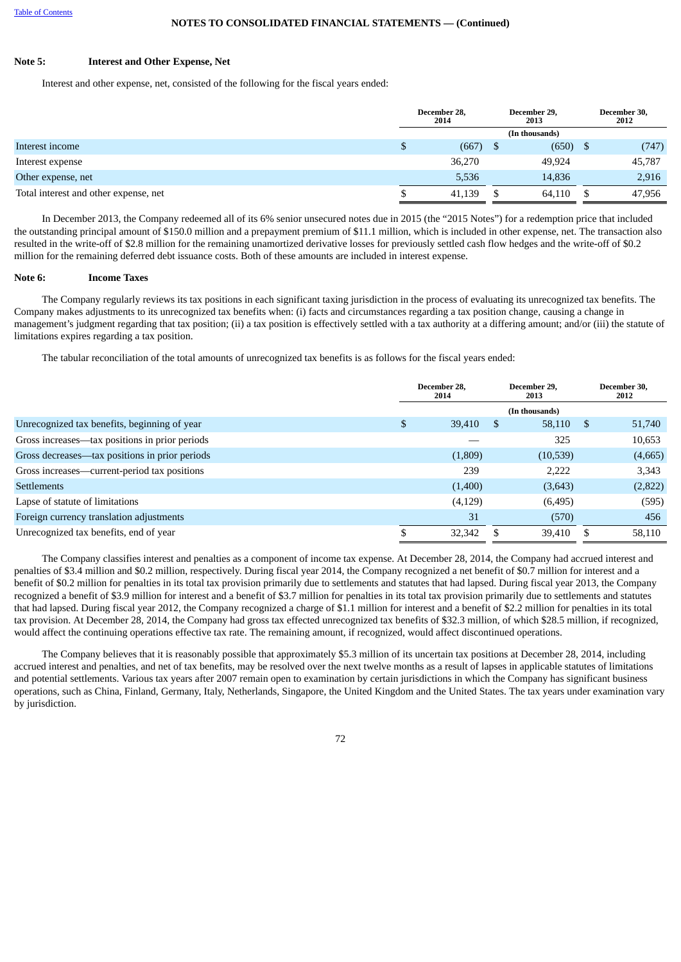### **Note 5: Interest and Other Expense, Net**

Interest and other expense, net, consisted of the following for the fiscal years ended:

|                                       | December 28,<br>2014 |  | December 29,<br>2013 |      | December 30,<br>2012 |
|---------------------------------------|----------------------|--|----------------------|------|----------------------|
|                                       |                      |  | (In thousands)       |      |                      |
| Interest income                       | (667)<br>\$          |  | (650)                | - \$ | (747)                |
| Interest expense                      | 36,270               |  | 49,924               |      | 45,787               |
| Other expense, net                    | 5,536                |  | 14,836               |      | 2,916                |
| Total interest and other expense, net | 41,139<br>\$         |  | 64,110               |      | 47,956               |

In December 2013, the Company redeemed all of its 6% senior unsecured notes due in 2015 (the "2015 Notes") for a redemption price that included the outstanding principal amount of \$150.0 million and a prepayment premium of \$11.1 million, which is included in other expense, net. The transaction also resulted in the write-off of \$2.8 million for the remaining unamortized derivative losses for previously settled cash flow hedges and the write-off of \$0.2 million for the remaining deferred debt issuance costs. Both of these amounts are included in interest expense.

#### **Note 6: Income Taxes**

The Company regularly reviews its tax positions in each significant taxing jurisdiction in the process of evaluating its unrecognized tax benefits. The Company makes adjustments to its unrecognized tax benefits when: (i) facts and circumstances regarding a tax position change, causing a change in management's judgment regarding that tax position; (ii) a tax position is effectively settled with a tax authority at a differing amount; and/or (iii) the statute of limitations expires regarding a tax position.

The tabular reconciliation of the total amounts of unrecognized tax benefits is as follows for the fiscal years ended:

|                                                | December 28.<br>2014 |     | December 29.<br>2013 |      | December 30.<br>2012 |
|------------------------------------------------|----------------------|-----|----------------------|------|----------------------|
|                                                |                      |     | (In thousands)       |      |                      |
| Unrecognized tax benefits, beginning of year   | \$<br>39,410         | \$. | 58,110               | - \$ | 51,740               |
| Gross increases—tax positions in prior periods |                      |     | 325                  |      | 10,653               |
| Gross decreases—tax positions in prior periods | (1,809)              |     | (10,539)             |      | (4,665)              |
| Gross increases—current-period tax positions   |                      | 239 | 2,222                |      | 3,343                |
| <b>Settlements</b>                             | (1,400)              |     | (3,643)              |      | (2,822)              |
| Lapse of statute of limitations                | (4,129)              |     | (6, 495)             |      | (595)                |
| Foreign currency translation adjustments       |                      | 31  | (570)                |      | 456                  |
| Unrecognized tax benefits, end of year         | 32,342<br>S          |     | 39,410               | -S   | 58,110               |

The Company classifies interest and penalties as a component of income tax expense. At December 28, 2014, the Company had accrued interest and penalties of \$3.4 million and \$0.2 million, respectively. During fiscal year 2014, the Company recognized a net benefit of \$0.7 million for interest and a benefit of \$0.2 million for penalties in its total tax provision primarily due to settlements and statutes that had lapsed. During fiscal year 2013, the Company recognized a benefit of \$3.9 million for interest and a benefit of \$3.7 million for penalties in its total tax provision primarily due to settlements and statutes that had lapsed. During fiscal year 2012, the Company recognized a charge of \$1.1 million for interest and a benefit of \$2.2 million for penalties in its total tax provision. At December 28, 2014, the Company had gross tax effected unrecognized tax benefits of \$32.3 million, of which \$28.5 million, if recognized, would affect the continuing operations effective tax rate. The remaining amount, if recognized, would affect discontinued operations.

The Company believes that it is reasonably possible that approximately \$5.3 million of its uncertain tax positions at December 28, 2014, including accrued interest and penalties, and net of tax benefits, may be resolved over the next twelve months as a result of lapses in applicable statutes of limitations and potential settlements. Various tax years after 2007 remain open to examination by certain jurisdictions in which the Company has significant business operations, such as China, Finland, Germany, Italy, Netherlands, Singapore, the United Kingdom and the United States. The tax years under examination vary by jurisdiction.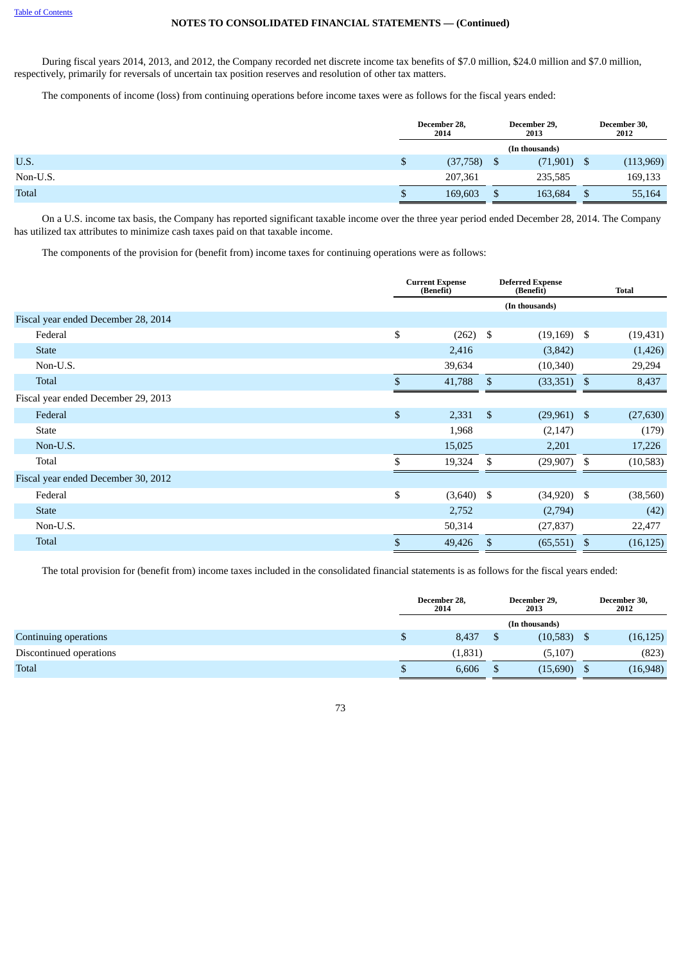During fiscal years 2014, 2013, and 2012, the Company recorded net discrete income tax benefits of \$7.0 million, \$24.0 million and \$7.0 million, respectively, primarily for reversals of uncertain tax position reserves and resolution of other tax matters.

The components of income (loss) from continuing operations before income taxes were as follows for the fiscal years ended:

|              | December 28,<br>2014 | December 29,<br>2013 |                | December 30,<br>2012 |           |
|--------------|----------------------|----------------------|----------------|----------------------|-----------|
|              |                      |                      | (In thousands) |                      |           |
| U.S.         | (37,758)<br>\$       |                      | $(71,901)$ \$  |                      | (113,969) |
| Non-U.S.     | 207,361              |                      | 235,585        |                      | 169,133   |
| <b>Total</b> | 169,603<br>S         |                      | 163,684        | <sup>\$</sup>        | 55,164    |

On a U.S. income tax basis, the Company has reported significant taxable income over the three year period ended December 28, 2014. The Company has utilized tax attributes to minimize cash taxes paid on that taxable income.

The components of the provision for (benefit from) income taxes for continuing operations were as follows:

|                                     | <b>Current Expense</b><br>(Benefit) |              | <b>Deferred Expense</b><br>(Benefit) |                |      | <b>Total</b> |
|-------------------------------------|-------------------------------------|--------------|--------------------------------------|----------------|------|--------------|
|                                     |                                     |              |                                      | (In thousands) |      |              |
| Fiscal year ended December 28, 2014 |                                     |              |                                      |                |      |              |
| Federal                             | \$                                  | $(262)$ \$   |                                      | $(19,169)$ \$  |      | (19, 431)    |
| <b>State</b>                        |                                     | 2,416        |                                      | (3, 842)       |      | (1,426)      |
| Non-U.S.                            |                                     | 39,634       |                                      | (10, 340)      |      | 29,294       |
| Total                               | \$                                  | 41,788       | -\$                                  | $(33,351)$ \$  |      | 8,437        |
| Fiscal year ended December 29, 2013 |                                     |              |                                      |                |      |              |
| Federal                             | \$                                  | 2,331        | -\$                                  | $(29,961)$ \$  |      | (27, 630)    |
| <b>State</b>                        |                                     | 1,968        |                                      | (2, 147)       |      | (179)        |
| Non-U.S.                            |                                     | 15,025       |                                      | 2,201          |      | 17,226       |
| Total                               | \$                                  | 19,324       | -S                                   | $(29,907)$ \$  |      | (10,583)     |
| Fiscal year ended December 30, 2012 |                                     |              |                                      |                |      |              |
| Federal                             | \$                                  | $(3,640)$ \$ |                                      | $(34,920)$ \$  |      | (38, 560)    |
| <b>State</b>                        |                                     | 2,752        |                                      | (2,794)        |      | (42)         |
| Non-U.S.                            |                                     | 50,314       |                                      | (27, 837)      |      | 22,477       |
| Total                               | \$                                  | 49,426       | \$                                   | (65, 551)      | - \$ | (16, 125)    |

The total provision for (benefit from) income taxes included in the consolidated financial statements is as follows for the fiscal years ended:

|                         | December 28,<br>2014 |  | December 29,<br>2013 |  | December 30,<br>2012 |
|-------------------------|----------------------|--|----------------------|--|----------------------|
|                         |                      |  | (In thousands)       |  |                      |
| Continuing operations   | 8,437<br>D           |  | $(10,583)$ \$        |  | (16, 125)            |
| Discontinued operations | (1,831)              |  | (5, 107)             |  | (823)                |
| <b>Total</b>            | 6,606<br>۵U          |  | (15,690)             |  | (16, 948)            |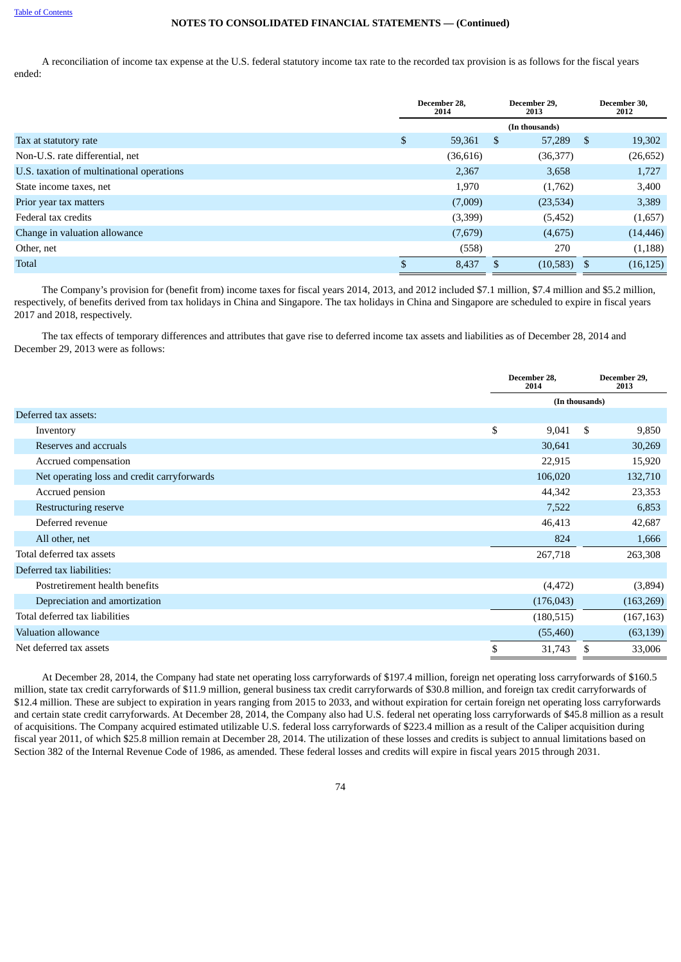A reconciliation of income tax expense at the U.S. federal statutory income tax rate to the recorded tax provision is as follows for the fiscal years ended:

|                                           | December 28.<br>2014 | December 29.<br>2013 |      | December 30,<br>2012 |
|-------------------------------------------|----------------------|----------------------|------|----------------------|
|                                           |                      | (In thousands)       |      |                      |
| Tax at statutory rate                     | \$<br>59,361         | 57,289<br>\$         | - \$ | 19,302               |
| Non-U.S. rate differential, net           | (36,616)             | (36, 377)            |      | (26, 652)            |
| U.S. taxation of multinational operations | 2,367                | 3,658                |      | 1,727                |
| State income taxes, net                   | 1,970                | (1,762)              |      | 3,400                |
| Prior year tax matters                    | (7,009)              | (23, 534)            |      | 3,389                |
| Federal tax credits                       | (3,399)              | (5, 452)             |      | (1,657)              |
| Change in valuation allowance             | (7,679)              | (4,675)              |      | (14, 446)            |
| Other, net                                | (558)                | 270                  |      | (1, 188)             |
| <b>Total</b>                              | 8,437                | (10, 583)            | - \$ | (16, 125)            |

The Company's provision for (benefit from) income taxes for fiscal years 2014, 2013, and 2012 included \$7.1 million, \$7.4 million and \$5.2 million, respectively, of benefits derived from tax holidays in China and Singapore. The tax holidays in China and Singapore are scheduled to expire in fiscal years 2017 and 2018, respectively.

The tax effects of temporary differences and attributes that gave rise to deferred income tax assets and liabilities as of December 28, 2014 and December 29, 2013 were as follows:

|                                             | December 28.<br>2014 |                | December 29,<br>2013 |
|---------------------------------------------|----------------------|----------------|----------------------|
|                                             |                      | (In thousands) |                      |
| Deferred tax assets:                        |                      |                |                      |
| Inventory                                   | \$                   | 9,041          | \$<br>9,850          |
| Reserves and accruals                       |                      | 30,641         | 30,269               |
| Accrued compensation                        |                      | 22,915         | 15,920               |
| Net operating loss and credit carryforwards |                      | 106,020        | 132,710              |
| Accrued pension                             |                      | 44,342         | 23,353               |
| Restructuring reserve                       |                      | 7,522          | 6,853                |
| Deferred revenue                            |                      | 46,413         | 42,687               |
| All other, net                              |                      | 824            | 1,666                |
| Total deferred tax assets                   |                      | 267,718        | 263,308              |
| Deferred tax liabilities:                   |                      |                |                      |
| Postretirement health benefits              |                      | (4, 472)       | (3,894)              |
| Depreciation and amortization               |                      | (176, 043)     | (163, 269)           |
| Total deferred tax liabilities              |                      | (180, 515)     | (167, 163)           |
| Valuation allowance                         |                      | (55, 460)      | (63, 139)            |
| Net deferred tax assets                     | \$                   | 31,743         | 33,006               |

At December 28, 2014, the Company had state net operating loss carryforwards of \$197.4 million, foreign net operating loss carryforwards of \$160.5 million, state tax credit carryforwards of \$11.9 million, general business tax credit carryforwards of \$30.8 million, and foreign tax credit carryforwards of \$12.4 million. These are subject to expiration in years ranging from 2015 to 2033, and without expiration for certain foreign net operating loss carryforwards and certain state credit carryforwards. At December 28, 2014, the Company also had U.S. federal net operating loss carryforwards of \$45.8 million as a result of acquisitions. The Company acquired estimated utilizable U.S. federal loss carryforwards of \$223.4 million as a result of the Caliper acquisition during fiscal year 2011, of which \$25.8 million remain at December 28, 2014. The utilization of these losses and credits is subject to annual limitations based on Section 382 of the Internal Revenue Code of 1986, as amended. These federal losses and credits will expire in fiscal years 2015 through 2031.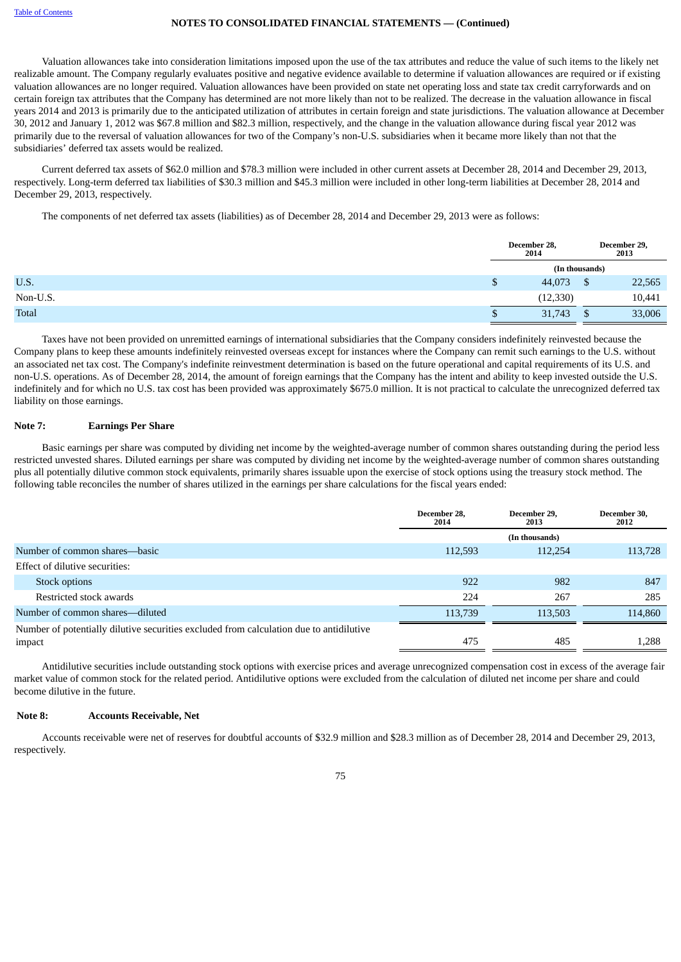Valuation allowances take into consideration limitations imposed upon the use of the tax attributes and reduce the value of such items to the likely net realizable amount. The Company regularly evaluates positive and negative evidence available to determine if valuation allowances are required or if existing valuation allowances are no longer required. Valuation allowances have been provided on state net operating loss and state tax credit carryforwards and on certain foreign tax attributes that the Company has determined are not more likely than not to be realized. The decrease in the valuation allowance in fiscal years 2014 and 2013 is primarily due to the anticipated utilization of attributes in certain foreign and state jurisdictions. The valuation allowance at December 30, 2012 and January 1, 2012 was \$67.8 million and \$82.3 million, respectively, and the change in the valuation allowance during fiscal year 2012 was primarily due to the reversal of valuation allowances for two of the Company's non-U.S. subsidiaries when it became more likely than not that the subsidiaries' deferred tax assets would be realized.

Current deferred tax assets of \$62.0 million and \$78.3 million were included in other current assets at December 28, 2014 and December 29, 2013, respectively. Long-term deferred tax liabilities of \$30.3 million and \$45.3 million were included in other long-term liabilities at December 28, 2014 and December 29, 2013, respectively.

The components of net deferred tax assets (liabilities) as of December 28, 2014 and December 29, 2013 were as follows:

|              | December 28,<br>2014 |                | December 29,<br>2013 |
|--------------|----------------------|----------------|----------------------|
|              |                      | (In thousands) |                      |
| U.S.         | 44,073               | -S             | 22,565               |
| Non-U.S.     | (12, 330)            |                | 10,441               |
| <b>Total</b> | 31,743               | ۵D             | 33,006               |

Taxes have not been provided on unremitted earnings of international subsidiaries that the Company considers indefinitely reinvested because the Company plans to keep these amounts indefinitely reinvested overseas except for instances where the Company can remit such earnings to the U.S. without an associated net tax cost. The Company's indefinite reinvestment determination is based on the future operational and capital requirements of its U.S. and non-U.S. operations. As of December 28, 2014, the amount of foreign earnings that the Company has the intent and ability to keep invested outside the U.S. indefinitely and for which no U.S. tax cost has been provided was approximately \$675.0 million. It is not practical to calculate the unrecognized deferred tax liability on those earnings.

#### **Note 7: Earnings Per Share**

Basic earnings per share was computed by dividing net income by the weighted-average number of common shares outstanding during the period less restricted unvested shares. Diluted earnings per share was computed by dividing net income by the weighted-average number of common shares outstanding plus all potentially dilutive common stock equivalents, primarily shares issuable upon the exercise of stock options using the treasury stock method. The following table reconciles the number of shares utilized in the earnings per share calculations for the fiscal years ended:

|                                                                                                   | December 28.<br>2014 | December 29.<br>2013 | December 30.<br>2012 |
|---------------------------------------------------------------------------------------------------|----------------------|----------------------|----------------------|
|                                                                                                   |                      | (In thousands)       |                      |
| Number of common shares—basic                                                                     | 112,593              | 112,254              | 113,728              |
| Effect of dilutive securities:                                                                    |                      |                      |                      |
| Stock options                                                                                     | 922                  | 982                  | 847                  |
| Restricted stock awards                                                                           | 224                  | 267                  | 285                  |
| Number of common shares—diluted                                                                   | 113,739              | 113,503              | 114,860              |
| Number of potentially dilutive securities excluded from calculation due to antidilutive<br>impact | 475                  | 485                  | 1,288                |

Antidilutive securities include outstanding stock options with exercise prices and average unrecognized compensation cost in excess of the average fair market value of common stock for the related period. Antidilutive options were excluded from the calculation of diluted net income per share and could become dilutive in the future.

## **Note 8: Accounts Receivable, Net**

Accounts receivable were net of reserves for doubtful accounts of \$32.9 million and \$28.3 million as of December 28, 2014 and December 29, 2013, respectively.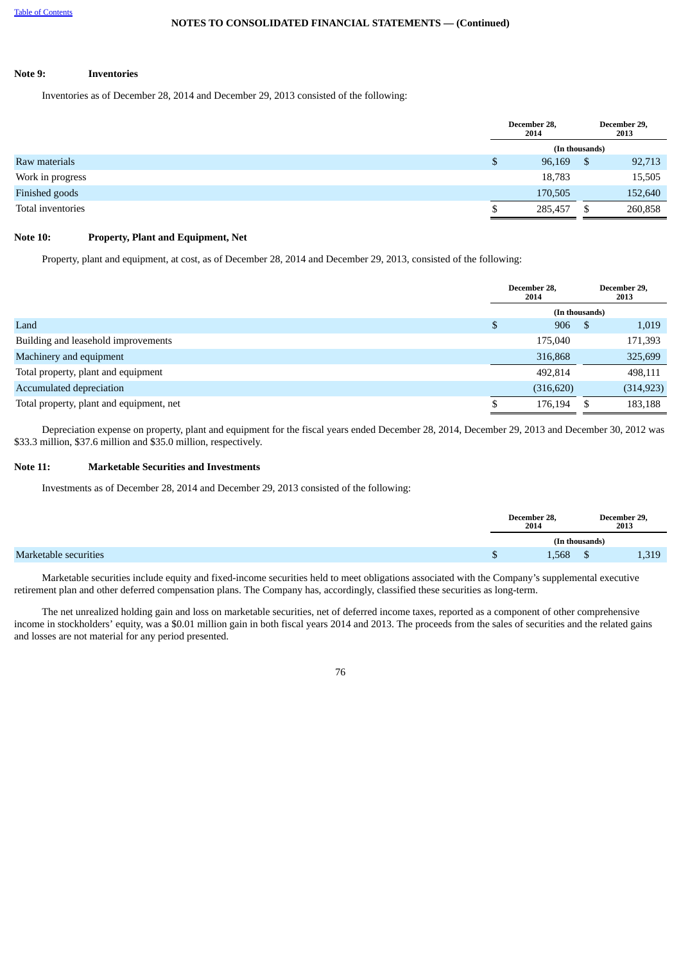#### **Note 9: Inventories**

Inventories as of December 28, 2014 and December 29, 2013 consisted of the following:

|                   | December 28,<br>2014 |          | December 29,<br>2013 |
|-------------------|----------------------|----------|----------------------|
|                   | (In thousands)       |          |                      |
| Raw materials     | \$<br>96,169         | <b>S</b> | 92,713               |
| Work in progress  | 18,783               |          | 15,505               |
| Finished goods    | 170,505              |          | 152,640              |
| Total inventories | 285,457              | -S       | 260,858              |

## **Note 10: Property, Plant and Equipment, Net**

Property, plant and equipment, at cost, as of December 28, 2014 and December 29, 2013, consisted of the following:

|                                          | December 28.<br>2014 |                |      | December 29,<br>2013 |
|------------------------------------------|----------------------|----------------|------|----------------------|
|                                          |                      | (In thousands) |      |                      |
| Land                                     | \$                   | 906            | - \$ | 1,019                |
| Building and leasehold improvements      |                      | 175,040        |      | 171,393              |
| Machinery and equipment                  |                      | 316,868        |      | 325,699              |
| Total property, plant and equipment      |                      | 492,814        |      | 498,111              |
| Accumulated depreciation                 |                      | (316, 620)     |      | (314, 923)           |
| Total property, plant and equipment, net |                      | 176,194        |      | 183,188              |

Depreciation expense on property, plant and equipment for the fiscal years ended December 28, 2014, December 29, 2013 and December 30, 2012 was \$33.3 million, \$37.6 million and \$35.0 million, respectively.

#### **Note 11: Marketable Securities and Investments**

Investments as of December 28, 2014 and December 29, 2013 consisted of the following:

|                       | December 28,<br>2014 |                | December 29,<br>2013 |
|-----------------------|----------------------|----------------|----------------------|
|                       |                      | (In thousands) |                      |
| Marketable securities | 1,568                | <sup>\$</sup>  | 1,319                |
|                       |                      |                |                      |

Marketable securities include equity and fixed-income securities held to meet obligations associated with the Company's supplemental executive retirement plan and other deferred compensation plans. The Company has, accordingly, classified these securities as long-term.

The net unrealized holding gain and loss on marketable securities, net of deferred income taxes, reported as a component of other comprehensive income in stockholders' equity, was a \$0.01 million gain in both fiscal years 2014 and 2013. The proceeds from the sales of securities and the related gains and losses are not material for any period presented.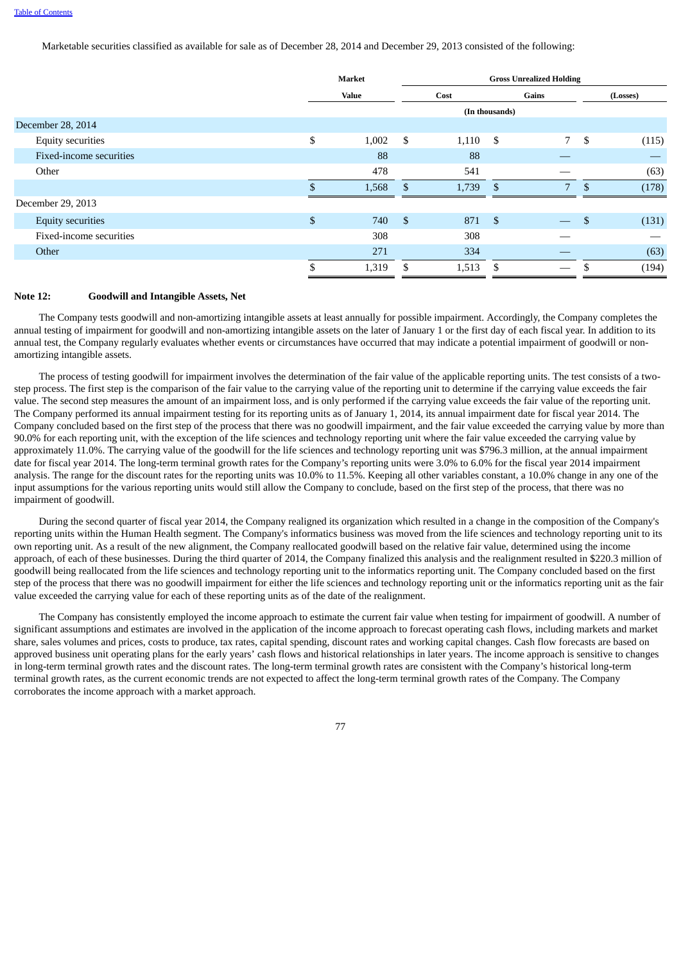Marketable securities classified as available for sale as of December 28, 2014 and December 29, 2013 consisted of the following:

|                          | <b>Market</b> |              |                    | <b>Gross Unrealized Holding</b> |               |                          |          |       |  |
|--------------------------|---------------|--------------|--------------------|---------------------------------|---------------|--------------------------|----------|-------|--|
|                          |               | <b>Value</b> |                    | Cost                            |               | Gains                    | (Losses) |       |  |
|                          |               |              |                    | (In thousands)                  |               |                          |          |       |  |
| December 28, 2014        |               |              |                    |                                 |               |                          |          |       |  |
| <b>Equity securities</b> | \$            | 1,002        | \$                 | 1,110                           | \$            |                          | 7S       | (115) |  |
| Fixed-income securities  |               | 88           |                    | 88                              |               |                          |          |       |  |
| Other                    |               | 478          |                    | 541                             |               |                          |          | (63)  |  |
|                          |               | 1,568        | \$.                | 1,739                           | <sup>\$</sup> | 7                        |          | (178) |  |
| December 29, 2013        |               |              |                    |                                 |               |                          |          |       |  |
| <b>Equity securities</b> | \$            | 740          | $\mathbf{\hat{S}}$ | 871                             | -\$           | $\overline{\phantom{m}}$ | - \$     | (131) |  |
| Fixed-income securities  |               | 308          |                    | 308                             |               |                          |          |       |  |
| Other                    |               | 271          |                    | 334                             |               |                          |          | (63)  |  |
|                          | \$            | 1,319        | S                  | 1,513                           | -S            |                          |          | (194) |  |

#### **Note 12: Goodwill and Intangible Assets, Net**

The Company tests goodwill and non-amortizing intangible assets at least annually for possible impairment. Accordingly, the Company completes the annual testing of impairment for goodwill and non-amortizing intangible assets on the later of January 1 or the first day of each fiscal year. In addition to its annual test, the Company regularly evaluates whether events or circumstances have occurred that may indicate a potential impairment of goodwill or nonamortizing intangible assets.

The process of testing goodwill for impairment involves the determination of the fair value of the applicable reporting units. The test consists of a twostep process. The first step is the comparison of the fair value to the carrying value of the reporting unit to determine if the carrying value exceeds the fair value. The second step measures the amount of an impairment loss, and is only performed if the carrying value exceeds the fair value of the reporting unit. The Company performed its annual impairment testing for its reporting units as of January 1, 2014, its annual impairment date for fiscal year 2014. The Company concluded based on the first step of the process that there was no goodwill impairment, and the fair value exceeded the carrying value by more than 90.0% for each reporting unit, with the exception of the life sciences and technology reporting unit where the fair value exceeded the carrying value by approximately 11.0%. The carrying value of the goodwill for the life sciences and technology reporting unit was \$796.3 million, at the annual impairment date for fiscal year 2014. The long-term terminal growth rates for the Company's reporting units were 3.0% to 6.0% for the fiscal year 2014 impairment analysis. The range for the discount rates for the reporting units was 10.0% to 11.5%. Keeping all other variables constant, a 10.0% change in any one of the input assumptions for the various reporting units would still allow the Company to conclude, based on the first step of the process, that there was no impairment of goodwill.

During the second quarter of fiscal year 2014, the Company realigned its organization which resulted in a change in the composition of the Company's reporting units within the Human Health segment. The Company's informatics business was moved from the life sciences and technology reporting unit to its own reporting unit. As a result of the new alignment, the Company reallocated goodwill based on the relative fair value, determined using the income approach, of each of these businesses. During the third quarter of 2014, the Company finalized this analysis and the realignment resulted in \$220.3 million of goodwill being reallocated from the life sciences and technology reporting unit to the informatics reporting unit. The Company concluded based on the first step of the process that there was no goodwill impairment for either the life sciences and technology reporting unit or the informatics reporting unit as the fair value exceeded the carrying value for each of these reporting units as of the date of the realignment.

The Company has consistently employed the income approach to estimate the current fair value when testing for impairment of goodwill. A number of significant assumptions and estimates are involved in the application of the income approach to forecast operating cash flows, including markets and market share, sales volumes and prices, costs to produce, tax rates, capital spending, discount rates and working capital changes. Cash flow forecasts are based on approved business unit operating plans for the early years' cash flows and historical relationships in later years. The income approach is sensitive to changes in long-term terminal growth rates and the discount rates. The long-term terminal growth rates are consistent with the Company's historical long-term terminal growth rates, as the current economic trends are not expected to affect the long-term terminal growth rates of the Company. The Company corroborates the income approach with a market approach.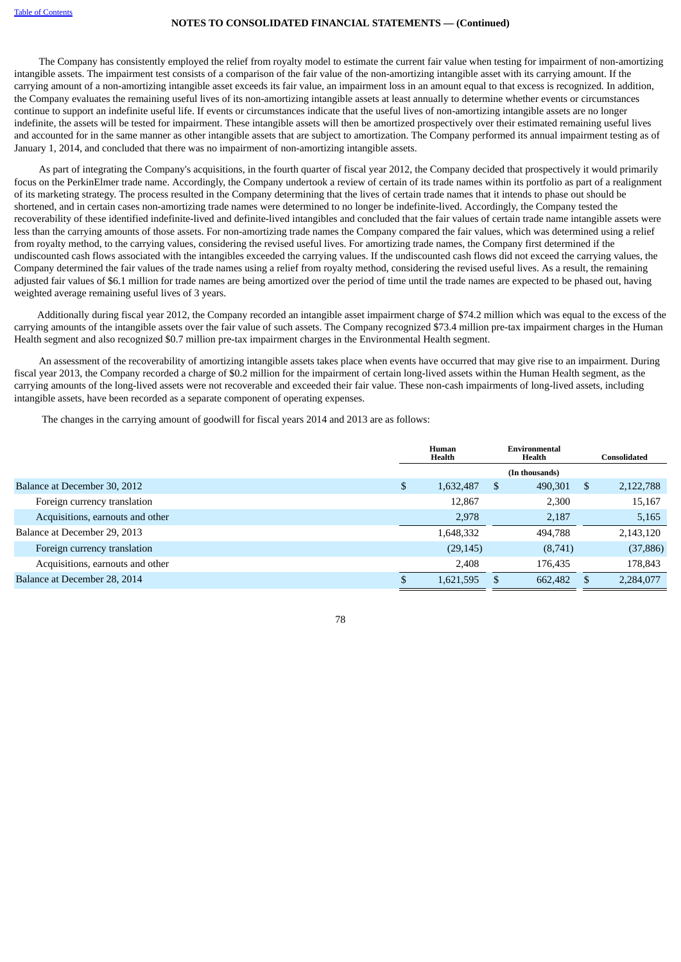The Company has consistently employed the relief from royalty model to estimate the current fair value when testing for impairment of non-amortizing intangible assets. The impairment test consists of a comparison of the fair value of the non-amortizing intangible asset with its carrying amount. If the carrying amount of a non-amortizing intangible asset exceeds its fair value, an impairment loss in an amount equal to that excess is recognized*.* In addition, the Company evaluates the remaining useful lives of its non-amortizing intangible assets at least annually to determine whether events or circumstances continue to support an indefinite useful life. If events or circumstances indicate that the useful lives of non-amortizing intangible assets are no longer indefinite, the assets will be tested for impairment. These intangible assets will then be amortized prospectively over their estimated remaining useful lives and accounted for in the same manner as other intangible assets that are subject to amortization. The Company performed its annual impairment testing as of January 1, 2014, and concluded that there was no impairment of non-amortizing intangible assets.

As part of integrating the Company's acquisitions, in the fourth quarter of fiscal year 2012, the Company decided that prospectively it would primarily focus on the PerkinElmer trade name. Accordingly, the Company undertook a review of certain of its trade names within its portfolio as part of a realignment of its marketing strategy. The process resulted in the Company determining that the lives of certain trade names that it intends to phase out should be shortened, and in certain cases non-amortizing trade names were determined to no longer be indefinite-lived. Accordingly, the Company tested the recoverability of these identified indefinite-lived and definite-lived intangibles and concluded that the fair values of certain trade name intangible assets were less than the carrying amounts of those assets. For non-amortizing trade names the Company compared the fair values, which was determined using a relief from royalty method, to the carrying values, considering the revised useful lives. For amortizing trade names, the Company first determined if the undiscounted cash flows associated with the intangibles exceeded the carrying values. If the undiscounted cash flows did not exceed the carrying values, the Company determined the fair values of the trade names using a relief from royalty method, considering the revised useful lives. As a result, the remaining adjusted fair values of \$6.1 million for trade names are being amortized over the period of time until the trade names are expected to be phased out, having weighted average remaining useful lives of 3 years.

Additionally during fiscal year 2012, the Company recorded an intangible asset impairment charge of \$74.2 million which was equal to the excess of the carrying amounts of the intangible assets over the fair value of such assets. The Company recognized \$73.4 million pre-tax impairment charges in the Human Health segment and also recognized \$0.7 million pre-tax impairment charges in the Environmental Health segment.

An assessment of the recoverability of amortizing intangible assets takes place when events have occurred that may give rise to an impairment. During fiscal year 2013, the Company recorded a charge of \$0.2 million for the impairment of certain long-lived assets within the Human Health segment, as the carrying amounts of the long-lived assets were not recoverable and exceeded their fair value. These non-cash impairments of long-lived assets, including intangible assets, have been recorded as a separate component of operating expenses.

The changes in the carrying amount of goodwill for fiscal years 2014 and 2013 are as follows:

|                                  | Human<br>Health |           |    | Environmental<br>Health |               | Consolidated |
|----------------------------------|-----------------|-----------|----|-------------------------|---------------|--------------|
|                                  |                 |           |    | (In thousands)          |               |              |
| Balance at December 30, 2012     | \$              | 1,632,487 | \$ | 490,301                 | <sup>\$</sup> | 2,122,788    |
| Foreign currency translation     |                 | 12,867    |    | 2,300                   |               | 15,167       |
| Acquisitions, earnouts and other |                 | 2,978     |    | 2,187                   |               | 5,165        |
| Balance at December 29, 2013     |                 | 1,648,332 |    | 494,788                 |               | 2,143,120    |
| Foreign currency translation     |                 | (29, 145) |    | (8,741)                 |               | (37, 886)    |
| Acquisitions, earnouts and other |                 | 2,408     |    | 176,435                 |               | 178,843      |
| Balance at December 28, 2014     |                 | 1,621,595 |    | 662,482                 | -\$           | 2,284,077    |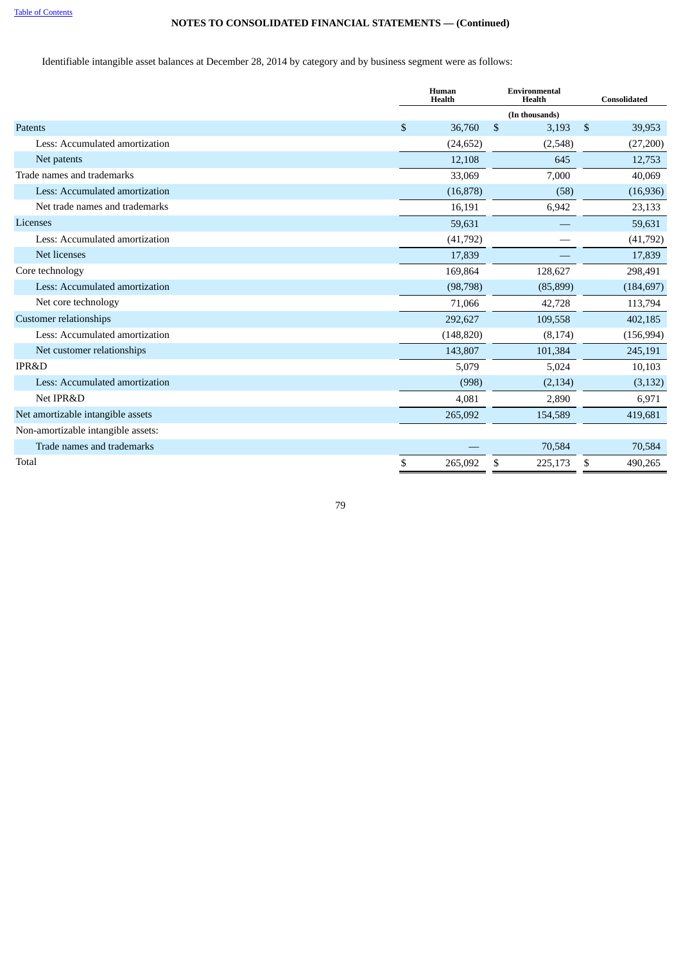Identifiable intangible asset balances at December 28, 2014 by category and by business segment were as follows:

|                                    | Human<br>Health          | <b>Environmental</b><br>Health | <b>Consolidated</b> |
|------------------------------------|--------------------------|--------------------------------|---------------------|
|                                    |                          | (In thousands)                 |                     |
| Patents                            | $\mathfrak{s}$<br>36,760 | \$<br>3,193                    | \$<br>39,953        |
| Less: Accumulated amortization     | (24, 652)                | (2,548)                        | (27,200)            |
| Net patents                        | 12,108                   | 645                            | 12,753              |
| Trade names and trademarks         | 33,069                   | 7,000                          | 40,069              |
| Less: Accumulated amortization     | (16, 878)                | (58)                           | (16, 936)           |
| Net trade names and trademarks     | 16,191                   | 6,942                          | 23,133              |
| Licenses                           | 59,631                   |                                | 59,631              |
| Less: Accumulated amortization     | (41,792)                 |                                | (41,792)            |
| Net licenses                       | 17,839                   |                                | 17,839              |
| Core technology                    | 169,864                  | 128,627                        | 298,491             |
| Less: Accumulated amortization     | (98, 798)                | (85, 899)                      | (184, 697)          |
| Net core technology                | 71,066                   | 42,728                         | 113,794             |
| <b>Customer relationships</b>      | 292,627                  | 109,558                        | 402,185             |
| Less: Accumulated amortization     | (148, 820)               | (8, 174)                       | (156, 994)          |
| Net customer relationships         | 143,807                  | 101,384                        | 245,191             |
| <b>IPR&amp;D</b>                   | 5,079                    | 5,024                          | 10,103              |
| Less: Accumulated amortization     | (998)                    | (2, 134)                       | (3, 132)            |
| Net IPR&D                          | 4,081                    | 2,890                          | 6,971               |
| Net amortizable intangible assets  | 265,092                  | 154,589                        | 419,681             |
| Non-amortizable intangible assets: |                          |                                |                     |
| Trade names and trademarks         |                          | 70,584                         | 70,584              |
| Total                              | \$<br>265,092            | \$<br>225,173                  | \$<br>490,265       |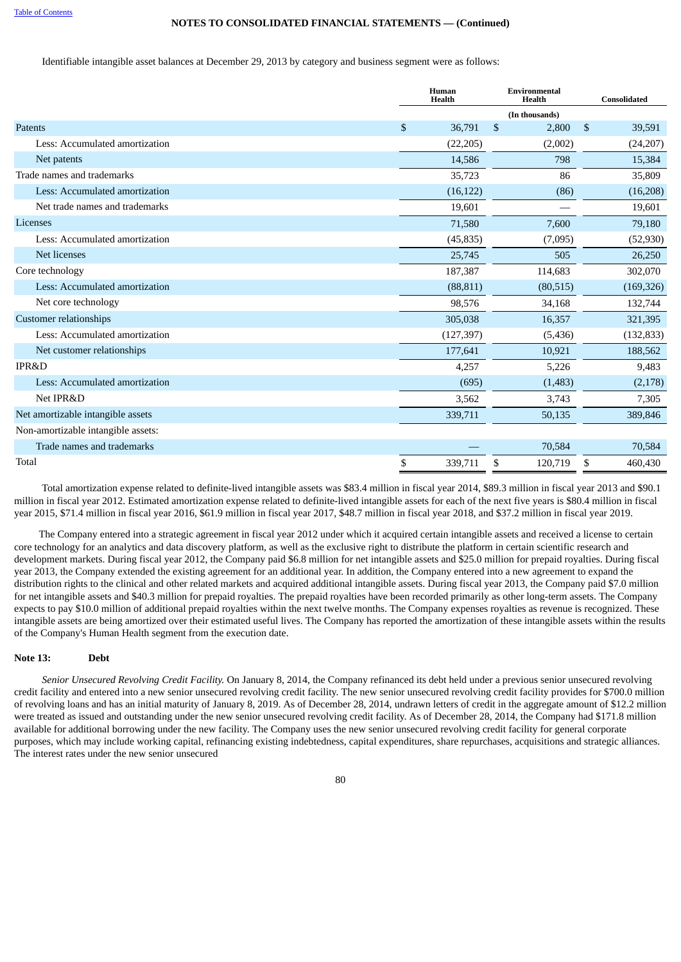Identifiable intangible asset balances at December 29, 2013 by category and business segment were as follows:

| (In thousands)<br>$\mathfrak{S}$<br>36,791<br>\$<br>2,800<br>39,591<br>Patents<br>\$<br>Less: Accumulated amortization<br>(22, 205)<br>(2,002)<br>(24,207)<br>Net patents<br>14,586<br>798<br>15,384<br>Trade names and trademarks<br>35,723<br>86<br>35,809<br>Less: Accumulated amortization<br>(16, 122)<br>(86)<br>(16, 208)<br>Net trade names and trademarks<br>19,601<br>19,601<br>Licenses<br>7,600<br>79,180<br>71,580<br>Less: Accumulated amortization<br>(45, 835)<br>(52, 930)<br>(7,095)<br>Net licenses<br>505<br>25,745<br>26,250<br>Core technology<br>114,683<br>187,387<br>302,070<br>Less: Accumulated amortization<br>(169, 326)<br>(88, 811)<br>(80, 515)<br>Net core technology<br>98,576<br>34,168<br>132,744<br><b>Customer relationships</b><br>321,395<br>305,038<br>16,357<br>Less: Accumulated amortization<br>(127, 397)<br>(132, 833)<br>(5,436)<br>Net customer relationships<br>188,562<br>10,921<br>177,641<br>IPR&D<br>4,257<br>5,226<br>9,483<br>Less: Accumulated amortization<br>(695)<br>(1,483)<br>(2,178)<br>Net IPR&D<br>3,562<br>3,743<br>7,305<br>Net amortizable intangible assets<br>389,846<br>339,711<br>50,135<br>Non-amortizable intangible assets:<br>Trade names and trademarks<br>70,584<br>70,584<br>Total<br>\$<br>120,719<br>\$<br>460,430<br>339,711<br>\$ | Human<br>Health | <b>Environmental</b><br>Health | <b>Consolidated</b> |
|---------------------------------------------------------------------------------------------------------------------------------------------------------------------------------------------------------------------------------------------------------------------------------------------------------------------------------------------------------------------------------------------------------------------------------------------------------------------------------------------------------------------------------------------------------------------------------------------------------------------------------------------------------------------------------------------------------------------------------------------------------------------------------------------------------------------------------------------------------------------------------------------------------------------------------------------------------------------------------------------------------------------------------------------------------------------------------------------------------------------------------------------------------------------------------------------------------------------------------------------------------------------------------------------------------------------|-----------------|--------------------------------|---------------------|
|                                                                                                                                                                                                                                                                                                                                                                                                                                                                                                                                                                                                                                                                                                                                                                                                                                                                                                                                                                                                                                                                                                                                                                                                                                                                                                                     |                 |                                |                     |
|                                                                                                                                                                                                                                                                                                                                                                                                                                                                                                                                                                                                                                                                                                                                                                                                                                                                                                                                                                                                                                                                                                                                                                                                                                                                                                                     |                 |                                |                     |
|                                                                                                                                                                                                                                                                                                                                                                                                                                                                                                                                                                                                                                                                                                                                                                                                                                                                                                                                                                                                                                                                                                                                                                                                                                                                                                                     |                 |                                |                     |
|                                                                                                                                                                                                                                                                                                                                                                                                                                                                                                                                                                                                                                                                                                                                                                                                                                                                                                                                                                                                                                                                                                                                                                                                                                                                                                                     |                 |                                |                     |
|                                                                                                                                                                                                                                                                                                                                                                                                                                                                                                                                                                                                                                                                                                                                                                                                                                                                                                                                                                                                                                                                                                                                                                                                                                                                                                                     |                 |                                |                     |
|                                                                                                                                                                                                                                                                                                                                                                                                                                                                                                                                                                                                                                                                                                                                                                                                                                                                                                                                                                                                                                                                                                                                                                                                                                                                                                                     |                 |                                |                     |
|                                                                                                                                                                                                                                                                                                                                                                                                                                                                                                                                                                                                                                                                                                                                                                                                                                                                                                                                                                                                                                                                                                                                                                                                                                                                                                                     |                 |                                |                     |
|                                                                                                                                                                                                                                                                                                                                                                                                                                                                                                                                                                                                                                                                                                                                                                                                                                                                                                                                                                                                                                                                                                                                                                                                                                                                                                                     |                 |                                |                     |
|                                                                                                                                                                                                                                                                                                                                                                                                                                                                                                                                                                                                                                                                                                                                                                                                                                                                                                                                                                                                                                                                                                                                                                                                                                                                                                                     |                 |                                |                     |
|                                                                                                                                                                                                                                                                                                                                                                                                                                                                                                                                                                                                                                                                                                                                                                                                                                                                                                                                                                                                                                                                                                                                                                                                                                                                                                                     |                 |                                |                     |
|                                                                                                                                                                                                                                                                                                                                                                                                                                                                                                                                                                                                                                                                                                                                                                                                                                                                                                                                                                                                                                                                                                                                                                                                                                                                                                                     |                 |                                |                     |
|                                                                                                                                                                                                                                                                                                                                                                                                                                                                                                                                                                                                                                                                                                                                                                                                                                                                                                                                                                                                                                                                                                                                                                                                                                                                                                                     |                 |                                |                     |
|                                                                                                                                                                                                                                                                                                                                                                                                                                                                                                                                                                                                                                                                                                                                                                                                                                                                                                                                                                                                                                                                                                                                                                                                                                                                                                                     |                 |                                |                     |
|                                                                                                                                                                                                                                                                                                                                                                                                                                                                                                                                                                                                                                                                                                                                                                                                                                                                                                                                                                                                                                                                                                                                                                                                                                                                                                                     |                 |                                |                     |
|                                                                                                                                                                                                                                                                                                                                                                                                                                                                                                                                                                                                                                                                                                                                                                                                                                                                                                                                                                                                                                                                                                                                                                                                                                                                                                                     |                 |                                |                     |
|                                                                                                                                                                                                                                                                                                                                                                                                                                                                                                                                                                                                                                                                                                                                                                                                                                                                                                                                                                                                                                                                                                                                                                                                                                                                                                                     |                 |                                |                     |
|                                                                                                                                                                                                                                                                                                                                                                                                                                                                                                                                                                                                                                                                                                                                                                                                                                                                                                                                                                                                                                                                                                                                                                                                                                                                                                                     |                 |                                |                     |
|                                                                                                                                                                                                                                                                                                                                                                                                                                                                                                                                                                                                                                                                                                                                                                                                                                                                                                                                                                                                                                                                                                                                                                                                                                                                                                                     |                 |                                |                     |
|                                                                                                                                                                                                                                                                                                                                                                                                                                                                                                                                                                                                                                                                                                                                                                                                                                                                                                                                                                                                                                                                                                                                                                                                                                                                                                                     |                 |                                |                     |
|                                                                                                                                                                                                                                                                                                                                                                                                                                                                                                                                                                                                                                                                                                                                                                                                                                                                                                                                                                                                                                                                                                                                                                                                                                                                                                                     |                 |                                |                     |
|                                                                                                                                                                                                                                                                                                                                                                                                                                                                                                                                                                                                                                                                                                                                                                                                                                                                                                                                                                                                                                                                                                                                                                                                                                                                                                                     |                 |                                |                     |
|                                                                                                                                                                                                                                                                                                                                                                                                                                                                                                                                                                                                                                                                                                                                                                                                                                                                                                                                                                                                                                                                                                                                                                                                                                                                                                                     |                 |                                |                     |
|                                                                                                                                                                                                                                                                                                                                                                                                                                                                                                                                                                                                                                                                                                                                                                                                                                                                                                                                                                                                                                                                                                                                                                                                                                                                                                                     |                 |                                |                     |

Total amortization expense related to definite-lived intangible assets was \$83.4 million in fiscal year 2014, \$89.3 million in fiscal year 2013 and \$90.1 million in fiscal year 2012. Estimated amortization expense related to definite-lived intangible assets for each of the next five years is \$80.4 million in fiscal year 2015, \$71.4 million in fiscal year 2016, \$61.9 million in fiscal year 2017, \$48.7 million in fiscal year 2018, and \$37.2 million in fiscal year 2019.

The Company entered into a strategic agreement in fiscal year 2012 under which it acquired certain intangible assets and received a license to certain core technology for an analytics and data discovery platform, as well as the exclusive right to distribute the platform in certain scientific research and development markets. During fiscal year 2012, the Company paid \$6.8 million for net intangible assets and \$25.0 million for prepaid royalties. During fiscal year 2013, the Company extended the existing agreement for an additional year. In addition, the Company entered into a new agreement to expand the distribution rights to the clinical and other related markets and acquired additional intangible assets. During fiscal year 2013, the Company paid \$7.0 million for net intangible assets and \$40.3 million for prepaid royalties. The prepaid royalties have been recorded primarily as other long-term assets. The Company expects to pay \$10.0 million of additional prepaid royalties within the next twelve months. The Company expenses royalties as revenue is recognized. These intangible assets are being amortized over their estimated useful lives. The Company has reported the amortization of these intangible assets within the results of the Company's Human Health segment from the execution date.

### **Note 13: Debt**

*Senior Unsecured Revolving Credit Facility.* On January 8, 2014, the Company refinanced its debt held under a previous senior unsecured revolving credit facility and entered into a new senior unsecured revolving credit facility. The new senior unsecured revolving credit facility provides for \$700.0 million of revolving loans and has an initial maturity of January 8, 2019. As of December 28, 2014, undrawn letters of credit in the aggregate amount of \$12.2 million were treated as issued and outstanding under the new senior unsecured revolving credit facility. As of December 28, 2014, the Company had \$171.8 million available for additional borrowing under the new facility. The Company uses the new senior unsecured revolving credit facility for general corporate purposes, which may include working capital, refinancing existing indebtedness, capital expenditures, share repurchases, acquisitions and strategic alliances. The interest rates under the new senior unsecured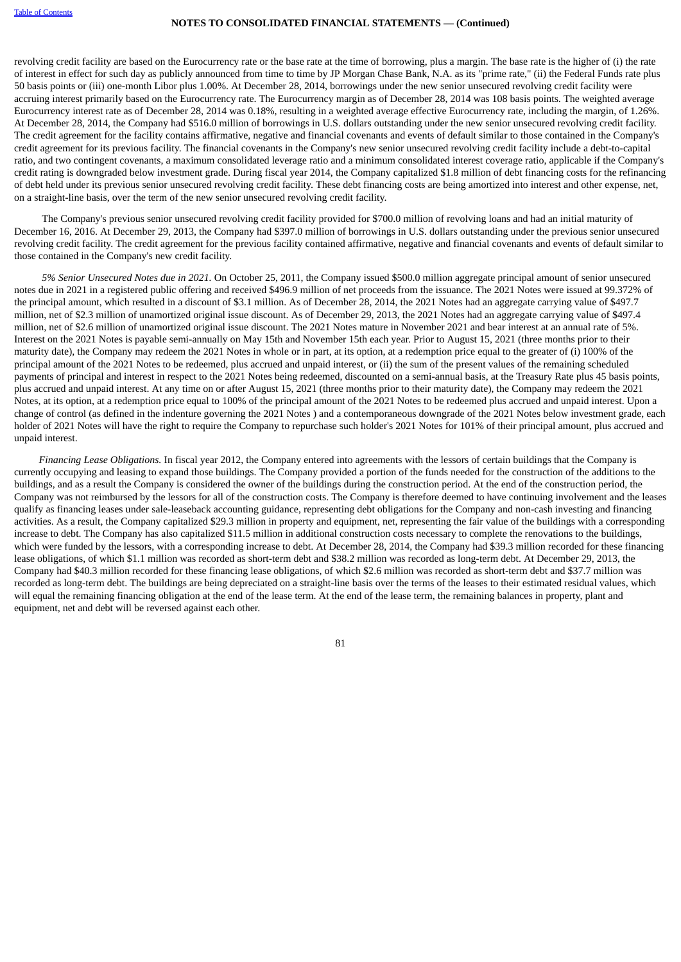revolving credit facility are based on the Eurocurrency rate or the base rate at the time of borrowing, plus a margin. The base rate is the higher of (i) the rate of interest in effect for such day as publicly announced from time to time by JP Morgan Chase Bank, N.A. as its "prime rate," (ii) the Federal Funds rate plus 50 basis points or (iii) one-month Libor plus 1.00%. At December 28, 2014, borrowings under the new senior unsecured revolving credit facility were accruing interest primarily based on the Eurocurrency rate. The Eurocurrency margin as of December 28, 2014 was 108 basis points. The weighted average Eurocurrency interest rate as of December 28, 2014 was 0.18%, resulting in a weighted average effective Eurocurrency rate, including the margin, of 1.26%. At December 28, 2014, the Company had \$516.0 million of borrowings in U.S. dollars outstanding under the new senior unsecured revolving credit facility. The credit agreement for the facility contains affirmative, negative and financial covenants and events of default similar to those contained in the Company's credit agreement for its previous facility. The financial covenants in the Company's new senior unsecured revolving credit facility include a debt-to-capital ratio, and two contingent covenants, a maximum consolidated leverage ratio and a minimum consolidated interest coverage ratio, applicable if the Company's credit rating is downgraded below investment grade. During fiscal year 2014, the Company capitalized \$1.8 million of debt financing costs for the refinancing of debt held under its previous senior unsecured revolving credit facility. These debt financing costs are being amortized into interest and other expense, net, on a straight-line basis, over the term of the new senior unsecured revolving credit facility.

The Company's previous senior unsecured revolving credit facility provided for \$700.0 million of revolving loans and had an initial maturity of December 16, 2016. At December 29, 2013, the Company had \$397.0 million of borrowings in U.S. dollars outstanding under the previous senior unsecured revolving credit facility. The credit agreement for the previous facility contained affirmative, negative and financial covenants and events of default similar to those contained in the Company's new credit facility.

*5% Senior Unsecured Notes due in 2021.* On October 25, 2011, the Company issued \$500.0 million aggregate principal amount of senior unsecured notes due in 2021 in a registered public offering and received \$496.9 million of net proceeds from the issuance. The 2021 Notes were issued at 99.372% of the principal amount, which resulted in a discount of \$3.1 million. As of December 28, 2014, the 2021 Notes had an aggregate carrying value of \$497.7 million, net of \$2.3 million of unamortized original issue discount. As of December 29, 2013, the 2021 Notes had an aggregate carrying value of \$497.4 million, net of \$2.6 million of unamortized original issue discount. The 2021 Notes mature in November 2021 and bear interest at an annual rate of 5%. Interest on the 2021 Notes is payable semi-annually on May 15th and November 15th each year. Prior to August 15, 2021 (three months prior to their maturity date), the Company may redeem the 2021 Notes in whole or in part, at its option, at a redemption price equal to the greater of (i) 100% of the principal amount of the 2021 Notes to be redeemed, plus accrued and unpaid interest, or (ii) the sum of the present values of the remaining scheduled payments of principal and interest in respect to the 2021 Notes being redeemed, discounted on a semi-annual basis, at the Treasury Rate plus 45 basis points, plus accrued and unpaid interest. At any time on or after August 15, 2021 (three months prior to their maturity date), the Company may redeem the 2021 Notes, at its option, at a redemption price equal to 100% of the principal amount of the 2021 Notes to be redeemed plus accrued and unpaid interest. Upon a change of control (as defined in the indenture governing the 2021 Notes ) and a contemporaneous downgrade of the 2021 Notes below investment grade, each holder of 2021 Notes will have the right to require the Company to repurchase such holder's 2021 Notes for 101% of their principal amount, plus accrued and unpaid interest.

*Financing Lease Obligations.* In fiscal year 2012, the Company entered into agreements with the lessors of certain buildings that the Company is currently occupying and leasing to expand those buildings. The Company provided a portion of the funds needed for the construction of the additions to the buildings, and as a result the Company is considered the owner of the buildings during the construction period. At the end of the construction period, the Company was not reimbursed by the lessors for all of the construction costs. The Company is therefore deemed to have continuing involvement and the leases qualify as financing leases under sale-leaseback accounting guidance, representing debt obligations for the Company and non-cash investing and financing activities. As a result, the Company capitalized \$29.3 million in property and equipment, net, representing the fair value of the buildings with a corresponding increase to debt. The Company has also capitalized \$11.5 million in additional construction costs necessary to complete the renovations to the buildings, which were funded by the lessors, with a corresponding increase to debt. At December 28, 2014, the Company had \$39.3 million recorded for these financing lease obligations, of which \$1.1 million was recorded as short-term debt and \$38.2 million was recorded as long-term debt. At December 29, 2013, the Company had \$40.3 million recorded for these financing lease obligations, of which \$2.6 million was recorded as short-term debt and \$37.7 million was recorded as long-term debt. The buildings are being depreciated on a straight-line basis over the terms of the leases to their estimated residual values, which will equal the remaining financing obligation at the end of the lease term. At the end of the lease term, the remaining balances in property, plant and equipment, net and debt will be reversed against each other.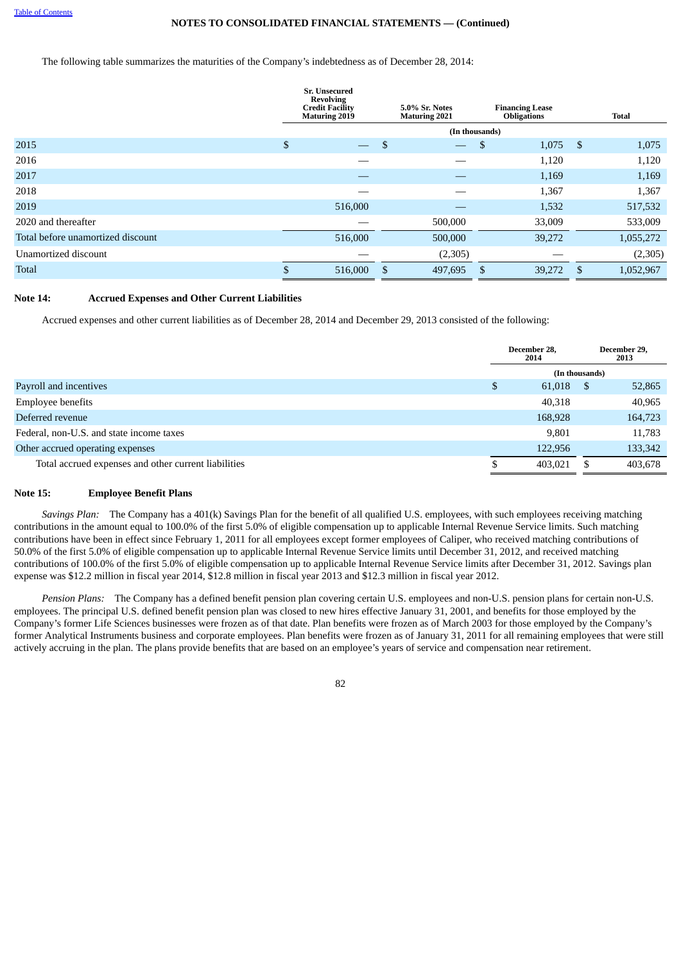The following table summarizes the maturities of the Company's indebtedness as of December 28, 2014:

|                                   | <b>Sr. Unsecured</b><br><b>Revolving</b><br><b>Credit Facility</b><br><b>Maturing 2019</b> |                          |    | 5.0% Sr. Notes<br><b>Maturing 2021</b> | <b>Financing Lease</b><br><b>Obligations</b> |        |      | <b>Total</b> |
|-----------------------------------|--------------------------------------------------------------------------------------------|--------------------------|----|----------------------------------------|----------------------------------------------|--------|------|--------------|
|                                   |                                                                                            |                          |    | (In thousands)                         |                                              |        |      |              |
| 2015                              | \$                                                                                         | $\overline{\phantom{0}}$ | \$ | $\overline{\phantom{0}}$               | S                                            | 1,075  | - \$ | 1,075        |
| 2016                              |                                                                                            |                          |    |                                        |                                              | 1,120  |      | 1,120        |
| 2017                              |                                                                                            | _                        |    |                                        |                                              | 1,169  |      | 1,169        |
| 2018                              |                                                                                            |                          |    |                                        |                                              | 1,367  |      | 1,367        |
| 2019                              |                                                                                            | 516,000                  |    |                                        |                                              | 1,532  |      | 517,532      |
| 2020 and thereafter               |                                                                                            |                          |    | 500,000                                |                                              | 33,009 |      | 533,009      |
| Total before unamortized discount |                                                                                            | 516,000                  |    | 500,000                                |                                              | 39,272 |      | 1,055,272    |
| Unamortized discount              |                                                                                            |                          |    | (2,305)                                |                                              |        |      | (2,305)      |
| <b>Total</b>                      |                                                                                            | 516,000                  | S  | 497,695                                | - \$                                         | 39,272 | -S   | 1,052,967    |

#### **Note 14: Accrued Expenses and Other Current Liabilities**

Accrued expenses and other current liabilities as of December 28, 2014 and December 29, 2013 consisted of the following:

|                                                      | December 28.<br>2014 |   | December 29,<br>2013 |  |
|------------------------------------------------------|----------------------|---|----------------------|--|
|                                                      | (In thousands)       |   |                      |  |
| Payroll and incentives                               | \$<br>61,018         | S | 52,865               |  |
| Employee benefits                                    | 40,318               |   | 40,965               |  |
| Deferred revenue                                     | 168,928              |   | 164,723              |  |
| Federal, non-U.S. and state income taxes             | 9,801                |   | 11,783               |  |
| Other accrued operating expenses                     | 122,956              |   | 133,342              |  |
| Total accrued expenses and other current liabilities | 403,021              |   | 403,678              |  |

## **Note 15: Employee Benefit Plans**

*Savings Plan:* The Company has a 401(k) Savings Plan for the benefit of all qualified U.S. employees, with such employees receiving matching contributions in the amount equal to 100.0% of the first 5.0% of eligible compensation up to applicable Internal Revenue Service limits. Such matching contributions have been in effect since February 1, 2011 for all employees except former employees of Caliper, who received matching contributions of 50.0% of the first 5.0% of eligible compensation up to applicable Internal Revenue Service limits until December 31, 2012, and received matching contributions of 100.0% of the first 5.0% of eligible compensation up to applicable Internal Revenue Service limits after December 31, 2012. Savings plan expense was \$12.2 million in fiscal year 2014, \$12.8 million in fiscal year 2013 and \$12.3 million in fiscal year 2012.

*Pension Plans:* The Company has a defined benefit pension plan covering certain U.S. employees and non-U.S. pension plans for certain non-U.S. employees. The principal U.S. defined benefit pension plan was closed to new hires effective January 31, 2001, and benefits for those employed by the Company's former Life Sciences businesses were frozen as of that date. Plan benefits were frozen as of March 2003 for those employed by the Company's former Analytical Instruments business and corporate employees. Plan benefits were frozen as of January 31, 2011 for all remaining employees that were still actively accruing in the plan. The plans provide benefits that are based on an employee's years of service and compensation near retirement.

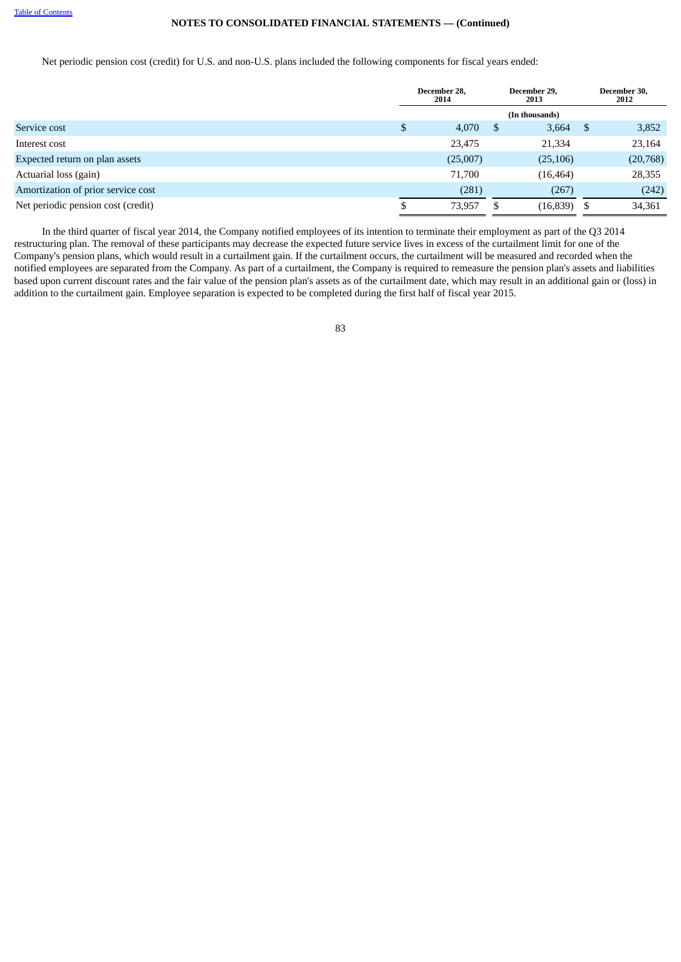Net periodic pension cost (credit) for U.S. and non-U.S. plans included the following components for fiscal years ended:

|                                    | December 28,<br>2014 |          |               | December 29,<br>2013 |      | December 30,<br>2012 |
|------------------------------------|----------------------|----------|---------------|----------------------|------|----------------------|
|                                    |                      |          |               | (In thousands)       |      |                      |
| Service cost                       | \$                   | 4,070    | <sup>\$</sup> | 3,664                | - \$ | 3,852                |
| Interest cost                      |                      | 23,475   |               | 21,334               |      | 23,164               |
| Expected return on plan assets     |                      | (25,007) |               | (25, 106)            |      | (20, 768)            |
| Actuarial loss (gain)              |                      | 71,700   |               | (16, 464)            |      | 28,355               |
| Amortization of prior service cost |                      | (281)    |               | (267)                |      | (242)                |
| Net periodic pension cost (credit) |                      | 73,957   |               | (16, 839)            |      | 34,361               |

In the third quarter of fiscal year 2014, the Company notified employees of its intention to terminate their employment as part of the Q3 2014 restructuring plan. The removal of these participants may decrease the expected future service lives in excess of the curtailment limit for one of the Company's pension plans, which would result in a curtailment gain. If the curtailment occurs, the curtailment will be measured and recorded when the notified employees are separated from the Company. As part of a curtailment, the Company is required to remeasure the pension plan's assets and liabilities based upon current discount rates and the fair value of the pension plan's assets as of the curtailment date, which may result in an additional gain or (loss) in addition to the curtailment gain. Employee separation is expected to be completed during the first half of fiscal year 2015.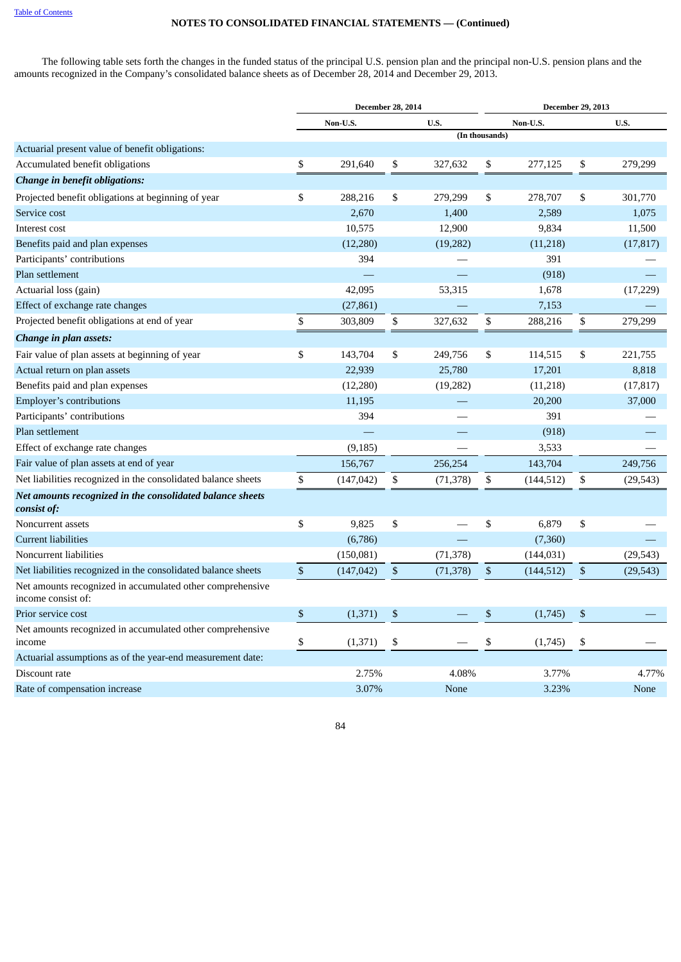The following table sets forth the changes in the funded status of the principal U.S. pension plan and the principal non-U.S. pension plans and the amounts recognized in the Company's consolidated balance sheets as of December 28, 2014 and December 29, 2013.

|                                                                                 |              | <b>December 28, 2014</b> |                           |                |                           | <b>December 29, 2013</b> |              |             |
|---------------------------------------------------------------------------------|--------------|--------------------------|---------------------------|----------------|---------------------------|--------------------------|--------------|-------------|
|                                                                                 |              | Non-U.S.                 |                           | U.S.           |                           | Non-U.S.                 |              | U.S.        |
|                                                                                 |              |                          |                           | (In thousands) |                           |                          |              |             |
| Actuarial present value of benefit obligations:                                 |              |                          |                           |                |                           |                          |              |             |
| Accumulated benefit obligations                                                 | \$           | 291,640                  | \$                        | 327,632        | \$                        | 277,125                  | \$           | 279,299     |
| Change in benefit obligations:                                                  |              |                          |                           |                |                           |                          |              |             |
| Projected benefit obligations at beginning of year                              | \$           | 288,216                  | \$                        | 279,299        | \$                        | 278,707                  | \$           | 301,770     |
| Service cost                                                                    |              | 2,670                    |                           | 1,400          |                           | 2,589                    |              | 1,075       |
| Interest cost                                                                   |              | 10,575                   |                           | 12,900         |                           | 9,834                    |              | 11,500      |
| Benefits paid and plan expenses                                                 |              | (12,280)                 |                           | (19,282)       |                           | (11,218)                 |              | (17, 817)   |
| Participants' contributions                                                     |              | 394                      |                           |                |                           | 391                      |              |             |
| Plan settlement                                                                 |              |                          |                           |                |                           | (918)                    |              |             |
| Actuarial loss (gain)                                                           |              | 42,095                   |                           | 53,315         |                           | 1,678                    |              | (17, 229)   |
| Effect of exchange rate changes                                                 |              | (27, 861)                |                           |                |                           | 7,153                    |              |             |
| Projected benefit obligations at end of year                                    | \$           | 303,809                  | \$                        | 327,632        | \$                        | 288,216                  | \$           | 279,299     |
| Change in plan assets:                                                          |              |                          |                           |                |                           |                          |              |             |
| Fair value of plan assets at beginning of year                                  | \$           | 143,704                  | \$                        | 249,756        | \$                        | 114,515                  | \$           | 221,755     |
| Actual return on plan assets                                                    |              | 22,939                   |                           | 25,780         |                           | 17,201                   |              | 8,818       |
| Benefits paid and plan expenses                                                 |              | (12,280)                 |                           | (19, 282)      |                           | (11,218)                 |              | (17, 817)   |
| Employer's contributions                                                        |              | 11,195                   |                           |                |                           | 20,200                   |              | 37,000      |
| Participants' contributions                                                     |              | 394                      |                           |                |                           | 391                      |              |             |
| Plan settlement                                                                 |              |                          |                           |                |                           | (918)                    |              |             |
| Effect of exchange rate changes                                                 |              | (9, 185)                 |                           |                |                           | 3,533                    |              |             |
| Fair value of plan assets at end of year                                        |              | 156,767                  |                           | 256,254        |                           | 143,704                  |              | 249,756     |
| Net liabilities recognized in the consolidated balance sheets                   | \$           | (147, 042)               | \$                        | (71, 378)      | \$                        | (144, 512)               | \$           | (29, 543)   |
| Net amounts recognized in the consolidated balance sheets<br>consist of:        |              |                          |                           |                |                           |                          |              |             |
| Noncurrent assets                                                               | \$           | 9,825                    | \$                        |                | \$                        | 6,879                    | \$           |             |
| <b>Current liabilities</b>                                                      |              | (6,786)                  |                           |                |                           | (7,360)                  |              |             |
| Noncurrent liabilities                                                          |              | (150, 081)               |                           | (71, 378)      |                           | (144, 031)               |              | (29, 543)   |
| Net liabilities recognized in the consolidated balance sheets                   | $\mathbb{S}$ | (147, 042)               | $\mathbb{S}$              | (71, 378)      | $\$$                      | (144, 512)               | $\mathbb{S}$ | (29, 543)   |
| Net amounts recognized in accumulated other comprehensive<br>income consist of: |              |                          |                           |                |                           |                          |              |             |
| Prior service cost                                                              | \$           | (1, 371)                 | $\boldsymbol{\mathsf{S}}$ |                | $\boldsymbol{\mathsf{S}}$ | (1,745)                  | \$           |             |
| Net amounts recognized in accumulated other comprehensive<br>income             | \$           | (1, 371)                 | \$                        |                | \$                        | (1,745)                  | \$           |             |
| Actuarial assumptions as of the year-end measurement date:                      |              |                          |                           |                |                           |                          |              |             |
| Discount rate                                                                   |              | 2.75%                    |                           | 4.08%          |                           | 3.77%                    |              | 4.77%       |
| Rate of compensation increase                                                   |              | 3.07%                    |                           | None           |                           | 3.23%                    |              | <b>None</b> |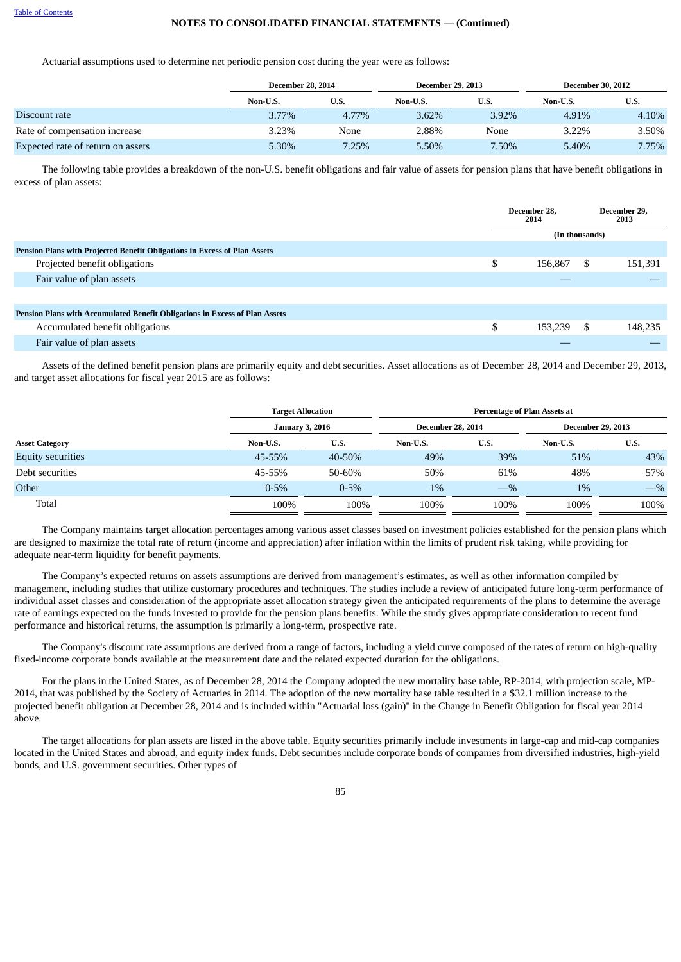Actuarial assumptions used to determine net periodic pension cost during the year were as follows:

|                                   | <b>December 28, 2014</b> |       | <b>December 29, 2013</b> |          | <b>December 30, 2012</b> |       |  |
|-----------------------------------|--------------------------|-------|--------------------------|----------|--------------------------|-------|--|
|                                   | Non-U.S.                 | U.S.  | Non-U.S.                 | U.S.     | Non-U.S.                 | U.S.  |  |
| Discount rate                     | 3.77%                    | 4.77% | 3.62%                    | 3.92%    | 4.91%                    | 4.10% |  |
| Rate of compensation increase     | 3.23%                    | None  | 2.88%                    | None     | 3.22%                    | 3.50% |  |
| Expected rate of return on assets | 5.30%                    | 7.25% | 5.50%                    | $7.50\%$ | 5.40%                    | 7.75% |  |

The following table provides a breakdown of the non-U.S. benefit obligations and fair value of assets for pension plans that have benefit obligations in excess of plan assets:

|                                                                                    |    | December 28.<br>2014 |      | December 29,<br>2013 |  |
|------------------------------------------------------------------------------------|----|----------------------|------|----------------------|--|
|                                                                                    |    | (In thousands)       |      |                      |  |
| <b>Pension Plans with Projected Benefit Obligations in Excess of Plan Assets</b>   |    |                      |      |                      |  |
| Projected benefit obligations                                                      | \$ | 156,867              | -S   | 151,391              |  |
| Fair value of plan assets                                                          |    |                      |      |                      |  |
|                                                                                    |    |                      |      |                      |  |
| <b>Pension Plans with Accumulated Benefit Obligations in Excess of Plan Assets</b> |    |                      |      |                      |  |
| Accumulated benefit obligations                                                    | D  | 153,239              | - \$ | 148,235              |  |
| Fair value of plan assets                                                          |    |                      |      |                      |  |

Assets of the defined benefit pension plans are primarily equity and debt securities. Asset allocations as of December 28, 2014 and December 29, 2013, and target asset allocations for fiscal year 2015 are as follows:

|                          |          | <b>Target Allocation</b> |          | Percentage of Plan Assets at |                          |       |  |
|--------------------------|----------|--------------------------|----------|------------------------------|--------------------------|-------|--|
|                          |          | <b>January 3, 2016</b>   |          | <b>December 28, 2014</b>     | <b>December 29, 2013</b> |       |  |
| <b>Asset Category</b>    | Non-U.S. | U.S.                     | Non-U.S. | U.S.                         | Non-U.S.                 | U.S.  |  |
| <b>Equity securities</b> | 45-55%   | 40-50%                   | 49%      | 39%                          | 51%                      | 43%   |  |
| Debt securities          | 45-55%   | 50-60%                   | 50%      | 61%                          | 48%                      | 57%   |  |
| Other                    | $0 - 5%$ | $0 - 5\%$                | 1%       | $-$ %                        | $1\%$                    | $-$ % |  |
| Total                    | 100%     | 100%                     | 100%     | 100%                         | 100%                     | 100%  |  |

The Company maintains target allocation percentages among various asset classes based on investment policies established for the pension plans which are designed to maximize the total rate of return (income and appreciation) after inflation within the limits of prudent risk taking, while providing for adequate near-term liquidity for benefit payments.

The Company's expected returns on assets assumptions are derived from management's estimates, as well as other information compiled by management, including studies that utilize customary procedures and techniques. The studies include a review of anticipated future long-term performance of individual asset classes and consideration of the appropriate asset allocation strategy given the anticipated requirements of the plans to determine the average rate of earnings expected on the funds invested to provide for the pension plans benefits. While the study gives appropriate consideration to recent fund performance and historical returns, the assumption is primarily a long-term, prospective rate.

The Company's discount rate assumptions are derived from a range of factors, including a yield curve composed of the rates of return on high-quality fixed-income corporate bonds available at the measurement date and the related expected duration for the obligations.

For the plans in the United States, as of December 28, 2014 the Company adopted the new mortality base table, RP-2014, with projection scale, MP-2014, that was published by the Society of Actuaries in 2014. The adoption of the new mortality base table resulted in a \$32.1 million increase to the projected benefit obligation at December 28, 2014 and is included within "Actuarial loss (gain)" in the Change in Benefit Obligation for fiscal year 2014 above.

The target allocations for plan assets are listed in the above table. Equity securities primarily include investments in large-cap and mid-cap companies located in the United States and abroad, and equity index funds. Debt securities include corporate bonds of companies from diversified industries, high-yield bonds, and U.S. government securities. Other types of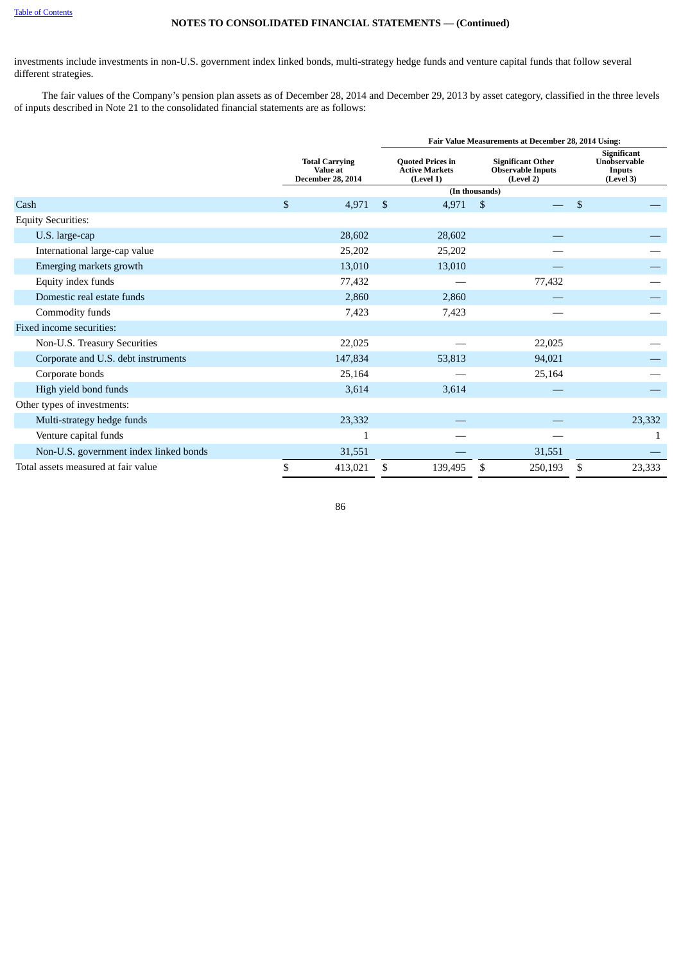investments include investments in non-U.S. government index linked bonds, multi-strategy hedge funds and venture capital funds that follow several different strategies.

The fair values of the Company's pension plan assets as of December 28, 2014 and December 29, 2013 by asset category, classified in the three levels of inputs described in Note 21 to the consolidated financial statements are as follows:

|                                        |              |                                                                      | Fair Value Measurements at December 28, 2014 Using:           |         |                                                                   |         |              |                                                                  |
|----------------------------------------|--------------|----------------------------------------------------------------------|---------------------------------------------------------------|---------|-------------------------------------------------------------------|---------|--------------|------------------------------------------------------------------|
|                                        |              | <b>Total Carrying</b><br><b>Value</b> at<br><b>December 28, 2014</b> | <b>Ouoted Prices in</b><br><b>Active Markets</b><br>(Level 1) |         | <b>Significant Other</b><br><b>Observable Inputs</b><br>(Level 2) |         |              | <b>Significant</b><br>Unobservable<br><b>Inputs</b><br>(Level 3) |
|                                        |              |                                                                      |                                                               |         | (In thousands)                                                    |         |              |                                                                  |
| Cash                                   | $\mathbb{S}$ | 4,971                                                                | \$                                                            | 4,971   | - \$                                                              |         | $\mathbf{s}$ |                                                                  |
| <b>Equity Securities:</b>              |              |                                                                      |                                                               |         |                                                                   |         |              |                                                                  |
| U.S. large-cap                         |              | 28,602                                                               |                                                               | 28,602  |                                                                   |         |              |                                                                  |
| International large-cap value          |              | 25,202                                                               |                                                               | 25,202  |                                                                   |         |              |                                                                  |
| Emerging markets growth                |              | 13,010                                                               |                                                               | 13,010  |                                                                   |         |              |                                                                  |
| Equity index funds                     |              | 77,432                                                               |                                                               |         |                                                                   | 77,432  |              |                                                                  |
| Domestic real estate funds             |              | 2,860                                                                |                                                               | 2,860   |                                                                   |         |              |                                                                  |
| Commodity funds                        |              | 7,423                                                                |                                                               | 7,423   |                                                                   |         |              |                                                                  |
| Fixed income securities:               |              |                                                                      |                                                               |         |                                                                   |         |              |                                                                  |
| Non-U.S. Treasury Securities           |              | 22,025                                                               |                                                               |         |                                                                   | 22,025  |              |                                                                  |
| Corporate and U.S. debt instruments    |              | 147,834                                                              |                                                               | 53,813  |                                                                   | 94,021  |              |                                                                  |
| Corporate bonds                        |              | 25,164                                                               |                                                               |         |                                                                   | 25,164  |              |                                                                  |
| High yield bond funds                  |              | 3,614                                                                |                                                               | 3,614   |                                                                   |         |              |                                                                  |
| Other types of investments:            |              |                                                                      |                                                               |         |                                                                   |         |              |                                                                  |
| Multi-strategy hedge funds             |              | 23,332                                                               |                                                               |         |                                                                   |         |              | 23,332                                                           |
| Venture capital funds                  |              | 1                                                                    |                                                               |         |                                                                   |         |              | 1                                                                |
| Non-U.S. government index linked bonds |              | 31,551                                                               |                                                               |         |                                                                   | 31,551  |              |                                                                  |
| Total assets measured at fair value    | \$           | 413,021                                                              | \$                                                            | 139,495 | \$                                                                | 250,193 | \$           | 23,333                                                           |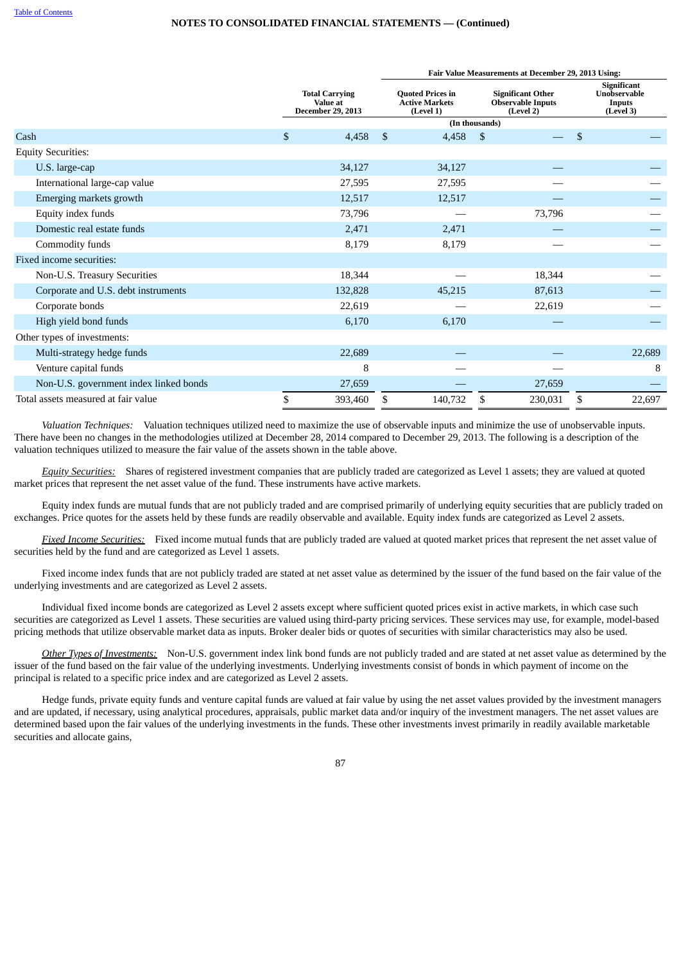| <b>Significant</b><br><b>Significant Other</b><br><b>Total Carrying</b><br><b>Quoted Prices in</b><br>Unobservable<br><b>Active Markets</b><br><b>Observable Inputs</b><br>Value at<br><b>Inputs</b><br><b>December 29, 2013</b><br>(Level 1)<br>(Level 2)<br>(Level 3)<br>(In thousands)<br>\$<br>4,458<br>4,458<br>\$<br>Cash<br>-\$<br>- \$<br><b>Equity Securities:</b><br>34,127<br>U.S. large-cap<br>34,127<br>27,595<br>27,595<br>International large-cap value<br>Emerging markets growth<br>12,517<br>12,517<br>Equity index funds<br>73,796<br>73,796<br>Domestic real estate funds<br>2,471<br>2,471<br>Commodity funds<br>8,179<br>8,179<br>Fixed income securities:<br>18,344<br>18,344<br>Non-U.S. Treasury Securities<br>Corporate and U.S. debt instruments<br>45,215<br>87,613<br>132,828<br>22,619<br>Corporate bonds<br>22,619<br>High yield bond funds<br>6,170<br>6,170<br>Other types of investments:<br>Multi-strategy hedge funds<br>22,689<br>22,689<br>Venture capital funds<br>8<br>8<br>Non-U.S. government index linked bonds<br>27,659<br>27,659<br>Total assets measured at fair value<br>\$<br>140,732<br>393,460<br>\$<br>230,031<br>\$<br>22,697<br>\$ |  |  | Fair Value Measurements at December 29, 2013 Using: |  |  |  |  |  |  |
|------------------------------------------------------------------------------------------------------------------------------------------------------------------------------------------------------------------------------------------------------------------------------------------------------------------------------------------------------------------------------------------------------------------------------------------------------------------------------------------------------------------------------------------------------------------------------------------------------------------------------------------------------------------------------------------------------------------------------------------------------------------------------------------------------------------------------------------------------------------------------------------------------------------------------------------------------------------------------------------------------------------------------------------------------------------------------------------------------------------------------------------------------------------------------------------|--|--|-----------------------------------------------------|--|--|--|--|--|--|
|                                                                                                                                                                                                                                                                                                                                                                                                                                                                                                                                                                                                                                                                                                                                                                                                                                                                                                                                                                                                                                                                                                                                                                                          |  |  |                                                     |  |  |  |  |  |  |
|                                                                                                                                                                                                                                                                                                                                                                                                                                                                                                                                                                                                                                                                                                                                                                                                                                                                                                                                                                                                                                                                                                                                                                                          |  |  |                                                     |  |  |  |  |  |  |
|                                                                                                                                                                                                                                                                                                                                                                                                                                                                                                                                                                                                                                                                                                                                                                                                                                                                                                                                                                                                                                                                                                                                                                                          |  |  |                                                     |  |  |  |  |  |  |
|                                                                                                                                                                                                                                                                                                                                                                                                                                                                                                                                                                                                                                                                                                                                                                                                                                                                                                                                                                                                                                                                                                                                                                                          |  |  |                                                     |  |  |  |  |  |  |
|                                                                                                                                                                                                                                                                                                                                                                                                                                                                                                                                                                                                                                                                                                                                                                                                                                                                                                                                                                                                                                                                                                                                                                                          |  |  |                                                     |  |  |  |  |  |  |
|                                                                                                                                                                                                                                                                                                                                                                                                                                                                                                                                                                                                                                                                                                                                                                                                                                                                                                                                                                                                                                                                                                                                                                                          |  |  |                                                     |  |  |  |  |  |  |
|                                                                                                                                                                                                                                                                                                                                                                                                                                                                                                                                                                                                                                                                                                                                                                                                                                                                                                                                                                                                                                                                                                                                                                                          |  |  |                                                     |  |  |  |  |  |  |
|                                                                                                                                                                                                                                                                                                                                                                                                                                                                                                                                                                                                                                                                                                                                                                                                                                                                                                                                                                                                                                                                                                                                                                                          |  |  |                                                     |  |  |  |  |  |  |
|                                                                                                                                                                                                                                                                                                                                                                                                                                                                                                                                                                                                                                                                                                                                                                                                                                                                                                                                                                                                                                                                                                                                                                                          |  |  |                                                     |  |  |  |  |  |  |
|                                                                                                                                                                                                                                                                                                                                                                                                                                                                                                                                                                                                                                                                                                                                                                                                                                                                                                                                                                                                                                                                                                                                                                                          |  |  |                                                     |  |  |  |  |  |  |
|                                                                                                                                                                                                                                                                                                                                                                                                                                                                                                                                                                                                                                                                                                                                                                                                                                                                                                                                                                                                                                                                                                                                                                                          |  |  |                                                     |  |  |  |  |  |  |
|                                                                                                                                                                                                                                                                                                                                                                                                                                                                                                                                                                                                                                                                                                                                                                                                                                                                                                                                                                                                                                                                                                                                                                                          |  |  |                                                     |  |  |  |  |  |  |
|                                                                                                                                                                                                                                                                                                                                                                                                                                                                                                                                                                                                                                                                                                                                                                                                                                                                                                                                                                                                                                                                                                                                                                                          |  |  |                                                     |  |  |  |  |  |  |
|                                                                                                                                                                                                                                                                                                                                                                                                                                                                                                                                                                                                                                                                                                                                                                                                                                                                                                                                                                                                                                                                                                                                                                                          |  |  |                                                     |  |  |  |  |  |  |
|                                                                                                                                                                                                                                                                                                                                                                                                                                                                                                                                                                                                                                                                                                                                                                                                                                                                                                                                                                                                                                                                                                                                                                                          |  |  |                                                     |  |  |  |  |  |  |
|                                                                                                                                                                                                                                                                                                                                                                                                                                                                                                                                                                                                                                                                                                                                                                                                                                                                                                                                                                                                                                                                                                                                                                                          |  |  |                                                     |  |  |  |  |  |  |
|                                                                                                                                                                                                                                                                                                                                                                                                                                                                                                                                                                                                                                                                                                                                                                                                                                                                                                                                                                                                                                                                                                                                                                                          |  |  |                                                     |  |  |  |  |  |  |
|                                                                                                                                                                                                                                                                                                                                                                                                                                                                                                                                                                                                                                                                                                                                                                                                                                                                                                                                                                                                                                                                                                                                                                                          |  |  |                                                     |  |  |  |  |  |  |
|                                                                                                                                                                                                                                                                                                                                                                                                                                                                                                                                                                                                                                                                                                                                                                                                                                                                                                                                                                                                                                                                                                                                                                                          |  |  |                                                     |  |  |  |  |  |  |
|                                                                                                                                                                                                                                                                                                                                                                                                                                                                                                                                                                                                                                                                                                                                                                                                                                                                                                                                                                                                                                                                                                                                                                                          |  |  |                                                     |  |  |  |  |  |  |

*Valuation Techniques:* Valuation techniques utilized need to maximize the use of observable inputs and minimize the use of unobservable inputs. There have been no changes in the methodologies utilized at December 28, 2014 compared to December 29, 2013. The following is a description of the valuation techniques utilized to measure the fair value of the assets shown in the table above.

*Equity Securities:* Shares of registered investment companies that are publicly traded are categorized as Level 1 assets; they are valued at quoted market prices that represent the net asset value of the fund. These instruments have active markets.

Equity index funds are mutual funds that are not publicly traded and are comprised primarily of underlying equity securities that are publicly traded on exchanges. Price quotes for the assets held by these funds are readily observable and available. Equity index funds are categorized as Level 2 assets.

*Fixed Income Securities:* Fixed income mutual funds that are publicly traded are valued at quoted market prices that represent the net asset value of securities held by the fund and are categorized as Level 1 assets.

Fixed income index funds that are not publicly traded are stated at net asset value as determined by the issuer of the fund based on the fair value of the underlying investments and are categorized as Level 2 assets.

Individual fixed income bonds are categorized as Level 2 assets except where sufficient quoted prices exist in active markets, in which case such securities are categorized as Level 1 assets. These securities are valued using third-party pricing services. These services may use, for example, model-based pricing methods that utilize observable market data as inputs. Broker dealer bids or quotes of securities with similar characteristics may also be used.

*Other Types of Investments:* Non-U.S. government index link bond funds are not publicly traded and are stated at net asset value as determined by the issuer of the fund based on the fair value of the underlying investments. Underlying investments consist of bonds in which payment of income on the principal is related to a specific price index and are categorized as Level 2 assets.

Hedge funds, private equity funds and venture capital funds are valued at fair value by using the net asset values provided by the investment managers and are updated, if necessary, using analytical procedures, appraisals, public market data and/or inquiry of the investment managers. The net asset values are determined based upon the fair values of the underlying investments in the funds. These other investments invest primarily in readily available marketable securities and allocate gains,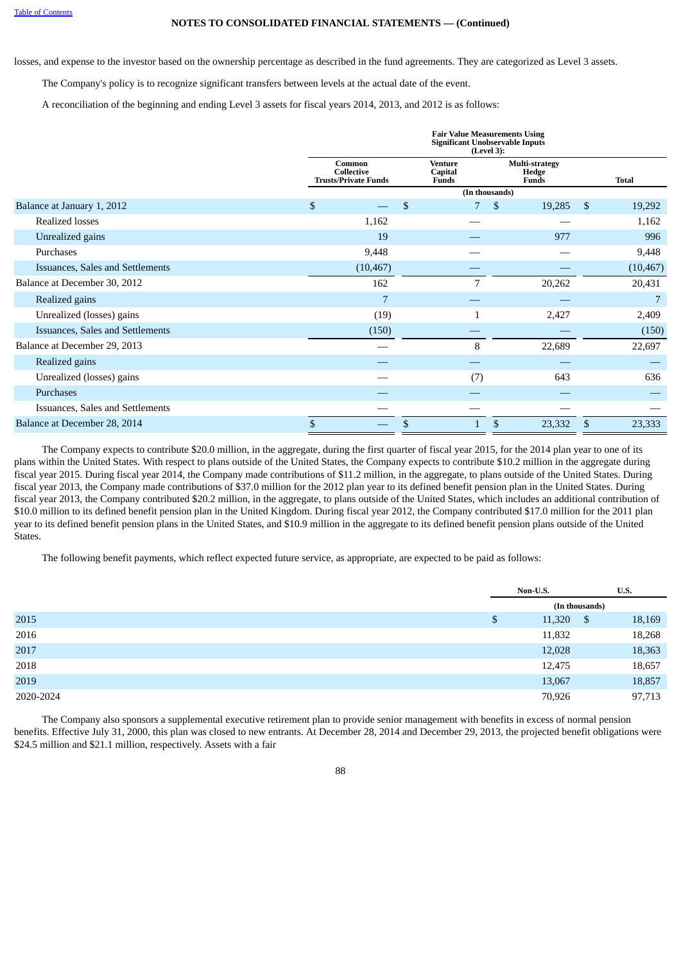losses, and expense to the investor based on the ownership percentage as described in the fund agreements. They are categorized as Level 3 assets.

The Company's policy is to recognize significant transfers between levels at the actual date of the event.

A reconciliation of the beginning and ending Level 3 assets for fiscal years 2014, 2013, and 2012 is as follows:

|                                  | <b>Fair Value Measurements Using</b><br><b>Significant Unobservable Inputs</b><br>(Level 3): |    |                                                                                      |                |        |               |              |  |  |  |
|----------------------------------|----------------------------------------------------------------------------------------------|----|--------------------------------------------------------------------------------------|----------------|--------|---------------|--------------|--|--|--|
|                                  | Common<br><b>Collective</b><br><b>Trusts/Private Funds</b>                                   |    | Multi-strategy<br><b>Venture</b><br>Capital<br>Hedge<br><b>Funds</b><br><b>Funds</b> |                |        |               | <b>Total</b> |  |  |  |
|                                  | (In thousands)                                                                               |    |                                                                                      |                |        |               |              |  |  |  |
| Balance at January 1, 2012       | \$                                                                                           | \$ | 7                                                                                    | \$             | 19,285 | <sup>\$</sup> | 19,292       |  |  |  |
| <b>Realized losses</b>           | 1,162                                                                                        |    |                                                                                      |                |        |               | 1,162        |  |  |  |
| Unrealized gains                 | 19                                                                                           |    |                                                                                      |                | 977    |               | 996          |  |  |  |
| Purchases                        | 9,448                                                                                        |    |                                                                                      |                |        |               | 9,448        |  |  |  |
| Issuances, Sales and Settlements | (10, 467)                                                                                    |    |                                                                                      |                |        |               | (10, 467)    |  |  |  |
| Balance at December 30, 2012     | 162                                                                                          |    | 7                                                                                    |                | 20,262 |               | 20,431       |  |  |  |
| Realized gains                   | 7                                                                                            |    |                                                                                      |                |        |               | 7            |  |  |  |
| Unrealized (losses) gains        | (19)                                                                                         |    |                                                                                      |                | 2,427  |               | 2,409        |  |  |  |
| Issuances, Sales and Settlements | (150)                                                                                        |    |                                                                                      |                |        |               | (150)        |  |  |  |
| Balance at December 29, 2013     |                                                                                              |    | 8                                                                                    |                | 22,689 |               | 22,697       |  |  |  |
| Realized gains                   |                                                                                              |    |                                                                                      |                |        |               |              |  |  |  |
| Unrealized (losses) gains        |                                                                                              |    | (7)                                                                                  |                | 643    |               | 636          |  |  |  |
| Purchases                        |                                                                                              |    |                                                                                      |                |        |               |              |  |  |  |
| Issuances, Sales and Settlements |                                                                                              |    |                                                                                      |                |        |               |              |  |  |  |
| Balance at December 28, 2014     | \$                                                                                           | \$ |                                                                                      | $\mathfrak{S}$ | 23,332 | <sup>\$</sup> | 23,333       |  |  |  |

The Company expects to contribute \$20.0 million, in the aggregate, during the first quarter of fiscal year 2015, for the 2014 plan year to one of its plans within the United States. With respect to plans outside of the United States, the Company expects to contribute \$10.2 million in the aggregate during fiscal year 2015. During fiscal year 2014, the Company made contributions of \$11.2 million, in the aggregate, to plans outside of the United States. During fiscal year 2013, the Company made contributions of \$37.0 million for the 2012 plan year to its defined benefit pension plan in the United States. During fiscal year 2013, the Company contributed \$20.2 million, in the aggregate, to plans outside of the United States, which includes an additional contribution of \$10.0 million to its defined benefit pension plan in the United Kingdom. During fiscal year 2012, the Company contributed \$17.0 million for the 2011 plan year to its defined benefit pension plans in the United States, and \$10.9 million in the aggregate to its defined benefit pension plans outside of the United States.

The following benefit payments, which reflect expected future service, as appropriate, are expected to be paid as follows:

|           | Non-U.S.     | U.S.           |        |
|-----------|--------------|----------------|--------|
|           |              | (In thousands) |        |
| 2015      | \$<br>11,320 | - \$           | 18,169 |
| 2016      | 11,832       |                | 18,268 |
| 2017      | 12,028       |                | 18,363 |
| 2018      | 12,475       |                | 18,657 |
| 2019      | 13,067       |                | 18,857 |
| 2020-2024 | 70,926       |                | 97,713 |

The Company also sponsors a supplemental executive retirement plan to provide senior management with benefits in excess of normal pension benefits. Effective July 31, 2000, this plan was closed to new entrants. At December 28, 2014 and December 29, 2013, the projected benefit obligations were \$24.5 million and \$21.1 million, respectively. Assets with a fair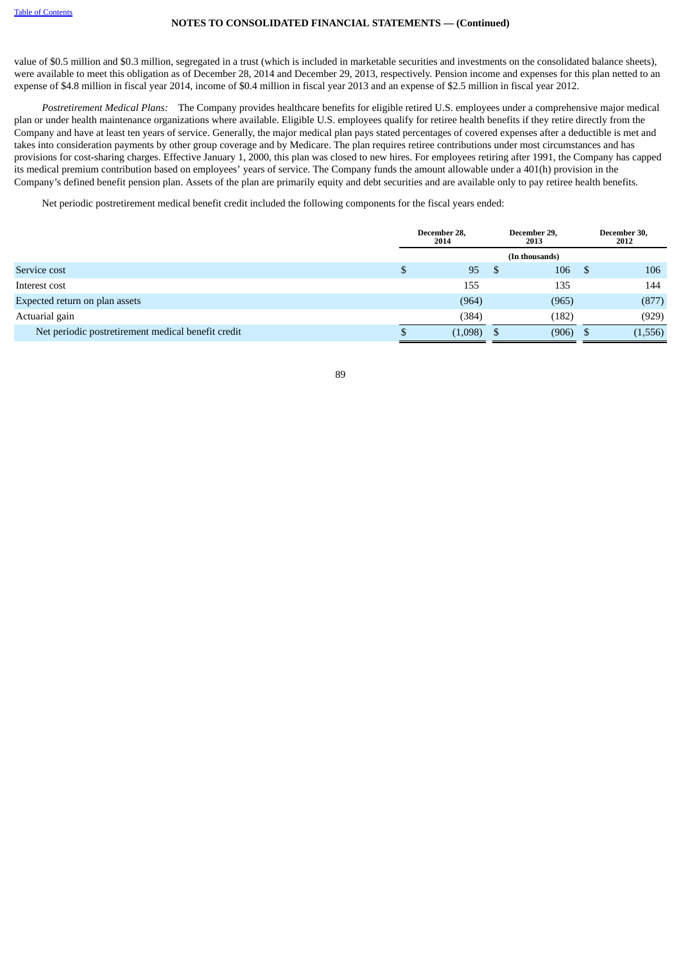value of \$0.5 million and \$0.3 million, segregated in a trust (which is included in marketable securities and investments on the consolidated balance sheets), were available to meet this obligation as of December 28, 2014 and December 29, 2013, respectively. Pension income and expenses for this plan netted to an expense of \$4.8 million in fiscal year 2014, income of \$0.4 million in fiscal year 2013 and an expense of \$2.5 million in fiscal year 2012.

*Postretirement Medical Plans:* The Company provides healthcare benefits for eligible retired U.S. employees under a comprehensive major medical plan or under health maintenance organizations where available. Eligible U.S. employees qualify for retiree health benefits if they retire directly from the Company and have at least ten years of service. Generally, the major medical plan pays stated percentages of covered expenses after a deductible is met and takes into consideration payments by other group coverage and by Medicare. The plan requires retiree contributions under most circumstances and has provisions for cost-sharing charges. Effective January 1, 2000, this plan was closed to new hires. For employees retiring after 1991, the Company has capped its medical premium contribution based on employees' years of service. The Company funds the amount allowable under a 401(h) provision in the Company's defined benefit pension plan. Assets of the plan are primarily equity and debt securities and are available only to pay retiree health benefits.

Net periodic postretirement medical benefit credit included the following components for the fiscal years ended:

|                                                    | December 28,<br>2014 |         | December 29,<br>2013 |                |     | December 30,<br>2012 |
|----------------------------------------------------|----------------------|---------|----------------------|----------------|-----|----------------------|
|                                                    |                      |         |                      | (In thousands) |     |                      |
| Service cost                                       | S                    | 95      | -S                   | 106            | - S | 106                  |
| Interest cost                                      |                      | 155     |                      | 135            |     | 144                  |
| Expected return on plan assets                     |                      | (964)   |                      | (965)          |     | (877)                |
| Actuarial gain                                     |                      | (384)   |                      | (182)          |     | (929)                |
| Net periodic postretirement medical benefit credit |                      | (1,098) | S                    | $(906)$ \$     |     | (1, 556)             |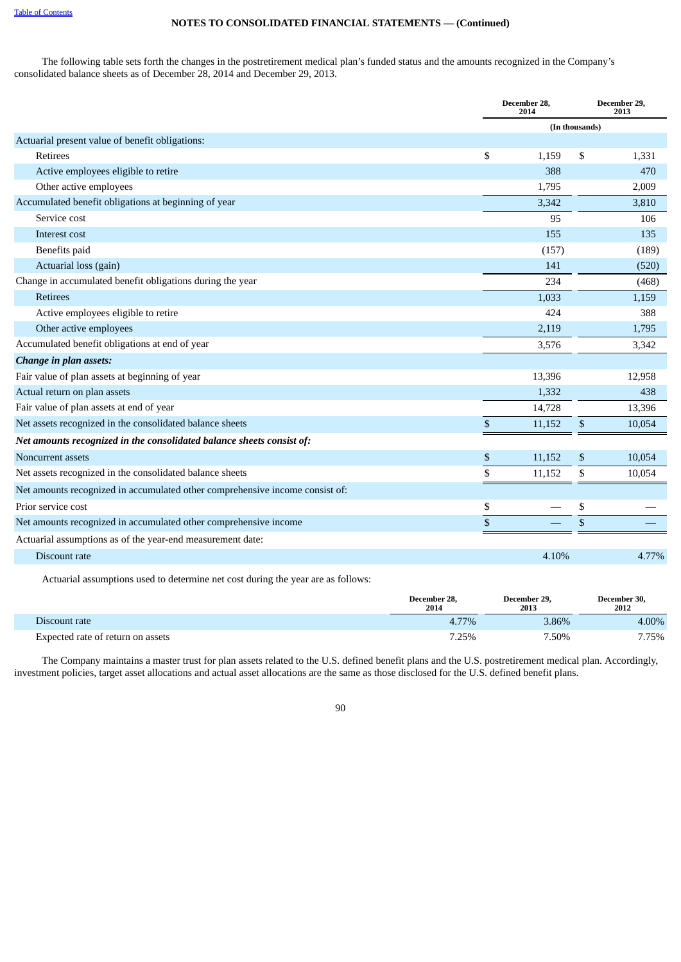The following table sets forth the changes in the postretirement medical plan's funded status and the amounts recognized in the Company's consolidated balance sheets as of December 28, 2014 and December 29, 2013.

|                                                                              | December 28,<br>2014 |                |      | December 29,<br>2013 |  |
|------------------------------------------------------------------------------|----------------------|----------------|------|----------------------|--|
|                                                                              |                      | (In thousands) |      |                      |  |
| Actuarial present value of benefit obligations:                              |                      |                |      |                      |  |
| <b>Retirees</b>                                                              | \$                   | 1,159          | \$   | 1,331                |  |
| Active employees eligible to retire                                          |                      | 388            |      | 470                  |  |
| Other active employees                                                       |                      | 1,795          |      | 2,009                |  |
| Accumulated benefit obligations at beginning of year                         |                      | 3,342          |      | 3,810                |  |
| Service cost                                                                 |                      | 95             |      | 106                  |  |
| Interest cost                                                                |                      | 155            |      | 135                  |  |
| Benefits paid                                                                |                      | (157)          |      | (189)                |  |
| Actuarial loss (gain)                                                        |                      | 141            |      | (520)                |  |
| Change in accumulated benefit obligations during the year                    |                      | 234            |      | (468)                |  |
| <b>Retirees</b>                                                              |                      | 1,033          |      | 1,159                |  |
| Active employees eligible to retire                                          |                      | 424            |      | 388                  |  |
| Other active employees                                                       |                      | 2,119          |      | 1,795                |  |
| Accumulated benefit obligations at end of year                               |                      | 3,576          |      | 3,342                |  |
| Change in plan assets:                                                       |                      |                |      |                      |  |
| Fair value of plan assets at beginning of year                               |                      | 13,396         |      | 12,958               |  |
| Actual return on plan assets                                                 |                      | 1,332          |      | 438                  |  |
| Fair value of plan assets at end of year                                     |                      | 14,728         |      | 13,396               |  |
| Net assets recognized in the consolidated balance sheets                     | $\$$                 | 11,152         | \$   | 10,054               |  |
| Net amounts recognized in the consolidated balance sheets consist of:        |                      |                |      |                      |  |
| Noncurrent assets                                                            | \$                   | 11,152         | \$   | 10,054               |  |
| Net assets recognized in the consolidated balance sheets                     | \$                   | 11,152         | \$   | 10,054               |  |
| Net amounts recognized in accumulated other comprehensive income consist of: |                      |                |      |                      |  |
| Prior service cost                                                           | \$                   |                | \$   |                      |  |
| Net amounts recognized in accumulated other comprehensive income             | \$                   |                | $\$$ |                      |  |
| Actuarial assumptions as of the year-end measurement date:                   |                      |                |      |                      |  |
| Discount rate                                                                |                      | 4.10%          |      | 4.77%                |  |

Actuarial assumptions used to determine net cost during the year are as follows:

|                                   | December 28,<br>2014 | December 29,<br>2013 | December 30,<br>2012 |
|-----------------------------------|----------------------|----------------------|----------------------|
| Discount rate                     | 4.77%                | 3.86%                | 4.00%                |
| Expected rate of return on assets | 7.25%                | 7.50%                | 7.75%                |

The Company maintains a master trust for plan assets related to the U.S. defined benefit plans and the U.S. postretirement medical plan. Accordingly, investment policies, target asset allocations and actual asset allocations are the same as those disclosed for the U.S. defined benefit plans.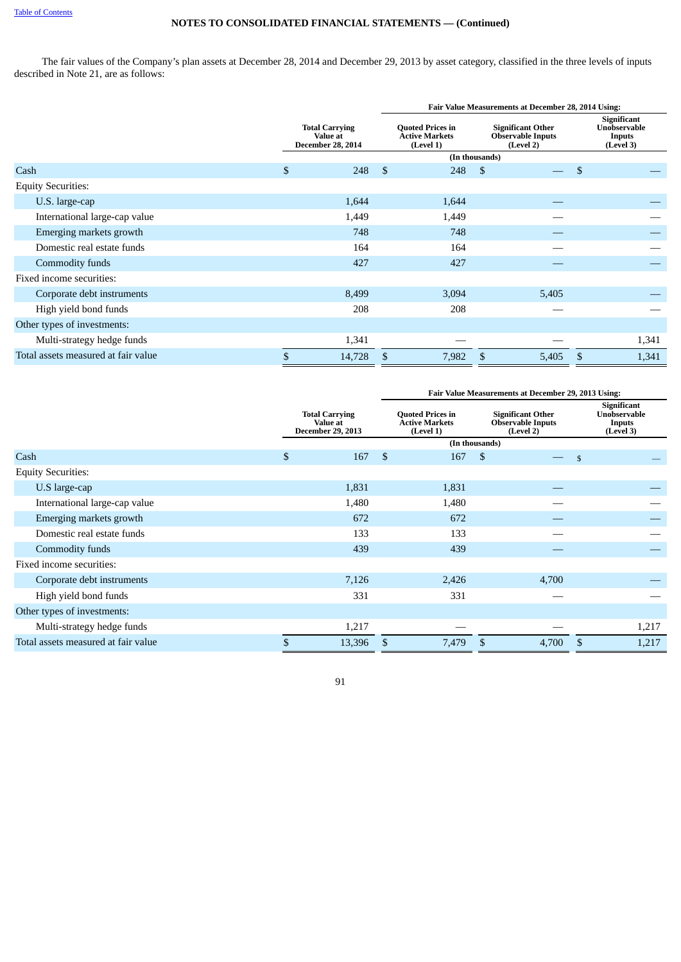The fair values of the Company's plan assets at December 28, 2014 and December 29, 2013 by asset category, classified in the three levels of inputs described in Note 21, are as follows:

|                                     |                                                                      |      | Fair Value Measurements at December 28, 2014 Using:           |                                                                   |       |      |                                                    |
|-------------------------------------|----------------------------------------------------------------------|------|---------------------------------------------------------------|-------------------------------------------------------------------|-------|------|----------------------------------------------------|
|                                     | <b>Total Carrying</b><br><b>Value at</b><br><b>December 28, 2014</b> |      | <b>Quoted Prices in</b><br><b>Active Markets</b><br>(Level 1) | <b>Significant Other</b><br><b>Observable Inputs</b><br>(Level 2) |       |      | Significant<br>Unobservable<br>Inputs<br>(Level 3) |
|                                     |                                                                      |      | (In thousands)                                                |                                                                   |       |      |                                                    |
| Cash                                | \$<br>248                                                            | - \$ | 248                                                           | - \$                                                              |       | - \$ |                                                    |
| <b>Equity Securities:</b>           |                                                                      |      |                                                               |                                                                   |       |      |                                                    |
| U.S. large-cap                      | 1,644                                                                |      | 1,644                                                         |                                                                   |       |      |                                                    |
| International large-cap value       | 1,449                                                                |      | 1,449                                                         |                                                                   |       |      |                                                    |
| Emerging markets growth             | 748                                                                  |      | 748                                                           |                                                                   |       |      |                                                    |
| Domestic real estate funds          | 164                                                                  |      | 164                                                           |                                                                   |       |      |                                                    |
| Commodity funds                     | 427                                                                  |      | 427                                                           |                                                                   |       |      |                                                    |
| Fixed income securities:            |                                                                      |      |                                                               |                                                                   |       |      |                                                    |
| Corporate debt instruments          | 8,499                                                                |      | 3,094                                                         |                                                                   | 5,405 |      |                                                    |
| High yield bond funds               | 208                                                                  |      | 208                                                           |                                                                   |       |      |                                                    |
| Other types of investments:         |                                                                      |      |                                                               |                                                                   |       |      |                                                    |
| Multi-strategy hedge funds          | 1,341                                                                |      |                                                               |                                                                   |       |      | 1,341                                              |
| Total assets measured at fair value | \$<br>14,728                                                         | \$   | 7,982                                                         | $\mathbf{\hat{S}}$                                                | 5,405 | \$   | 1,341                                              |

|                                     |                                                                                                                                             |        | Fair Value Measurements at December 29, 2013 Using:  |                |                                                           |       |              |       |  |  |
|-------------------------------------|---------------------------------------------------------------------------------------------------------------------------------------------|--------|------------------------------------------------------|----------------|-----------------------------------------------------------|-------|--------------|-------|--|--|
|                                     | <b>Quoted Prices in</b><br><b>Total Carrying</b><br><b>Active Markets</b><br>Value at<br><b>December 29, 2013</b><br>(Level 1)<br>(Level 2) |        | <b>Significant Other</b><br><b>Observable Inputs</b> |                | <b>Significant</b><br>Unobservable<br>Inputs<br>(Level 3) |       |              |       |  |  |
|                                     |                                                                                                                                             |        |                                                      | (In thousands) |                                                           |       |              |       |  |  |
| Cash                                | \$                                                                                                                                          | 167    | -\$                                                  | 167            | \$                                                        |       | $\mathbf{s}$ |       |  |  |
| <b>Equity Securities:</b>           |                                                                                                                                             |        |                                                      |                |                                                           |       |              |       |  |  |
| U.S large-cap                       |                                                                                                                                             | 1,831  |                                                      | 1,831          |                                                           |       |              |       |  |  |
| International large-cap value       |                                                                                                                                             | 1,480  |                                                      | 1,480          |                                                           |       |              |       |  |  |
| Emerging markets growth             |                                                                                                                                             | 672    |                                                      | 672            |                                                           |       |              |       |  |  |
| Domestic real estate funds          |                                                                                                                                             | 133    |                                                      | 133            |                                                           |       |              |       |  |  |
| Commodity funds                     |                                                                                                                                             | 439    |                                                      | 439            |                                                           |       |              |       |  |  |
| Fixed income securities:            |                                                                                                                                             |        |                                                      |                |                                                           |       |              |       |  |  |
| Corporate debt instruments          |                                                                                                                                             | 7,126  |                                                      | 2,426          |                                                           | 4,700 |              |       |  |  |
| High yield bond funds               |                                                                                                                                             | 331    |                                                      | 331            |                                                           |       |              |       |  |  |
| Other types of investments:         |                                                                                                                                             |        |                                                      |                |                                                           |       |              |       |  |  |
| Multi-strategy hedge funds          |                                                                                                                                             | 1,217  |                                                      |                |                                                           |       |              | 1,217 |  |  |
| Total assets measured at fair value | \$                                                                                                                                          | 13,396 | <sup>\$</sup>                                        | 7,479          | <sup>\$</sup>                                             | 4,700 | \$           | 1,217 |  |  |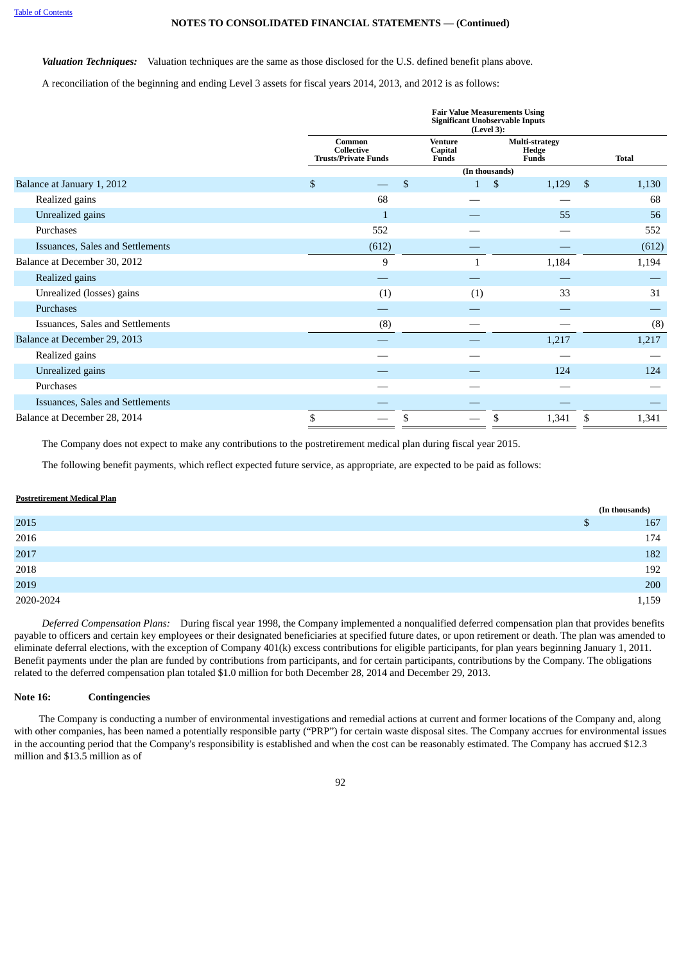*Valuation Techniques:* Valuation techniques are the same as those disclosed for the U.S. defined benefit plans above.

A reconciliation of the beginning and ending Level 3 assets for fiscal years 2014, 2013, and 2012 is as follows:

|                                  | <b>Fair Value Measurements Using</b><br><b>Significant Unobservable Inputs</b><br>(Level 3): |                                                            |    |                                           |                |                                         |               |              |  |  |
|----------------------------------|----------------------------------------------------------------------------------------------|------------------------------------------------------------|----|-------------------------------------------|----------------|-----------------------------------------|---------------|--------------|--|--|
|                                  |                                                                                              | Common<br><b>Collective</b><br><b>Trusts/Private Funds</b> |    | <b>Venture</b><br>Capital<br><b>Funds</b> |                | Multi-strategy<br>Hedge<br><b>Funds</b> |               | <b>Total</b> |  |  |
|                                  |                                                                                              |                                                            |    | (In thousands)                            |                |                                         |               |              |  |  |
| Balance at January 1, 2012       | $\mathbb{S}$                                                                                 |                                                            | \$ |                                           | $\mathfrak{s}$ | 1,129                                   | \$            | 1,130        |  |  |
| Realized gains                   |                                                                                              | 68                                                         |    |                                           |                |                                         |               | 68           |  |  |
| Unrealized gains                 |                                                                                              |                                                            |    |                                           |                | 55                                      |               | 56           |  |  |
| Purchases                        |                                                                                              | 552                                                        |    |                                           |                |                                         |               | 552          |  |  |
| Issuances, Sales and Settlements |                                                                                              | (612)                                                      |    |                                           |                |                                         |               | (612)        |  |  |
| Balance at December 30, 2012     |                                                                                              | 9                                                          |    |                                           |                | 1,184                                   |               | 1,194        |  |  |
| Realized gains                   |                                                                                              |                                                            |    |                                           |                |                                         |               |              |  |  |
| Unrealized (losses) gains        |                                                                                              | (1)                                                        |    | (1)                                       |                | 33                                      |               | 31           |  |  |
| Purchases                        |                                                                                              |                                                            |    |                                           |                |                                         |               |              |  |  |
| Issuances, Sales and Settlements |                                                                                              | (8)                                                        |    |                                           |                |                                         |               | (8)          |  |  |
| Balance at December 29, 2013     |                                                                                              |                                                            |    |                                           |                | 1,217                                   |               | 1,217        |  |  |
| Realized gains                   |                                                                                              |                                                            |    |                                           |                |                                         |               |              |  |  |
| Unrealized gains                 |                                                                                              |                                                            |    |                                           |                | 124                                     |               | 124          |  |  |
| Purchases                        |                                                                                              |                                                            |    |                                           |                |                                         |               |              |  |  |
| Issuances, Sales and Settlements |                                                                                              |                                                            |    |                                           |                |                                         |               |              |  |  |
| Balance at December 28, 2014     | \$                                                                                           |                                                            | \$ |                                           | \$             | 1,341                                   | <sup>\$</sup> | 1,341        |  |  |

The Company does not expect to make any contributions to the postretirement medical plan during fiscal year 2015.

The following benefit payments, which reflect expected future service, as appropriate, are expected to be paid as follows:

#### **Postretirement Medical Plan**

|           |   | (In thousands) |
|-----------|---|----------------|
| 2015      | D | 167            |
| 2016      |   | 174            |
| 2017      |   | 182            |
| 2018      |   | 192            |
| 2019      |   | 200            |
| 2020-2024 |   | 1,159          |

*Deferred Compensation Plans:* During fiscal year 1998, the Company implemented a nonqualified deferred compensation plan that provides benefits payable to officers and certain key employees or their designated beneficiaries at specified future dates, or upon retirement or death. The plan was amended to eliminate deferral elections, with the exception of Company 401(k) excess contributions for eligible participants, for plan years beginning January 1, 2011. Benefit payments under the plan are funded by contributions from participants, and for certain participants, contributions by the Company. The obligations related to the deferred compensation plan totaled \$1.0 million for both December 28, 2014 and December 29, 2013.

#### **Note 16: Contingencies**

The Company is conducting a number of environmental investigations and remedial actions at current and former locations of the Company and, along with other companies, has been named a potentially responsible party ("PRP") for certain waste disposal sites. The Company accrues for environmental issues in the accounting period that the Company's responsibility is established and when the cost can be reasonably estimated. The Company has accrued \$12.3 million and \$13.5 million as of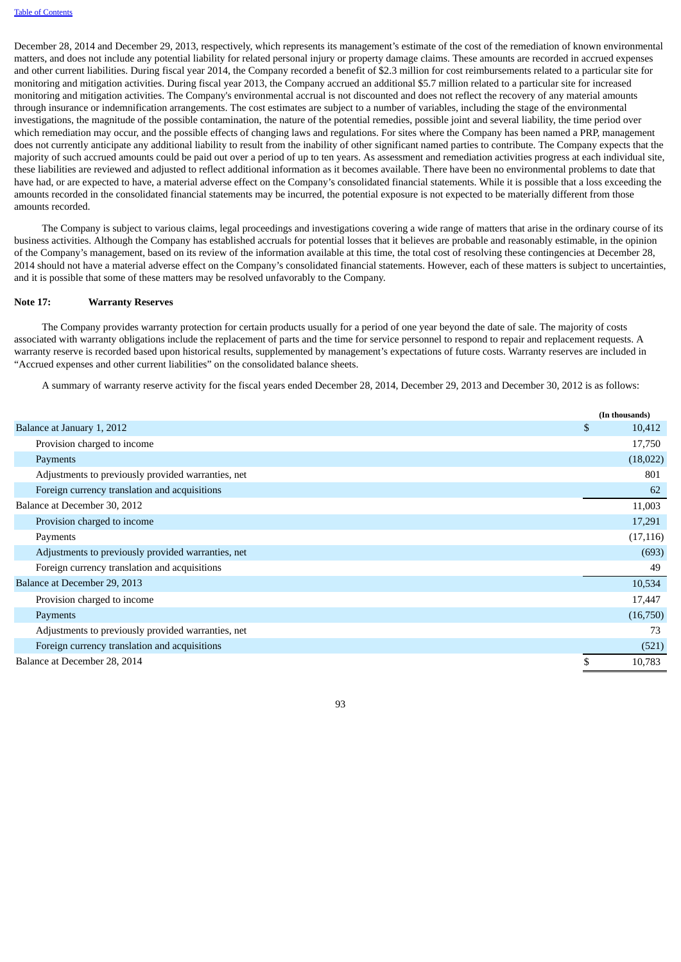December 28, 2014 and December 29, 2013, respectively, which represents its management's estimate of the cost of the remediation of known environmental matters, and does not include any potential liability for related personal injury or property damage claims. These amounts are recorded in accrued expenses and other current liabilities. During fiscal year 2014, the Company recorded a benefit of \$2.3 million for cost reimbursements related to a particular site for monitoring and mitigation activities. During fiscal year 2013, the Company accrued an additional \$5.7 million related to a particular site for increased monitoring and mitigation activities. The Company's environmental accrual is not discounted and does not reflect the recovery of any material amounts through insurance or indemnification arrangements. The cost estimates are subject to a number of variables, including the stage of the environmental investigations, the magnitude of the possible contamination, the nature of the potential remedies, possible joint and several liability, the time period over which remediation may occur, and the possible effects of changing laws and regulations. For sites where the Company has been named a PRP, management does not currently anticipate any additional liability to result from the inability of other significant named parties to contribute. The Company expects that the majority of such accrued amounts could be paid out over a period of up to ten years. As assessment and remediation activities progress at each individual site, these liabilities are reviewed and adjusted to reflect additional information as it becomes available. There have been no environmental problems to date that have had, or are expected to have, a material adverse effect on the Company's consolidated financial statements. While it is possible that a loss exceeding the amounts recorded in the consolidated financial statements may be incurred, the potential exposure is not expected to be materially different from those amounts recorded.

The Company is subject to various claims, legal proceedings and investigations covering a wide range of matters that arise in the ordinary course of its business activities. Although the Company has established accruals for potential losses that it believes are probable and reasonably estimable, in the opinion of the Company's management, based on its review of the information available at this time, the total cost of resolving these contingencies at December 28, 2014 should not have a material adverse effect on the Company's consolidated financial statements. However, each of these matters is subject to uncertainties, and it is possible that some of these matters may be resolved unfavorably to the Company.

#### **Note 17: Warranty Reserves**

The Company provides warranty protection for certain products usually for a period of one year beyond the date of sale. The majority of costs associated with warranty obligations include the replacement of parts and the time for service personnel to respond to repair and replacement requests. A warranty reserve is recorded based upon historical results, supplemented by management's expectations of future costs. Warranty reserves are included in "Accrued expenses and other current liabilities" on the consolidated balance sheets.

A summary of warranty reserve activity for the fiscal years ended December 28, 2014, December 29, 2013 and December 30, 2012 is as follows:

|                                                    |                | (In thousands) |
|----------------------------------------------------|----------------|----------------|
| Balance at January 1, 2012                         | $\mathfrak{s}$ | 10,412         |
| Provision charged to income                        |                | 17,750         |
| Payments                                           |                | (18,022)       |
| Adjustments to previously provided warranties, net |                | 801            |
| Foreign currency translation and acquisitions      |                | 62             |
| Balance at December 30, 2012                       |                | 11,003         |
| Provision charged to income                        |                | 17,291         |
| Payments                                           |                | (17, 116)      |
| Adjustments to previously provided warranties, net |                | (693)          |
| Foreign currency translation and acquisitions      |                | 49             |
| Balance at December 29, 2013                       |                | 10,534         |
| Provision charged to income                        |                | 17,447         |
| Payments                                           |                | (16,750)       |
| Adjustments to previously provided warranties, net |                | 73             |
| Foreign currency translation and acquisitions      |                | (521)          |
| Balance at December 28, 2014                       | \$             | 10,783         |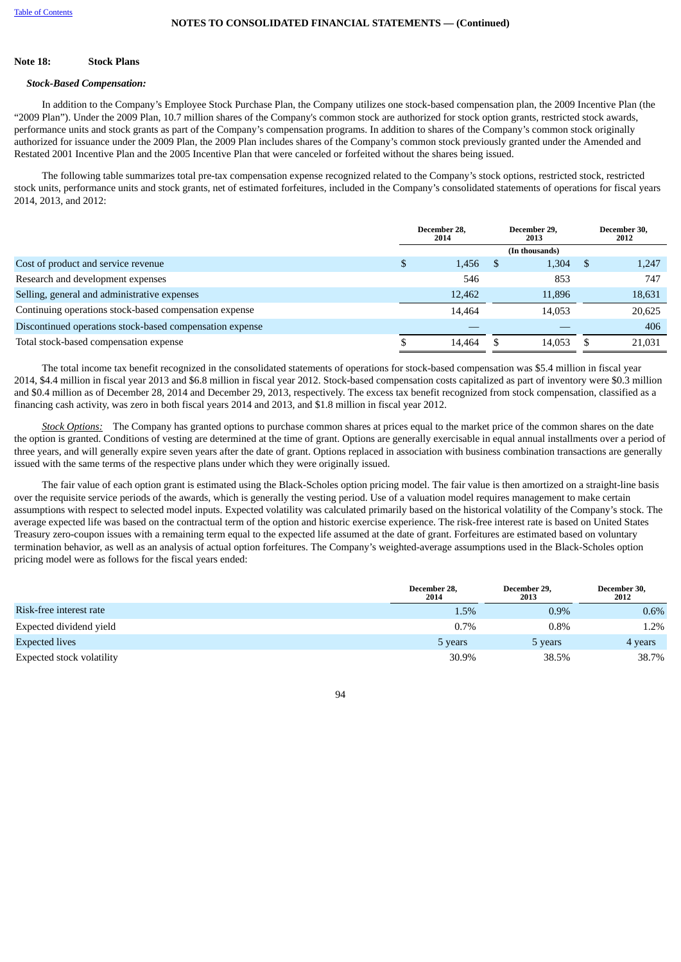#### **Note 18: Stock Plans**

#### *Stock-Based Compensation:*

In addition to the Company's Employee Stock Purchase Plan, the Company utilizes one stock-based compensation plan, the 2009 Incentive Plan (the "2009 Plan"). Under the 2009 Plan, 10.7 million shares of the Company's common stock are authorized for stock option grants, restricted stock awards, performance units and stock grants as part of the Company's compensation programs. In addition to shares of the Company's common stock originally authorized for issuance under the 2009 Plan, the 2009 Plan includes shares of the Company's common stock previously granted under the Amended and Restated 2001 Incentive Plan and the 2005 Incentive Plan that were canceled or forfeited without the shares being issued.

The following table summarizes total pre-tax compensation expense recognized related to the Company's stock options, restricted stock, restricted stock units, performance units and stock grants, net of estimated forfeitures, included in the Company's consolidated statements of operations for fiscal years 2014, 2013, and 2012:

|                                                          | December 28.<br>2014 |        |    | December 29.<br>2013 | December 30,<br>2012 |
|----------------------------------------------------------|----------------------|--------|----|----------------------|----------------------|
|                                                          |                      |        |    | (In thousands)       |                      |
| Cost of product and service revenue                      | \$                   | 1,456  | .S | 1,304                | 1,247                |
| Research and development expenses                        |                      | 546    |    | 853                  | 747                  |
| Selling, general and administrative expenses             |                      | 12,462 |    | 11,896               | 18,631               |
| Continuing operations stock-based compensation expense   |                      | 14,464 |    | 14,053               | 20.625               |
| Discontinued operations stock-based compensation expense |                      |        |    |                      | 406                  |
| Total stock-based compensation expense                   |                      | 14.464 |    | 14.053               | 21,031               |

The total income tax benefit recognized in the consolidated statements of operations for stock-based compensation was \$5.4 million in fiscal year 2014, \$4.4 million in fiscal year 2013 and \$6.8 million in fiscal year 2012. Stock-based compensation costs capitalized as part of inventory were \$0.3 million and \$0.4 million as of December 28, 2014 and December 29, 2013, respectively. The excess tax benefit recognized from stock compensation, classified as a financing cash activity, was zero in both fiscal years 2014 and 2013, and \$1.8 million in fiscal year 2012.

*Stock Options:* The Company has granted options to purchase common shares at prices equal to the market price of the common shares on the date the option is granted. Conditions of vesting are determined at the time of grant. Options are generally exercisable in equal annual installments over a period of three years, and will generally expire seven years after the date of grant. Options replaced in association with business combination transactions are generally issued with the same terms of the respective plans under which they were originally issued.

The fair value of each option grant is estimated using the Black-Scholes option pricing model. The fair value is then amortized on a straight-line basis over the requisite service periods of the awards, which is generally the vesting period. Use of a valuation model requires management to make certain assumptions with respect to selected model inputs. Expected volatility was calculated primarily based on the historical volatility of the Company's stock. The average expected life was based on the contractual term of the option and historic exercise experience. The risk-free interest rate is based on United States Treasury zero-coupon issues with a remaining term equal to the expected life assumed at the date of grant. Forfeitures are estimated based on voluntary termination behavior, as well as an analysis of actual option forfeitures. The Company's weighted-average assumptions used in the Black-Scholes option pricing model were as follows for the fiscal years ended:

|                           | December 28,<br>2014 | December 29,<br>2013 | December 30,<br>2012 |
|---------------------------|----------------------|----------------------|----------------------|
| Risk-free interest rate   | $1.5\%$              | $0.9\%$              | $0.6\%$              |
| Expected dividend yield   | 0.7%                 | 0.8%                 | 1.2%                 |
| <b>Expected lives</b>     | 5 years              | 5 years              | 4 years              |
| Expected stock volatility | 30.9%                | 38.5%                | 38.7%                |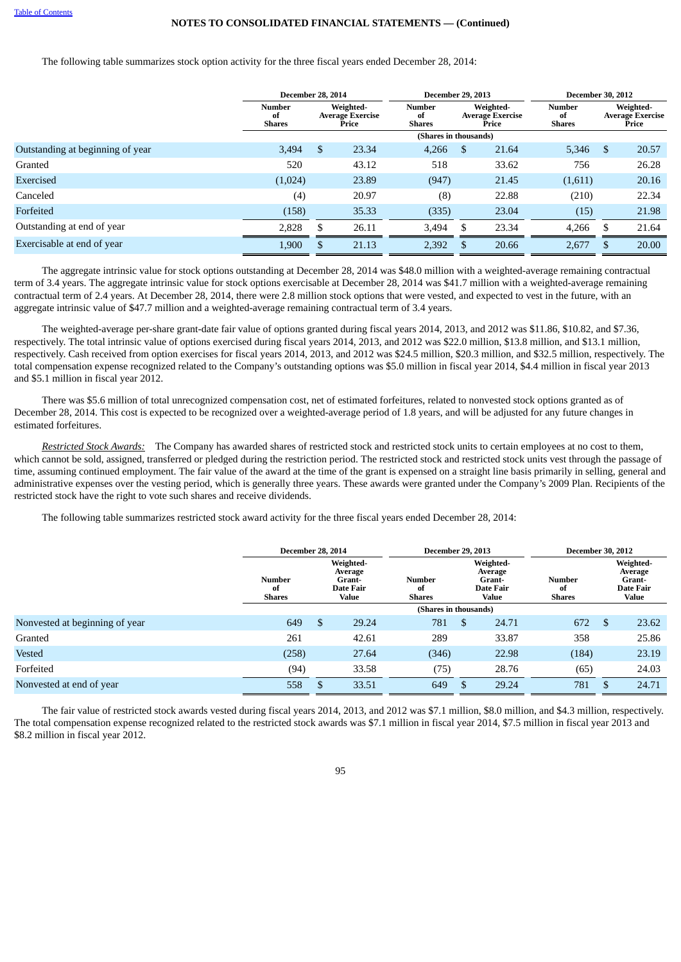The following table summarizes stock option activity for the three fiscal years ended December 28, 2014:

|                                  | <b>December 28, 2014</b>             |   |                                               | <b>December 29, 2013</b>             |                                               |       | <b>December 30, 2012</b>             |      |                                               |
|----------------------------------|--------------------------------------|---|-----------------------------------------------|--------------------------------------|-----------------------------------------------|-------|--------------------------------------|------|-----------------------------------------------|
|                                  | <b>Number</b><br>of<br><b>Shares</b> |   | Weighted-<br><b>Average Exercise</b><br>Price | <b>Number</b><br>of<br><b>Shares</b> | Weighted-<br><b>Average Exercise</b><br>Price |       | <b>Number</b><br>of<br><b>Shares</b> |      | Weighted-<br><b>Average Exercise</b><br>Price |
|                                  |                                      |   |                                               | (Shares in thousands)                |                                               |       |                                      |      |                                               |
| Outstanding at beginning of year | 3,494                                | S | 23.34                                         | 4,266                                | -\$                                           | 21.64 | 5,346                                | - \$ | 20.57                                         |
| Granted                          | 520                                  |   | 43.12                                         | 518                                  |                                               | 33.62 | 756                                  |      | 26.28                                         |
| Exercised                        | (1,024)                              |   | 23.89                                         | (947)                                |                                               | 21.45 | (1,611)                              |      | 20.16                                         |
| Canceled                         | (4)                                  |   | 20.97                                         | (8)                                  |                                               | 22.88 | (210)                                |      | 22.34                                         |
| Forfeited                        | (158)                                |   | 35.33                                         | (335)                                |                                               | 23.04 | (15)                                 |      | 21.98                                         |
| Outstanding at end of year       | 2,828                                |   | 26.11                                         | 3,494                                |                                               | 23.34 | 4,266                                |      | 21.64                                         |
| Exercisable at end of year       | 1,900                                |   | 21.13                                         | 2,392                                | -S                                            | 20.66 | 2,677                                | \$   | 20.00                                         |
|                                  |                                      |   |                                               |                                      |                                               |       |                                      |      |                                               |

The aggregate intrinsic value for stock options outstanding at December 28, 2014 was \$48.0 million with a weighted-average remaining contractual term of 3.4 years. The aggregate intrinsic value for stock options exercisable at December 28, 2014 was \$41.7 million with a weighted-average remaining contractual term of 2.4 years. At December 28, 2014, there were 2.8 million stock options that were vested, and expected to vest in the future, with an aggregate intrinsic value of \$47.7 million and a weighted-average remaining contractual term of 3.4 years.

The weighted-average per-share grant-date fair value of options granted during fiscal years 2014, 2013, and 2012 was \$11.86, \$10.82, and \$7.36, respectively. The total intrinsic value of options exercised during fiscal years 2014, 2013, and 2012 was \$22.0 million, \$13.8 million, and \$13.1 million, respectively. Cash received from option exercises for fiscal years 2014, 2013, and 2012 was \$24.5 million, \$20.3 million, and \$32.5 million, respectively. The total compensation expense recognized related to the Company's outstanding options was \$5.0 million in fiscal year 2014, \$4.4 million in fiscal year 2013 and \$5.1 million in fiscal year 2012.

There was \$5.6 million of total unrecognized compensation cost, net of estimated forfeitures, related to nonvested stock options granted as of December 28, 2014. This cost is expected to be recognized over a weighted-average period of 1.8 years, and will be adjusted for any future changes in estimated forfeitures.

*Restricted Stock Awards:* The Company has awarded shares of restricted stock and restricted stock units to certain employees at no cost to them, which cannot be sold, assigned, transferred or pledged during the restriction period. The restricted stock and restricted stock units vest through the passage of time, assuming continued employment. The fair value of the award at the time of the grant is expensed on a straight line basis primarily in selling, general and administrative expenses over the vesting period, which is generally three years. These awards were granted under the Company's 2009 Plan. Recipients of the restricted stock have the right to vote such shares and receive dividends.

The following table summarizes restricted stock award activity for the three fiscal years ended December 28, 2014:

|                                | <b>December 28, 2014</b>      |                                                                                                            |       | <b>December 29, 2013</b>                                    |   |                               | <b>December 30, 2012</b> |                                                             |       |
|--------------------------------|-------------------------------|------------------------------------------------------------------------------------------------------------|-------|-------------------------------------------------------------|---|-------------------------------|--------------------------|-------------------------------------------------------------|-------|
|                                | <b>Number</b><br>оf<br>Shares | Weighted-<br>Average<br><b>Number</b><br>Grant-<br><b>Date Fair</b><br>оf<br><b>Value</b><br><b>Shares</b> |       | Weighted-<br>Average<br>Grant-<br><b>Date Fair</b><br>Value |   | Number<br>of<br><b>Shares</b> |                          | Weighted-<br>Average<br>Grant-<br><b>Date Fair</b><br>Value |       |
|                                |                               |                                                                                                            |       | (Shares in thousands)                                       |   |                               |                          |                                                             |       |
| Nonvested at beginning of year | 649                           | \$                                                                                                         | 29.24 | 781                                                         | S | 24.71                         | 672                      | <sup>\$</sup>                                               | 23.62 |
| Granted                        | 261                           |                                                                                                            | 42.61 | 289                                                         |   | 33.87                         | 358                      |                                                             | 25.86 |
| Vested                         | (258)                         |                                                                                                            | 27.64 | (346)                                                       |   | 22.98                         | (184)                    |                                                             | 23.19 |
| Forfeited                      | (94)                          |                                                                                                            | 33.58 | (75)                                                        |   | 28.76                         | (65)                     |                                                             | 24.03 |
| Nonvested at end of year       | 558                           |                                                                                                            | 33.51 | 649                                                         |   | 29.24                         | 781                      | £.                                                          | 24.71 |

The fair value of restricted stock awards vested during fiscal years 2014, 2013, and 2012 was \$7.1 million, \$8.0 million, and \$4.3 million, respectively. The total compensation expense recognized related to the restricted stock awards was \$7.1 million in fiscal year 2014, \$7.5 million in fiscal year 2013 and \$8.2 million in fiscal year 2012.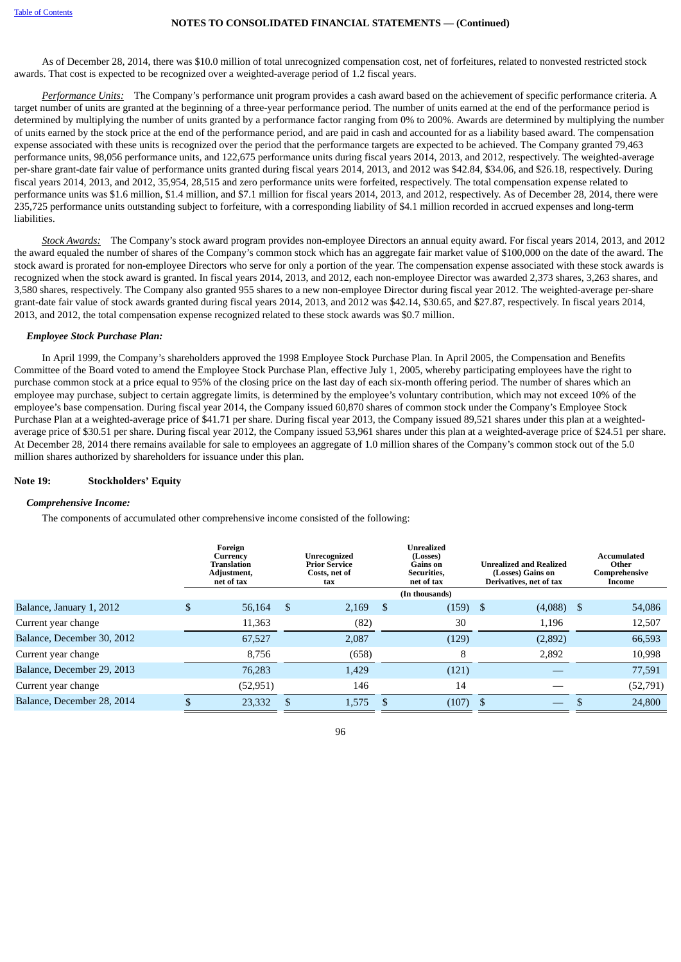As of December 28, 2014, there was \$10.0 million of total unrecognized compensation cost, net of forfeitures, related to nonvested restricted stock awards. That cost is expected to be recognized over a weighted-average period of 1.2 fiscal years.

*Performance Units:* The Company's performance unit program provides a cash award based on the achievement of specific performance criteria. A target number of units are granted at the beginning of a three-year performance period. The number of units earned at the end of the performance period is determined by multiplying the number of units granted by a performance factor ranging from 0% to 200%. Awards are determined by multiplying the number of units earned by the stock price at the end of the performance period, and are paid in cash and accounted for as a liability based award. The compensation expense associated with these units is recognized over the period that the performance targets are expected to be achieved. The Company granted 79,463 performance units, 98,056 performance units, and 122,675 performance units during fiscal years 2014, 2013, and 2012, respectively. The weighted-average per-share grant-date fair value of performance units granted during fiscal years 2014, 2013, and 2012 was \$42.84, \$34.06, and \$26.18, respectively. During fiscal years 2014, 2013, and 2012, 35,954, 28,515 and zero performance units were forfeited, respectively. The total compensation expense related to performance units was \$1.6 million, \$1.4 million, and \$7.1 million for fiscal years 2014, 2013, and 2012, respectively. As of December 28, 2014, there were 235,725 performance units outstanding subject to forfeiture, with a corresponding liability of \$4.1 million recorded in accrued expenses and long-term liabilities.

*Stock Awards:* The Company's stock award program provides non-employee Directors an annual equity award. For fiscal years 2014, 2013, and 2012 the award equaled the number of shares of the Company's common stock which has an aggregate fair market value of \$100,000 on the date of the award. The stock award is prorated for non-employee Directors who serve for only a portion of the year. The compensation expense associated with these stock awards is recognized when the stock award is granted. In fiscal years 2014, 2013, and 2012, each non-employee Director was awarded 2,373 shares, 3,263 shares, and 3,580 shares, respectively. The Company also granted 955 shares to a new non-employee Director during fiscal year 2012. The weighted-average per-share grant-date fair value of stock awards granted during fiscal years 2014, 2013, and 2012 was \$42.14, \$30.65, and \$27.87, respectively. In fiscal years 2014, 2013, and 2012, the total compensation expense recognized related to these stock awards was \$0.7 million.

#### *Employee Stock Purchase Plan:*

In April 1999, the Company's shareholders approved the 1998 Employee Stock Purchase Plan. In April 2005, the Compensation and Benefits Committee of the Board voted to amend the Employee Stock Purchase Plan, effective July 1, 2005, whereby participating employees have the right to purchase common stock at a price equal to 95% of the closing price on the last day of each six-month offering period. The number of shares which an employee may purchase, subject to certain aggregate limits, is determined by the employee's voluntary contribution, which may not exceed 10% of the employee's base compensation. During fiscal year 2014, the Company issued 60,870 shares of common stock under the Company's Employee Stock Purchase Plan at a weighted-average price of \$41.71 per share. During fiscal year 2013, the Company issued 89,521 shares under this plan at a weightedaverage price of \$30.51 per share. During fiscal year 2012, the Company issued 53,961 shares under this plan at a weighted-average price of \$24.51 per share. At December 28, 2014 there remains available for sale to employees an aggregate of 1.0 million shares of the Company's common stock out of the 5.0 million shares authorized by shareholders for issuance under this plan.

#### **Note 19: Stockholders' Equity**

#### *Comprehensive Income:*

The components of accumulated other comprehensive income consisted of the following:

|                            |     | Foreign<br>Currency<br>Translation<br>Adjustment,<br>net of tax |    | Unrecognized<br><b>Prior Service</b><br>Costs, net of<br>tax |    | Unrealized<br>(Losses)<br>Gains on<br><b>Securities.</b><br>net of tax | Unrealized and Realized<br>(Losses) Gains on<br>Derivatives, net of tax | <b>Accumulated</b><br>Other<br>Comprehensive<br>Income |
|----------------------------|-----|-----------------------------------------------------------------|----|--------------------------------------------------------------|----|------------------------------------------------------------------------|-------------------------------------------------------------------------|--------------------------------------------------------|
|                            |     |                                                                 |    |                                                              |    | (In thousands)                                                         |                                                                         |                                                        |
| Balance, January 1, 2012   | \$. | 56,164                                                          | -S | 2,169                                                        | -S | $(159)$ \$                                                             | $(4,088)$ \$                                                            | 54,086                                                 |
| Current year change        |     | 11,363                                                          |    | (82)                                                         |    | 30                                                                     | 1,196                                                                   | 12,507                                                 |
| Balance, December 30, 2012 |     | 67.527                                                          |    | 2,087                                                        |    | (129)                                                                  | (2,892)                                                                 | 66,593                                                 |
| Current year change        |     | 8,756                                                           |    | (658)                                                        |    | 8                                                                      | 2,892                                                                   | 10,998                                                 |
| Balance, December 29, 2013 |     | 76.283                                                          |    | 1,429                                                        |    | (121)                                                                  |                                                                         | 77,591                                                 |
| Current year change        |     | (52, 951)                                                       |    | 146                                                          |    | 14                                                                     |                                                                         | (52, 791)                                              |
| Balance, December 28, 2014 |     | 23,332                                                          |    | 1,575                                                        |    | (107)                                                                  |                                                                         | 24,800                                                 |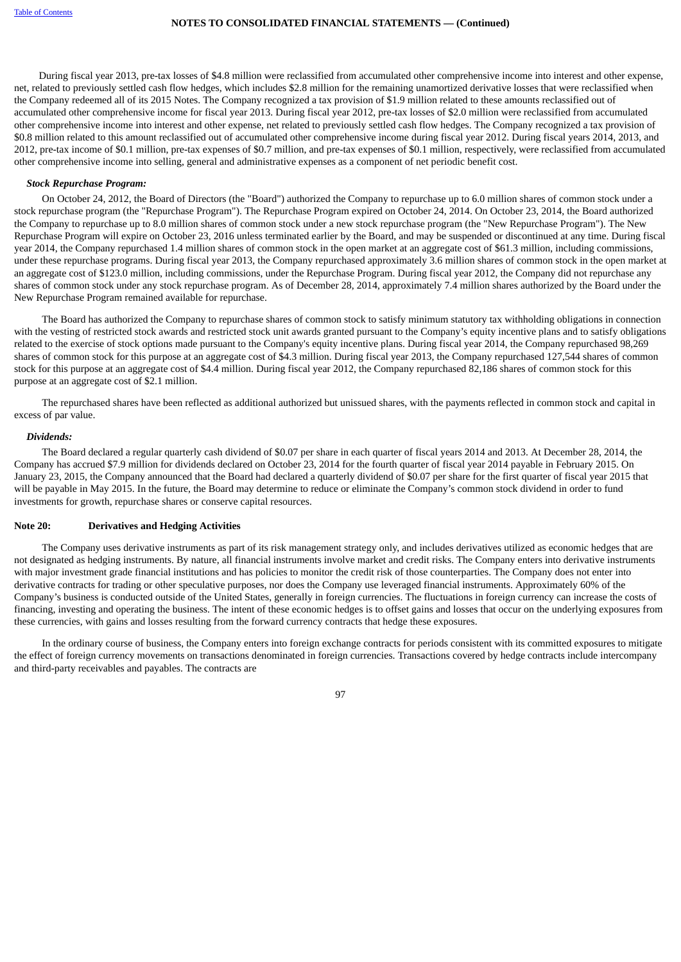During fiscal year 2013, pre-tax losses of \$4.8 million were reclassified from accumulated other comprehensive income into interest and other expense, net, related to previously settled cash flow hedges, which includes \$2.8 million for the remaining unamortized derivative losses that were reclassified when the Company redeemed all of its 2015 Notes. The Company recognized a tax provision of \$1.9 million related to these amounts reclassified out of accumulated other comprehensive income for fiscal year 2013. During fiscal year 2012, pre-tax losses of \$2.0 million were reclassified from accumulated other comprehensive income into interest and other expense, net related to previously settled cash flow hedges. The Company recognized a tax provision of \$0.8 million related to this amount reclassified out of accumulated other comprehensive income during fiscal year 2012. During fiscal years 2014, 2013, and 2012, pre-tax income of \$0.1 million, pre-tax expenses of \$0.7 million, and pre-tax expenses of \$0.1 million, respectively, were reclassified from accumulated other comprehensive income into selling, general and administrative expenses as a component of net periodic benefit cost.

#### *Stock Repurchase Program:*

On October 24, 2012, the Board of Directors (the "Board") authorized the Company to repurchase up to 6.0 million shares of common stock under a stock repurchase program (the "Repurchase Program"). The Repurchase Program expired on October 24, 2014. On October 23, 2014, the Board authorized the Company to repurchase up to 8.0 million shares of common stock under a new stock repurchase program (the "New Repurchase Program"). The New Repurchase Program will expire on October 23, 2016 unless terminated earlier by the Board, and may be suspended or discontinued at any time. During fiscal year 2014, the Company repurchased 1.4 million shares of common stock in the open market at an aggregate cost of \$61.3 million, including commissions, under these repurchase programs. During fiscal year 2013, the Company repurchased approximately 3.6 million shares of common stock in the open market at an aggregate cost of \$123.0 million, including commissions, under the Repurchase Program. During fiscal year 2012, the Company did not repurchase any shares of common stock under any stock repurchase program. As of December 28, 2014, approximately 7.4 million shares authorized by the Board under the New Repurchase Program remained available for repurchase.

The Board has authorized the Company to repurchase shares of common stock to satisfy minimum statutory tax withholding obligations in connection with the vesting of restricted stock awards and restricted stock unit awards granted pursuant to the Company's equity incentive plans and to satisfy obligations related to the exercise of stock options made pursuant to the Company's equity incentive plans. During fiscal year 2014, the Company repurchased 98,269 shares of common stock for this purpose at an aggregate cost of \$4.3 million. During fiscal year 2013, the Company repurchased 127,544 shares of common stock for this purpose at an aggregate cost of \$4.4 million. During fiscal year 2012, the Company repurchased 82,186 shares of common stock for this purpose at an aggregate cost of \$2.1 million.

The repurchased shares have been reflected as additional authorized but unissued shares, with the payments reflected in common stock and capital in excess of par value.

#### *Dividends:*

The Board declared a regular quarterly cash dividend of \$0.07 per share in each quarter of fiscal years 2014 and 2013. At December 28, 2014, the Company has accrued \$7.9 million for dividends declared on October 23, 2014 for the fourth quarter of fiscal year 2014 payable in February 2015. On January 23, 2015, the Company announced that the Board had declared a quarterly dividend of \$0.07 per share for the first quarter of fiscal year 2015 that will be payable in May 2015. In the future, the Board may determine to reduce or eliminate the Company's common stock dividend in order to fund investments for growth, repurchase shares or conserve capital resources.

### **Note 20: Derivatives and Hedging Activities**

The Company uses derivative instruments as part of its risk management strategy only, and includes derivatives utilized as economic hedges that are not designated as hedging instruments. By nature, all financial instruments involve market and credit risks. The Company enters into derivative instruments with major investment grade financial institutions and has policies to monitor the credit risk of those counterparties. The Company does not enter into derivative contracts for trading or other speculative purposes, nor does the Company use leveraged financial instruments. Approximately 60% of the Company's business is conducted outside of the United States, generally in foreign currencies. The fluctuations in foreign currency can increase the costs of financing, investing and operating the business. The intent of these economic hedges is to offset gains and losses that occur on the underlying exposures from these currencies, with gains and losses resulting from the forward currency contracts that hedge these exposures.

In the ordinary course of business, the Company enters into foreign exchange contracts for periods consistent with its committed exposures to mitigate the effect of foreign currency movements on transactions denominated in foreign currencies. Transactions covered by hedge contracts include intercompany and third-party receivables and payables. The contracts are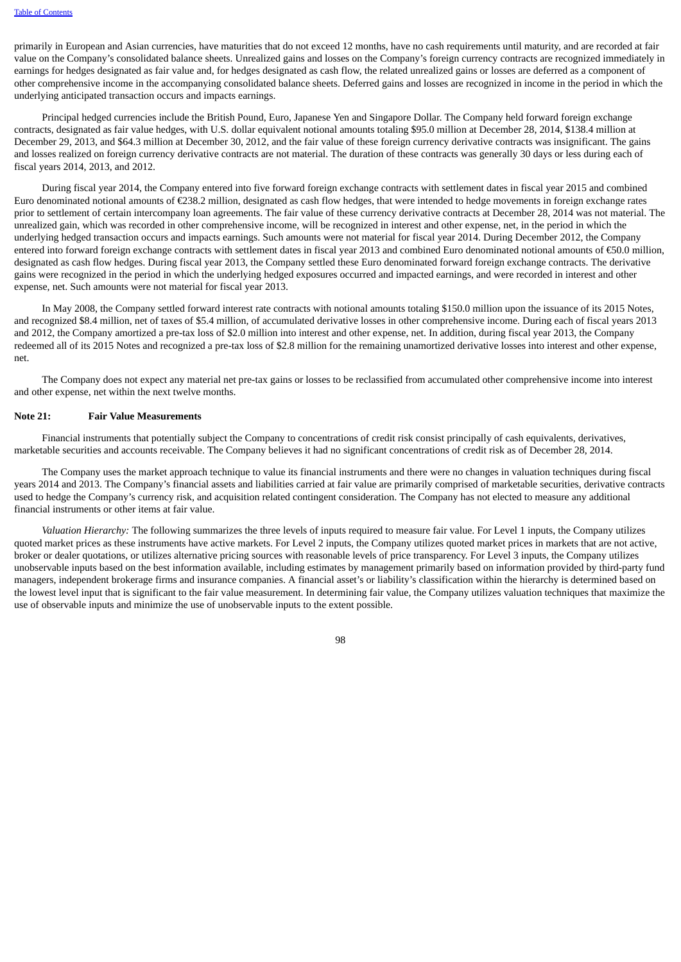primarily in European and Asian currencies, have maturities that do not exceed 12 months, have no cash requirements until maturity, and are recorded at fair value on the Company's consolidated balance sheets. Unrealized gains and losses on the Company's foreign currency contracts are recognized immediately in earnings for hedges designated as fair value and, for hedges designated as cash flow, the related unrealized gains or losses are deferred as a component of other comprehensive income in the accompanying consolidated balance sheets. Deferred gains and losses are recognized in income in the period in which the underlying anticipated transaction occurs and impacts earnings.

Principal hedged currencies include the British Pound, Euro, Japanese Yen and Singapore Dollar. The Company held forward foreign exchange contracts, designated as fair value hedges, with U.S. dollar equivalent notional amounts totaling \$95.0 million at December 28, 2014, \$138.4 million at December 29, 2013, and \$64.3 million at December 30, 2012, and the fair value of these foreign currency derivative contracts was insignificant. The gains and losses realized on foreign currency derivative contracts are not material. The duration of these contracts was generally 30 days or less during each of fiscal years 2014, 2013, and 2012.

During fiscal year 2014, the Company entered into five forward foreign exchange contracts with settlement dates in fiscal year 2015 and combined Euro denominated notional amounts of  $\epsilon$ 238.2 million, designated as cash flow hedges, that were intended to hedge movements in foreign exchange rates prior to settlement of certain intercompany loan agreements. The fair value of these currency derivative contracts at December 28, 2014 was not material. The unrealized gain, which was recorded in other comprehensive income, will be recognized in interest and other expense, net, in the period in which the underlying hedged transaction occurs and impacts earnings. Such amounts were not material for fiscal year 2014. During December 2012, the Company entered into forward foreign exchange contracts with settlement dates in fiscal year 2013 and combined Euro denominated notional amounts of €50.0 million, designated as cash flow hedges. During fiscal year 2013, the Company settled these Euro denominated forward foreign exchange contracts. The derivative gains were recognized in the period in which the underlying hedged exposures occurred and impacted earnings, and were recorded in interest and other expense, net. Such amounts were not material for fiscal year 2013.

In May 2008, the Company settled forward interest rate contracts with notional amounts totaling \$150.0 million upon the issuance of its 2015 Notes, and recognized \$8.4 million, net of taxes of \$5.4 million, of accumulated derivative losses in other comprehensive income. During each of fiscal years 2013 and 2012, the Company amortized a pre-tax loss of \$2.0 million into interest and other expense, net. In addition, during fiscal year 2013, the Company redeemed all of its 2015 Notes and recognized a pre-tax loss of \$2.8 million for the remaining unamortized derivative losses into interest and other expense, net.

The Company does not expect any material net pre-tax gains or losses to be reclassified from accumulated other comprehensive income into interest and other expense, net within the next twelve months.

#### **Note 21: Fair Value Measurements**

Financial instruments that potentially subject the Company to concentrations of credit risk consist principally of cash equivalents, derivatives, marketable securities and accounts receivable. The Company believes it had no significant concentrations of credit risk as of December 28, 2014.

The Company uses the market approach technique to value its financial instruments and there were no changes in valuation techniques during fiscal years 2014 and 2013. The Company's financial assets and liabilities carried at fair value are primarily comprised of marketable securities, derivative contracts used to hedge the Company's currency risk, and acquisition related contingent consideration. The Company has not elected to measure any additional financial instruments or other items at fair value.

*Valuation Hierarchy:* The following summarizes the three levels of inputs required to measure fair value. For Level 1 inputs, the Company utilizes quoted market prices as these instruments have active markets. For Level 2 inputs, the Company utilizes quoted market prices in markets that are not active, broker or dealer quotations, or utilizes alternative pricing sources with reasonable levels of price transparency. For Level 3 inputs, the Company utilizes unobservable inputs based on the best information available, including estimates by management primarily based on information provided by third-party fund managers, independent brokerage firms and insurance companies. A financial asset's or liability's classification within the hierarchy is determined based on the lowest level input that is significant to the fair value measurement. In determining fair value, the Company utilizes valuation techniques that maximize the use of observable inputs and minimize the use of unobservable inputs to the extent possible.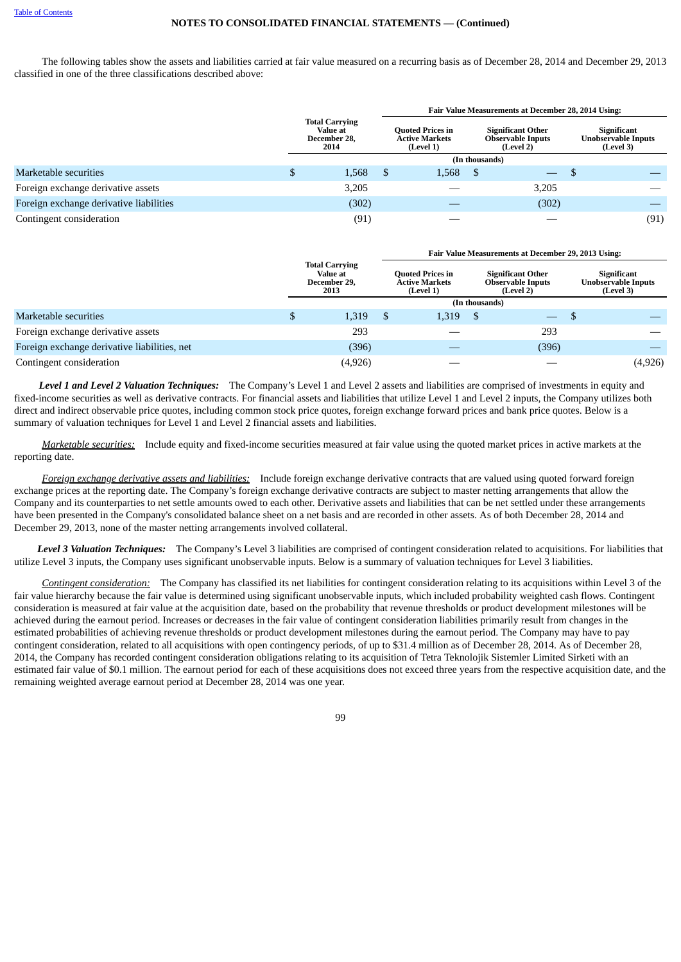The following tables show the assets and liabilities carried at fair value measured on a recurring basis as of December 28, 2014 and December 29, 2013 classified in one of the three classifications described above:

|                                         |   |                                                           |     |                                                               |    | Fair Value Measurements at December 28, 2014 Using:               |             |                                                        |
|-----------------------------------------|---|-----------------------------------------------------------|-----|---------------------------------------------------------------|----|-------------------------------------------------------------------|-------------|--------------------------------------------------------|
|                                         |   | <b>Total Carrying</b><br>Value at<br>December 28,<br>2014 |     | <b>Quoted Prices in</b><br><b>Active Markets</b><br>(Level 1) |    | <b>Significant Other</b><br><b>Observable Inputs</b><br>(Level 2) |             | Significant<br><b>Unobservable Inputs</b><br>(Level 3) |
|                                         |   |                                                           |     |                                                               |    | (In thousands)                                                    |             |                                                        |
| Marketable securities                   | S | 1,568                                                     | - S | 1,568                                                         | -S |                                                                   | $\mathbf S$ |                                                        |
| Foreign exchange derivative assets      |   | 3,205                                                     |     |                                                               |    | 3,205                                                             |             |                                                        |
| Foreign exchange derivative liabilities |   | (302)                                                     |     |                                                               |    | (302)                                                             |             |                                                        |
| Contingent consideration                |   | (91)                                                      |     |                                                               |    |                                                                   |             | (91)                                                   |

|                                              |   | <b>Total Carrying</b><br>Value at<br>December 29,<br>2013 |    | <b>Ouoted Prices in</b><br>Active Markets<br>(Level 1) |                | Fair Value Measurements at December 29, 2013 Using:<br><b>Significant Other</b><br><b>Observable Inputs</b><br>(Level 2)<br>. ა<br>293<br>(396) | Significant<br><b>Unobservable Inputs</b><br>(Level 3) |         |
|----------------------------------------------|---|-----------------------------------------------------------|----|--------------------------------------------------------|----------------|-------------------------------------------------------------------------------------------------------------------------------------------------|--------------------------------------------------------|---------|
|                                              |   |                                                           |    |                                                        | (In thousands) |                                                                                                                                                 |                                                        |         |
| Marketable securities                        | D | 1,319                                                     | -S | 1,319                                                  | -S             |                                                                                                                                                 |                                                        |         |
| Foreign exchange derivative assets           |   | 293                                                       |    |                                                        |                |                                                                                                                                                 |                                                        |         |
| Foreign exchange derivative liabilities, net |   | (396)                                                     |    |                                                        |                |                                                                                                                                                 |                                                        |         |
| Contingent consideration                     |   | (4,926)                                                   |    |                                                        |                |                                                                                                                                                 |                                                        | (4,926) |

*Level 1 and Level 2 Valuation Techniques:* The Company's Level 1 and Level 2 assets and liabilities are comprised of investments in equity and fixed-income securities as well as derivative contracts. For financial assets and liabilities that utilize Level 1 and Level 2 inputs, the Company utilizes both direct and indirect observable price quotes, including common stock price quotes, foreign exchange forward prices and bank price quotes. Below is a summary of valuation techniques for Level 1 and Level 2 financial assets and liabilities.

*Marketable securities:* Include equity and fixed-income securities measured at fair value using the quoted market prices in active markets at the reporting date.

*Foreign exchange derivative assets and liabilities:* Include foreign exchange derivative contracts that are valued using quoted forward foreign exchange prices at the reporting date. The Company's foreign exchange derivative contracts are subject to master netting arrangements that allow the Company and its counterparties to net settle amounts owed to each other. Derivative assets and liabilities that can be net settled under these arrangements have been presented in the Company's consolidated balance sheet on a net basis and are recorded in other assets. As of both December 28, 2014 and December 29, 2013, none of the master netting arrangements involved collateral.

*Level 3 Valuation Techniques:* The Company's Level 3 liabilities are comprised of contingent consideration related to acquisitions. For liabilities that utilize Level 3 inputs, the Company uses significant unobservable inputs. Below is a summary of valuation techniques for Level 3 liabilities.

*Contingent consideration:* The Company has classified its net liabilities for contingent consideration relating to its acquisitions within Level 3 of the fair value hierarchy because the fair value is determined using significant unobservable inputs, which included probability weighted cash flows. Contingent consideration is measured at fair value at the acquisition date, based on the probability that revenue thresholds or product development milestones will be achieved during the earnout period. Increases or decreases in the fair value of contingent consideration liabilities primarily result from changes in the estimated probabilities of achieving revenue thresholds or product development milestones during the earnout period. The Company may have to pay contingent consideration, related to all acquisitions with open contingency periods, of up to \$31.4 million as of December 28, 2014. As of December 28, 2014, the Company has recorded contingent consideration obligations relating to its acquisition of Tetra Teknolojik Sistemler Limited Sirketi with an estimated fair value of \$0.1 million. The earnout period for each of these acquisitions does not exceed three years from the respective acquisition date, and the remaining weighted average earnout period at December 28, 2014 was one year.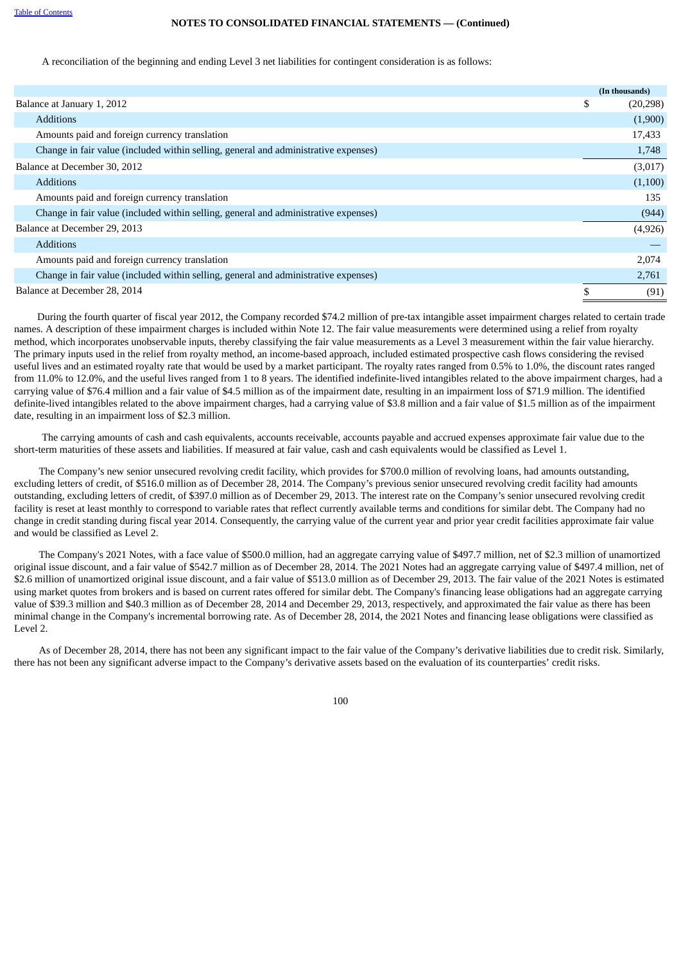A reconciliation of the beginning and ending Level 3 net liabilities for contingent consideration is as follows:

|                                                                                     | (In thousands) |
|-------------------------------------------------------------------------------------|----------------|
| \$<br>Balance at January 1, 2012                                                    | (20, 298)      |
| <b>Additions</b>                                                                    | (1,900)        |
| Amounts paid and foreign currency translation                                       | 17,433         |
| Change in fair value (included within selling, general and administrative expenses) | 1,748          |
| Balance at December 30, 2012                                                        | (3,017)        |
| <b>Additions</b>                                                                    | (1,100)        |
| Amounts paid and foreign currency translation                                       | 135            |
| Change in fair value (included within selling, general and administrative expenses) | (944)          |
| Balance at December 29, 2013                                                        | (4,926)        |
| <b>Additions</b>                                                                    |                |
| Amounts paid and foreign currency translation                                       | 2,074          |
| Change in fair value (included within selling, general and administrative expenses) | 2,761          |
| Balance at December 28, 2014                                                        | (91)           |

During the fourth quarter of fiscal year 2012, the Company recorded \$74.2 million of pre-tax intangible asset impairment charges related to certain trade names. A description of these impairment charges is included within Note 12. The fair value measurements were determined using a relief from royalty method, which incorporates unobservable inputs, thereby classifying the fair value measurements as a Level 3 measurement within the fair value hierarchy. The primary inputs used in the relief from royalty method, an income-based approach, included estimated prospective cash flows considering the revised useful lives and an estimated royalty rate that would be used by a market participant. The royalty rates ranged from 0.5% to 1.0%, the discount rates ranged from 11.0% to 12.0%, and the useful lives ranged from 1 to 8 years. The identified indefinite-lived intangibles related to the above impairment charges, had a carrying value of \$76.4 million and a fair value of \$4.5 million as of the impairment date, resulting in an impairment loss of \$71.9 million. The identified definite-lived intangibles related to the above impairment charges, had a carrying value of \$3.8 million and a fair value of \$1.5 million as of the impairment date, resulting in an impairment loss of \$2.3 million.

The carrying amounts of cash and cash equivalents, accounts receivable, accounts payable and accrued expenses approximate fair value due to the short-term maturities of these assets and liabilities. If measured at fair value, cash and cash equivalents would be classified as Level 1.

The Company's new senior unsecured revolving credit facility, which provides for \$700.0 million of revolving loans, had amounts outstanding, excluding letters of credit, of \$516.0 million as of December 28, 2014. The Company's previous senior unsecured revolving credit facility had amounts outstanding, excluding letters of credit, of \$397.0 million as of December 29, 2013. The interest rate on the Company's senior unsecured revolving credit facility is reset at least monthly to correspond to variable rates that reflect currently available terms and conditions for similar debt. The Company had no change in credit standing during fiscal year 2014. Consequently, the carrying value of the current year and prior year credit facilities approximate fair value and would be classified as Level 2.

The Company's 2021 Notes, with a face value of \$500.0 million, had an aggregate carrying value of \$497.7 million, net of \$2.3 million of unamortized original issue discount, and a fair value of \$542.7 million as of December 28, 2014. The 2021 Notes had an aggregate carrying value of \$497.4 million, net of \$2.6 million of unamortized original issue discount, and a fair value of \$513.0 million as of December 29, 2013. The fair value of the 2021 Notes is estimated using market quotes from brokers and is based on current rates offered for similar debt. The Company's financing lease obligations had an aggregate carrying value of \$39.3 million and \$40.3 million as of December 28, 2014 and December 29, 2013, respectively, and approximated the fair value as there has been minimal change in the Company's incremental borrowing rate. As of December 28, 2014, the 2021 Notes and financing lease obligations were classified as Level 2.

As of December 28, 2014, there has not been any significant impact to the fair value of the Company's derivative liabilities due to credit risk. Similarly, there has not been any significant adverse impact to the Company's derivative assets based on the evaluation of its counterparties' credit risks.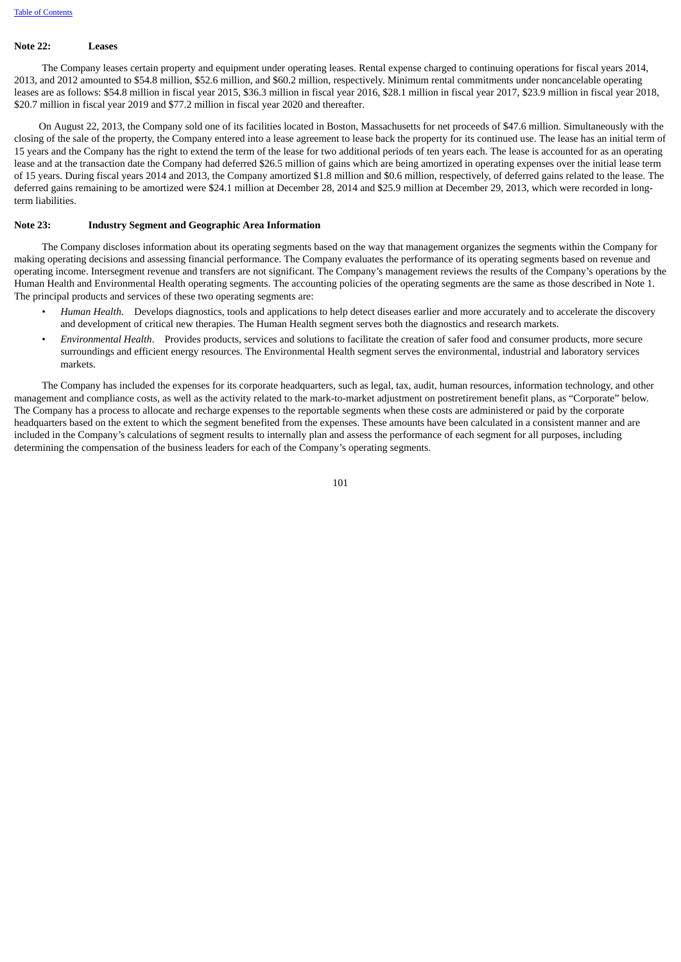#### **Note 22: Leases**

The Company leases certain property and equipment under operating leases. Rental expense charged to continuing operations for fiscal years 2014, 2013, and 2012 amounted to \$54.8 million, \$52.6 million, and \$60.2 million, respectively. Minimum rental commitments under noncancelable operating leases are as follows: \$54.8 million in fiscal year 2015, \$36.3 million in fiscal year 2016, \$28.1 million in fiscal year 2017, \$23.9 million in fiscal year 2018, \$20.7 million in fiscal year 2019 and \$77.2 million in fiscal year 2020 and thereafter.

On August 22, 2013, the Company sold one of its facilities located in Boston, Massachusetts for net proceeds of \$47.6 million. Simultaneously with the closing of the sale of the property, the Company entered into a lease agreement to lease back the property for its continued use. The lease has an initial term of 15 years and the Company has the right to extend the term of the lease for two additional periods of ten years each. The lease is accounted for as an operating lease and at the transaction date the Company had deferred \$26.5 million of gains which are being amortized in operating expenses over the initial lease term of 15 years. During fiscal years 2014 and 2013, the Company amortized \$1.8 million and \$0.6 million, respectively, of deferred gains related to the lease. The deferred gains remaining to be amortized were \$24.1 million at December 28, 2014 and \$25.9 million at December 29, 2013, which were recorded in longterm liabilities.

#### **Note 23: Industry Segment and Geographic Area Information**

The Company discloses information about its operating segments based on the way that management organizes the segments within the Company for making operating decisions and assessing financial performance. The Company evaluates the performance of its operating segments based on revenue and operating income. Intersegment revenue and transfers are not significant. The Company's management reviews the results of the Company's operations by the Human Health and Environmental Health operating segments. The accounting policies of the operating segments are the same as those described in Note 1. The principal products and services of these two operating segments are:

- *Human Health*. Develops diagnostics, tools and applications to help detect diseases earlier and more accurately and to accelerate the discovery and development of critical new therapies. The Human Health segment serves both the diagnostics and research markets.
- *Environmental Health*. Provides products, services and solutions to facilitate the creation of safer food and consumer products, more secure surroundings and efficient energy resources. The Environmental Health segment serves the environmental, industrial and laboratory services markets.

The Company has included the expenses for its corporate headquarters, such as legal, tax, audit, human resources, information technology, and other management and compliance costs, as well as the activity related to the mark-to-market adjustment on postretirement benefit plans, as "Corporate" below. The Company has a process to allocate and recharge expenses to the reportable segments when these costs are administered or paid by the corporate headquarters based on the extent to which the segment benefited from the expenses. These amounts have been calculated in a consistent manner and are included in the Company's calculations of segment results to internally plan and assess the performance of each segment for all purposes, including determining the compensation of the business leaders for each of the Company's operating segments.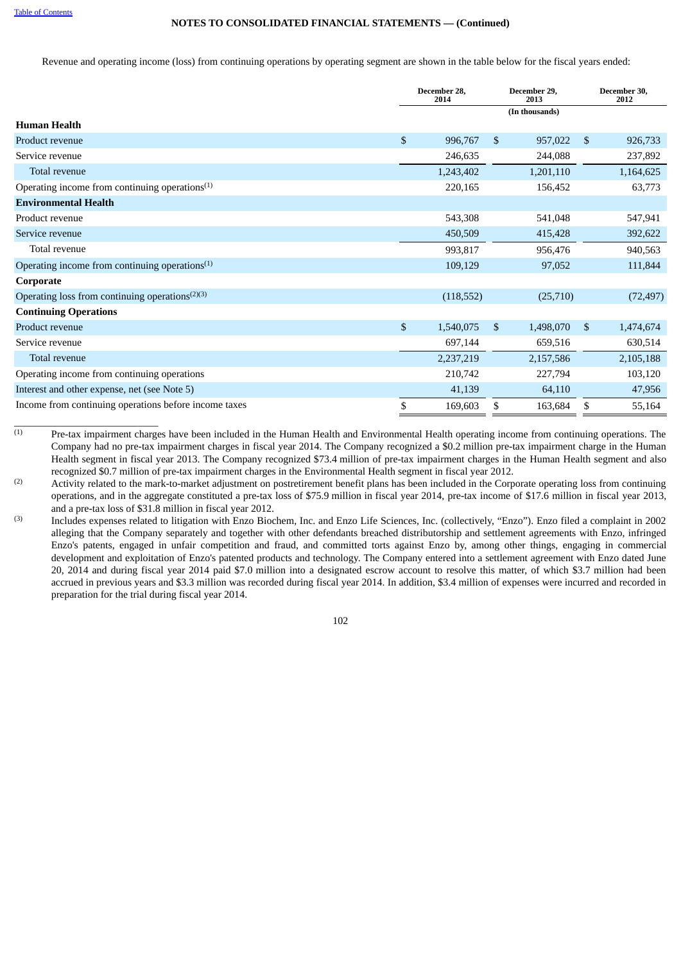$\frac{1}{2}$  ,  $\frac{1}{2}$  ,  $\frac{1}{2}$  ,  $\frac{1}{2}$  ,  $\frac{1}{2}$  ,  $\frac{1}{2}$  ,  $\frac{1}{2}$  ,  $\frac{1}{2}$  ,  $\frac{1}{2}$  ,  $\frac{1}{2}$  ,  $\frac{1}{2}$  ,  $\frac{1}{2}$  ,  $\frac{1}{2}$  ,  $\frac{1}{2}$  ,  $\frac{1}{2}$  ,  $\frac{1}{2}$  ,  $\frac{1}{2}$  ,  $\frac{1}{2}$  ,  $\frac{1$ 

### **NOTES TO CONSOLIDATED FINANCIAL STATEMENTS — (Continued)**

Revenue and operating income (loss) from continuing operations by operating segment are shown in the table below for the fiscal years ended:

|                                                       | December 28,<br>2014 | December 30,<br>2012 |                 |  |
|-------------------------------------------------------|----------------------|----------------------|-----------------|--|
|                                                       |                      | (In thousands)       |                 |  |
| <b>Human Health</b>                                   |                      |                      |                 |  |
| Product revenue                                       | \$<br>996,767        | \$<br>957,022        | \$<br>926,733   |  |
| Service revenue                                       | 246,635              | 244,088              | 237,892         |  |
| Total revenue                                         | 1,243,402            | 1,201,110            | 1,164,625       |  |
| Operating income from continuing operations $(1)$     | 220,165              | 156,452              | 63,773          |  |
| <b>Environmental Health</b>                           |                      |                      |                 |  |
| Product revenue                                       | 543,308              | 541,048              | 547,941         |  |
| Service revenue                                       | 450,509              | 415,428              | 392,622         |  |
| Total revenue                                         | 993,817              | 956,476              | 940,563         |  |
| Operating income from continuing operations $(1)$     | 109,129              | 97,052               | 111,844         |  |
| Corporate                                             |                      |                      |                 |  |
| Operating loss from continuing operations $(2)(3)$    | (118, 552)           | (25,710)             | (72, 497)       |  |
| <b>Continuing Operations</b>                          |                      |                      |                 |  |
| Product revenue                                       | \$<br>1,540,075      | \$<br>1,498,070      | \$<br>1,474,674 |  |
| Service revenue                                       | 697,144              | 659,516              | 630,514         |  |
| <b>Total revenue</b>                                  | 2,237,219            | 2,157,586            | 2,105,188       |  |
| Operating income from continuing operations           | 210,742              | 227,794              | 103,120         |  |
| Interest and other expense, net (see Note 5)          | 41,139               | 64,110               | 47,956          |  |
| Income from continuing operations before income taxes | \$<br>169,603        | \$<br>163,684        | \$<br>55,164    |  |

 $\overline{p_{\text{re-tax}}$  impairment charges have been included in the Human Health and Environmental Health operating income from continuing operations. The Company had no pre-tax impairment charges in fiscal year 2014. The Company recognized a \$0.2 million pre-tax impairment charge in the Human Health segment in fiscal year 2013. The Company recognized \$73.4 million of pre-tax impairment charges in the Human Health segment and also recognized \$0.7 million of pre-tax impairment charges in the Environmental Health segment in fiscal year 2012.

(2) Activity related to the mark-to-market adjustment on postretirement benefit plans has been included in the Corporate operating loss from continuing operations, and in the aggregate constituted a pre-tax loss of \$75.9 million in fiscal year 2014, pre-tax income of \$17.6 million in fiscal year 2013, and a pre-tax loss of \$31.8 million in fiscal year 2012.

<sup>(3)</sup> Includes expenses related to litigation with Enzo Biochem, Inc. and Enzo Life Sciences, Inc. (collectively, "Enzo"). Enzo filed a complaint in 2002 alleging that the Company separately and together with other defendants breached distributorship and settlement agreements with Enzo, infringed Enzo's patents, engaged in unfair competition and fraud, and committed torts against Enzo by, among other things, engaging in commercial development and exploitation of Enzo's patented products and technology. The Company entered into a settlement agreement with Enzo dated June 20, 2014 and during fiscal year 2014 paid \$7.0 million into a designated escrow account to resolve this matter, of which \$3.7 million had been accrued in previous years and \$3.3 million was recorded during fiscal year 2014. In addition, \$3.4 million of expenses were incurred and recorded in preparation for the trial during fiscal year 2014.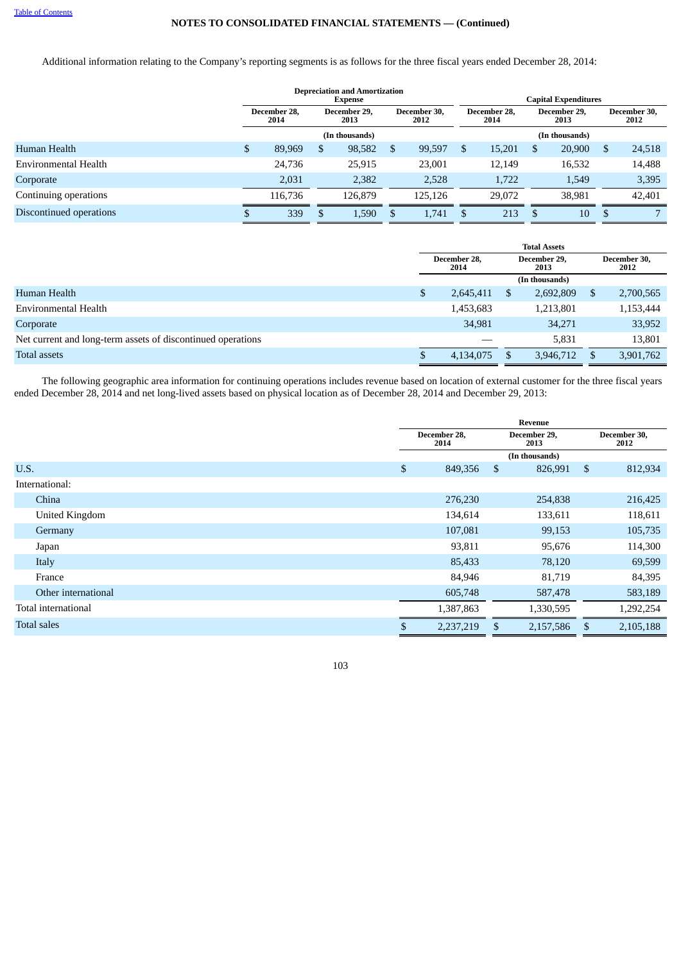Additional information relating to the Company's reporting segments is as follows for the three fiscal years ended December 28, 2014:

|                         |                      | <b>Depreciation and Amortization</b><br><b>Expense</b> |    |                      |    |                      |   | <b>Capital Expenditures</b> |                      |
|-------------------------|----------------------|--------------------------------------------------------|----|----------------------|----|----------------------|---|-----------------------------|----------------------|
|                         | December 28.<br>2014 | December 29.<br>2013                                   |    | December 30.<br>2012 |    | December 28.<br>2014 |   | December 29.<br>2013        | December 30.<br>2012 |
|                         |                      | (In thousands)                                         |    |                      |    |                      |   | (In thousands)              |                      |
| Human Health            | \$<br>89,969         | \$<br>98,582                                           | \$ | 99,597               | S  | 15,201               |   | 20,900                      | \$<br>24,518         |
| Environmental Health    | 24,736               | 25,915                                                 |    | 23,001               |    | 12,149               |   | 16,532                      | 14,488               |
| Corporate               | 2,031                | 2,382                                                  |    | 2,528                |    | 1,722                |   | 1,549                       | 3,395                |
| Continuing operations   | 116.736              | 126,879                                                |    | 125.126              |    | 29,072               |   | 38.981                      | 42,401               |
| Discontinued operations | 339                  | 1,590                                                  | S  | 1,741                | \$ | 213                  | S | 10                          |                      |

|                                                             |     |                      | <b>Total Assets</b>  |    |                      |
|-------------------------------------------------------------|-----|----------------------|----------------------|----|----------------------|
|                                                             |     | December 28,<br>2014 | December 29,<br>2013 |    | December 30,<br>2012 |
|                                                             |     |                      | (In thousands)       |    |                      |
| Human Health                                                | \$. | 2,645,411            | 2,692,809            | \$ | 2,700,565            |
| Environmental Health                                        |     | 1,453,683            | 1,213,801            |    | 1,153,444            |
| Corporate                                                   |     | 34,981               | 34,271               |    | 33,952               |
| Net current and long-term assets of discontinued operations |     |                      | 5,831                |    | 13,801               |
| <b>Total assets</b>                                         |     | 4,134,075            | 3,946,712            | -S | 3,901,762            |

The following geographic area information for continuing operations includes revenue based on location of external customer for the three fiscal years ended December 28, 2014 and net long-lived assets based on physical location as of December 28, 2014 and December 29, 2013:

|                       | Revenue      |                      |                      |           |                |                      |  |  |
|-----------------------|--------------|----------------------|----------------------|-----------|----------------|----------------------|--|--|
|                       |              | December 28,<br>2014 | December 29,<br>2013 |           |                | December 30,<br>2012 |  |  |
|                       |              |                      | (In thousands)       |           |                |                      |  |  |
| U.S.                  | $\mathbb{S}$ | 849,356              | \$                   | 826,991   | $\mathfrak{S}$ | 812,934              |  |  |
| International:        |              |                      |                      |           |                |                      |  |  |
| China                 |              | 276,230              |                      | 254,838   |                | 216,425              |  |  |
| <b>United Kingdom</b> |              | 134,614              |                      | 133,611   |                | 118,611              |  |  |
| Germany               |              | 107,081              |                      | 99,153    |                | 105,735              |  |  |
| Japan                 |              | 93,811               |                      | 95,676    |                | 114,300              |  |  |
| Italy                 |              | 85,433               |                      | 78,120    |                | 69,599               |  |  |
| France                |              | 84,946               |                      | 81,719    |                | 84,395               |  |  |
| Other international   |              | 605,748              |                      | 587,478   |                | 583,189              |  |  |
| Total international   |              | 1,387,863            |                      | 1,330,595 |                | 1,292,254            |  |  |
| <b>Total sales</b>    | \$           | 2,237,219            | \$                   | 2,157,586 | \$             | 2,105,188            |  |  |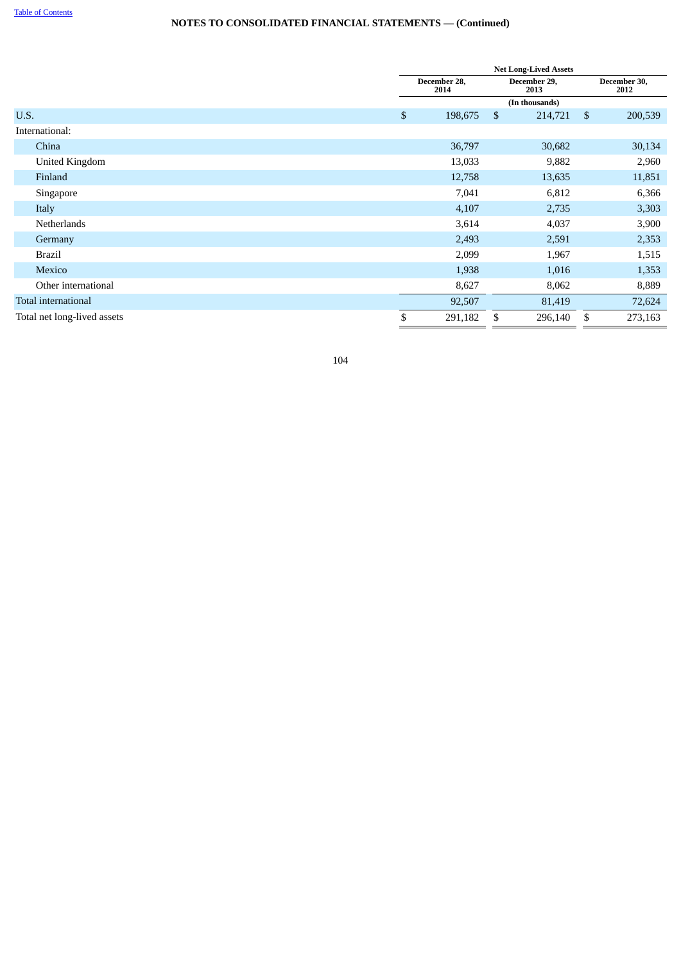|                             | <b>Net Long-Lived Assets</b>                                         |         |                |         |                |         |  |  |  |
|-----------------------------|----------------------------------------------------------------------|---------|----------------|---------|----------------|---------|--|--|--|
|                             | December 28,<br>December 30,<br>December 29,<br>2013<br>2012<br>2014 |         |                |         |                |         |  |  |  |
|                             |                                                                      |         | (In thousands) |         |                |         |  |  |  |
| U.S.                        | $\mathbb{S}$                                                         | 198,675 | \$             | 214,721 | $\mathfrak{S}$ | 200,539 |  |  |  |
| International:              |                                                                      |         |                |         |                |         |  |  |  |
| China                       |                                                                      | 36,797  |                | 30,682  |                | 30,134  |  |  |  |
| <b>United Kingdom</b>       |                                                                      | 13,033  |                | 9,882   |                | 2,960   |  |  |  |
| Finland                     |                                                                      | 12,758  |                | 13,635  |                | 11,851  |  |  |  |
| Singapore                   |                                                                      | 7,041   |                | 6,812   |                | 6,366   |  |  |  |
| Italy                       |                                                                      | 4,107   |                | 2,735   |                | 3,303   |  |  |  |
| Netherlands                 |                                                                      | 3,614   |                | 4,037   |                | 3,900   |  |  |  |
| Germany                     |                                                                      | 2,493   |                | 2,591   |                | 2,353   |  |  |  |
| <b>Brazil</b>               |                                                                      | 2,099   |                | 1,967   |                | 1,515   |  |  |  |
| Mexico                      |                                                                      | 1,938   |                | 1,016   |                | 1,353   |  |  |  |
| Other international         |                                                                      | 8,627   |                | 8,062   |                | 8,889   |  |  |  |
| Total international         |                                                                      | 92,507  |                | 81,419  |                | 72,624  |  |  |  |
| Total net long-lived assets | \$                                                                   | 291,182 | \$             | 296,140 | \$             | 273,163 |  |  |  |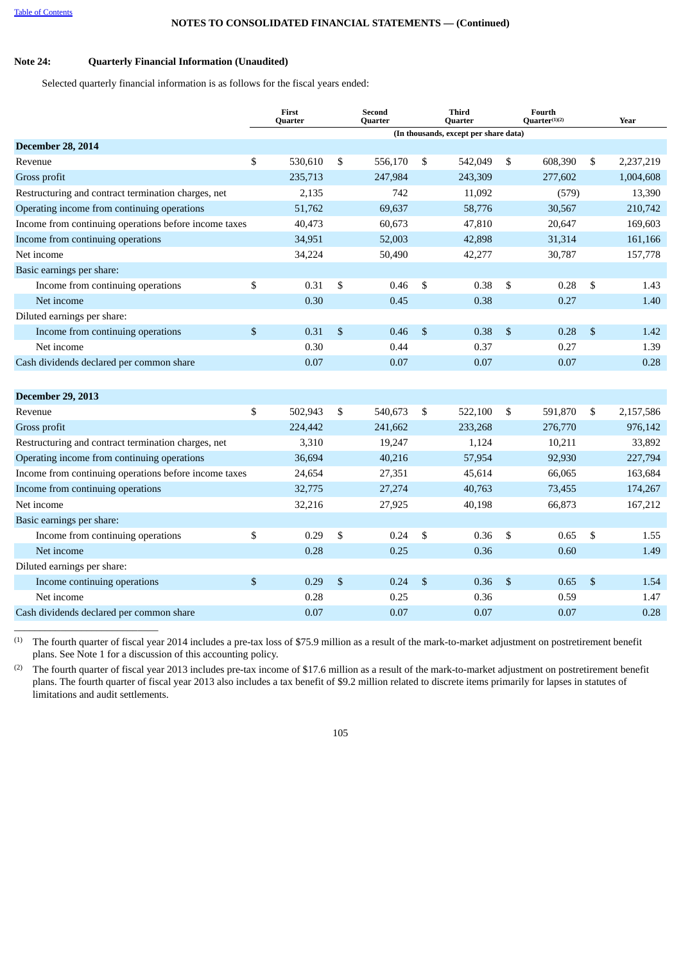\_\_\_\_\_\_\_\_\_\_\_\_\_\_\_\_\_\_\_\_\_\_\_\_\_\_\_\_

# **NOTES TO CONSOLIDATED FINANCIAL STATEMENTS — (Continued)**

# **Note 24: Quarterly Financial Information (Unaudited)**

Selected quarterly financial information is as follows for the fiscal years ended:

|                                                       |                | First<br>Quarter                      |    | <b>Second</b><br>Quarter |    | <b>Third</b><br><b>Quarter</b> |                           | Fourth<br>Quarter <sup>(1)(2)</sup> |                | Year      |
|-------------------------------------------------------|----------------|---------------------------------------|----|--------------------------|----|--------------------------------|---------------------------|-------------------------------------|----------------|-----------|
|                                                       |                | (In thousands, except per share data) |    |                          |    |                                |                           |                                     |                |           |
| <b>December 28, 2014</b>                              |                |                                       |    |                          |    |                                |                           |                                     |                |           |
| Revenue                                               | \$             | 530,610                               | \$ | 556,170                  | \$ | 542,049                        | \$                        | 608,390                             | \$             | 2,237,219 |
| Gross profit                                          |                | 235,713                               |    | 247,984                  |    | 243,309                        |                           | 277,602                             |                | 1,004,608 |
| Restructuring and contract termination charges, net   |                | 2,135                                 |    | 742                      |    | 11,092                         |                           | (579)                               |                | 13,390    |
| Operating income from continuing operations           |                | 51,762                                |    | 69,637                   |    | 58,776                         |                           | 30,567                              |                | 210,742   |
| Income from continuing operations before income taxes |                | 40,473                                |    | 60,673                   |    | 47,810                         |                           | 20,647                              |                | 169,603   |
| Income from continuing operations                     |                | 34,951                                |    | 52,003                   |    | 42,898                         |                           | 31,314                              |                | 161,166   |
| Net income                                            |                | 34,224                                |    | 50,490                   |    | 42,277                         |                           | 30,787                              |                | 157,778   |
| Basic earnings per share:                             |                |                                       |    |                          |    |                                |                           |                                     |                |           |
| Income from continuing operations                     | \$             | 0.31                                  | \$ | 0.46                     | \$ | 0.38                           | \$                        | 0.28                                | \$             | 1.43      |
| Net income                                            |                | 0.30                                  |    | 0.45                     |    | 0.38                           |                           | 0.27                                |                | 1.40      |
| Diluted earnings per share:                           |                |                                       |    |                          |    |                                |                           |                                     |                |           |
| Income from continuing operations                     | $\mathfrak{s}$ | 0.31                                  | \$ | 0.46                     | \$ | 0.38                           | $\mathfrak{s}$            | 0.28                                | $\mathfrak{s}$ | 1.42      |
| Net income                                            |                | 0.30                                  |    | 0.44                     |    | 0.37                           |                           | 0.27                                |                | 1.39      |
| Cash dividends declared per common share              |                | 0.07                                  |    | 0.07                     |    | 0.07                           |                           | 0.07                                |                | 0.28      |
|                                                       |                |                                       |    |                          |    |                                |                           |                                     |                |           |
| <b>December 29, 2013</b>                              |                |                                       |    |                          |    |                                |                           |                                     |                |           |
| Revenue                                               | \$             | 502,943                               | \$ | 540,673                  | \$ | 522,100                        | $\boldsymbol{\mathsf{S}}$ | 591,870                             | \$             | 2,157,586 |
| Gross profit                                          |                | 224,442                               |    | 241,662                  |    | 233,268                        |                           | 276,770                             |                | 976,142   |
| Restructuring and contract termination charges, net   |                | 3,310                                 |    | 19,247                   |    | 1,124                          |                           | 10,211                              |                | 33,892    |
| Operating income from continuing operations           |                | 36,694                                |    | 40,216                   |    | 57,954                         |                           | 92,930                              |                | 227,794   |
| Income from continuing operations before income taxes |                | 24,654                                |    | 27,351                   |    | 45,614                         |                           | 66,065                              |                | 163,684   |
| Income from continuing operations                     |                | 32,775                                |    | 27,274                   |    | 40,763                         |                           | 73,455                              |                | 174,267   |
| Net income                                            |                | 32,216                                |    | 27,925                   |    | 40,198                         |                           | 66,873                              |                | 167,212   |
| Basic earnings per share:                             |                |                                       |    |                          |    |                                |                           |                                     |                |           |
| Income from continuing operations                     | \$             | 0.29                                  | \$ | 0.24                     | \$ | 0.36                           | \$                        | 0.65                                | \$             | 1.55      |
| Net income                                            |                | 0.28                                  |    | 0.25                     |    | 0.36                           |                           | 0.60                                |                | 1.49      |
| Diluted earnings per share:                           |                |                                       |    |                          |    |                                |                           |                                     |                |           |
| Income continuing operations                          | \$             | 0.29                                  | \$ | 0.24                     | \$ | 0.36                           | $\mathfrak{S}$            | 0.65                                | \$             | 1.54      |
| Net income                                            |                | 0.28                                  |    | 0.25                     |    | 0.36                           |                           | 0.59                                |                | 1.47      |
| Cash dividends declared per common share              |                | 0.07                                  |    | 0.07                     |    | 0.07                           |                           | 0.07                                |                | 0.28      |

 $(1)$  The fourth quarter of fiscal year 2014 includes a pre-tax loss of \$75.9 million as a result of the mark-to-market adjustment on postretirement benefit plans. See Note 1 for a discussion of this accounting policy.

(2) The fourth quarter of fiscal year 2013 includes pre-tax income of \$17.6 million as a result of the mark-to-market adjustment on postretirement benefit plans. The fourth quarter of fiscal year 2013 also includes a tax benefit of \$9.2 million related to discrete items primarily for lapses in statutes of limitations and audit settlements.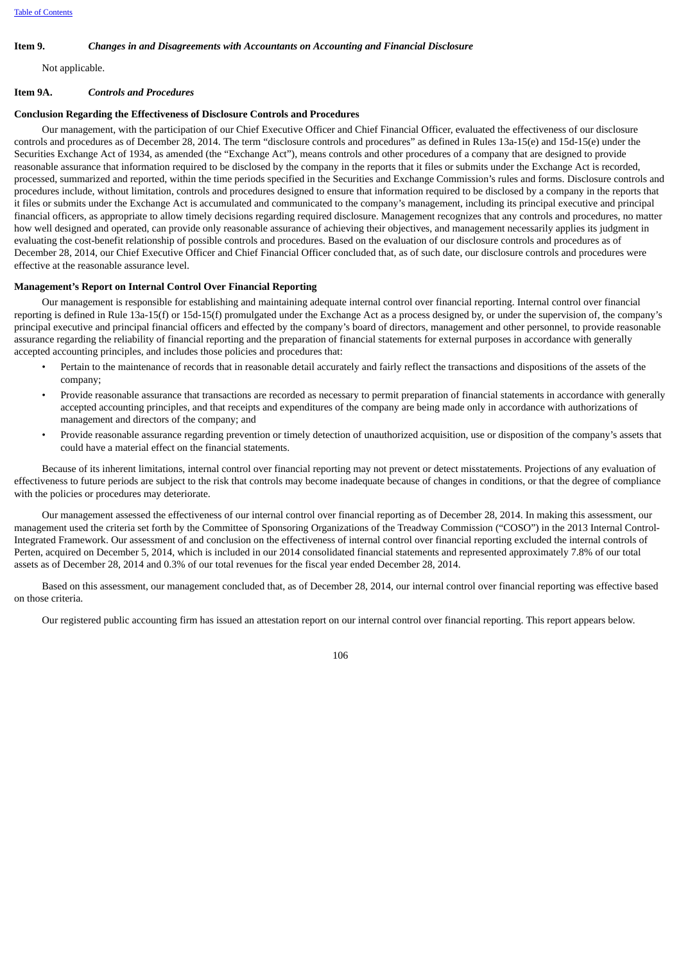#### **Item 9.** *Changes in and Disagreements with Accountants on Accounting and Financial Disclosure*

Not applicable.

#### **Item 9A.** *Controls and Procedures*

#### **Conclusion Regarding the Effectiveness of Disclosure Controls and Procedures**

Our management, with the participation of our Chief Executive Officer and Chief Financial Officer, evaluated the effectiveness of our disclosure controls and procedures as of December 28, 2014. The term "disclosure controls and procedures" as defined in Rules 13a-15(e) and 15d-15(e) under the Securities Exchange Act of 1934, as amended (the "Exchange Act"), means controls and other procedures of a company that are designed to provide reasonable assurance that information required to be disclosed by the company in the reports that it files or submits under the Exchange Act is recorded, processed, summarized and reported, within the time periods specified in the Securities and Exchange Commission's rules and forms. Disclosure controls and procedures include, without limitation, controls and procedures designed to ensure that information required to be disclosed by a company in the reports that it files or submits under the Exchange Act is accumulated and communicated to the company's management, including its principal executive and principal financial officers, as appropriate to allow timely decisions regarding required disclosure. Management recognizes that any controls and procedures, no matter how well designed and operated, can provide only reasonable assurance of achieving their objectives, and management necessarily applies its judgment in evaluating the cost-benefit relationship of possible controls and procedures. Based on the evaluation of our disclosure controls and procedures as of December 28, 2014, our Chief Executive Officer and Chief Financial Officer concluded that, as of such date, our disclosure controls and procedures were effective at the reasonable assurance level.

### **Management's Report on Internal Control Over Financial Reporting**

Our management is responsible for establishing and maintaining adequate internal control over financial reporting. Internal control over financial reporting is defined in Rule 13a-15(f) or 15d-15(f) promulgated under the Exchange Act as a process designed by, or under the supervision of, the company's principal executive and principal financial officers and effected by the company's board of directors, management and other personnel, to provide reasonable assurance regarding the reliability of financial reporting and the preparation of financial statements for external purposes in accordance with generally accepted accounting principles, and includes those policies and procedures that:

- Pertain to the maintenance of records that in reasonable detail accurately and fairly reflect the transactions and dispositions of the assets of the company;
- Provide reasonable assurance that transactions are recorded as necessary to permit preparation of financial statements in accordance with generally accepted accounting principles, and that receipts and expenditures of the company are being made only in accordance with authorizations of management and directors of the company; and
- Provide reasonable assurance regarding prevention or timely detection of unauthorized acquisition, use or disposition of the company's assets that could have a material effect on the financial statements.

Because of its inherent limitations, internal control over financial reporting may not prevent or detect misstatements. Projections of any evaluation of effectiveness to future periods are subject to the risk that controls may become inadequate because of changes in conditions, or that the degree of compliance with the policies or procedures may deteriorate.

Our management assessed the effectiveness of our internal control over financial reporting as of December 28, 2014. In making this assessment, our management used the criteria set forth by the Committee of Sponsoring Organizations of the Treadway Commission ("COSO") in the 2013 Internal Control-Integrated Framework. Our assessment of and conclusion on the effectiveness of internal control over financial reporting excluded the internal controls of Perten, acquired on December 5, 2014, which is included in our 2014 consolidated financial statements and represented approximately 7.8% of our total assets as of December 28, 2014 and 0.3% of our total revenues for the fiscal year ended December 28, 2014.

Based on this assessment, our management concluded that, as of December 28, 2014, our internal control over financial reporting was effective based on those criteria.

Our registered public accounting firm has issued an attestation report on our internal control over financial reporting. This report appears below.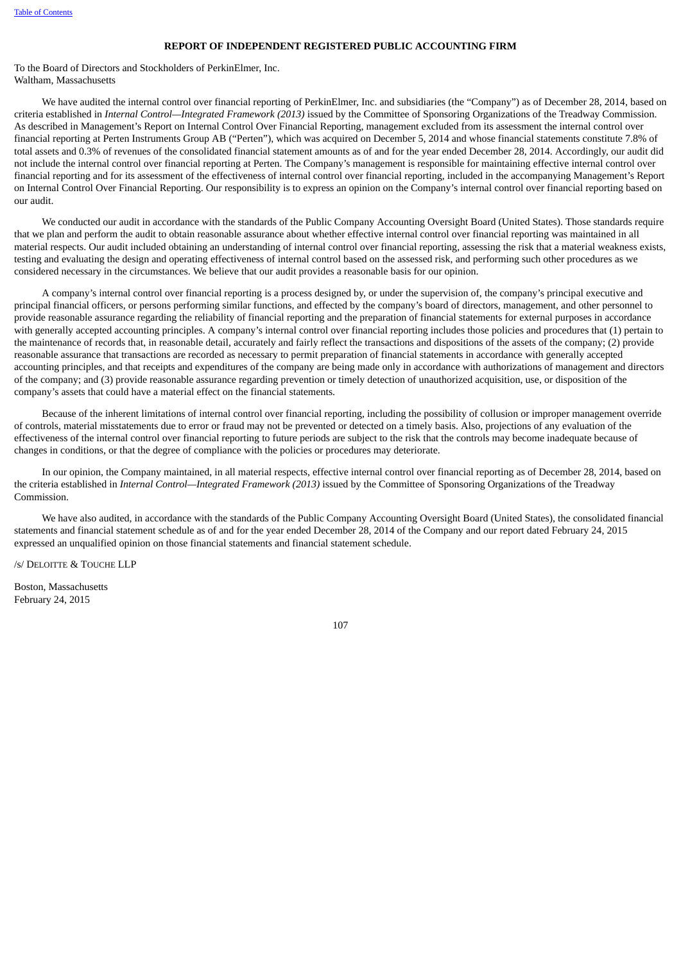# **REPORT OF INDEPENDENT REGISTERED PUBLIC ACCOUNTING FIRM**

To the Board of Directors and Stockholders of PerkinElmer, Inc. Waltham, Massachusetts

We have audited the internal control over financial reporting of PerkinElmer, Inc. and subsidiaries (the "Company") as of December 28, 2014, based on criteria established in *Internal Control—Integrated Framework (2013)* issued by the Committee of Sponsoring Organizations of the Treadway Commission. As described in Management's Report on Internal Control Over Financial Reporting, management excluded from its assessment the internal control over financial reporting at Perten Instruments Group AB ("Perten"), which was acquired on December 5, 2014 and whose financial statements constitute 7.8% of total assets and 0.3% of revenues of the consolidated financial statement amounts as of and for the year ended December 28, 2014. Accordingly, our audit did not include the internal control over financial reporting at Perten. The Company's management is responsible for maintaining effective internal control over financial reporting and for its assessment of the effectiveness of internal control over financial reporting, included in the accompanying Management's Report on Internal Control Over Financial Reporting. Our responsibility is to express an opinion on the Company's internal control over financial reporting based on our audit.

We conducted our audit in accordance with the standards of the Public Company Accounting Oversight Board (United States). Those standards require that we plan and perform the audit to obtain reasonable assurance about whether effective internal control over financial reporting was maintained in all material respects. Our audit included obtaining an understanding of internal control over financial reporting, assessing the risk that a material weakness exists, testing and evaluating the design and operating effectiveness of internal control based on the assessed risk, and performing such other procedures as we considered necessary in the circumstances. We believe that our audit provides a reasonable basis for our opinion.

A company's internal control over financial reporting is a process designed by, or under the supervision of, the company's principal executive and principal financial officers, or persons performing similar functions, and effected by the company's board of directors, management, and other personnel to provide reasonable assurance regarding the reliability of financial reporting and the preparation of financial statements for external purposes in accordance with generally accepted accounting principles. A company's internal control over financial reporting includes those policies and procedures that (1) pertain to the maintenance of records that, in reasonable detail, accurately and fairly reflect the transactions and dispositions of the assets of the company; (2) provide reasonable assurance that transactions are recorded as necessary to permit preparation of financial statements in accordance with generally accepted accounting principles, and that receipts and expenditures of the company are being made only in accordance with authorizations of management and directors of the company; and (3) provide reasonable assurance regarding prevention or timely detection of unauthorized acquisition, use, or disposition of the company's assets that could have a material effect on the financial statements.

Because of the inherent limitations of internal control over financial reporting, including the possibility of collusion or improper management override of controls, material misstatements due to error or fraud may not be prevented or detected on a timely basis. Also, projections of any evaluation of the effectiveness of the internal control over financial reporting to future periods are subject to the risk that the controls may become inadequate because of changes in conditions, or that the degree of compliance with the policies or procedures may deteriorate.

In our opinion, the Company maintained, in all material respects, effective internal control over financial reporting as of December 28, 2014, based on the criteria established in *Internal Control—Integrated Framework (2013)* issued by the Committee of Sponsoring Organizations of the Treadway Commission.

We have also audited, in accordance with the standards of the Public Company Accounting Oversight Board (United States), the consolidated financial statements and financial statement schedule as of and for the year ended December 28, 2014 of the Company and our report dated February 24, 2015 expressed an unqualified opinion on those financial statements and financial statement schedule.

/s/ DELOITTE & TOUCHE LLP

Boston, Massachusetts February 24, 2015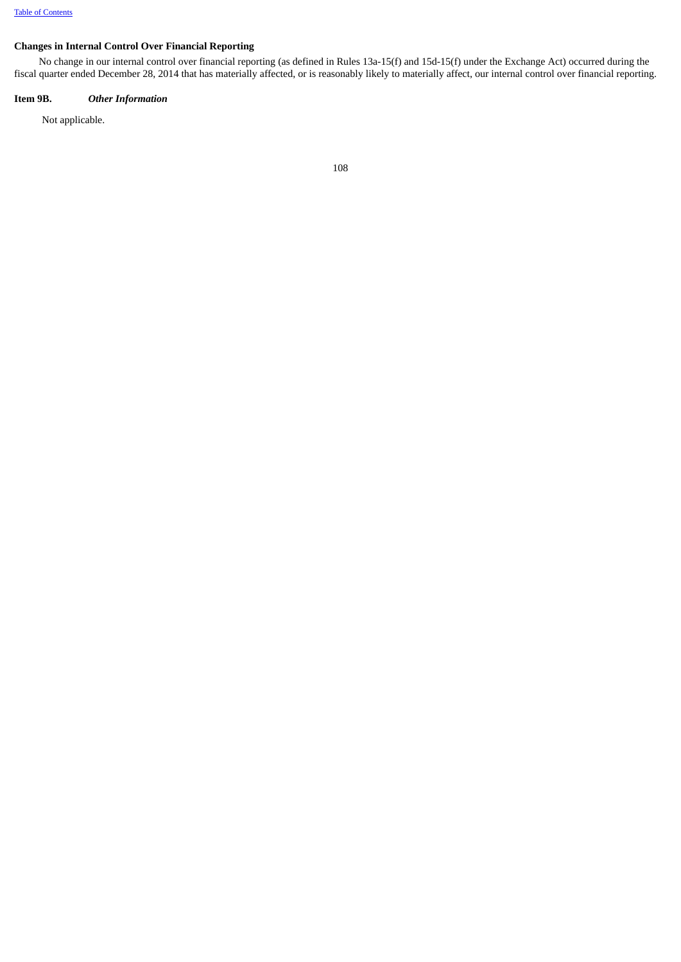# **Changes in Internal Control Over Financial Reporting**

No change in our internal control over financial reporting (as defined in Rules 13a-15(f) and 15d-15(f) under the Exchange Act) occurred during the fiscal quarter ended December 28, 2014 that has materially affected, or is reasonably likely to materially affect, our internal control over financial reporting.

#### **Item 9B.** *Other Information*

Not applicable.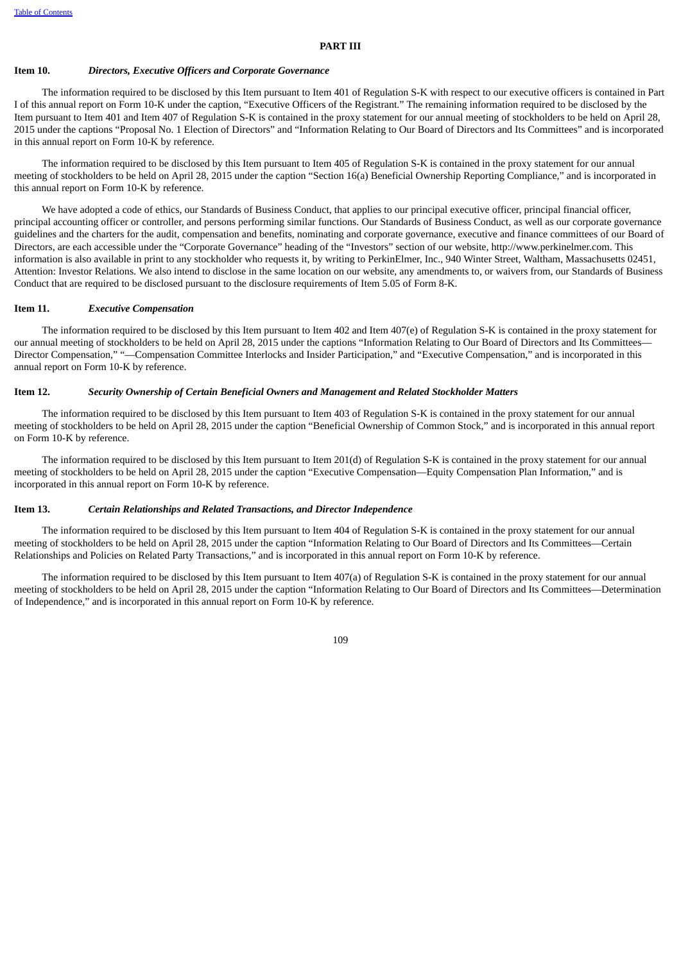#### **PART III**

## **Item 10.** *Directors, Executive Officers and Corporate Governance*

The information required to be disclosed by this Item pursuant to Item 401 of Regulation S-K with respect to our executive officers is contained in Part I of this annual report on Form 10-K under the caption, "Executive Officers of the Registrant." The remaining information required to be disclosed by the Item pursuant to Item 401 and Item 407 of Regulation S-K is contained in the proxy statement for our annual meeting of stockholders to be held on April 28, 2015 under the captions "Proposal No. 1 Election of Directors" and "Information Relating to Our Board of Directors and Its Committees" and is incorporated in this annual report on Form 10-K by reference.

The information required to be disclosed by this Item pursuant to Item 405 of Regulation S-K is contained in the proxy statement for our annual meeting of stockholders to be held on April 28, 2015 under the caption "Section 16(a) Beneficial Ownership Reporting Compliance," and is incorporated in this annual report on Form 10-K by reference.

We have adopted a code of ethics, our Standards of Business Conduct, that applies to our principal executive officer, principal financial officer, principal accounting officer or controller, and persons performing similar functions. Our Standards of Business Conduct, as well as our corporate governance guidelines and the charters for the audit, compensation and benefits, nominating and corporate governance, executive and finance committees of our Board of Directors, are each accessible under the "Corporate Governance" heading of the "Investors" section of our website, http://www.perkinelmer.com. This information is also available in print to any stockholder who requests it, by writing to PerkinElmer, Inc., 940 Winter Street, Waltham, Massachusetts 02451, Attention: Investor Relations. We also intend to disclose in the same location on our website, any amendments to, or waivers from, our Standards of Business Conduct that are required to be disclosed pursuant to the disclosure requirements of Item 5.05 of Form 8-K.

## **Item 11.** *Executive Compensation*

The information required to be disclosed by this Item pursuant to Item 402 and Item 407(e) of Regulation S-K is contained in the proxy statement for our annual meeting of stockholders to be held on April 28, 2015 under the captions "Information Relating to Our Board of Directors and Its Committees-Director Compensation," "—Compensation Committee Interlocks and Insider Participation," and "Executive Compensation," and is incorporated in this annual report on Form 10-K by reference.

## **Item 12.** *Security Ownership of Certain Beneficial Owners and Management and Related Stockholder Matters*

The information required to be disclosed by this Item pursuant to Item 403 of Regulation S-K is contained in the proxy statement for our annual meeting of stockholders to be held on April 28, 2015 under the caption "Beneficial Ownership of Common Stock," and is incorporated in this annual report on Form 10-K by reference.

The information required to be disclosed by this Item pursuant to Item 201(d) of Regulation S-K is contained in the proxy statement for our annual meeting of stockholders to be held on April 28, 2015 under the caption "Executive Compensation—Equity Compensation Plan Information," and is incorporated in this annual report on Form 10-K by reference.

## **Item 13.** *Certain Relationships and Related Transactions, and Director Independence*

The information required to be disclosed by this Item pursuant to Item 404 of Regulation S-K is contained in the proxy statement for our annual meeting of stockholders to be held on April 28, 2015 under the caption "Information Relating to Our Board of Directors and Its Committees—Certain Relationships and Policies on Related Party Transactions," and is incorporated in this annual report on Form 10-K by reference.

The information required to be disclosed by this Item pursuant to Item 407(a) of Regulation S-K is contained in the proxy statement for our annual meeting of stockholders to be held on April 28, 2015 under the caption "Information Relating to Our Board of Directors and Its Committees—Determination of Independence," and is incorporated in this annual report on Form 10-K by reference.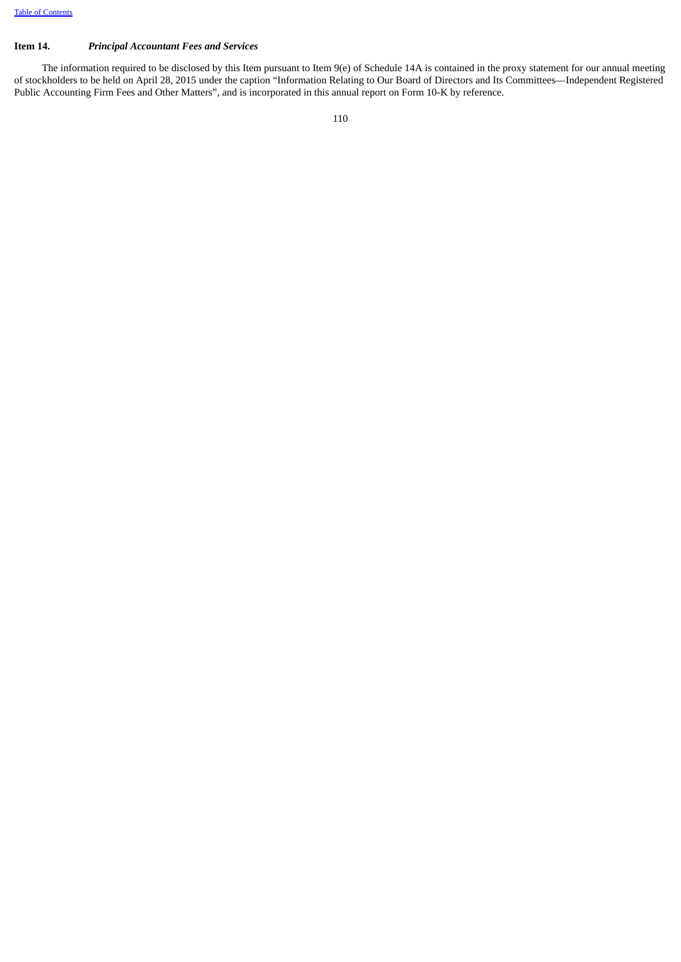# **Item 14.** *Principal Accountant Fees and Services*

The information required to be disclosed by this Item pursuant to Item 9(e) of Schedule 14A is contained in the proxy statement for our annual meeting of stockholders to be held on April 28, 2015 under the caption "Information Relating to Our Board of Directors and Its Committees—Independent Registered Public Accounting Firm Fees and Other Matters", and is incorporated in this annual report on Form 10-K by reference.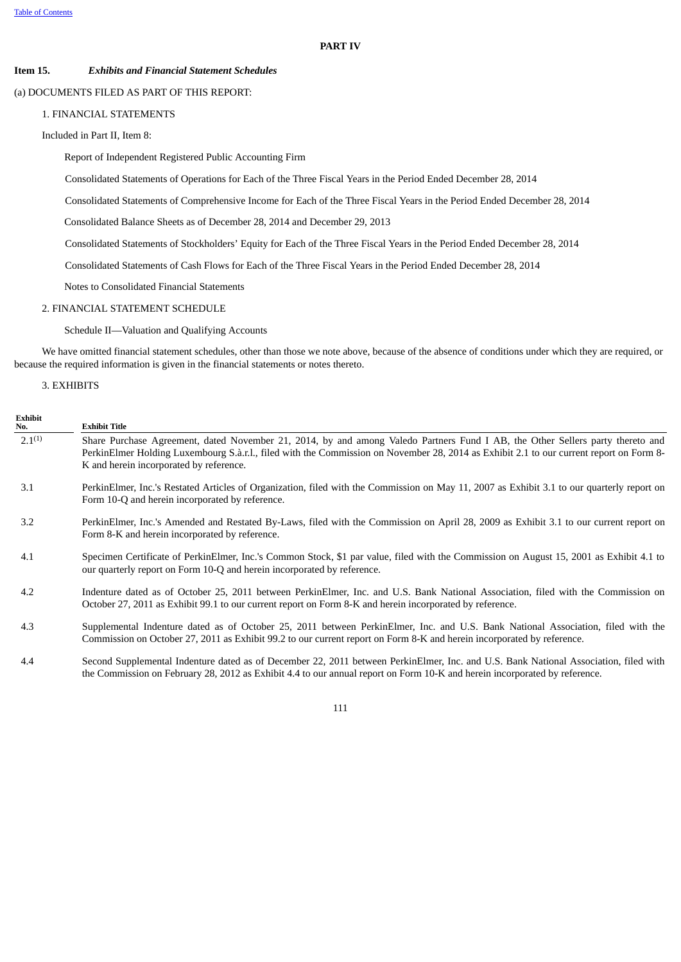### **Item 15.** *Exhibits and Financial Statement Schedules*

(a) DOCUMENTS FILED AS PART OF THIS REPORT:

#### 1. FINANCIAL STATEMENTS

Included in Part II, Item 8:

Report of Independent Registered Public Accounting Firm

Consolidated Statements of Operations for Each of the Three Fiscal Years in the Period Ended December 28, 2014

Consolidated Statements of Comprehensive Income for Each of the Three Fiscal Years in the Period Ended December 28, 2014

Consolidated Balance Sheets as of December 28, 2014 and December 29, 2013

Consolidated Statements of Stockholders' Equity for Each of the Three Fiscal Years in the Period Ended December 28, 2014

Consolidated Statements of Cash Flows for Each of the Three Fiscal Years in the Period Ended December 28, 2014

Notes to Consolidated Financial Statements

#### 2. FINANCIAL STATEMENT SCHEDULE

Schedule II—Valuation and Qualifying Accounts

We have omitted financial statement schedules, other than those we note above, because of the absence of conditions under which they are required, or because the required information is given in the financial statements or notes thereto.

### 3. EXHIBITS

| <b>Exhibit</b><br>No. | <b>Exhibit Title</b>                                                                                                                                                                                                                                                                                                 |
|-----------------------|----------------------------------------------------------------------------------------------------------------------------------------------------------------------------------------------------------------------------------------------------------------------------------------------------------------------|
| $2.1^{(1)}$           | Share Purchase Agreement, dated November 21, 2014, by and among Valedo Partners Fund I AB, the Other Sellers party thereto and<br>PerkinElmer Holding Luxembourg S.à.r.l., filed with the Commission on November 28, 2014 as Exhibit 2.1 to our current report on Form 8-<br>K and herein incorporated by reference. |
| 3.1                   | PerkinElmer, Inc.'s Restated Articles of Organization, filed with the Commission on May 11, 2007 as Exhibit 3.1 to our quarterly report on<br>Form 10-Q and herein incorporated by reference.                                                                                                                        |
| 3.2                   | PerkinElmer, Inc.'s Amended and Restated By-Laws, filed with the Commission on April 28, 2009 as Exhibit 3.1 to our current report on<br>Form 8-K and herein incorporated by reference.                                                                                                                              |
| 4.1                   | Specimen Certificate of PerkinElmer, Inc.'s Common Stock, \$1 par value, filed with the Commission on August 15, 2001 as Exhibit 4.1 to<br>our quarterly report on Form 10-Q and herein incorporated by reference.                                                                                                   |
| 4.2                   | Indenture dated as of October 25, 2011 between PerkinElmer, Inc. and U.S. Bank National Association, filed with the Commission on<br>October 27, 2011 as Exhibit 99.1 to our current report on Form 8-K and herein incorporated by reference.                                                                        |
| 4.3                   | Supplemental Indenture dated as of October 25, 2011 between PerkinElmer, Inc. and U.S. Bank National Association, filed with the<br>Commission on October 27, 2011 as Exhibit 99.2 to our current report on Form 8-K and herein incorporated by reference.                                                           |
| 4.4                   | Second Supplemental Indenture dated as of December 22, 2011 between PerkinElmer, Inc. and U.S. Bank National Association, filed with<br>the Commission on February 28, 2012 as Exhibit 4.4 to our annual report on Form 10-K and herein incorporated by reference.                                                   |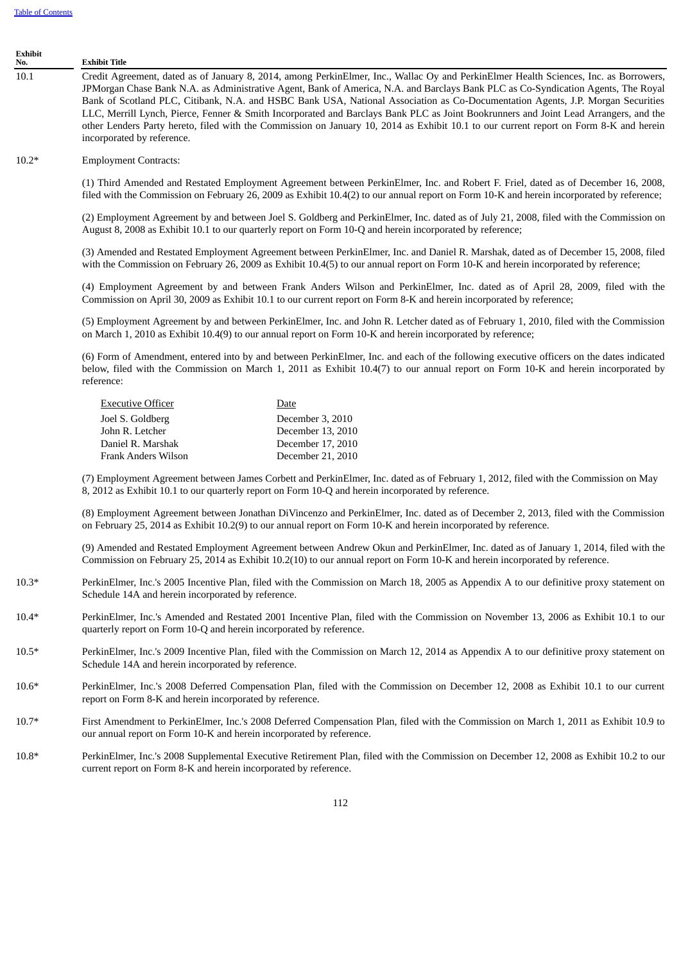# **Exhibit No. Exhibit Title** 10.1 Credit Agreement, dated as of January 8, 2014, among PerkinElmer, Inc., Wallac Oy and PerkinElmer Health Sciences, Inc. as Borrowers, JPMorgan Chase Bank N.A. as Administrative Agent, Bank of America, N.A. and Barclays Bank PLC as Co-Syndication Agents, The Royal Bank of Scotland PLC, Citibank, N.A. and HSBC Bank USA, National Association as Co-Documentation Agents, J.P. Morgan Securities LLC, Merrill Lynch, Pierce, Fenner & Smith Incorporated and Barclays Bank PLC as Joint Bookrunners and Joint Lead Arrangers, and the other Lenders Party hereto, filed with the Commission on January 10, 2014 as Exhibit 10.1 to our current report on Form 8-K and herein incorporated by reference. 10.2\* Employment Contracts: (1) Third Amended and Restated Employment Agreement between PerkinElmer, Inc. and Robert F. Friel, dated as of December 16, 2008, filed with the Commission on February 26, 2009 as Exhibit 10.4(2) to our annual report on Form 10-K and herein incorporated by reference; (2) Employment Agreement by and between Joel S. Goldberg and PerkinElmer, Inc. dated as of July 21, 2008, filed with the Commission on August 8, 2008 as Exhibit 10.1 to our quarterly report on Form 10-Q and herein incorporated by reference; (3) Amended and Restated Employment Agreement between PerkinElmer, Inc. and Daniel R. Marshak, dated as of December 15, 2008, filed with the Commission on February 26, 2009 as Exhibit 10.4(5) to our annual report on Form 10-K and herein incorporated by reference; (4) Employment Agreement by and between Frank Anders Wilson and PerkinElmer, Inc. dated as of April 28, 2009, filed with the Commission on April 30, 2009 as Exhibit 10.1 to our current report on Form 8-K and herein incorporated by reference; (5) Employment Agreement by and between PerkinElmer, Inc. and John R. Letcher dated as of February 1, 2010, filed with the Commission on March 1, 2010 as Exhibit 10.4(9) to our annual report on Form 10-K and herein incorporated by reference; (6) Form of Amendment, entered into by and between PerkinElmer, Inc. and each of the following executive officers on the dates indicated below, filed with the Commission on March 1, 2011 as Exhibit 10.4(7) to our annual report on Form 10-K and herein incorporated by reference: Executive Officer **Date** Joel S. Goldberg John R. Letcher Daniel R. Marshak Frank Anders Wilson December 3, 2010 December 13, 2010 December 17, 2010 December 21, 2010 (7) Employment Agreement between James Corbett and PerkinElmer, Inc. dated as of February 1, 2012, filed with the Commission on May 8, 2012 as Exhibit 10.1 to our quarterly report on Form 10-Q and herein incorporated by reference. (8) Employment Agreement between Jonathan DiVincenzo and PerkinElmer, Inc. dated as of December 2, 2013, filed with the Commission on February 25, 2014 as Exhibit 10.2(9) to our annual report on Form 10-K and herein incorporated by reference. (9) Amended and Restated Employment Agreement between Andrew Okun and PerkinElmer, Inc. dated as of January 1, 2014, filed with the Commission on February 25, 2014 as Exhibit 10.2(10) to our annual report on Form 10-K and herein incorporated by reference. 10.3\* PerkinElmer, Inc.'s 2005 Incentive Plan, filed with the Commission on March 18, 2005 as Appendix A to our definitive proxy statement on Schedule 14A and herein incorporated by reference. 10.4\* PerkinElmer, Inc.'s Amended and Restated 2001 Incentive Plan, filed with the Commission on November 13, 2006 as Exhibit 10.1 to our quarterly report on Form 10-Q and herein incorporated by reference. 10.5\* PerkinElmer, Inc.'s 2009 Incentive Plan, filed with the Commission on March 12, 2014 as Appendix A to our definitive proxy statement on Schedule 14A and herein incorporated by reference. 10.6\* PerkinElmer, Inc.'s 2008 Deferred Compensation Plan, filed with the Commission on December 12, 2008 as Exhibit 10.1 to our current report on Form 8-K and herein incorporated by reference. 10.7\* First Amendment to PerkinElmer, Inc.'s 2008 Deferred Compensation Plan, filed with the Commission on March 1, 2011 as Exhibit 10.9 to our annual report on Form 10-K and herein incorporated by reference.

10.8\* PerkinElmer, Inc.'s 2008 Supplemental Executive Retirement Plan, filed with the Commission on December 12, 2008 as Exhibit 10.2 to our current report on Form 8-K and herein incorporated by reference.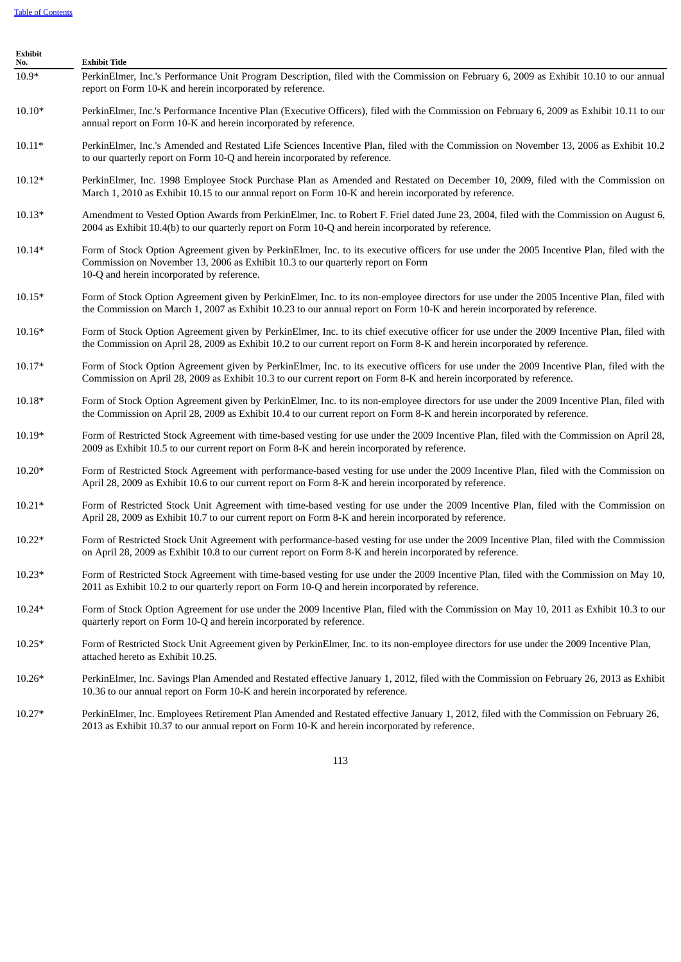| Exhibit<br>No. | <b>Exhibit Title</b>                                                                                                                                                                                                                                                       |
|----------------|----------------------------------------------------------------------------------------------------------------------------------------------------------------------------------------------------------------------------------------------------------------------------|
| $10.9*$        | PerkinElmer, Inc.'s Performance Unit Program Description, filed with the Commission on February 6, 2009 as Exhibit 10.10 to our annual<br>report on Form 10-K and herein incorporated by reference.                                                                        |
| $10.10*$       | PerkinElmer, Inc.'s Performance Incentive Plan (Executive Officers), filed with the Commission on February 6, 2009 as Exhibit 10.11 to our<br>annual report on Form 10-K and herein incorporated by reference.                                                             |
| $10.11*$       | PerkinElmer, Inc.'s Amended and Restated Life Sciences Incentive Plan, filed with the Commission on November 13, 2006 as Exhibit 10.2<br>to our quarterly report on Form 10-Q and herein incorporated by reference.                                                        |
| $10.12*$       | PerkinElmer, Inc. 1998 Employee Stock Purchase Plan as Amended and Restated on December 10, 2009, filed with the Commission on<br>March 1, 2010 as Exhibit 10.15 to our annual report on Form 10-K and herein incorporated by reference.                                   |
| $10.13*$       | Amendment to Vested Option Awards from PerkinElmer, Inc. to Robert F. Friel dated June 23, 2004, filed with the Commission on August 6,<br>2004 as Exhibit 10.4(b) to our quarterly report on Form 10-Q and herein incorporated by reference.                              |
| $10.14*$       | Form of Stock Option Agreement given by PerkinElmer, Inc. to its executive officers for use under the 2005 Incentive Plan, filed with the<br>Commission on November 13, 2006 as Exhibit 10.3 to our quarterly report on Form<br>10-Q and herein incorporated by reference. |
| $10.15*$       | Form of Stock Option Agreement given by PerkinElmer, Inc. to its non-employee directors for use under the 2005 Incentive Plan, filed with<br>the Commission on March 1, 2007 as Exhibit 10.23 to our annual report on Form 10-K and herein incorporated by reference.      |
| $10.16*$       | Form of Stock Option Agreement given by PerkinElmer, Inc. to its chief executive officer for use under the 2009 Incentive Plan, filed with<br>the Commission on April 28, 2009 as Exhibit 10.2 to our current report on Form 8-K and herein incorporated by reference.     |
| $10.17*$       | Form of Stock Option Agreement given by PerkinElmer, Inc. to its executive officers for use under the 2009 Incentive Plan, filed with the<br>Commission on April 28, 2009 as Exhibit 10.3 to our current report on Form 8-K and herein incorporated by reference.          |
| 10.18*         | Form of Stock Option Agreement given by PerkinElmer, Inc. to its non-employee directors for use under the 2009 Incentive Plan, filed with<br>the Commission on April 28, 2009 as Exhibit 10.4 to our current report on Form 8-K and herein incorporated by reference.      |
| 10.19*         | Form of Restricted Stock Agreement with time-based vesting for use under the 2009 Incentive Plan, filed with the Commission on April 28,<br>2009 as Exhibit 10.5 to our current report on Form 8-K and herein incorporated by reference.                                   |
| $10.20*$       | Form of Restricted Stock Agreement with performance-based vesting for use under the 2009 Incentive Plan, filed with the Commission on<br>April 28, 2009 as Exhibit 10.6 to our current report on Form 8-K and herein incorporated by reference.                            |
| $10.21*$       | Form of Restricted Stock Unit Agreement with time-based vesting for use under the 2009 Incentive Plan, filed with the Commission on<br>April 28, 2009 as Exhibit 10.7 to our current report on Form 8-K and herein incorporated by reference.                              |
| $10.22*$       | Form of Restricted Stock Unit Agreement with performance-based vesting for use under the 2009 Incentive Plan, filed with the Commission<br>on April 28, 2009 as Exhibit 10.8 to our current report on Form 8-K and herein incorporated by reference.                       |
| $10.23*$       | Form of Restricted Stock Agreement with time-based vesting for use under the 2009 Incentive Plan, filed with the Commission on May 10,<br>2011 as Exhibit 10.2 to our quarterly report on Form 10-Q and herein incorporated by reference.                                  |
| $10.24*$       | Form of Stock Option Agreement for use under the 2009 Incentive Plan, filed with the Commission on May 10, 2011 as Exhibit 10.3 to our<br>quarterly report on Form 10-Q and herein incorporated by reference.                                                              |
| $10.25*$       | Form of Restricted Stock Unit Agreement given by PerkinElmer, Inc. to its non-employee directors for use under the 2009 Incentive Plan,<br>attached hereto as Exhibit 10.25.                                                                                               |
| $10.26*$       | PerkinElmer, Inc. Savings Plan Amended and Restated effective January 1, 2012, filed with the Commission on February 26, 2013 as Exhibit<br>10.36 to our annual report on Form 10-K and herein incorporated by reference.                                                  |
| $10.27*$       | PerkinElmer, Inc. Employees Retirement Plan Amended and Restated effective January 1, 2012, filed with the Commission on February 26,<br>2013 as Exhibit 10.37 to our annual report on Form 10-K and herein incorporated by reference.                                     |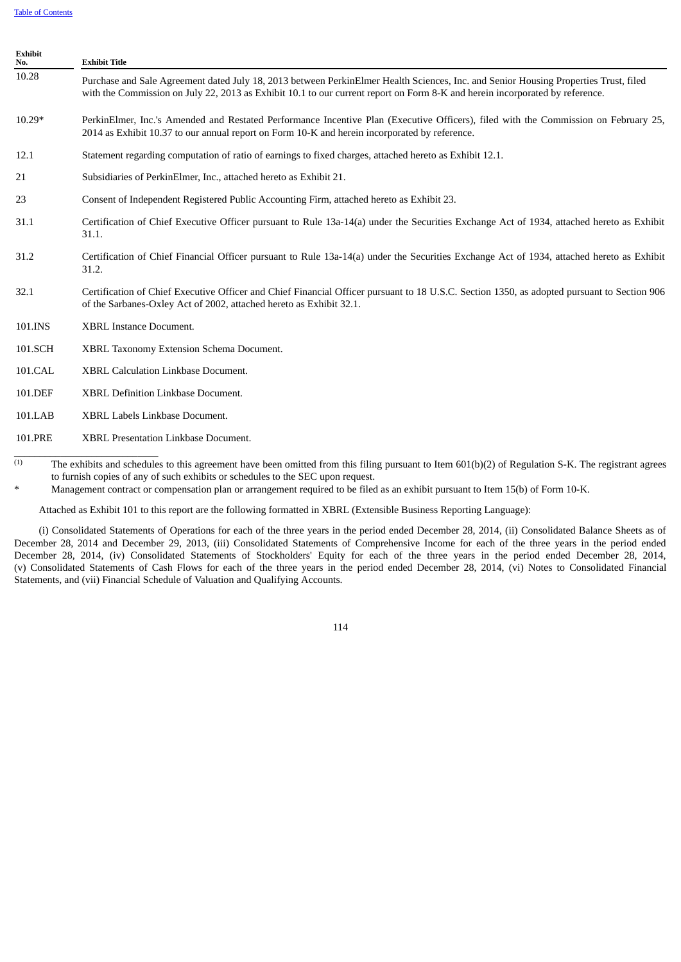| Exhibit<br>No. | <b>Exhibit Title</b>                                                                                                                                                                                                                                                 |
|----------------|----------------------------------------------------------------------------------------------------------------------------------------------------------------------------------------------------------------------------------------------------------------------|
| 10.28          | Purchase and Sale Agreement dated July 18, 2013 between PerkinElmer Health Sciences, Inc. and Senior Housing Properties Trust, filed<br>with the Commission on July 22, 2013 as Exhibit 10.1 to our current report on Form 8-K and herein incorporated by reference. |
| $10.29*$       | PerkinElmer, Inc.'s Amended and Restated Performance Incentive Plan (Executive Officers), filed with the Commission on February 25,<br>2014 as Exhibit 10.37 to our annual report on Form 10-K and herein incorporated by reference.                                 |
| 12.1           | Statement regarding computation of ratio of earnings to fixed charges, attached hereto as Exhibit 12.1.                                                                                                                                                              |
| 21             | Subsidiaries of PerkinElmer, Inc., attached hereto as Exhibit 21.                                                                                                                                                                                                    |
| 23             | Consent of Independent Registered Public Accounting Firm, attached hereto as Exhibit 23.                                                                                                                                                                             |
| 31.1           | Certification of Chief Executive Officer pursuant to Rule 13a-14(a) under the Securities Exchange Act of 1934, attached hereto as Exhibit<br>31.1.                                                                                                                   |
| 31.2           | Certification of Chief Financial Officer pursuant to Rule 13a-14(a) under the Securities Exchange Act of 1934, attached hereto as Exhibit<br>31.2.                                                                                                                   |
| 32.1           | Certification of Chief Executive Officer and Chief Financial Officer pursuant to 18 U.S.C. Section 1350, as adopted pursuant to Section 906<br>of the Sarbanes-Oxley Act of 2002, attached hereto as Exhibit 32.1.                                                   |
| 101.INS        | <b>XBRL Instance Document.</b>                                                                                                                                                                                                                                       |
| 101.SCH        | XBRL Taxonomy Extension Schema Document.                                                                                                                                                                                                                             |
| 101.CAL        | <b>XBRL Calculation Linkbase Document.</b>                                                                                                                                                                                                                           |
| 101.DEF        | <b>XBRL Definition Linkbase Document.</b>                                                                                                                                                                                                                            |
| 101.LAB        | XBRL Labels Linkbase Document.                                                                                                                                                                                                                                       |
| 101.PRE        | <b>XBRL Presentation Linkbase Document.</b>                                                                                                                                                                                                                          |

 $\overline{p}$  The exhibits and schedules to this agreement have been omitted from this filing pursuant to Item 601(b)(2) of Regulation S-K. The registrant agrees to furnish copies of any of such exhibits or schedules to the SEC upon request.

\* Management contract or compensation plan or arrangement required to be filed as an exhibit pursuant to Item 15(b) of Form 10-K.

Attached as Exhibit 101 to this report are the following formatted in XBRL (Extensible Business Reporting Language):

(i) Consolidated Statements of Operations for each of the three years in the period ended December 28, 2014, (ii) Consolidated Balance Sheets as of December 28, 2014 and December 29, 2013, (iii) Consolidated Statements of Comprehensive Income for each of the three years in the period ended December 28, 2014, (iv) Consolidated Statements of Stockholders' Equity for each of the three years in the period ended December 28, 2014, (v) Consolidated Statements of Cash Flows for each of the three years in the period ended December 28, 2014, (vi) Notes to Consolidated Financial Statements, and (vii) Financial Schedule of Valuation and Qualifying Accounts.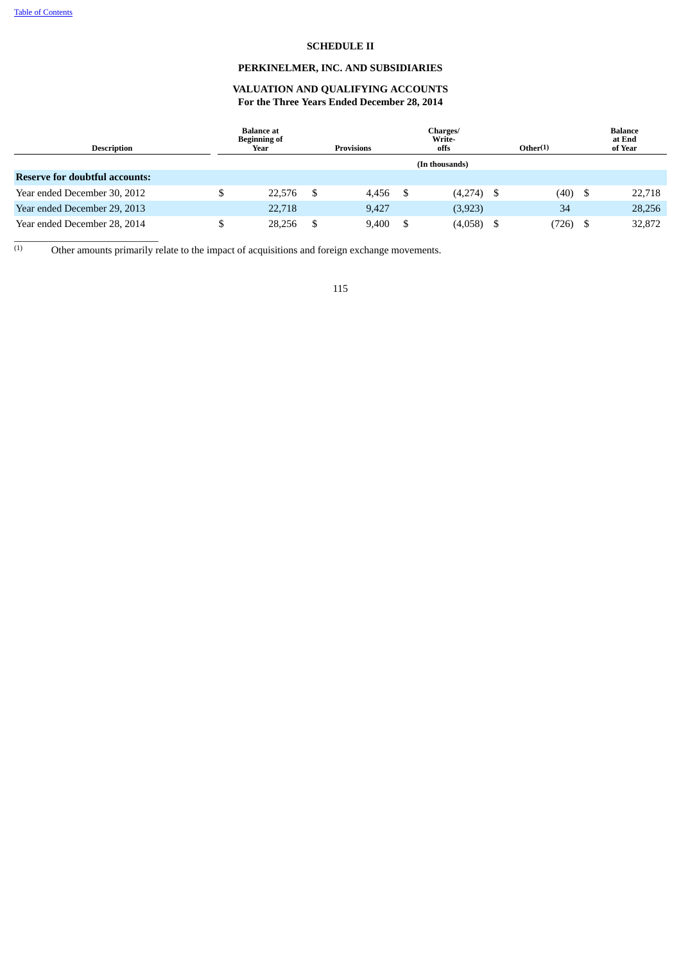# **SCHEDULE II**

# **PERKINELMER, INC. AND SUBSIDIARIES**

## **VALUATION AND QUALIFYING ACCOUNTS For the Three Years Ended December 28, 2014**

| <b>Description</b>                    |  | <b>Balance</b> at<br><b>Beginning of</b><br>Year |      | Charges/<br>Write-<br><b>Provisions</b><br>offs |  |          | Other(1) |       |      | <b>Balance</b><br>at End<br>of Year |  |
|---------------------------------------|--|--------------------------------------------------|------|-------------------------------------------------|--|----------|----------|-------|------|-------------------------------------|--|
|                                       |  |                                                  |      | (In thousands)                                  |  |          |          |       |      |                                     |  |
| <b>Reserve for doubtful accounts:</b> |  |                                                  |      |                                                 |  |          |          |       |      |                                     |  |
| Year ended December 30, 2012          |  | 22.576                                           | - \$ | 4,456                                           |  | (4,274)  | -S       | (40)  | - \$ | 22,718                              |  |
| Year ended December 29, 2013          |  | 22,718                                           |      | 9,427                                           |  | (3, 923) |          | 34    |      | 28,256                              |  |
| Year ended December 28, 2014          |  | 28.256                                           | -S   | 9,400                                           |  | (4,058)  | - \$     | (726) | - \$ | 32,872                              |  |

 $(1)$  Other amounts primarily relate to the impact of acquisitions and foreign exchange movements.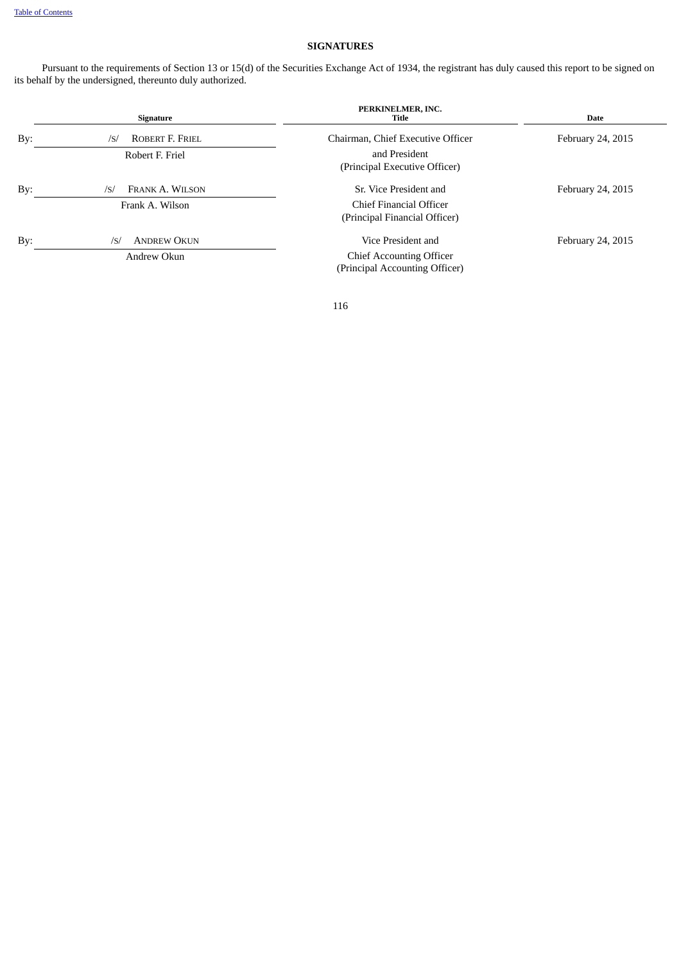# **SIGNATURES**

Pursuant to the requirements of Section 13 or 15(d) of the Securities Exchange Act of 1934, the registrant has duly caused this report to be signed on its behalf by the undersigned, thereunto duly authorized.

|     | Signature                 | PERKINELMER, INC.<br>Title                                        | Date              |
|-----|---------------------------|-------------------------------------------------------------------|-------------------|
| By: | ROBERT F. FRIEL<br>/S/    | Chairman, Chief Executive Officer                                 | February 24, 2015 |
|     | Robert F. Friel           | and President<br>(Principal Executive Officer)                    |                   |
| By: | FRANK A. WILSON<br>/S/    | Sr. Vice President and                                            | February 24, 2015 |
|     | Frank A. Wilson           | Chief Financial Officer<br>(Principal Financial Officer)          |                   |
| By: | <b>ANDREW OKUN</b><br>/S/ | Vice President and                                                | February 24, 2015 |
|     | Andrew Okun               | <b>Chief Accounting Officer</b><br>(Principal Accounting Officer) |                   |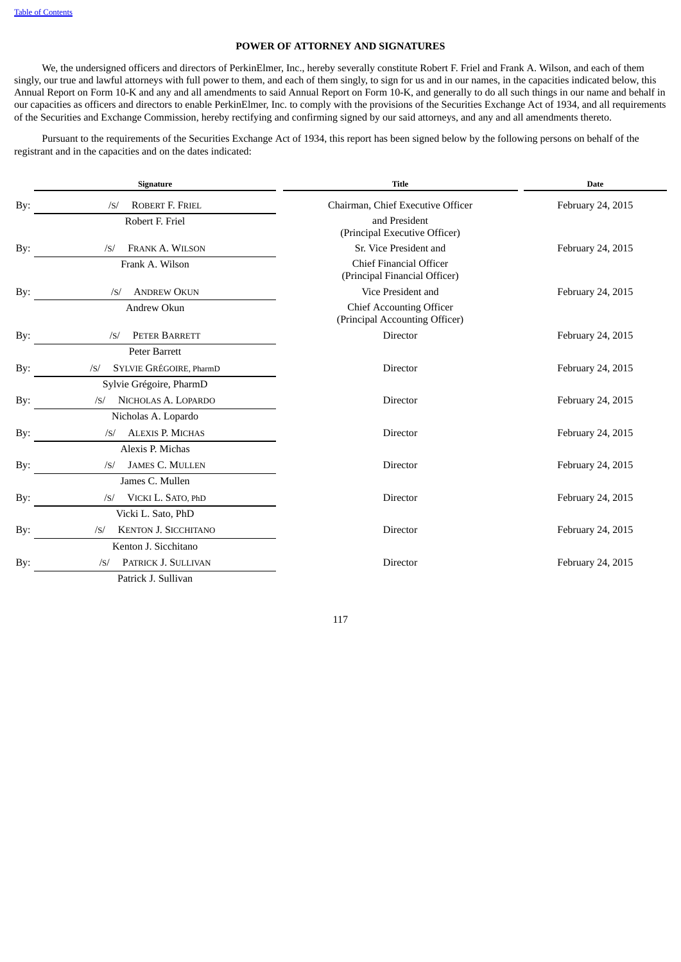### **POWER OF ATTORNEY AND SIGNATURES**

We, the undersigned officers and directors of PerkinElmer, Inc., hereby severally constitute Robert F. Friel and Frank A. Wilson, and each of them singly, our true and lawful attorneys with full power to them, and each of them singly, to sign for us and in our names, in the capacities indicated below, this Annual Report on Form 10-K and any and all amendments to said Annual Report on Form 10-K, and generally to do all such things in our name and behalf in our capacities as officers and directors to enable PerkinElmer, Inc. to comply with the provisions of the Securities Exchange Act of 1934, and all requirements of the Securities and Exchange Commission, hereby rectifying and confirming signed by our said attorneys, and any and all amendments thereto.

Pursuant to the requirements of the Securities Exchange Act of 1934, this report has been signed below by the following persons on behalf of the registrant and in the capacities and on the dates indicated:

|     | <b>Signature</b>                   | <b>Title</b>                                                      | <b>Date</b>       |
|-----|------------------------------------|-------------------------------------------------------------------|-------------------|
| By: | ROBERT F. FRIEL<br>/S/             | Chairman, Chief Executive Officer                                 | February 24, 2015 |
|     | Robert F. Friel                    | and President<br>(Principal Executive Officer)                    |                   |
| By: | FRANK A. WILSON<br>/S/             | Sr. Vice President and                                            | February 24, 2015 |
|     | Frank A. Wilson                    | <b>Chief Financial Officer</b><br>(Principal Financial Officer)   |                   |
| By: | <b>ANDREW OKUN</b><br>$\sqrt{s}$   | Vice President and                                                | February 24, 2015 |
|     | <b>Andrew Okun</b>                 | <b>Chief Accounting Officer</b><br>(Principal Accounting Officer) |                   |
| By: | PETER BARRETT<br>/S/               | Director                                                          | February 24, 2015 |
|     | <b>Peter Barrett</b>               |                                                                   |                   |
| By: | SYLVIE GRÉGOIRE, PharmD<br>/S/     | Director                                                          | February 24, 2015 |
|     | Sylvie Grégoire, PharmD            |                                                                   |                   |
| By: | NICHOLAS A. LOPARDO<br>/S/         | Director                                                          | February 24, 2015 |
|     | Nicholas A. Lopardo                |                                                                   |                   |
| By: | <b>ALEXIS P. MICHAS</b><br>/S/     | Director                                                          | February 24, 2015 |
|     | Alexis P. Michas                   |                                                                   |                   |
| By: | JAMES C. MULLEN<br>/S/             | Director                                                          | February 24, 2015 |
|     | James C. Mullen                    |                                                                   |                   |
| By: | VICKI L. SATO, PhD<br>/S/          | Director                                                          | February 24, 2015 |
|     | Vicki L. Sato, PhD                 |                                                                   |                   |
| By: | <b>KENTON J. SICCHITANO</b><br>/S/ | Director                                                          | February 24, 2015 |
|     | Kenton J. Sicchitano               |                                                                   |                   |
| By: | PATRICK J. SULLIVAN<br>/S/         | Director                                                          | February 24, 2015 |
|     | Patrick J. Sullivan                |                                                                   |                   |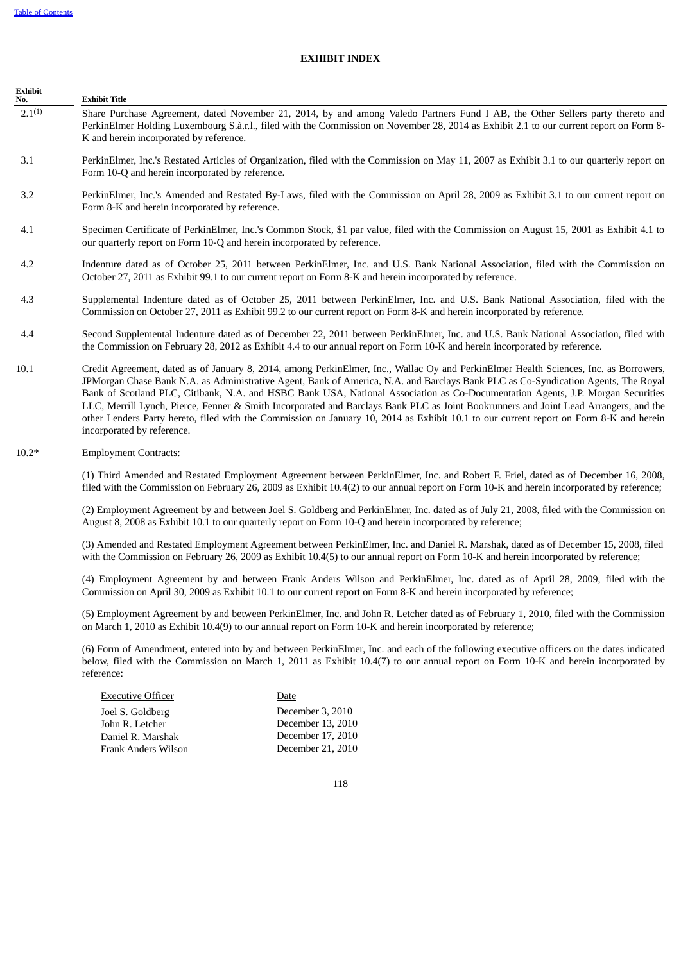**Exhibit**

#### **EXHIBIT INDEX**

| No.         | <b>Exhibit Title</b>                                                                                                                    |
|-------------|-----------------------------------------------------------------------------------------------------------------------------------------|
| $2.1^{(1)}$ | Share Purchase Agreement, dated November 21, 2014, by and among Valedo Partners Fund I AB, the Other Sellers party thereto and          |
|             | PerkinElmer Holding Luxembourg S.à.r.l., filed with the Commission on November 28, 2014 as Exhibit 2.1 to our current report on Form 8- |
|             | K and herein incorporated by reference.                                                                                                 |

- 3.1 PerkinElmer, Inc.'s Restated Articles of Organization, filed with the Commission on May 11, 2007 as Exhibit 3.1 to our quarterly report on Form 10-Q and herein incorporated by reference.
- 3.2 PerkinElmer, Inc.'s Amended and Restated By-Laws, filed with the Commission on April 28, 2009 as Exhibit 3.1 to our current report on Form 8-K and herein incorporated by reference.
- 4.1 Specimen Certificate of PerkinElmer, Inc.'s Common Stock, \$1 par value, filed with the Commission on August 15, 2001 as Exhibit 4.1 to our quarterly report on Form 10-Q and herein incorporated by reference.
- 4.2 Indenture dated as of October 25, 2011 between PerkinElmer, Inc. and U.S. Bank National Association, filed with the Commission on October 27, 2011 as Exhibit 99.1 to our current report on Form 8-K and herein incorporated by reference.
- 4.3 Supplemental Indenture dated as of October 25, 2011 between PerkinElmer, Inc. and U.S. Bank National Association, filed with the Commission on October 27, 2011 as Exhibit 99.2 to our current report on Form 8-K and herein incorporated by reference.
- 4.4 Second Supplemental Indenture dated as of December 22, 2011 between PerkinElmer, Inc. and U.S. Bank National Association, filed with the Commission on February 28, 2012 as Exhibit 4.4 to our annual report on Form 10-K and herein incorporated by reference.
- 10.1 Credit Agreement, dated as of January 8, 2014, among PerkinElmer, Inc., Wallac Oy and PerkinElmer Health Sciences, Inc. as Borrowers, JPMorgan Chase Bank N.A. as Administrative Agent, Bank of America, N.A. and Barclays Bank PLC as Co-Syndication Agents, The Royal Bank of Scotland PLC, Citibank, N.A. and HSBC Bank USA, National Association as Co-Documentation Agents, J.P. Morgan Securities LLC, Merrill Lynch, Pierce, Fenner & Smith Incorporated and Barclays Bank PLC as Joint Bookrunners and Joint Lead Arrangers, and the other Lenders Party hereto, filed with the Commission on January 10, 2014 as Exhibit 10.1 to our current report on Form 8-K and herein incorporated by reference.
- 10.2\* Employment Contracts:

(1) Third Amended and Restated Employment Agreement between PerkinElmer, Inc. and Robert F. Friel, dated as of December 16, 2008, filed with the Commission on February 26, 2009 as Exhibit 10.4(2) to our annual report on Form 10-K and herein incorporated by reference;

(2) Employment Agreement by and between Joel S. Goldberg and PerkinElmer, Inc. dated as of July 21, 2008, filed with the Commission on August 8, 2008 as Exhibit 10.1 to our quarterly report on Form 10-Q and herein incorporated by reference;

(3) Amended and Restated Employment Agreement between PerkinElmer, Inc. and Daniel R. Marshak, dated as of December 15, 2008, filed with the Commission on February 26, 2009 as Exhibit 10.4(5) to our annual report on Form 10-K and herein incorporated by reference;

(4) Employment Agreement by and between Frank Anders Wilson and PerkinElmer, Inc. dated as of April 28, 2009, filed with the Commission on April 30, 2009 as Exhibit 10.1 to our current report on Form 8-K and herein incorporated by reference;

(5) Employment Agreement by and between PerkinElmer, Inc. and John R. Letcher dated as of February 1, 2010, filed with the Commission on March 1, 2010 as Exhibit 10.4(9) to our annual report on Form 10-K and herein incorporated by reference;

(6) Form of Amendment, entered into by and between PerkinElmer, Inc. and each of the following executive officers on the dates indicated below, filed with the Commission on March 1, 2011 as Exhibit 10.4(7) to our annual report on Form 10-K and herein incorporated by reference:

| <b>Executive Officer</b> | Date              |
|--------------------------|-------------------|
| Joel S. Goldberg         | December 3, 2010  |
| John R. Letcher          | December 13, 2010 |
| Daniel R. Marshak        | December 17, 2010 |
| Frank Anders Wilson      | December 21, 2010 |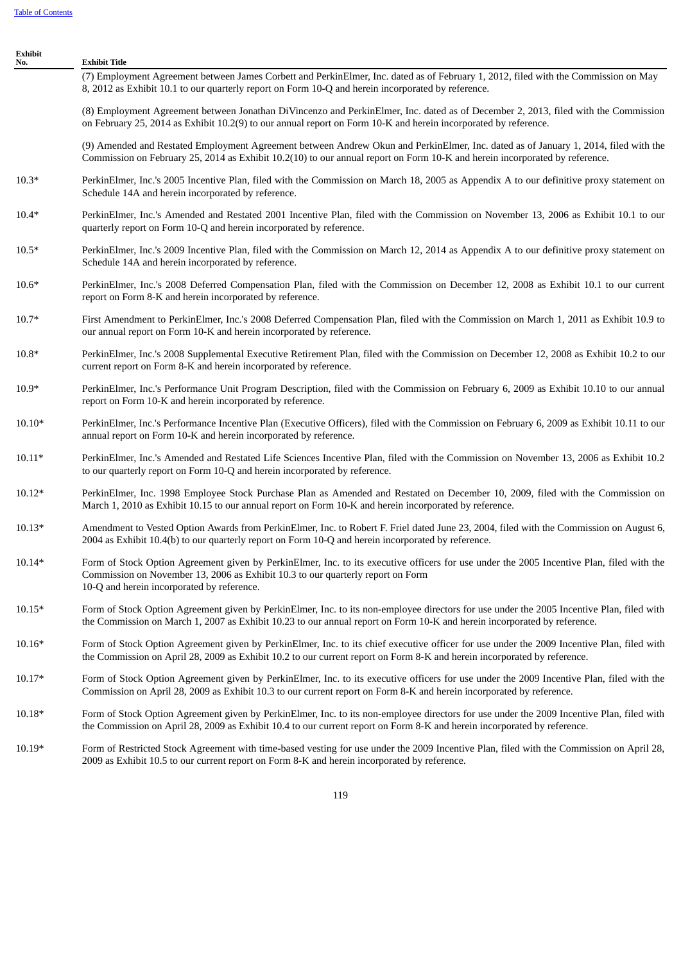| Exhibit<br>No. | <b>Exhibit Title</b>                                                                                                                                                                                                                                                       |
|----------------|----------------------------------------------------------------------------------------------------------------------------------------------------------------------------------------------------------------------------------------------------------------------------|
|                | (7) Employment Agreement between James Corbett and PerkinElmer, Inc. dated as of February 1, 2012, filed with the Commission on May<br>8, 2012 as Exhibit 10.1 to our quarterly report on Form 10-Q and herein incorporated by reference.                                  |
|                | (8) Employment Agreement between Jonathan DiVincenzo and PerkinElmer, Inc. dated as of December 2, 2013, filed with the Commission<br>on February 25, 2014 as Exhibit 10.2(9) to our annual report on Form 10-K and herein incorporated by reference.                      |
|                | (9) Amended and Restated Employment Agreement between Andrew Okun and PerkinElmer, Inc. dated as of January 1, 2014, filed with the<br>Commission on February 25, 2014 as Exhibit 10.2(10) to our annual report on Form 10-K and herein incorporated by reference.         |
| $10.3*$        | PerkinElmer, Inc.'s 2005 Incentive Plan, filed with the Commission on March 18, 2005 as Appendix A to our definitive proxy statement on<br>Schedule 14A and herein incorporated by reference.                                                                              |
| $10.4*$        | PerkinElmer, Inc.'s Amended and Restated 2001 Incentive Plan, filed with the Commission on November 13, 2006 as Exhibit 10.1 to our<br>quarterly report on Form 10-Q and herein incorporated by reference.                                                                 |
| $10.5*$        | PerkinElmer, Inc.'s 2009 Incentive Plan, filed with the Commission on March 12, 2014 as Appendix A to our definitive proxy statement on<br>Schedule 14A and herein incorporated by reference.                                                                              |
| $10.6*$        | PerkinElmer, Inc.'s 2008 Deferred Compensation Plan, filed with the Commission on December 12, 2008 as Exhibit 10.1 to our current<br>report on Form 8-K and herein incorporated by reference.                                                                             |
| $10.7*$        | First Amendment to PerkinElmer, Inc.'s 2008 Deferred Compensation Plan, filed with the Commission on March 1, 2011 as Exhibit 10.9 to<br>our annual report on Form 10-K and herein incorporated by reference.                                                              |
| $10.8*$        | PerkinElmer, Inc.'s 2008 Supplemental Executive Retirement Plan, filed with the Commission on December 12, 2008 as Exhibit 10.2 to our<br>current report on Form 8-K and herein incorporated by reference.                                                                 |
| $10.9*$        | PerkinElmer, Inc.'s Performance Unit Program Description, filed with the Commission on February 6, 2009 as Exhibit 10.10 to our annual<br>report on Form 10-K and herein incorporated by reference.                                                                        |
| $10.10*$       | PerkinElmer, Inc.'s Performance Incentive Plan (Executive Officers), filed with the Commission on February 6, 2009 as Exhibit 10.11 to our<br>annual report on Form 10-K and herein incorporated by reference.                                                             |
| $10.11*$       | PerkinElmer, Inc.'s Amended and Restated Life Sciences Incentive Plan, filed with the Commission on November 13, 2006 as Exhibit 10.2<br>to our quarterly report on Form 10-Q and herein incorporated by reference.                                                        |
| $10.12*$       | PerkinElmer, Inc. 1998 Employee Stock Purchase Plan as Amended and Restated on December 10, 2009, filed with the Commission on<br>March 1, 2010 as Exhibit 10.15 to our annual report on Form 10-K and herein incorporated by reference.                                   |
| $10.13*$       | Amendment to Vested Option Awards from PerkinElmer, Inc. to Robert F. Friel dated June 23, 2004, filed with the Commission on August 6,<br>2004 as Exhibit 10.4(b) to our quarterly report on Form 10-Q and herein incorporated by reference.                              |
| $10.14*$       | Form of Stock Option Agreement given by PerkinElmer, Inc. to its executive officers for use under the 2005 Incentive Plan, filed with the<br>Commission on November 13, 2006 as Exhibit 10.3 to our quarterly report on Form<br>10-Q and herein incorporated by reference. |
| $10.15*$       | Form of Stock Option Agreement given by PerkinElmer, Inc. to its non-employee directors for use under the 2005 Incentive Plan, filed with<br>the Commission on March 1, 2007 as Exhibit 10.23 to our annual report on Form 10-K and herein incorporated by reference.      |
| $10.16*$       | Form of Stock Option Agreement given by PerkinElmer, Inc. to its chief executive officer for use under the 2009 Incentive Plan, filed with<br>the Commission on April 28, 2009 as Exhibit 10.2 to our current report on Form 8-K and herein incorporated by reference.     |
| $10.17*$       | Form of Stock Option Agreement given by PerkinElmer, Inc. to its executive officers for use under the 2009 Incentive Plan, filed with the<br>Commission on April 28, 2009 as Exhibit 10.3 to our current report on Form 8-K and herein incorporated by reference.          |
| $10.18*$       | Form of Stock Option Agreement given by PerkinElmer, Inc. to its non-employee directors for use under the 2009 Incentive Plan, filed with<br>the Commission on April 28, 2009 as Exhibit 10.4 to our current report on Form 8-K and herein incorporated by reference.      |
| $10.19*$       | Form of Restricted Stock Agreement with time-based vesting for use under the 2009 Incentive Plan, filed with the Commission on April 28,<br>2009 as Exhibit 10.5 to our current report on Form 8-K and herein incorporated by reference.                                   |
|                | 110                                                                                                                                                                                                                                                                        |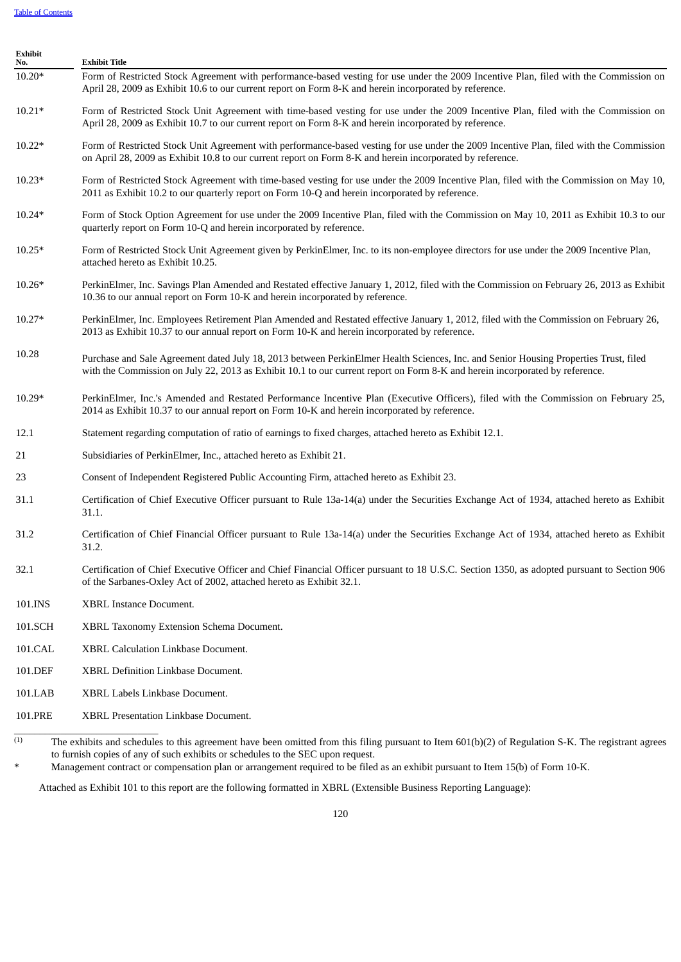| Exhibit<br>No. | <b>Exhibit Title</b>                                                                                                                                                                                                                                                                                                                                                      |  |  |  |
|----------------|---------------------------------------------------------------------------------------------------------------------------------------------------------------------------------------------------------------------------------------------------------------------------------------------------------------------------------------------------------------------------|--|--|--|
| $10.20*$       | Form of Restricted Stock Agreement with performance-based vesting for use under the 2009 Incentive Plan, filed with the Commission on<br>April 28, 2009 as Exhibit 10.6 to our current report on Form 8-K and herein incorporated by reference.                                                                                                                           |  |  |  |
| $10.21*$       | Form of Restricted Stock Unit Agreement with time-based vesting for use under the 2009 Incentive Plan, filed with the Commission on<br>April 28, 2009 as Exhibit 10.7 to our current report on Form 8-K and herein incorporated by reference.                                                                                                                             |  |  |  |
| $10.22*$       | Form of Restricted Stock Unit Agreement with performance-based vesting for use under the 2009 Incentive Plan, filed with the Commission<br>on April 28, 2009 as Exhibit 10.8 to our current report on Form 8-K and herein incorporated by reference.                                                                                                                      |  |  |  |
| $10.23*$       | Form of Restricted Stock Agreement with time-based vesting for use under the 2009 Incentive Plan, filed with the Commission on May 10,<br>2011 as Exhibit 10.2 to our quarterly report on Form 10-Q and herein incorporated by reference.                                                                                                                                 |  |  |  |
| $10.24*$       | Form of Stock Option Agreement for use under the 2009 Incentive Plan, filed with the Commission on May 10, 2011 as Exhibit 10.3 to our<br>quarterly report on Form 10-Q and herein incorporated by reference.                                                                                                                                                             |  |  |  |
| $10.25*$       | Form of Restricted Stock Unit Agreement given by PerkinElmer, Inc. to its non-employee directors for use under the 2009 Incentive Plan,<br>attached hereto as Exhibit 10.25.                                                                                                                                                                                              |  |  |  |
| $10.26*$       | PerkinElmer, Inc. Savings Plan Amended and Restated effective January 1, 2012, filed with the Commission on February 26, 2013 as Exhibit<br>10.36 to our annual report on Form 10-K and herein incorporated by reference.                                                                                                                                                 |  |  |  |
| $10.27*$       | PerkinElmer, Inc. Employees Retirement Plan Amended and Restated effective January 1, 2012, filed with the Commission on February 26,<br>2013 as Exhibit 10.37 to our annual report on Form 10-K and herein incorporated by reference.                                                                                                                                    |  |  |  |
| 10.28          | Purchase and Sale Agreement dated July 18, 2013 between PerkinElmer Health Sciences, Inc. and Senior Housing Properties Trust, filed<br>with the Commission on July 22, 2013 as Exhibit 10.1 to our current report on Form 8-K and herein incorporated by reference.                                                                                                      |  |  |  |
| $10.29*$       | PerkinElmer, Inc.'s Amended and Restated Performance Incentive Plan (Executive Officers), filed with the Commission on February 25,<br>2014 as Exhibit 10.37 to our annual report on Form 10-K and herein incorporated by reference.                                                                                                                                      |  |  |  |
| 12.1           | Statement regarding computation of ratio of earnings to fixed charges, attached hereto as Exhibit 12.1.                                                                                                                                                                                                                                                                   |  |  |  |
| 21             | Subsidiaries of PerkinElmer, Inc., attached hereto as Exhibit 21.                                                                                                                                                                                                                                                                                                         |  |  |  |
| 23             | Consent of Independent Registered Public Accounting Firm, attached hereto as Exhibit 23.                                                                                                                                                                                                                                                                                  |  |  |  |
| 31.1           | Certification of Chief Executive Officer pursuant to Rule 13a-14(a) under the Securities Exchange Act of 1934, attached hereto as Exhibit<br>31.1.                                                                                                                                                                                                                        |  |  |  |
| 31.2           | Certification of Chief Financial Officer pursuant to Rule 13a-14(a) under the Securities Exchange Act of 1934, attached hereto as Exhibit<br>31.2.                                                                                                                                                                                                                        |  |  |  |
| 32.1           | Certification of Chief Executive Officer and Chief Financial Officer pursuant to 18 U.S.C. Section 1350, as adopted pursuant to Section 906<br>of the Sarbanes-Oxley Act of 2002, attached hereto as Exhibit 32.1.                                                                                                                                                        |  |  |  |
| 101.INS        | XBRL Instance Document.                                                                                                                                                                                                                                                                                                                                                   |  |  |  |
| 101.SCH        | XBRL Taxonomy Extension Schema Document.                                                                                                                                                                                                                                                                                                                                  |  |  |  |
| 101.CAL        | XBRL Calculation Linkbase Document.                                                                                                                                                                                                                                                                                                                                       |  |  |  |
| 101.DEF        | XBRL Definition Linkbase Document.                                                                                                                                                                                                                                                                                                                                        |  |  |  |
| 101.LAB        | XBRL Labels Linkbase Document.                                                                                                                                                                                                                                                                                                                                            |  |  |  |
| 101.PRE        | XBRL Presentation Linkbase Document.                                                                                                                                                                                                                                                                                                                                      |  |  |  |
| (1)<br>*       | The exhibits and schedules to this agreement have been omitted from this filing pursuant to Item 601(b)(2) of Regulation S-K. The registrant agrees<br>to furnish copies of any of such exhibits or schedules to the SEC upon request.<br>Management contract or compensation plan or arrangement required to be filed as an exhibit pursuant to Item 15(b) of Form 10-K. |  |  |  |

Attached as Exhibit 101 to this report are the following formatted in XBRL (Extensible Business Reporting Language):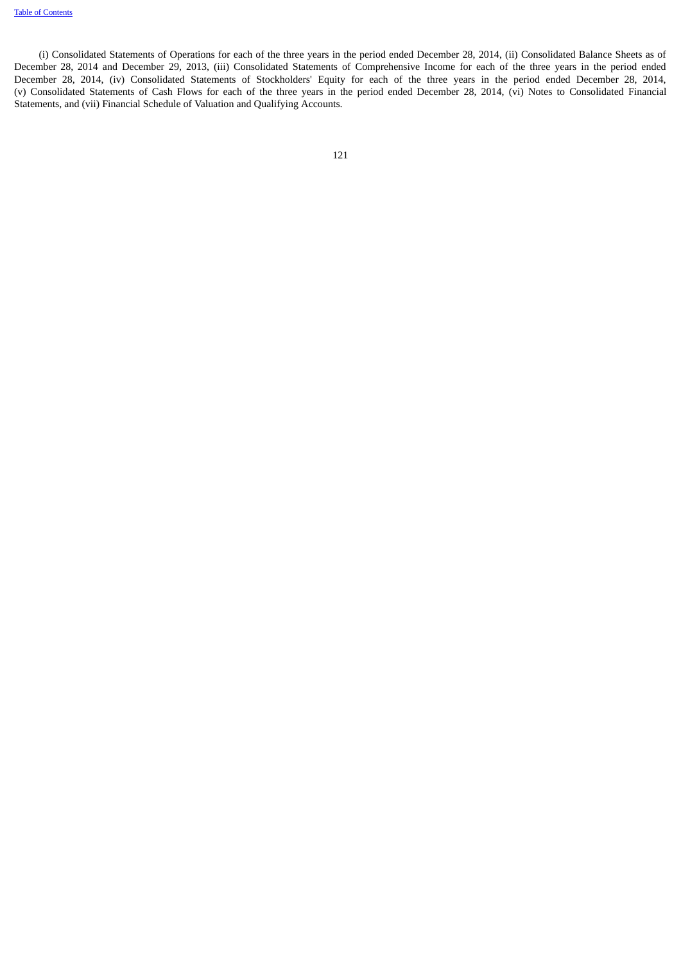(i) Consolidated Statements of Operations for each of the three years in the period ended December 28, 2014, (ii) Consolidated Balance Sheets as of December 28, 2014 and December 29, 2013, (iii) Consolidated Statements of Comprehensive Income for each of the three years in the period ended December 28, 2014, (iv) Consolidated Statements of Stockholders' Equity for each of the three years in the period ended December 28, 2014, (v) Consolidated Statements of Cash Flows for each of the three years in the period ended December 28, 2014, (vi) Notes to Consolidated Financial Statements, and (vii) Financial Schedule of Valuation and Qualifying Accounts.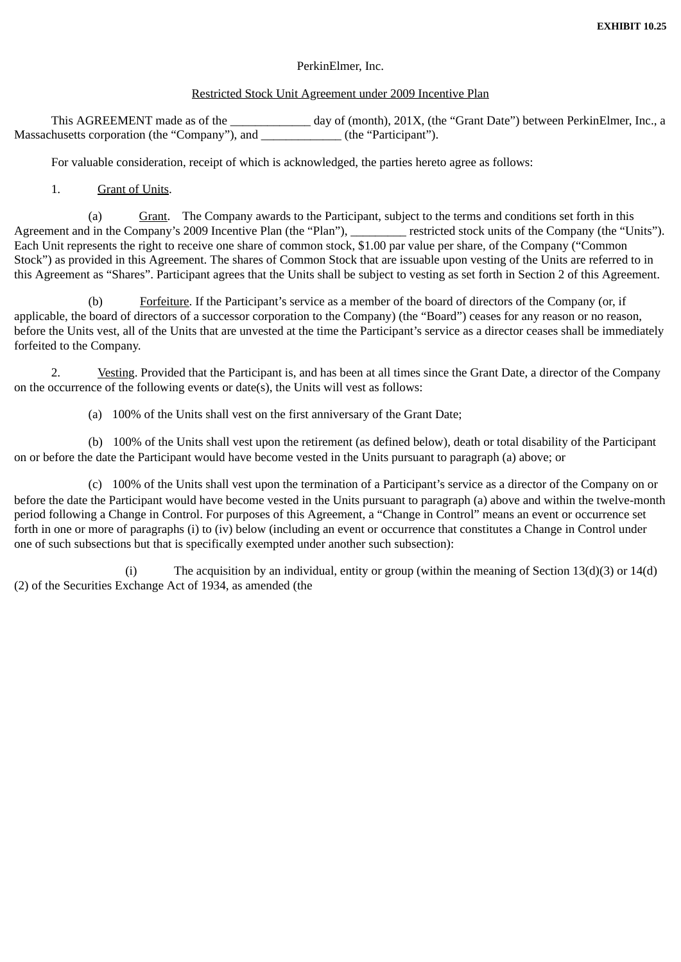## PerkinElmer, Inc.

# Restricted Stock Unit Agreement under 2009 Incentive Plan

This AGREEMENT made as of the day of (month), 201X, (the "Grant Date") between PerkinElmer, Inc., a Massachusetts corporation (the "Company"), and (the "Participant").

For valuable consideration, receipt of which is acknowledged, the parties hereto agree as follows:

# 1. Grant of Units.

(a) Grant. The Company awards to the Participant, subject to the terms and conditions set forth in this Agreement and in the Company's 2009 Incentive Plan (the "Plan"), \_\_\_\_\_\_\_\_\_ restricted stock units of the Company (the "Units"). Each Unit represents the right to receive one share of common stock, \$1.00 par value per share, of the Company ("Common Stock") as provided in this Agreement. The shares of Common Stock that are issuable upon vesting of the Units are referred to in this Agreement as "Shares". Participant agrees that the Units shall be subject to vesting as set forth in Section 2 of this Agreement.

(b) Forfeiture. If the Participant's service as a member of the board of directors of the Company (or, if applicable, the board of directors of a successor corporation to the Company) (the "Board") ceases for any reason or no reason, before the Units vest, all of the Units that are unvested at the time the Participant's service as a director ceases shall be immediately forfeited to the Company.

2. Vesting. Provided that the Participant is, and has been at all times since the Grant Date, a director of the Company on the occurrence of the following events or date(s), the Units will vest as follows:

(a) 100% of the Units shall vest on the first anniversary of the Grant Date;

(b) 100% of the Units shall vest upon the retirement (as defined below), death or total disability of the Participant on or before the date the Participant would have become vested in the Units pursuant to paragraph (a) above; or

(c) 100% of the Units shall vest upon the termination of a Participant's service as a director of the Company on or before the date the Participant would have become vested in the Units pursuant to paragraph (a) above and within the twelve-month period following a Change in Control. For purposes of this Agreement, a "Change in Control" means an event or occurrence set forth in one or more of paragraphs (i) to (iv) below (including an event or occurrence that constitutes a Change in Control under one of such subsections but that is specifically exempted under another such subsection):

(i) The acquisition by an individual, entity or group (within the meaning of Section 13(d)(3) or 14(d) (2) of the Securities Exchange Act of 1934, as amended (the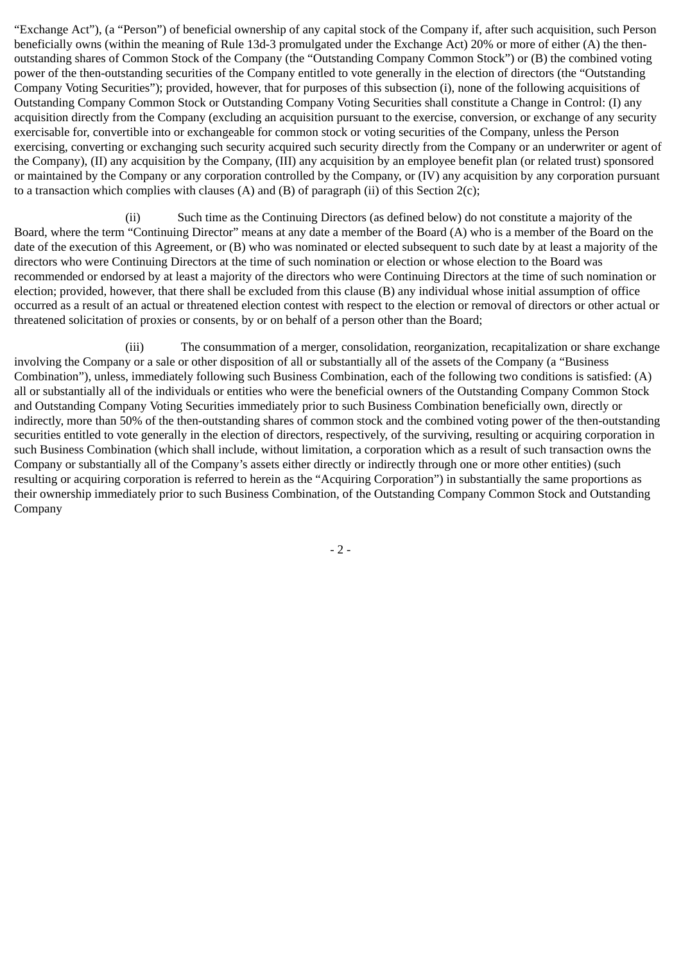"Exchange Act"), (a "Person") of beneficial ownership of any capital stock of the Company if, after such acquisition, such Person beneficially owns (within the meaning of Rule 13d-3 promulgated under the Exchange Act) 20% or more of either (A) the thenoutstanding shares of Common Stock of the Company (the "Outstanding Company Common Stock") or (B) the combined voting power of the then-outstanding securities of the Company entitled to vote generally in the election of directors (the "Outstanding Company Voting Securities"); provided, however, that for purposes of this subsection (i), none of the following acquisitions of Outstanding Company Common Stock or Outstanding Company Voting Securities shall constitute a Change in Control: (I) any acquisition directly from the Company (excluding an acquisition pursuant to the exercise, conversion, or exchange of any security exercisable for, convertible into or exchangeable for common stock or voting securities of the Company, unless the Person exercising, converting or exchanging such security acquired such security directly from the Company or an underwriter or agent of the Company), (II) any acquisition by the Company, (III) any acquisition by an employee benefit plan (or related trust) sponsored or maintained by the Company or any corporation controlled by the Company, or (IV) any acquisition by any corporation pursuant to a transaction which complies with clauses (A) and (B) of paragraph (ii) of this Section  $2(c)$ ;

(ii) Such time as the Continuing Directors (as defined below) do not constitute a majority of the Board, where the term "Continuing Director" means at any date a member of the Board (A) who is a member of the Board on the date of the execution of this Agreement, or (B) who was nominated or elected subsequent to such date by at least a majority of the directors who were Continuing Directors at the time of such nomination or election or whose election to the Board was recommended or endorsed by at least a majority of the directors who were Continuing Directors at the time of such nomination or election; provided, however, that there shall be excluded from this clause (B) any individual whose initial assumption of office occurred as a result of an actual or threatened election contest with respect to the election or removal of directors or other actual or threatened solicitation of proxies or consents, by or on behalf of a person other than the Board;

(iii) The consummation of a merger, consolidation, reorganization, recapitalization or share exchange involving the Company or a sale or other disposition of all or substantially all of the assets of the Company (a "Business Combination"), unless, immediately following such Business Combination, each of the following two conditions is satisfied: (A) all or substantially all of the individuals or entities who were the beneficial owners of the Outstanding Company Common Stock and Outstanding Company Voting Securities immediately prior to such Business Combination beneficially own, directly or indirectly, more than 50% of the then-outstanding shares of common stock and the combined voting power of the then-outstanding securities entitled to vote generally in the election of directors, respectively, of the surviving, resulting or acquiring corporation in such Business Combination (which shall include, without limitation, a corporation which as a result of such transaction owns the Company or substantially all of the Company's assets either directly or indirectly through one or more other entities) (such resulting or acquiring corporation is referred to herein as the "Acquiring Corporation") in substantially the same proportions as their ownership immediately prior to such Business Combination, of the Outstanding Company Common Stock and Outstanding Company

- 2 -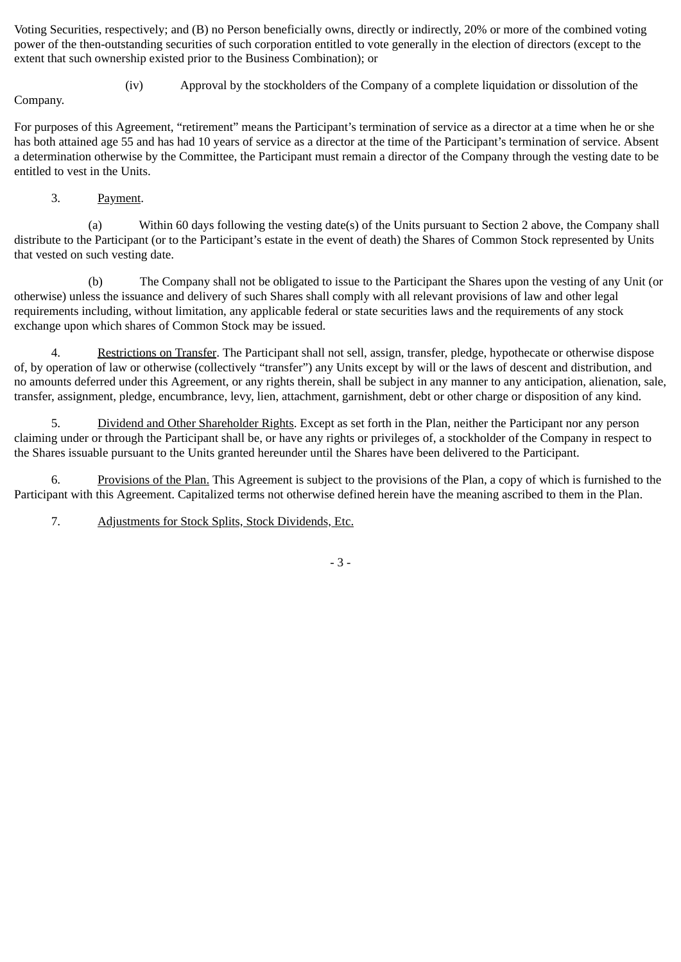Voting Securities, respectively; and (B) no Person beneficially owns, directly or indirectly, 20% or more of the combined voting power of the then-outstanding securities of such corporation entitled to vote generally in the election of directors (except to the extent that such ownership existed prior to the Business Combination); or

Company.

(iv) Approval by the stockholders of the Company of a complete liquidation or dissolution of the

For purposes of this Agreement, "retirement" means the Participant's termination of service as a director at a time when he or she has both attained age 55 and has had 10 years of service as a director at the time of the Participant's termination of service. Absent a determination otherwise by the Committee, the Participant must remain a director of the Company through the vesting date to be entitled to vest in the Units.

# 3. Payment.

(a) Within 60 days following the vesting date(s) of the Units pursuant to Section 2 above, the Company shall distribute to the Participant (or to the Participant's estate in the event of death) the Shares of Common Stock represented by Units that vested on such vesting date.

(b) The Company shall not be obligated to issue to the Participant the Shares upon the vesting of any Unit (or otherwise) unless the issuance and delivery of such Shares shall comply with all relevant provisions of law and other legal requirements including, without limitation, any applicable federal or state securities laws and the requirements of any stock exchange upon which shares of Common Stock may be issued.

4. Restrictions on Transfer. The Participant shall not sell, assign, transfer, pledge, hypothecate or otherwise dispose of, by operation of law or otherwise (collectively "transfer") any Units except by will or the laws of descent and distribution, and no amounts deferred under this Agreement, or any rights therein, shall be subject in any manner to any anticipation, alienation, sale, transfer, assignment, pledge, encumbrance, levy, lien, attachment, garnishment, debt or other charge or disposition of any kind.

5. Dividend and Other Shareholder Rights. Except as set forth in the Plan, neither the Participant nor any person claiming under or through the Participant shall be, or have any rights or privileges of, a stockholder of the Company in respect to the Shares issuable pursuant to the Units granted hereunder until the Shares have been delivered to the Participant.

6. Provisions of the Plan. This Agreement is subject to the provisions of the Plan, a copy of which is furnished to the Participant with this Agreement. Capitalized terms not otherwise defined herein have the meaning ascribed to them in the Plan.

7. Adjustments for Stock Splits, Stock Dividends, Etc.

- 3 -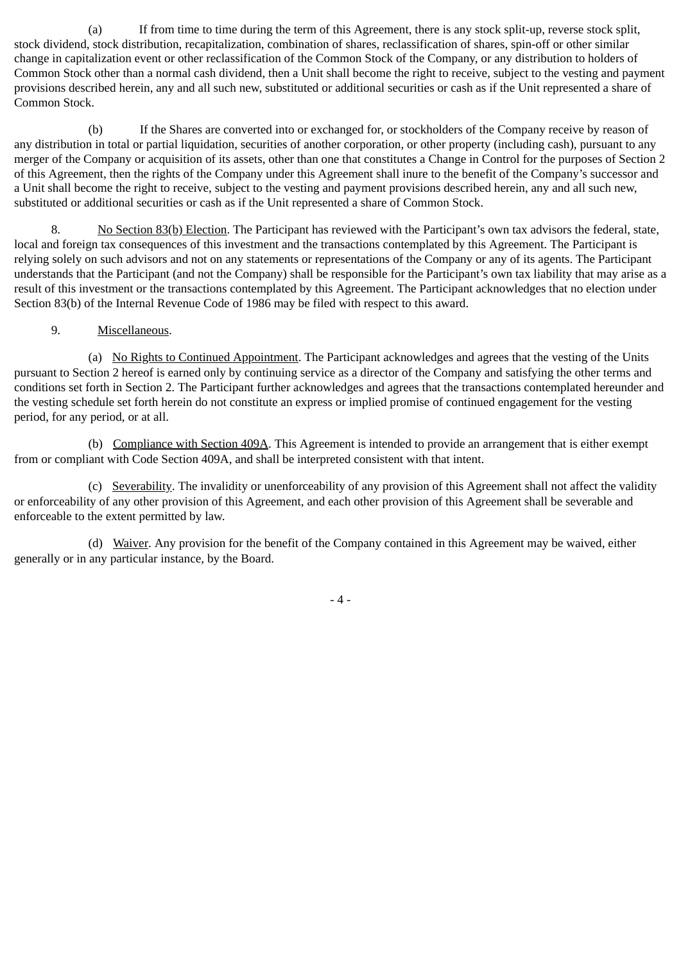(a) If from time to time during the term of this Agreement, there is any stock split-up, reverse stock split, stock dividend, stock distribution, recapitalization, combination of shares, reclassification of shares, spin-off or other similar change in capitalization event or other reclassification of the Common Stock of the Company, or any distribution to holders of Common Stock other than a normal cash dividend, then a Unit shall become the right to receive, subject to the vesting and payment provisions described herein, any and all such new, substituted or additional securities or cash as if the Unit represented a share of Common Stock.

(b) If the Shares are converted into or exchanged for, or stockholders of the Company receive by reason of any distribution in total or partial liquidation, securities of another corporation, or other property (including cash), pursuant to any merger of the Company or acquisition of its assets, other than one that constitutes a Change in Control for the purposes of Section 2 of this Agreement, then the rights of the Company under this Agreement shall inure to the benefit of the Company's successor and a Unit shall become the right to receive, subject to the vesting and payment provisions described herein, any and all such new, substituted or additional securities or cash as if the Unit represented a share of Common Stock.

8. No Section 83(b) Election. The Participant has reviewed with the Participant's own tax advisors the federal, state, local and foreign tax consequences of this investment and the transactions contemplated by this Agreement. The Participant is relying solely on such advisors and not on any statements or representations of the Company or any of its agents. The Participant understands that the Participant (and not the Company) shall be responsible for the Participant's own tax liability that may arise as a result of this investment or the transactions contemplated by this Agreement. The Participant acknowledges that no election under Section 83(b) of the Internal Revenue Code of 1986 may be filed with respect to this award.

# 9. Miscellaneous.

(a) No Rights to Continued Appointment. The Participant acknowledges and agrees that the vesting of the Units pursuant to Section 2 hereof is earned only by continuing service as a director of the Company and satisfying the other terms and conditions set forth in Section 2. The Participant further acknowledges and agrees that the transactions contemplated hereunder and the vesting schedule set forth herein do not constitute an express or implied promise of continued engagement for the vesting period, for any period, or at all.

(b) Compliance with Section 409A. This Agreement is intended to provide an arrangement that is either exempt from or compliant with Code Section 409A, and shall be interpreted consistent with that intent.

(c) Severability. The invalidity or unenforceability of any provision of this Agreement shall not affect the validity or enforceability of any other provision of this Agreement, and each other provision of this Agreement shall be severable and enforceable to the extent permitted by law.

(d) Waiver. Any provision for the benefit of the Company contained in this Agreement may be waived, either generally or in any particular instance, by the Board.

- 4 -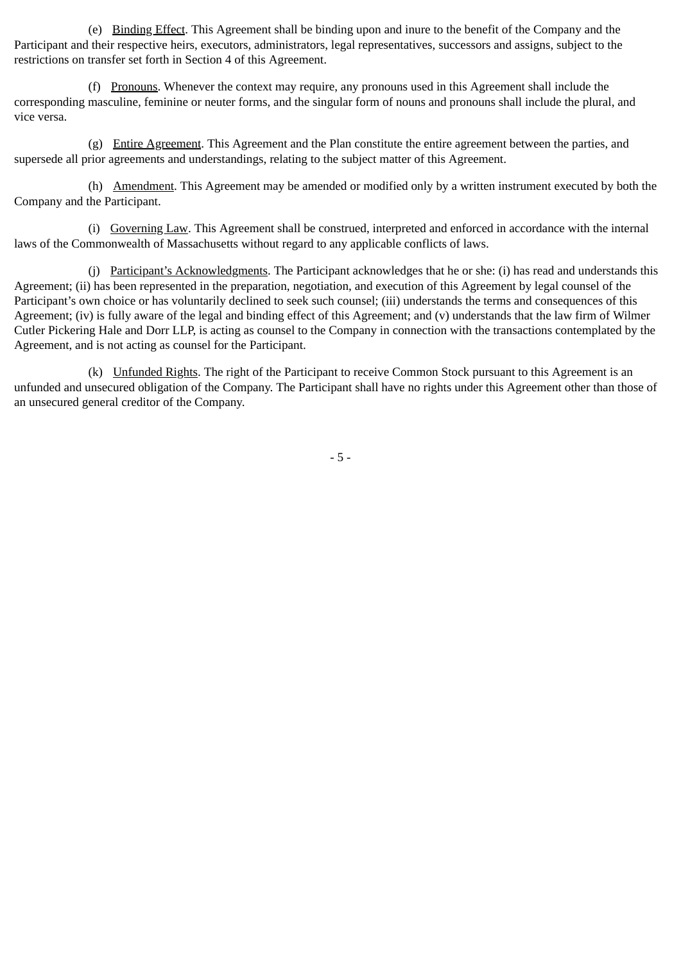(e) Binding Effect. This Agreement shall be binding upon and inure to the benefit of the Company and the Participant and their respective heirs, executors, administrators, legal representatives, successors and assigns, subject to the restrictions on transfer set forth in Section 4 of this Agreement.

(f) Pronouns. Whenever the context may require, any pronouns used in this Agreement shall include the corresponding masculine, feminine or neuter forms, and the singular form of nouns and pronouns shall include the plural, and vice versa.

(g) Entire Agreement. This Agreement and the Plan constitute the entire agreement between the parties, and supersede all prior agreements and understandings, relating to the subject matter of this Agreement.

(h) Amendment. This Agreement may be amended or modified only by a written instrument executed by both the Company and the Participant.

(i) Governing Law. This Agreement shall be construed, interpreted and enforced in accordance with the internal laws of the Commonwealth of Massachusetts without regard to any applicable conflicts of laws.

(j) Participant's Acknowledgments. The Participant acknowledges that he or she: (i) has read and understands this Agreement; (ii) has been represented in the preparation, negotiation, and execution of this Agreement by legal counsel of the Participant's own choice or has voluntarily declined to seek such counsel; (iii) understands the terms and consequences of this Agreement; (iv) is fully aware of the legal and binding effect of this Agreement; and (v) understands that the law firm of Wilmer Cutler Pickering Hale and Dorr LLP, is acting as counsel to the Company in connection with the transactions contemplated by the Agreement, and is not acting as counsel for the Participant.

(k) Unfunded Rights. The right of the Participant to receive Common Stock pursuant to this Agreement is an unfunded and unsecured obligation of the Company. The Participant shall have no rights under this Agreement other than those of an unsecured general creditor of the Company.

- 5 -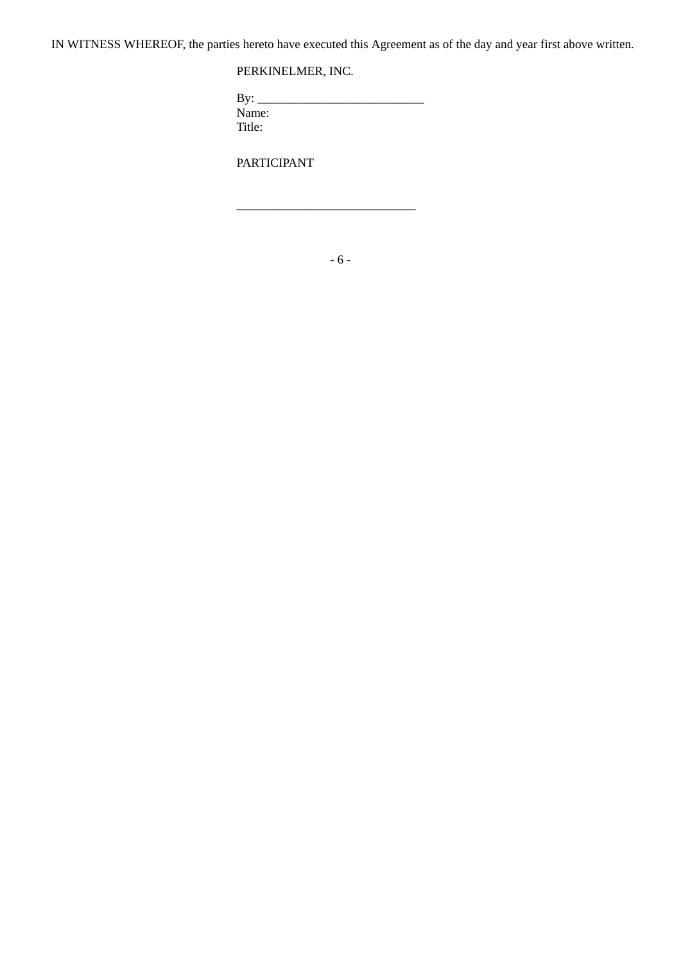IN WITNESS WHEREOF, the parties hereto have executed this Agreement as of the day and year first above written.

PERKINELMER, INC.

| By: $\_$ |  |  |
|----------|--|--|
| Name:    |  |  |
| Title:   |  |  |
|          |  |  |

\_\_\_\_\_\_\_\_\_\_\_\_\_\_\_\_\_\_\_\_\_\_\_\_\_\_\_\_\_

PARTICIPANT

- 6 -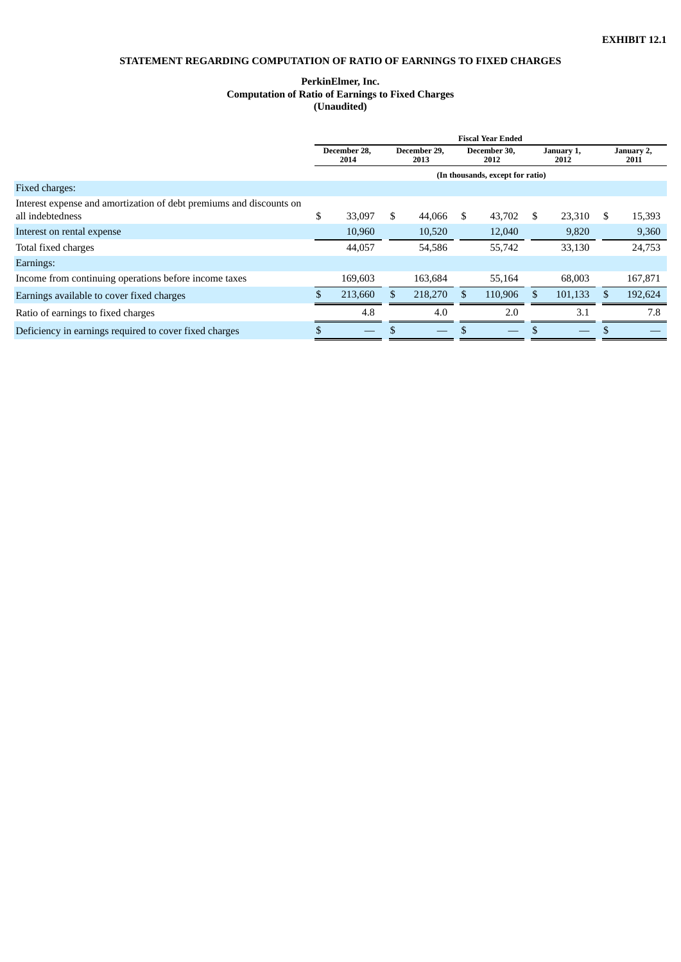# **STATEMENT REGARDING COMPUTATION OF RATIO OF EARNINGS TO FIXED CHARGES**

### **PerkinElmer, Inc. Computation of Ratio of Earnings to Fixed Charges (Unaudited)**

|                                                                                         | <b>Fiscal Year Ended</b> |         |                      |                                  |                      |         |                    |         |     |                    |  |
|-----------------------------------------------------------------------------------------|--------------------------|---------|----------------------|----------------------------------|----------------------|---------|--------------------|---------|-----|--------------------|--|
|                                                                                         | December 28.<br>2014     |         | December 29.<br>2013 |                                  | December 30.<br>2012 |         | January 1,<br>2012 |         |     | January 2,<br>2011 |  |
|                                                                                         |                          |         |                      | (In thousands, except for ratio) |                      |         |                    |         |     |                    |  |
| Fixed charges:                                                                          |                          |         |                      |                                  |                      |         |                    |         |     |                    |  |
| Interest expense and amortization of debt premiums and discounts on<br>all indebtedness | \$                       | 33,097  | \$.                  | 44,066                           | \$.                  | 43,702  | \$                 | 23,310  | \$. | 15,393             |  |
| Interest on rental expense                                                              |                          | 10,960  |                      | 10,520                           |                      | 12,040  |                    | 9,820   |     | 9,360              |  |
| Total fixed charges                                                                     |                          | 44,057  |                      | 54,586                           |                      | 55,742  |                    | 33,130  |     | 24,753             |  |
| Earnings:                                                                               |                          |         |                      |                                  |                      |         |                    |         |     |                    |  |
| Income from continuing operations before income taxes                                   |                          | 169,603 |                      | 163,684                          |                      | 55,164  |                    | 68,003  |     | 167,871            |  |
| Earnings available to cover fixed charges                                               |                          | 213,660 |                      | 218,270                          | \$.                  | 110.906 | \$.                | 101,133 |     | 192,624            |  |
| Ratio of earnings to fixed charges                                                      |                          | 4.8     |                      | 4.0                              |                      | 2.0     |                    | 3.1     |     | 7.8                |  |
| Deficiency in earnings required to cover fixed charges                                  | S.                       |         |                      |                                  |                      |         | \$.                |         | -\$ |                    |  |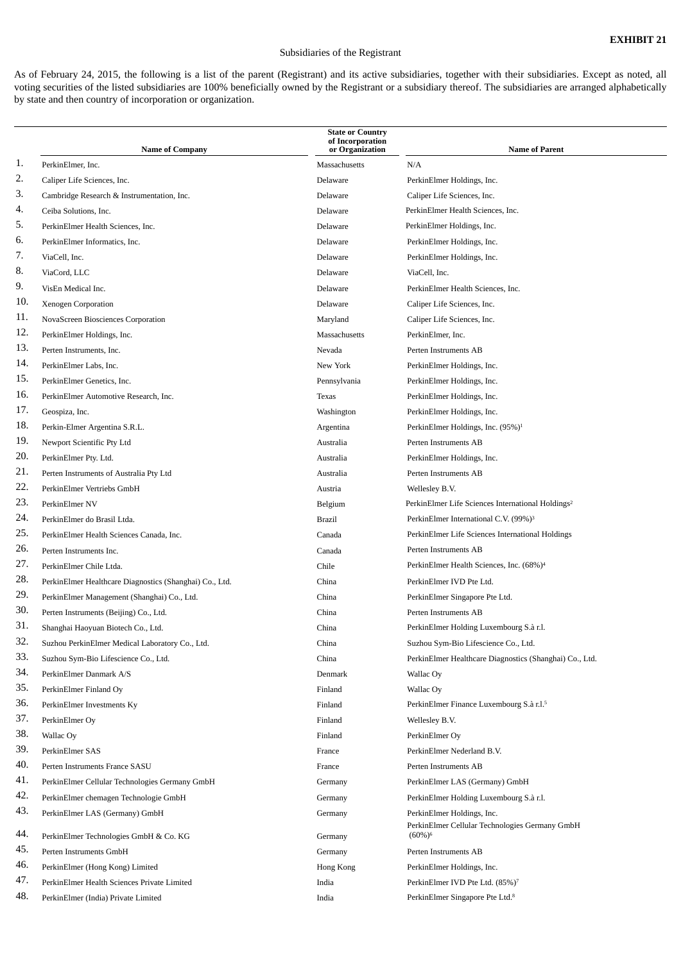# Subsidiaries of the Registrant

As of February 24, 2015, the following is a list of the parent (Registrant) and its active subsidiaries, together with their subsidiaries. Except as noted, all voting securities of the listed subsidiaries are 100% beneficially owned by the Registrant or a subsidiary thereof. The subsidiaries are arranged alphabetically by state and then country of incorporation or organization.

|     | <b>Name of Company</b>                                                   | <b>State or Country</b><br>of Incorporation<br>or Organization | <b>Name of Parent</b>                                                                                 |
|-----|--------------------------------------------------------------------------|----------------------------------------------------------------|-------------------------------------------------------------------------------------------------------|
| 1.  | PerkinElmer, Inc.                                                        | Massachusetts                                                  | N/A                                                                                                   |
| 2.  | Caliper Life Sciences, Inc.                                              | Delaware                                                       | PerkinElmer Holdings, Inc.                                                                            |
| 3.  | Cambridge Research & Instrumentation, Inc.                               | Delaware                                                       | Caliper Life Sciences, Inc.                                                                           |
| 4.  | Ceiba Solutions, Inc.                                                    | Delaware                                                       | PerkinElmer Health Sciences, Inc.                                                                     |
| 5.  | PerkinElmer Health Sciences, Inc.                                        | Delaware                                                       | PerkinElmer Holdings, Inc.                                                                            |
| 6.  | PerkinElmer Informatics, Inc.                                            | Delaware                                                       | PerkinElmer Holdings, Inc.                                                                            |
| 7.  | ViaCell, Inc.                                                            | Delaware                                                       | PerkinElmer Holdings, Inc.                                                                            |
| 8.  | ViaCord, LLC                                                             | Delaware                                                       | ViaCell, Inc.                                                                                         |
| 9.  | VisEn Medical Inc.                                                       | Delaware                                                       | PerkinElmer Health Sciences, Inc.                                                                     |
| 10. | <b>Xenogen Corporation</b>                                               | Delaware                                                       | Caliper Life Sciences, Inc.                                                                           |
| 11. | NovaScreen Biosciences Corporation                                       | Maryland                                                       | Caliper Life Sciences, Inc.                                                                           |
| 12. | PerkinElmer Holdings, Inc.                                               | Massachusetts                                                  | PerkinElmer, Inc.                                                                                     |
| 13. | Perten Instruments, Inc.                                                 | Nevada                                                         | Perten Instruments AB                                                                                 |
| 14. | PerkinElmer Labs, Inc.                                                   | New York                                                       | PerkinElmer Holdings, Inc.                                                                            |
| 15. | PerkinElmer Genetics, Inc.                                               | Pennsylvania                                                   | PerkinElmer Holdings, Inc.                                                                            |
| 16. | PerkinElmer Automotive Research, Inc.                                    | Texas                                                          | PerkinElmer Holdings, Inc.                                                                            |
| 17. | Geospiza, Inc.                                                           | Washington                                                     | PerkinElmer Holdings, Inc.                                                                            |
| 18. | Perkin-Elmer Argentina S.R.L.                                            | Argentina                                                      | PerkinElmer Holdings, Inc. (95%) <sup>1</sup>                                                         |
| 19. | Newport Scientific Pty Ltd                                               | Australia                                                      | Perten Instruments AB                                                                                 |
| 20. | PerkinElmer Pty. Ltd.                                                    | Australia                                                      | PerkinElmer Holdings, Inc.                                                                            |
| 21. | Perten Instruments of Australia Pty Ltd                                  | Australia                                                      | Perten Instruments AB                                                                                 |
| 22. | PerkinElmer Vertriebs GmbH                                               | Austria                                                        | Wellesley B.V.                                                                                        |
| 23. | PerkinElmer NV                                                           | Belgium                                                        | PerkinElmer Life Sciences International Holdings <sup>2</sup>                                         |
| 24. | PerkinElmer do Brasil Ltda.                                              | <b>Brazil</b>                                                  | PerkinElmer International C.V. (99%) <sup>3</sup>                                                     |
| 25. | PerkinElmer Health Sciences Canada, Inc.                                 | Canada                                                         | PerkinElmer Life Sciences International Holdings                                                      |
| 26. | Perten Instruments Inc.                                                  | Canada                                                         | Perten Instruments AB                                                                                 |
| 27. | PerkinElmer Chile Ltda.                                                  | Chile                                                          | PerkinElmer Health Sciences, Inc. (68%) <sup>4</sup>                                                  |
| 28. | PerkinElmer Healthcare Diagnostics (Shanghai) Co., Ltd.                  | China                                                          | PerkinElmer IVD Pte Ltd.                                                                              |
| 29. | PerkinElmer Management (Shanghai) Co., Ltd.                              | China                                                          | PerkinElmer Singapore Pte Ltd.                                                                        |
| 30. | Perten Instruments (Beijing) Co., Ltd.                                   | China                                                          | Perten Instruments AB                                                                                 |
| 31. | Shanghai Haoyuan Biotech Co., Ltd.                                       | China                                                          | PerkinElmer Holding Luxembourg S.à r.l.                                                               |
| 32. | Suzhou PerkinElmer Medical Laboratory Co., Ltd.                          | China                                                          | Suzhou Sym-Bio Lifescience Co., Ltd.                                                                  |
| 33. | Suzhou Sym-Bio Lifescience Co., Ltd.                                     | China                                                          | PerkinElmer Healthcare Diagnostics (Shanghai) Co., Ltd.                                               |
| 34. | PerkinElmer Danmark A/S                                                  | Denmark                                                        | Wallac Oy                                                                                             |
| 35. | PerkinElmer Finland Oy                                                   | Finland                                                        | Wallac Ov                                                                                             |
| 36. | PerkinElmer Investments Ky                                               | Finland                                                        | PerkinElmer Finance Luxembourg S.à r.l. <sup>5</sup>                                                  |
| 37. |                                                                          | Finland                                                        |                                                                                                       |
| 38. | PerkinElmer Oy                                                           |                                                                | Wellesley B.V.                                                                                        |
| 39. | Wallac Oy<br>PerkinElmer SAS                                             | Finland                                                        | PerkinElmer Oy                                                                                        |
| 40. |                                                                          | France                                                         | PerkinElmer Nederland B.V.                                                                            |
| 41. | Perten Instruments France SASU                                           | France                                                         | Perten Instruments AB                                                                                 |
| 42. | PerkinElmer Cellular Technologies Germany GmbH                           | Germany                                                        | PerkinElmer LAS (Germany) GmbH                                                                        |
| 43. | PerkinElmer chemagen Technologie GmbH                                    | Germany                                                        | PerkinElmer Holding Luxembourg S.à r.l.                                                               |
| 44. | PerkinElmer LAS (Germany) GmbH<br>PerkinElmer Technologies GmbH & Co. KG | Germany<br>Germany                                             | PerkinElmer Holdings, Inc.<br>PerkinElmer Cellular Technologies Germany GmbH<br>$(60\%)$ <sup>6</sup> |
| 45. | Perten Instruments GmbH                                                  | Germany                                                        | Perten Instruments AB                                                                                 |
| 46. |                                                                          |                                                                |                                                                                                       |
| 47. | PerkinElmer (Hong Kong) Limited                                          | Hong Kong                                                      | PerkinElmer Holdings, Inc.                                                                            |
| 48. | PerkinElmer Health Sciences Private Limited                              | India                                                          | PerkinElmer IVD Pte Ltd. (85%) <sup>7</sup><br>PerkinElmer Singapore Pte Ltd. <sup>8</sup>            |
|     | PerkinElmer (India) Private Limited                                      | India                                                          |                                                                                                       |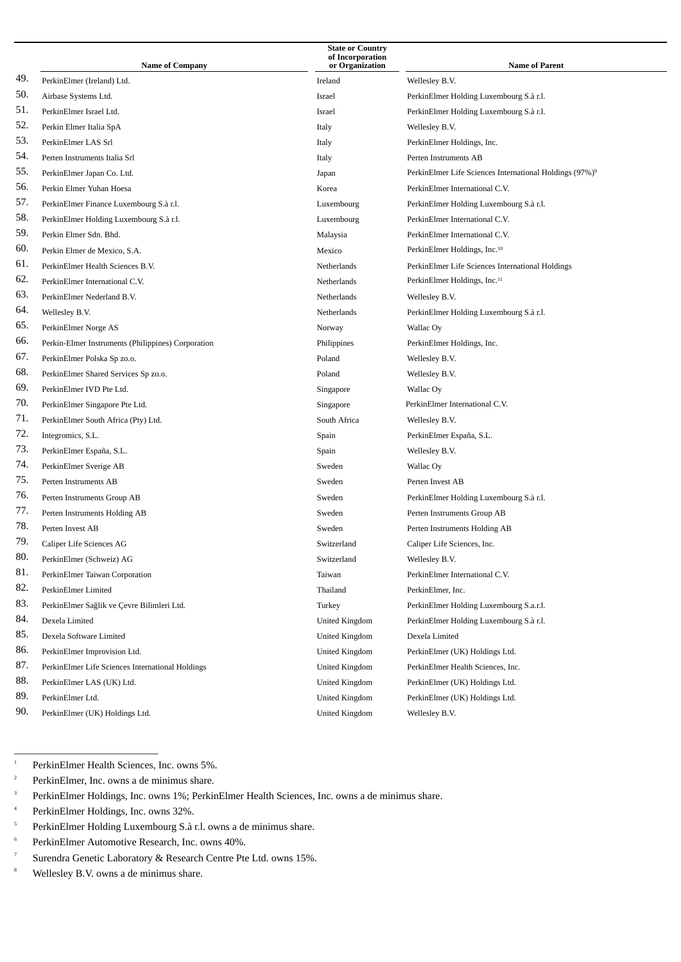|     | <b>Name of Company</b>                             | <b>State or Country</b><br>of Incorporation<br>or Organization | <b>Name of Parent</b>                                               |
|-----|----------------------------------------------------|----------------------------------------------------------------|---------------------------------------------------------------------|
| 49. | PerkinElmer (Ireland) Ltd.                         | Ireland                                                        | Wellesley B.V.                                                      |
| 50. | Airbase Systems Ltd.                               | Israel                                                         | PerkinElmer Holding Luxembourg S.à r.l.                             |
| 51. | PerkinElmer Israel Ltd.                            | Israel                                                         | PerkinElmer Holding Luxembourg S.à r.l.                             |
| 52. | Perkin Elmer Italia SpA                            | Italy                                                          | Wellesley B.V.                                                      |
| 53. | PerkinElmer LAS Srl                                | Italy                                                          | PerkinElmer Holdings, Inc.                                          |
| 54. | Perten Instruments Italia Srl                      | Italy                                                          | Perten Instruments AB                                               |
| 55. | PerkinElmer Japan Co. Ltd.                         | Japan                                                          | PerkinElmer Life Sciences International Holdings (97%) <sup>9</sup> |
| 56. | Perkin Elmer Yuhan Hoesa                           | Korea                                                          | PerkinElmer International C.V.                                      |
| 57. | PerkinElmer Finance Luxembourg S.à r.l.            | Luxembourg                                                     | PerkinElmer Holding Luxembourg S.à r.l.                             |
| 58. | PerkinElmer Holding Luxembourg S.à r.l.            | Luxembourg                                                     | PerkinElmer International C.V.                                      |
| 59. | Perkin Elmer Sdn. Bhd.                             | Malaysia                                                       | PerkinElmer International C.V.                                      |
| 60. | Perkin Elmer de Mexico, S.A.                       | Mexico                                                         | PerkinElmer Holdings, Inc. <sup>10</sup>                            |
| 61. | PerkinElmer Health Sciences B.V.                   | Netherlands                                                    | PerkinElmer Life Sciences International Holdings                    |
| 62. | PerkinElmer International C.V.                     | Netherlands                                                    | PerkinElmer Holdings, Inc. <sup>11</sup>                            |
| 63. | PerkinElmer Nederland B.V.                         | Netherlands                                                    | Wellesley B.V.                                                      |
| 64. | Wellesley B.V.                                     | Netherlands                                                    | PerkinElmer Holding Luxembourg S.à r.l.                             |
| 65. | PerkinElmer Norge AS                               | Norway                                                         | Wallac Oy                                                           |
| 66. | Perkin-Elmer Instruments (Philippines) Corporation | Philippines                                                    | PerkinElmer Holdings, Inc.                                          |
| 67. | PerkinElmer Polska Sp zo.o.                        | Poland                                                         | Wellesley B.V.                                                      |
| 68. | PerkinElmer Shared Services Sp zo.o.               | Poland                                                         | Wellesley B.V.                                                      |
| 69. | PerkinElmer IVD Pte Ltd.                           | Singapore                                                      | Wallac Oy                                                           |
| 70. | PerkinElmer Singapore Pte Ltd.                     | Singapore                                                      | PerkinElmer International C.V.                                      |
| 71. | PerkinElmer South Africa (Pty) Ltd.                | South Africa                                                   | Wellesley B.V.                                                      |
| 72. | Integromics, S.L.                                  | Spain                                                          | PerkinElmer España, S.L.                                            |
| 73. | PerkinElmer España, S.L.                           | Spain                                                          | Wellesley B.V.                                                      |
| 74. | PerkinElmer Sverige AB                             | Sweden                                                         | Wallac Oy                                                           |
| 75. | Perten Instruments AB                              | Sweden                                                         | Perten Invest AB                                                    |
| 76. | Perten Instruments Group AB                        | Sweden                                                         | PerkinElmer Holding Luxembourg S.à r.l.                             |
| 77. | Perten Instruments Holding AB                      | Sweden                                                         | Perten Instruments Group AB                                         |
| 78. | Perten Invest AB                                   | Sweden                                                         | Perten Instruments Holding AB                                       |
| 79. | Caliper Life Sciences AG                           | Switzerland                                                    | Caliper Life Sciences, Inc.                                         |
| 80. | PerkinElmer (Schweiz) AG                           | Switzerland                                                    | Wellesley B.V.                                                      |
| 81. | PerkinElmer Taiwan Corporation                     | Taiwan                                                         | PerkinElmer International C.V.                                      |
| 82. | PerkinElmer Limited                                | Thailand                                                       | PerkinElmer, Inc.                                                   |
| 83. | PerkinElmer Sağlik ve Çevre Bilimleri Ltd.         | Turkey                                                         | PerkinElmer Holding Luxembourg S.a.r.l.                             |
| 84. | Dexela Limited                                     | United Kingdom                                                 | PerkinElmer Holding Luxembourg S.à r.l.                             |
| 85. | Dexela Software Limited                            | United Kingdom                                                 | Dexela Limited                                                      |
| 86. | PerkinElmer Improvision Ltd.                       | United Kingdom                                                 | PerkinElmer (UK) Holdings Ltd.                                      |
| 87. | PerkinElmer Life Sciences International Holdings   | <b>United Kingdom</b>                                          | PerkinElmer Health Sciences, Inc.                                   |
| 88. | PerkinElmer LAS (UK) Ltd.                          | United Kingdom                                                 | PerkinElmer (UK) Holdings Ltd.                                      |
| 89. | PerkinElmer Ltd.                                   | United Kingdom                                                 | PerkinElmer (UK) Holdings Ltd.                                      |
| 90. | PerkinElmer (UK) Holdings Ltd.                     | United Kingdom                                                 | Wellesley B.V.                                                      |

<sup>&</sup>lt;sup>1</sup> PerkinElmer Health Sciences, Inc. owns 5%.

- <sup>3</sup> PerkinElmer Holdings, Inc. owns 1%; PerkinElmer Health Sciences, Inc. owns a de minimus share.
- <sup>4</sup> PerkinElmer Holdings, Inc. owns 32%.

\_\_\_\_\_\_\_\_\_\_\_\_\_\_\_\_\_\_\_\_\_\_\_\_\_\_\_\_

- <sup>5</sup> PerkinElmer Holding Luxembourg S.à r.l. owns a de minimus share.
- <sup>6</sup> PerkinElmer Automotive Research, Inc. owns 40%.
- <sup>7</sup> Surendra Genetic Laboratory & Research Centre Pte Ltd. owns 15%.
- $8$  Wellesley B.V. owns a de minimus share.

<sup>&</sup>lt;sup>2</sup> PerkinElmer, Inc. owns a de minimus share.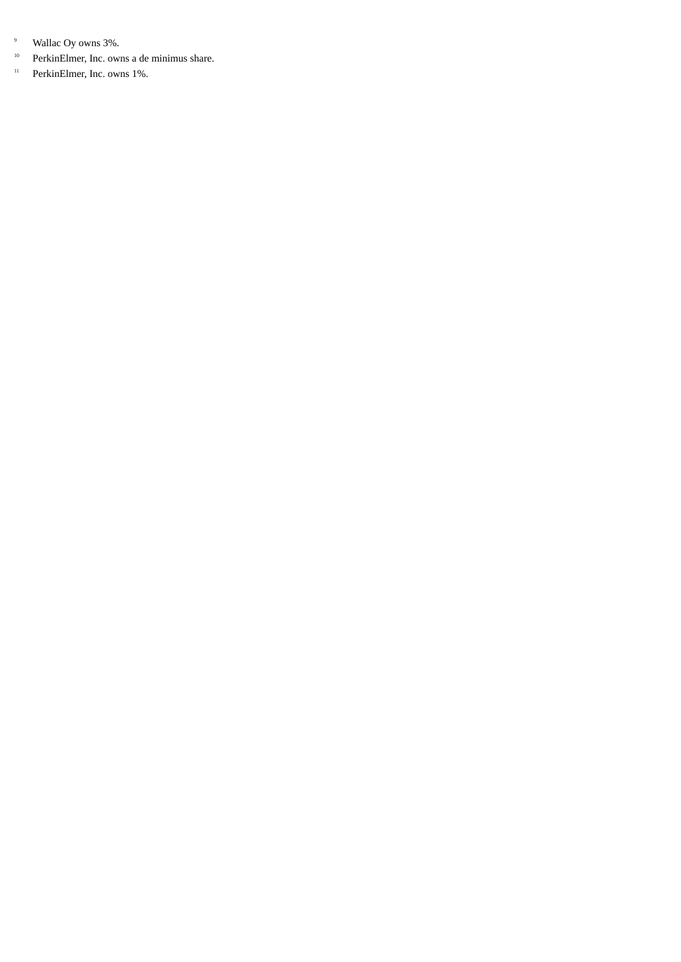- <sup>9</sup> Wallac Oy owns 3%.
- <sup>10</sup> PerkinElmer, Inc. owns a de minimus share.
- <sup>11</sup> PerkinElmer, Inc. owns 1%.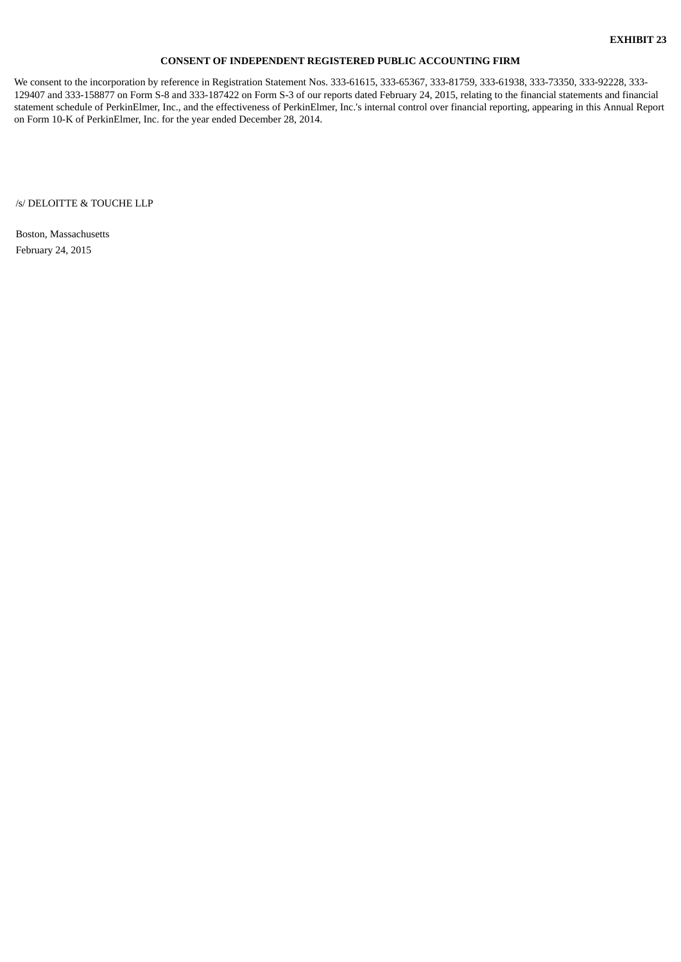#### **CONSENT OF INDEPENDENT REGISTERED PUBLIC ACCOUNTING FIRM**

We consent to the incorporation by reference in Registration Statement Nos. 333-61615, 333-65367, 333-81759, 333-61938, 333-73350, 333-92228, 333- 129407 and 333-158877 on Form S-8 and 333-187422 on Form S-3 of our reports dated February 24, 2015, relating to the financial statements and financial statement schedule of PerkinElmer, Inc., and the effectiveness of PerkinElmer, Inc.'s internal control over financial reporting, appearing in this Annual Report on Form 10-K of PerkinElmer, Inc. for the year ended December 28, 2014.

/s/ DELOITTE & TOUCHE LLP

Boston, Massachusetts February 24, 2015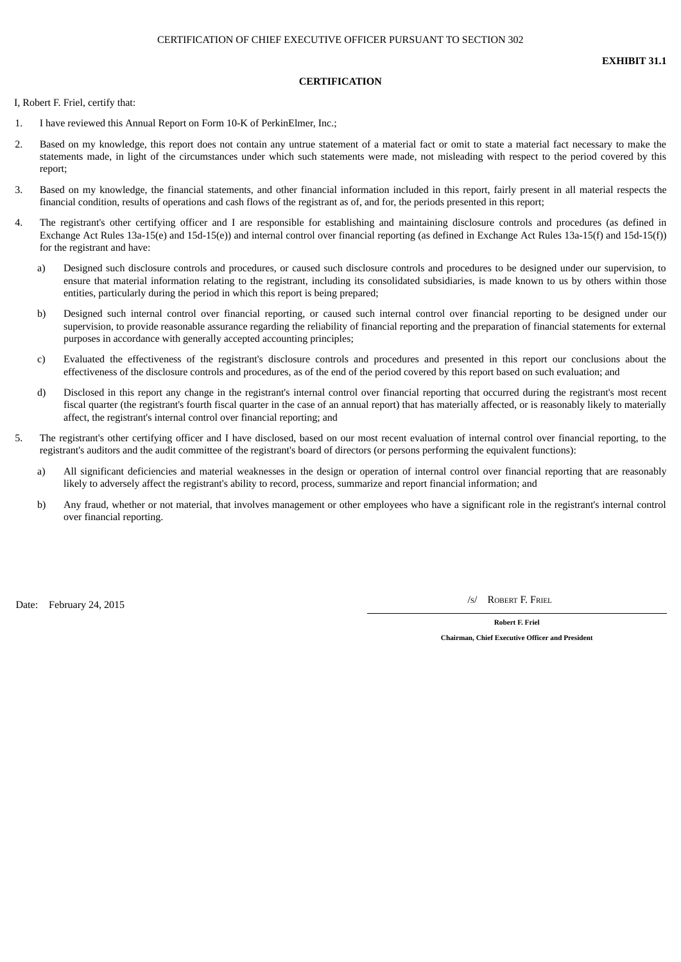#### **CERTIFICATION**

I, Robert F. Friel, certify that:

- 1. I have reviewed this Annual Report on Form 10-K of PerkinElmer, Inc.;
- 2. Based on my knowledge, this report does not contain any untrue statement of a material fact or omit to state a material fact necessary to make the statements made, in light of the circumstances under which such statements were made, not misleading with respect to the period covered by this report;
- 3. Based on my knowledge, the financial statements, and other financial information included in this report, fairly present in all material respects the financial condition, results of operations and cash flows of the registrant as of, and for, the periods presented in this report;
- 4. The registrant's other certifying officer and I are responsible for establishing and maintaining disclosure controls and procedures (as defined in Exchange Act Rules 13a-15(e) and 15d-15(e)) and internal control over financial reporting (as defined in Exchange Act Rules 13a-15(f) and 15d-15(f)) for the registrant and have:
	- a) Designed such disclosure controls and procedures, or caused such disclosure controls and procedures to be designed under our supervision, to ensure that material information relating to the registrant, including its consolidated subsidiaries, is made known to us by others within those entities, particularly during the period in which this report is being prepared;
	- b) Designed such internal control over financial reporting, or caused such internal control over financial reporting to be designed under our supervision, to provide reasonable assurance regarding the reliability of financial reporting and the preparation of financial statements for external purposes in accordance with generally accepted accounting principles;
	- c) Evaluated the effectiveness of the registrant's disclosure controls and procedures and presented in this report our conclusions about the effectiveness of the disclosure controls and procedures, as of the end of the period covered by this report based on such evaluation; and
	- d) Disclosed in this report any change in the registrant's internal control over financial reporting that occurred during the registrant's most recent fiscal quarter (the registrant's fourth fiscal quarter in the case of an annual report) that has materially affected, or is reasonably likely to materially affect, the registrant's internal control over financial reporting; and
- 5. The registrant's other certifying officer and I have disclosed, based on our most recent evaluation of internal control over financial reporting, to the registrant's auditors and the audit committee of the registrant's board of directors (or persons performing the equivalent functions):
	- a) All significant deficiencies and material weaknesses in the design or operation of internal control over financial reporting that are reasonably likely to adversely affect the registrant's ability to record, process, summarize and report financial information; and
	- b) Any fraud, whether or not material, that involves management or other employees who have a significant role in the registrant's internal control over financial reporting.

Date: February 24, 2015

 $/s/$  ROBERT F. FRIEL

**Robert F. Friel Chairman, Chief Executive Officer and President**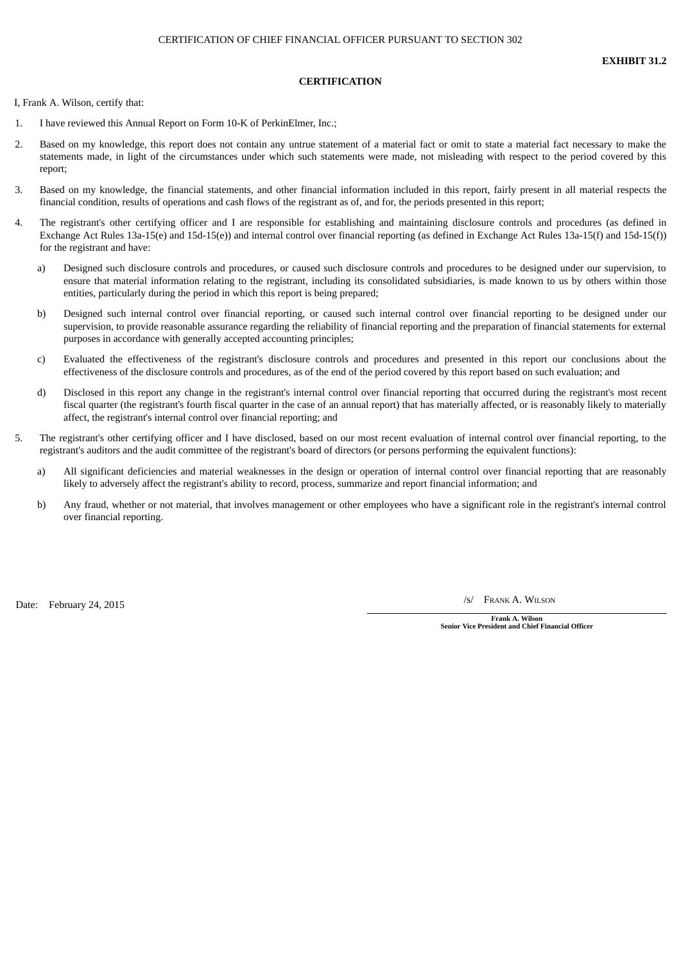#### **CERTIFICATION**

I, Frank A. Wilson, certify that:

- 1. I have reviewed this Annual Report on Form 10-K of PerkinElmer, Inc.;
- 2. Based on my knowledge, this report does not contain any untrue statement of a material fact or omit to state a material fact necessary to make the statements made, in light of the circumstances under which such statements were made, not misleading with respect to the period covered by this report;
- 3. Based on my knowledge, the financial statements, and other financial information included in this report, fairly present in all material respects the financial condition, results of operations and cash flows of the registrant as of, and for, the periods presented in this report;
- 4. The registrant's other certifying officer and I are responsible for establishing and maintaining disclosure controls and procedures (as defined in Exchange Act Rules 13a-15(e) and 15d-15(e)) and internal control over financial reporting (as defined in Exchange Act Rules 13a-15(f) and 15d-15(f)) for the registrant and have:
	- a) Designed such disclosure controls and procedures, or caused such disclosure controls and procedures to be designed under our supervision, to ensure that material information relating to the registrant, including its consolidated subsidiaries, is made known to us by others within those entities, particularly during the period in which this report is being prepared;
	- b) Designed such internal control over financial reporting, or caused such internal control over financial reporting to be designed under our supervision, to provide reasonable assurance regarding the reliability of financial reporting and the preparation of financial statements for external purposes in accordance with generally accepted accounting principles;
	- c) Evaluated the effectiveness of the registrant's disclosure controls and procedures and presented in this report our conclusions about the effectiveness of the disclosure controls and procedures, as of the end of the period covered by this report based on such evaluation; and
	- d) Disclosed in this report any change in the registrant's internal control over financial reporting that occurred during the registrant's most recent fiscal quarter (the registrant's fourth fiscal quarter in the case of an annual report) that has materially affected, or is reasonably likely to materially affect, the registrant's internal control over financial reporting; and
- 5. The registrant's other certifying officer and I have disclosed, based on our most recent evaluation of internal control over financial reporting, to the registrant's auditors and the audit committee of the registrant's board of directors (or persons performing the equivalent functions):
	- a) All significant deficiencies and material weaknesses in the design or operation of internal control over financial reporting that are reasonably likely to adversely affect the registrant's ability to record, process, summarize and report financial information; and
	- b) Any fraud, whether or not material, that involves management or other employees who have a significant role in the registrant's internal control over financial reporting.

Date: February 24, 2015

/s/ FRANK A. WILSON

**Frank A. Wilson Senior Vice President and Chief Financial Officer**